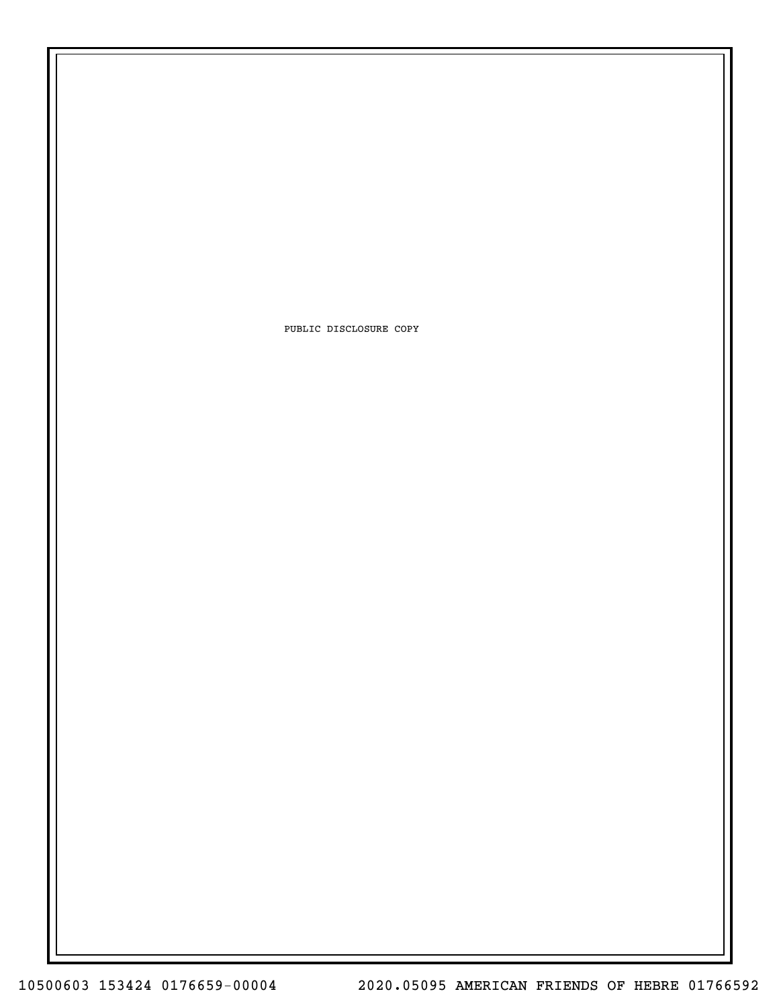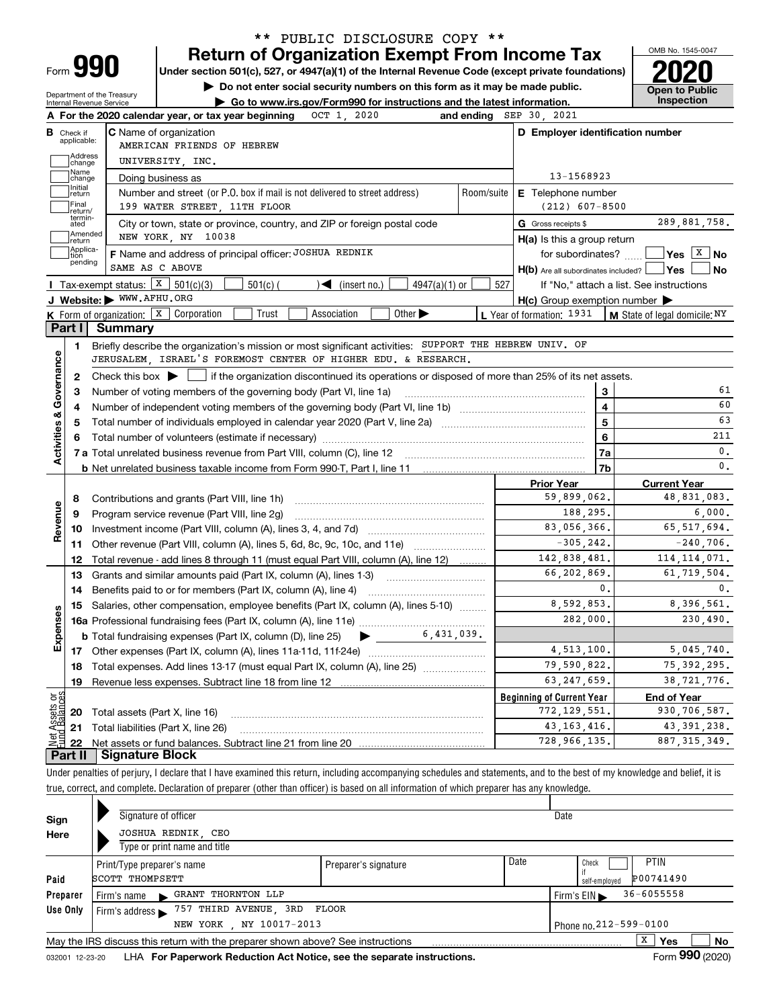| Form |  |
|------|--|

## **Return of Organization Exempt From Income Tax** \*\* PUBLIC DISCLOSURE COPY \*\*

**Under section 501(c), 527, or 4947(a)(1) of the Internal Revenue Code (except private foundations) 2020**

**| Do not enter social security numbers on this form as it may be made public.**

Department of the Treasury Internal Revenue Service

**| Go to www.irs.gov/Form990 for instructions and the latest information. Inspection**



|                                            |                         | A For the 2020 calendar year, or tax year beginning $OCT$ 1, 2020                                                                                   | and ending SEP 30, 2021 |                                                     |     |                                                                                                                                                                                                                              |
|--------------------------------------------|-------------------------|-----------------------------------------------------------------------------------------------------------------------------------------------------|-------------------------|-----------------------------------------------------|-----|------------------------------------------------------------------------------------------------------------------------------------------------------------------------------------------------------------------------------|
| В                                          | Check if<br>applicable: | <b>C</b> Name of organization<br>AMERICAN FRIENDS OF HEBREW                                                                                         |                         | D Employer identification number                    |     |                                                                                                                                                                                                                              |
|                                            | Address<br>change       | UNIVERSITY, INC.                                                                                                                                    |                         |                                                     |     |                                                                                                                                                                                                                              |
|                                            | Name<br>change          | Doing business as                                                                                                                                   |                         | 13-1568923                                          |     |                                                                                                                                                                                                                              |
|                                            | Initial<br>return       | Number and street (or P.O. box if mail is not delivered to street address)                                                                          | Room/suite              | <b>E</b> Telephone number                           |     |                                                                                                                                                                                                                              |
|                                            | Final<br>return/        | 199 WATER STREET, 11TH FLOOR                                                                                                                        |                         | $(212)$ 607-8500                                    |     |                                                                                                                                                                                                                              |
|                                            | termin-<br>ated         | City or town, state or province, country, and ZIP or foreign postal code                                                                            |                         | G Gross receipts \$                                 |     | 289,881,758.                                                                                                                                                                                                                 |
|                                            | Amended<br>return       | NEW YORK, NY 10038                                                                                                                                  |                         | $H(a)$ is this a group return                       |     |                                                                                                                                                                                                                              |
|                                            | Applica-<br>tion        | F Name and address of principal officer: JOSHUA REDNIK                                                                                              |                         |                                                     |     | for subordinates? $\Box$ Yes $X$ No                                                                                                                                                                                          |
|                                            | pending                 | SAME AS C ABOVE                                                                                                                                     |                         | $H(b)$ Are all subordinates included? $\Box$ Yes    |     | ∣No                                                                                                                                                                                                                          |
|                                            |                         | Tax-exempt status: $X \overline{3}$ 501(c)(3)<br>$\sqrt{\frac{1}{1}}$ (insert no.)<br>$4947(a)(1)$ or<br>$501(c)$ (                                 | 527                     |                                                     |     | If "No," attach a list. See instructions                                                                                                                                                                                     |
|                                            |                         | J Website: WWW.AFHU.ORG                                                                                                                             |                         | $H(c)$ Group exemption number $\blacktriangleright$ |     |                                                                                                                                                                                                                              |
|                                            |                         | <b>K</b> Form of organization: $\boxed{\textbf{x}}$ Corporation<br>Trust<br>Association<br>Other $\blacktriangleright$                              |                         | L Year of formation: 1931                           |     | $\vert$ M State of legal domicile: $N$ Y                                                                                                                                                                                     |
|                                            | Part I                  | Summary                                                                                                                                             |                         |                                                     |     |                                                                                                                                                                                                                              |
|                                            | 1.                      | Briefly describe the organization's mission or most significant activities: SUPPORT THE HEBREW UNIV. OF                                             |                         |                                                     |     |                                                                                                                                                                                                                              |
|                                            |                         | JERUSALEM ISRAEL'S FOREMOST CENTER OF HIGHER EDU. & RESEARCH.                                                                                       |                         |                                                     |     |                                                                                                                                                                                                                              |
|                                            | 2                       | Check this box $\blacktriangleright$ $\blacksquare$ if the organization discontinued its operations or disposed of more than 25% of its net assets. |                         |                                                     |     |                                                                                                                                                                                                                              |
|                                            | 3                       | Number of voting members of the governing body (Part VI, line 1a)                                                                                   |                         |                                                     | 3   | 61                                                                                                                                                                                                                           |
|                                            | 4                       |                                                                                                                                                     |                         |                                                     | 4   | 60                                                                                                                                                                                                                           |
|                                            | 5                       |                                                                                                                                                     |                         | 5                                                   | 63  |                                                                                                                                                                                                                              |
|                                            |                         |                                                                                                                                                     |                         | 6                                                   | 211 |                                                                                                                                                                                                                              |
|                                            |                         |                                                                                                                                                     |                         |                                                     | 7a  | $\mathbf{0}$ .                                                                                                                                                                                                               |
| Activities & Governance                    |                         |                                                                                                                                                     |                         |                                                     | 7b  | $\mathbf{0}$ .                                                                                                                                                                                                               |
|                                            |                         |                                                                                                                                                     |                         | <b>Prior Year</b>                                   |     | <b>Current Year</b>                                                                                                                                                                                                          |
|                                            | 8                       | Contributions and grants (Part VIII, line 1h)                                                                                                       |                         | 59,899,062.                                         |     |                                                                                                                                                                                                                              |
|                                            | 9                       | Program service revenue (Part VIII, line 2g)                                                                                                        |                         |                                                     |     |                                                                                                                                                                                                                              |
|                                            |                         |                                                                                                                                                     |                         | 188,295.                                            |     |                                                                                                                                                                                                                              |
|                                            | 10                      |                                                                                                                                                     |                         | 83,056,366.                                         |     |                                                                                                                                                                                                                              |
|                                            |                         | 11 Other revenue (Part VIII, column (A), lines 5, 6d, 8c, 9c, 10c, and 11e)                                                                         |                         | $-305, 242.$                                        |     |                                                                                                                                                                                                                              |
|                                            | 12                      | Total revenue - add lines 8 through 11 (must equal Part VIII, column (A), line 12)                                                                  |                         | 142,838,481.                                        |     |                                                                                                                                                                                                                              |
|                                            | 13                      | Grants and similar amounts paid (Part IX, column (A), lines 1-3)                                                                                    |                         | 66,202,869.                                         |     |                                                                                                                                                                                                                              |
|                                            | 14                      | Benefits paid to or for members (Part IX, column (A), line 4)                                                                                       |                         |                                                     | 0.  |                                                                                                                                                                                                                              |
|                                            | 15                      | Salaries, other compensation, employee benefits (Part IX, column (A), lines 5-10)                                                                   |                         | 8,592,853.                                          |     |                                                                                                                                                                                                                              |
|                                            |                         |                                                                                                                                                     |                         | 282,000.                                            |     |                                                                                                                                                                                                                              |
|                                            |                         | <b>b</b> Total fundraising expenses (Part IX, column (D), line 25) $\rightarrow$ ________ 6,431,039.                                                |                         |                                                     |     |                                                                                                                                                                                                                              |
|                                            |                         |                                                                                                                                                     |                         | 4,513,100.                                          |     |                                                                                                                                                                                                                              |
|                                            | 18                      | Total expenses. Add lines 13-17 (must equal Part IX, column (A), line 25) <i></i>                                                                   |                         | 79,590,822.                                         |     |                                                                                                                                                                                                                              |
|                                            | 19                      |                                                                                                                                                     |                         | 63, 247, 659.                                       |     |                                                                                                                                                                                                                              |
|                                            |                         |                                                                                                                                                     |                         | <b>Beginning of Current Year</b>                    |     | <b>End of Year</b>                                                                                                                                                                                                           |
|                                            |                         | <b>20</b> Total assets (Part X, line 16)                                                                                                            |                         | 772, 129, 551.                                      |     |                                                                                                                                                                                                                              |
| Revenue<br>Expenses<br>bg<br>sets<br>alanc |                         | 21 Total liabilities (Part X, line 26)                                                                                                              |                         | 43, 163, 416.                                       |     | 48,831,083.<br>6,000.<br>65, 517, 694.<br>$-240,706$ .<br>114, 114, 071.<br>61,719,504.<br>0.<br>8.396.561.<br>230,490.<br>5,045,740.<br>75, 392, 295.<br>38, 721, 776.<br>930, 706, 587.<br>43, 391, 238.<br>887, 315, 349. |

Under penalties of perjury, I declare that I have examined this return, including accompanying schedules and statements, and to the best of my knowledge and belief, it is true, correct, and complete. Declaration of preparer (other than officer) is based on all information of which preparer has any knowledge.

| x<br>No<br>Yes<br>May the IRS discuss this return with the preparer shown above? See instructions<br>000 |  |  |  |  |  |  |  |  |  |
|----------------------------------------------------------------------------------------------------------|--|--|--|--|--|--|--|--|--|
|                                                                                                          |  |  |  |  |  |  |  |  |  |

032001 12-23-20 LHA **For Paperwork Reduction Act Notice, see the separate instructions. Form 990 (2020)**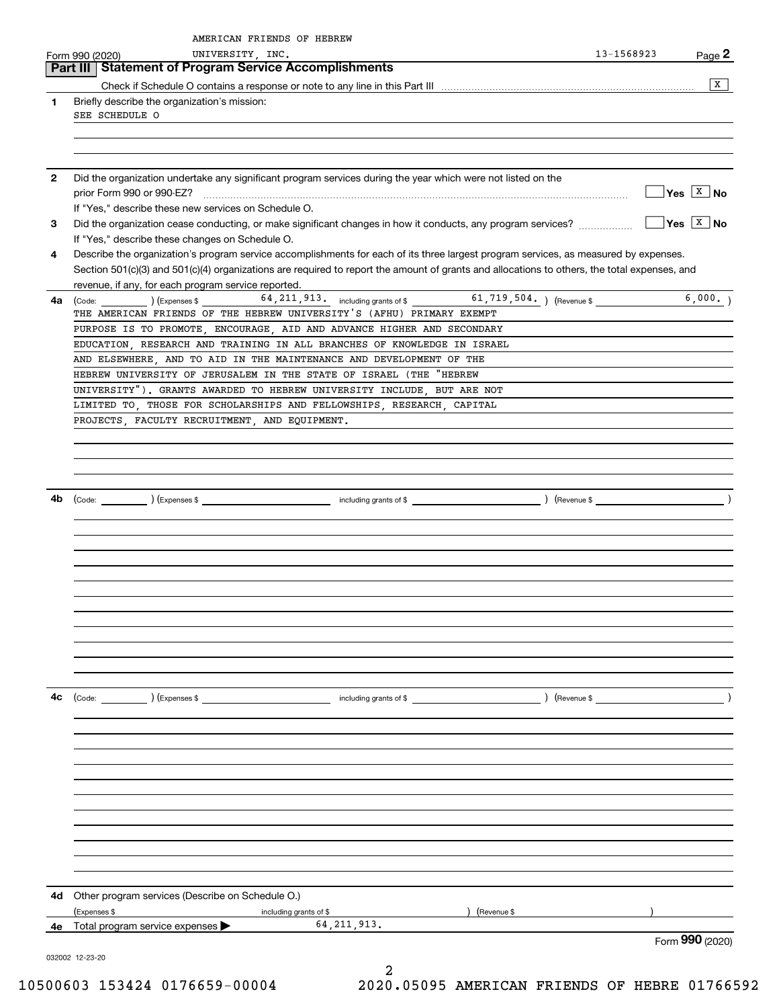|              | AMERICAN FRIENDS OF HEBREW<br>UNIVERSITY, INC.<br>Form 990 (2020)                                                                                                                                                                                                                    | 13-1568923 | Page 2                       |
|--------------|--------------------------------------------------------------------------------------------------------------------------------------------------------------------------------------------------------------------------------------------------------------------------------------|------------|------------------------------|
|              | <b>Part III   Statement of Program Service Accomplishments</b>                                                                                                                                                                                                                       |            |                              |
|              |                                                                                                                                                                                                                                                                                      |            | X                            |
| 1            | Briefly describe the organization's mission:<br>SEE SCHEDULE O                                                                                                                                                                                                                       |            |                              |
| $\mathbf{2}$ | Did the organization undertake any significant program services during the year which were not listed on the                                                                                                                                                                         |            |                              |
|              | prior Form 990 or 990-EZ?<br>If "Yes," describe these new services on Schedule O.                                                                                                                                                                                                    |            | $\sqrt{Y}$ es $\boxed{X}$ No |
| 3            | Did the organization cease conducting, or make significant changes in how it conducts, any program services?<br>If "Yes," describe these changes on Schedule O.                                                                                                                      |            | $\sqrt{}$ Yes $\sqrt{X}$ No  |
| 4            | Describe the organization's program service accomplishments for each of its three largest program services, as measured by expenses.<br>Section 501(c)(3) and 501(c)(4) organizations are required to report the amount of grants and allocations to others, the total expenses, and |            |                              |
|              | revenue, if any, for each program service reported.                                                                                                                                                                                                                                  |            |                              |
| 4a           | (Code: ) (Expenses \$64, 211, 913. including grants of \$61, 719, 504. ) (Revenue \$<br>THE AMERICAN FRIENDS OF THE HEBREW UNIVERSITY'S (AFHU) PRIMARY EXEMPT                                                                                                                        |            | 6,000.                       |
|              | PURPOSE IS TO PROMOTE, ENCOURAGE, AID AND ADVANCE HIGHER AND SECONDARY                                                                                                                                                                                                               |            |                              |
|              | EDUCATION, RESEARCH AND TRAINING IN ALL BRANCHES OF KNOWLEDGE IN ISRAEL<br>AND ELSEWHERE, AND TO AID IN THE MAINTENANCE AND DEVELOPMENT OF THE                                                                                                                                       |            |                              |
|              | HEBREW UNIVERSITY OF JERUSALEM IN THE STATE OF ISRAEL (THE "HEBREW                                                                                                                                                                                                                   |            |                              |
|              | UNIVERSITY"). GRANTS AWARDED TO HEBREW UNIVERSITY INCLUDE, BUT ARE NOT                                                                                                                                                                                                               |            |                              |
|              | LIMITED TO, THOSE FOR SCHOLARSHIPS AND FELLOWSHIPS, RESEARCH, CAPITAL                                                                                                                                                                                                                |            |                              |
|              | PROJECTS, FACULTY RECRUITMENT, AND EQUIPMENT.                                                                                                                                                                                                                                        |            |                              |
|              |                                                                                                                                                                                                                                                                                      |            |                              |
|              |                                                                                                                                                                                                                                                                                      |            |                              |
|              |                                                                                                                                                                                                                                                                                      |            |                              |
|              |                                                                                                                                                                                                                                                                                      |            |                              |
| 4b           |                                                                                                                                                                                                                                                                                      |            |                              |
|              |                                                                                                                                                                                                                                                                                      |            |                              |
|              |                                                                                                                                                                                                                                                                                      |            |                              |
|              |                                                                                                                                                                                                                                                                                      |            |                              |
|              |                                                                                                                                                                                                                                                                                      |            |                              |
|              |                                                                                                                                                                                                                                                                                      |            |                              |
|              |                                                                                                                                                                                                                                                                                      |            |                              |
|              |                                                                                                                                                                                                                                                                                      |            |                              |
|              |                                                                                                                                                                                                                                                                                      |            |                              |
|              |                                                                                                                                                                                                                                                                                      |            |                              |
|              |                                                                                                                                                                                                                                                                                      |            |                              |
|              |                                                                                                                                                                                                                                                                                      |            |                              |
| 4c           | (Code: ) (Expenses \$                                                                                                                                                                                                                                                                |            |                              |
|              |                                                                                                                                                                                                                                                                                      |            |                              |
|              |                                                                                                                                                                                                                                                                                      |            |                              |
|              |                                                                                                                                                                                                                                                                                      |            |                              |
|              |                                                                                                                                                                                                                                                                                      |            |                              |
|              |                                                                                                                                                                                                                                                                                      |            |                              |
|              |                                                                                                                                                                                                                                                                                      |            |                              |
|              |                                                                                                                                                                                                                                                                                      |            |                              |
|              |                                                                                                                                                                                                                                                                                      |            |                              |
|              |                                                                                                                                                                                                                                                                                      |            |                              |
|              |                                                                                                                                                                                                                                                                                      |            |                              |
|              |                                                                                                                                                                                                                                                                                      |            |                              |
| 4d           | Other program services (Describe on Schedule O.)                                                                                                                                                                                                                                     |            |                              |
|              | (Expenses \$<br>including grants of \$<br>(Revenue \$                                                                                                                                                                                                                                |            |                              |
| 4е           | 64, 211, 913.<br>Total program service expenses $\blacktriangleright$                                                                                                                                                                                                                |            | Form 990 (2020)              |
|              | 032002 12-23-20                                                                                                                                                                                                                                                                      |            |                              |

2 10500603 153424 0176659-00004 2020.05095 AMERICAN FRIENDS OF HEBRE 01766592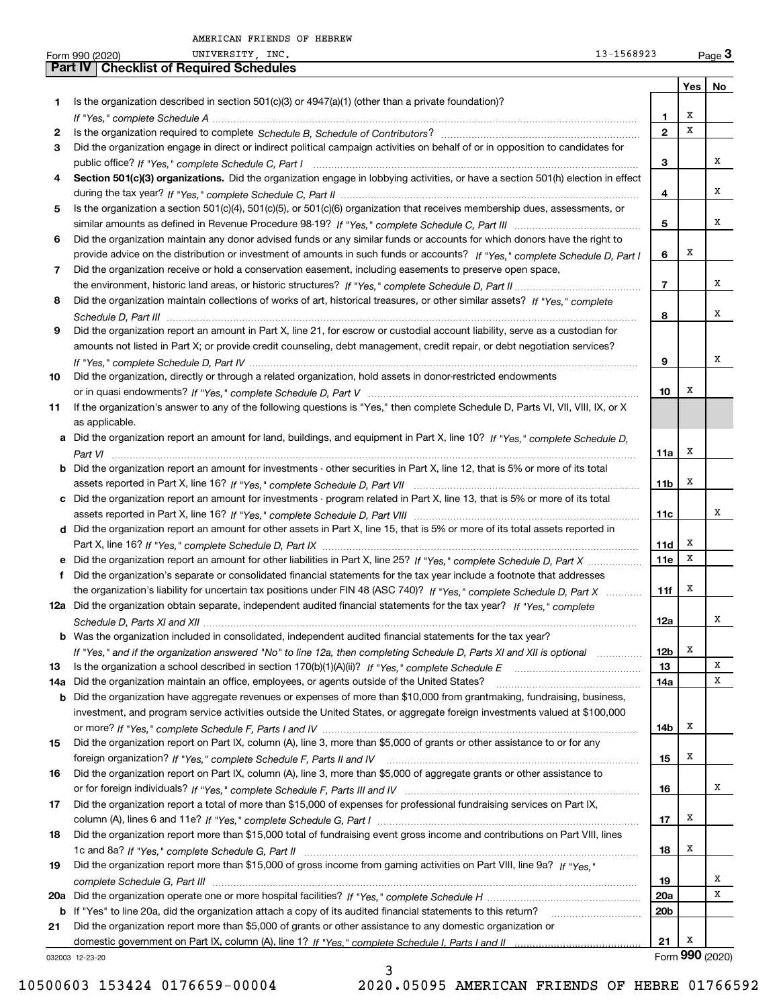|     | 13-1568923<br>UNIVERSITY, INC.<br>Form 990 (2020)                                                                                               |                   |     | Page $3$        |
|-----|-------------------------------------------------------------------------------------------------------------------------------------------------|-------------------|-----|-----------------|
|     | Part IV   Checklist of Required Schedules                                                                                                       |                   |     |                 |
|     |                                                                                                                                                 |                   | Yes | No              |
| 1   | Is the organization described in section 501(c)(3) or 4947(a)(1) (other than a private foundation)?                                             |                   | X   |                 |
| 2   |                                                                                                                                                 | 1<br>$\mathbf{2}$ | X   |                 |
| 3   | Did the organization engage in direct or indirect political campaign activities on behalf of or in opposition to candidates for                 |                   |     |                 |
|     |                                                                                                                                                 | 3                 |     | х               |
| 4   | Section 501(c)(3) organizations. Did the organization engage in lobbying activities, or have a section 501(h) election in effect                |                   |     |                 |
|     |                                                                                                                                                 | 4                 |     | х               |
| 5   | Is the organization a section 501(c)(4), 501(c)(5), or 501(c)(6) organization that receives membership dues, assessments, or                    |                   |     |                 |
|     |                                                                                                                                                 | 5                 |     | х               |
| 6   | Did the organization maintain any donor advised funds or any similar funds or accounts for which donors have the right to                       |                   |     |                 |
|     | provide advice on the distribution or investment of amounts in such funds or accounts? If "Yes," complete Schedule D, Part I                    | 6                 | x   |                 |
| 7   | Did the organization receive or hold a conservation easement, including easements to preserve open space,                                       |                   |     |                 |
|     |                                                                                                                                                 | $\overline{7}$    |     | х               |
| 8   | Did the organization maintain collections of works of art, historical treasures, or other similar assets? If "Yes," complete                    |                   |     |                 |
|     |                                                                                                                                                 | 8                 |     | х               |
| 9   | Did the organization report an amount in Part X, line 21, for escrow or custodial account liability, serve as a custodian for                   |                   |     |                 |
|     | amounts not listed in Part X; or provide credit counseling, debt management, credit repair, or debt negotiation services?                       |                   |     |                 |
|     |                                                                                                                                                 | 9                 |     | х               |
| 10  | Did the organization, directly or through a related organization, hold assets in donor-restricted endowments                                    |                   |     |                 |
|     |                                                                                                                                                 | 10                | х   |                 |
| 11  | If the organization's answer to any of the following questions is "Yes," then complete Schedule D, Parts VI, VII, VIII, IX, or X                |                   |     |                 |
|     | as applicable.<br>a Did the organization report an amount for land, buildings, and equipment in Part X, line 10? If "Yes," complete Schedule D, |                   |     |                 |
|     |                                                                                                                                                 | 11a               | x   |                 |
|     | <b>b</b> Did the organization report an amount for investments - other securities in Part X, line 12, that is 5% or more of its total           |                   |     |                 |
|     |                                                                                                                                                 | 11 <sub>b</sub>   | х   |                 |
|     | c Did the organization report an amount for investments - program related in Part X, line 13, that is 5% or more of its total                   |                   |     |                 |
|     |                                                                                                                                                 | 11c               |     | х               |
|     | d Did the organization report an amount for other assets in Part X, line 15, that is 5% or more of its total assets reported in                 |                   |     |                 |
|     |                                                                                                                                                 | 11d               | x   |                 |
|     | e Did the organization report an amount for other liabilities in Part X, line 25? If "Yes," complete Schedule D, Part X                         | 11e               | x   |                 |
|     | f Did the organization's separate or consolidated financial statements for the tax year include a footnote that addresses                       |                   |     |                 |
|     | the organization's liability for uncertain tax positions under FIN 48 (ASC 740)? If "Yes," complete Schedule D, Part X                          | 11f               | х   |                 |
|     | 12a Did the organization obtain separate, independent audited financial statements for the tax year? If "Yes," complete                         |                   |     |                 |
|     |                                                                                                                                                 | 12a               |     | Х               |
|     | <b>b</b> Was the organization included in consolidated, independent audited financial statements for the tax year?                              |                   |     |                 |
|     | If "Yes," and if the organization answered "No" to line 12a, then completing Schedule D, Parts XI and XII is optional                           | 12b               | Х   |                 |
| 13  |                                                                                                                                                 | 13                |     | Х               |
| 14a | Did the organization maintain an office, employees, or agents outside of the United States?                                                     | 14a               |     | х               |
| b   | Did the organization have aggregate revenues or expenses of more than \$10,000 from grantmaking, fundraising, business,                         |                   |     |                 |
|     | investment, and program service activities outside the United States, or aggregate foreign investments valued at \$100,000                      |                   |     |                 |
| 15  | Did the organization report on Part IX, column (A), line 3, more than \$5,000 of grants or other assistance to or for any                       | 14b               | x   |                 |
|     |                                                                                                                                                 | 15                | x   |                 |
| 16  | Did the organization report on Part IX, column (A), line 3, more than \$5,000 of aggregate grants or other assistance to                        |                   |     |                 |
|     |                                                                                                                                                 | 16                |     | х               |
| 17  | Did the organization report a total of more than \$15,000 of expenses for professional fundraising services on Part IX,                         |                   |     |                 |
|     |                                                                                                                                                 | 17                | x   |                 |
| 18  | Did the organization report more than \$15,000 total of fundraising event gross income and contributions on Part VIII, lines                    |                   |     |                 |
|     |                                                                                                                                                 | 18                | x   |                 |
| 19  | Did the organization report more than \$15,000 of gross income from gaming activities on Part VIII, line 9a? If "Yes."                          |                   |     |                 |
|     |                                                                                                                                                 | 19                |     | х               |
|     |                                                                                                                                                 | <b>20a</b>        |     | х               |
| b   | If "Yes" to line 20a, did the organization attach a copy of its audited financial statements to this return?                                    | 20 <sub>b</sub>   |     |                 |
| 21  | Did the organization report more than \$5,000 of grants or other assistance to any domestic organization or                                     |                   |     |                 |
|     |                                                                                                                                                 | 21                | x   |                 |
|     | 032003 12-23-20                                                                                                                                 |                   |     | Form 990 (2020) |

032003 12-23-20

3 10500603 153424 0176659-00004 2020.05095 AMERICAN FRIENDS OF HEBRE 01766592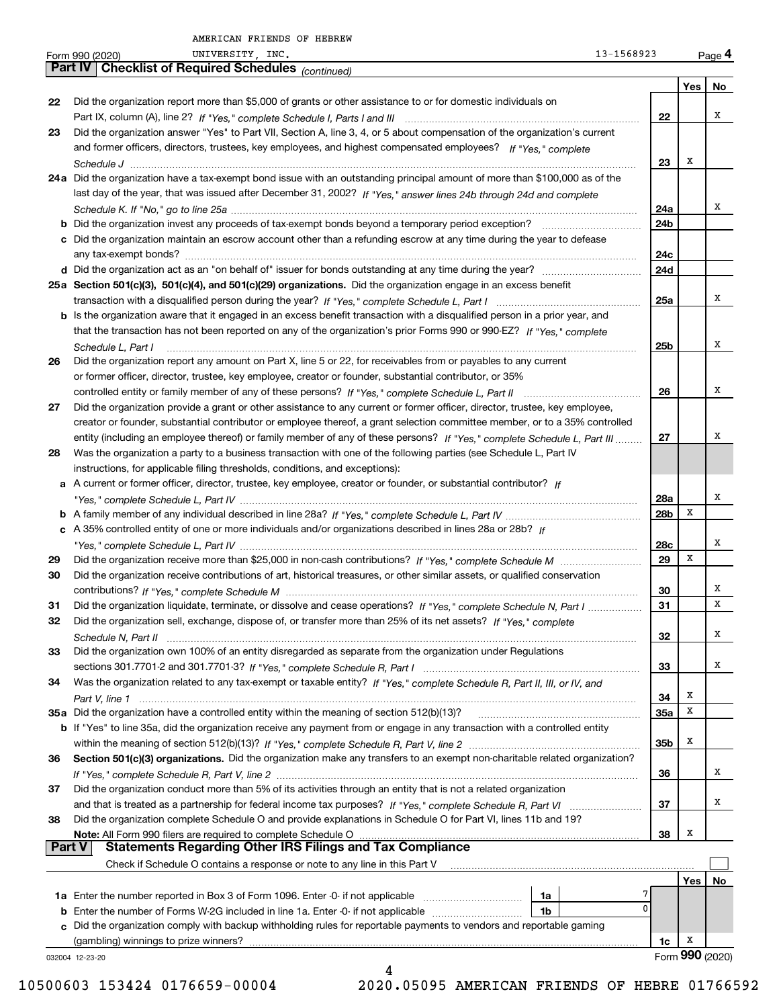| Part IV I<br>No<br>Yes  <br>22<br>Did the organization report more than \$5,000 of grants or other assistance to or for domestic individuals on<br>х<br>22<br>Did the organization answer "Yes" to Part VII, Section A, line 3, 4, or 5 about compensation of the organization's current<br>23<br>and former officers, directors, trustees, key employees, and highest compensated employees? If "Yes," complete<br>х<br>23<br>24a Did the organization have a tax-exempt bond issue with an outstanding principal amount of more than \$100,000 as of the<br>last day of the year, that was issued after December 31, 2002? If "Yes," answer lines 24b through 24d and complete<br>х<br>24a<br><b>b</b> Did the organization invest any proceeds of tax-exempt bonds beyond a temporary period exception?<br>24b<br>c Did the organization maintain an escrow account other than a refunding escrow at any time during the year to defease<br>24c<br>24d<br>25a Section 501(c)(3), 501(c)(4), and 501(c)(29) organizations. Did the organization engage in an excess benefit<br>Χ<br>25a<br>b Is the organization aware that it engaged in an excess benefit transaction with a disqualified person in a prior year, and<br>that the transaction has not been reported on any of the organization's prior Forms 990 or 990-EZ? If "Yes," complete<br>Х<br>25b<br>Schedule L, Part I<br>Did the organization report any amount on Part X, line 5 or 22, for receivables from or payables to any current<br>26<br>or former officer, director, trustee, key employee, creator or founder, substantial contributor, or 35%<br>Χ<br>26<br>27<br>Did the organization provide a grant or other assistance to any current or former officer, director, trustee, key employee,<br>creator or founder, substantial contributor or employee thereof, a grant selection committee member, or to a 35% controlled<br>х<br>entity (including an employee thereof) or family member of any of these persons? If "Yes," complete Schedule L, Part III<br>27<br>Was the organization a party to a business transaction with one of the following parties (see Schedule L, Part IV<br>28<br>instructions, for applicable filing thresholds, conditions, and exceptions):<br>a A current or former officer, director, trustee, key employee, creator or founder, or substantial contributor? If<br>х<br>28a<br>х<br>28b<br>c A 35% controlled entity of one or more individuals and/or organizations described in lines 28a or 28b? If<br>Χ<br>28c<br>х<br>29<br>29<br>Did the organization receive contributions of art, historical treasures, or other similar assets, or qualified conservation<br>30<br>х<br>30<br>X<br>Did the organization liquidate, terminate, or dissolve and cease operations? If "Yes," complete Schedule N, Part I<br>31<br>31<br>Did the organization sell, exchange, dispose of, or transfer more than 25% of its net assets? If "Yes," complete<br>32<br>Х<br>32<br>Did the organization own 100% of an entity disregarded as separate from the organization under Regulations<br>33<br>х<br>33<br>Was the organization related to any tax-exempt or taxable entity? If "Yes," complete Schedule R, Part II, III, or IV, and<br>34<br>Х<br>34<br>х<br>35a Did the organization have a controlled entity within the meaning of section 512(b)(13)?<br>35a<br><b>b</b> If "Yes" to line 35a, did the organization receive any payment from or engage in any transaction with a controlled entity<br>х<br>35b<br>Section 501(c)(3) organizations. Did the organization make any transfers to an exempt non-charitable related organization?<br>36<br>х<br>36<br>Did the organization conduct more than 5% of its activities through an entity that is not a related organization<br>37<br>х<br>37<br>Did the organization complete Schedule O and provide explanations in Schedule O for Part VI, lines 11b and 19?<br>38<br>Х<br>38<br><b>Part V</b><br>Check if Schedule O contains a response or note to any line in this Part V<br>Yes  <br>No<br>1a<br>$\Omega$<br><b>b</b> Enter the number of Forms W-2G included in line 1a. Enter -0- if not applicable<br>1b<br>c Did the organization comply with backup withholding rules for reportable payments to vendors and reportable gaming<br>(gambling) winnings to prize winners? www.communications.communications.communications.communications.com<br>х<br>1c<br>Form 990 (2020)<br>032004 12-23-20<br>4 | 13-1568923<br>UNIVERSITY, INC.<br>Form 990 (2020) |  | Page 4 |
|-------------------------------------------------------------------------------------------------------------------------------------------------------------------------------------------------------------------------------------------------------------------------------------------------------------------------------------------------------------------------------------------------------------------------------------------------------------------------------------------------------------------------------------------------------------------------------------------------------------------------------------------------------------------------------------------------------------------------------------------------------------------------------------------------------------------------------------------------------------------------------------------------------------------------------------------------------------------------------------------------------------------------------------------------------------------------------------------------------------------------------------------------------------------------------------------------------------------------------------------------------------------------------------------------------------------------------------------------------------------------------------------------------------------------------------------------------------------------------------------------------------------------------------------------------------------------------------------------------------------------------------------------------------------------------------------------------------------------------------------------------------------------------------------------------------------------------------------------------------------------------------------------------------------------------------------------------------------------------------------------------------------------------------------------------------------------------------------------------------------------------------------------------------------------------------------------------------------------------------------------------------------------------------------------------------------------------------------------------------------------------------------------------------------------------------------------------------------------------------------------------------------------------------------------------------------------------------------------------------------------------------------------------------------------------------------------------------------------------------------------------------------------------------------------------------------------------------------------------------------------------------------------------------------------------------------------------------------------------------------------------------------------------------------------------------------------------------------------------------------------------------------------------------------------------------------------------------------------------------------------------------------------------------------------------------------------------------------------------------------------------------------------------------------------------------------------------------------------------------------------------------------------------------------------------------------------------------------------------------------------------------------------------------------------------------------------------------------------------------------------------------------------------------------------------------------------------------------------------------------------------------------------------------------------------------------------------------------------------------------------------------------------------------------------------------------------------------------------------------------------------------------------------------------------------------------------------------------------------------------------------------------------------------------------------------------------------------------------------------------------------------------------------------------------------------------------------------------------------|---------------------------------------------------|--|--------|
|                                                                                                                                                                                                                                                                                                                                                                                                                                                                                                                                                                                                                                                                                                                                                                                                                                                                                                                                                                                                                                                                                                                                                                                                                                                                                                                                                                                                                                                                                                                                                                                                                                                                                                                                                                                                                                                                                                                                                                                                                                                                                                                                                                                                                                                                                                                                                                                                                                                                                                                                                                                                                                                                                                                                                                                                                                                                                                                                                                                                                                                                                                                                                                                                                                                                                                                                                                                                                                                                                                                                                                                                                                                                                                                                                                                                                                                                                                                                                                                                                                                                                                                                                                                                                                                                                                                                                                                                                                                                               | <b>Checklist of Required Schedules (CONTINGO)</b> |  |        |
|                                                                                                                                                                                                                                                                                                                                                                                                                                                                                                                                                                                                                                                                                                                                                                                                                                                                                                                                                                                                                                                                                                                                                                                                                                                                                                                                                                                                                                                                                                                                                                                                                                                                                                                                                                                                                                                                                                                                                                                                                                                                                                                                                                                                                                                                                                                                                                                                                                                                                                                                                                                                                                                                                                                                                                                                                                                                                                                                                                                                                                                                                                                                                                                                                                                                                                                                                                                                                                                                                                                                                                                                                                                                                                                                                                                                                                                                                                                                                                                                                                                                                                                                                                                                                                                                                                                                                                                                                                                                               |                                                   |  |        |
|                                                                                                                                                                                                                                                                                                                                                                                                                                                                                                                                                                                                                                                                                                                                                                                                                                                                                                                                                                                                                                                                                                                                                                                                                                                                                                                                                                                                                                                                                                                                                                                                                                                                                                                                                                                                                                                                                                                                                                                                                                                                                                                                                                                                                                                                                                                                                                                                                                                                                                                                                                                                                                                                                                                                                                                                                                                                                                                                                                                                                                                                                                                                                                                                                                                                                                                                                                                                                                                                                                                                                                                                                                                                                                                                                                                                                                                                                                                                                                                                                                                                                                                                                                                                                                                                                                                                                                                                                                                                               |                                                   |  |        |
|                                                                                                                                                                                                                                                                                                                                                                                                                                                                                                                                                                                                                                                                                                                                                                                                                                                                                                                                                                                                                                                                                                                                                                                                                                                                                                                                                                                                                                                                                                                                                                                                                                                                                                                                                                                                                                                                                                                                                                                                                                                                                                                                                                                                                                                                                                                                                                                                                                                                                                                                                                                                                                                                                                                                                                                                                                                                                                                                                                                                                                                                                                                                                                                                                                                                                                                                                                                                                                                                                                                                                                                                                                                                                                                                                                                                                                                                                                                                                                                                                                                                                                                                                                                                                                                                                                                                                                                                                                                                               |                                                   |  |        |
|                                                                                                                                                                                                                                                                                                                                                                                                                                                                                                                                                                                                                                                                                                                                                                                                                                                                                                                                                                                                                                                                                                                                                                                                                                                                                                                                                                                                                                                                                                                                                                                                                                                                                                                                                                                                                                                                                                                                                                                                                                                                                                                                                                                                                                                                                                                                                                                                                                                                                                                                                                                                                                                                                                                                                                                                                                                                                                                                                                                                                                                                                                                                                                                                                                                                                                                                                                                                                                                                                                                                                                                                                                                                                                                                                                                                                                                                                                                                                                                                                                                                                                                                                                                                                                                                                                                                                                                                                                                                               |                                                   |  |        |
|                                                                                                                                                                                                                                                                                                                                                                                                                                                                                                                                                                                                                                                                                                                                                                                                                                                                                                                                                                                                                                                                                                                                                                                                                                                                                                                                                                                                                                                                                                                                                                                                                                                                                                                                                                                                                                                                                                                                                                                                                                                                                                                                                                                                                                                                                                                                                                                                                                                                                                                                                                                                                                                                                                                                                                                                                                                                                                                                                                                                                                                                                                                                                                                                                                                                                                                                                                                                                                                                                                                                                                                                                                                                                                                                                                                                                                                                                                                                                                                                                                                                                                                                                                                                                                                                                                                                                                                                                                                                               |                                                   |  |        |
|                                                                                                                                                                                                                                                                                                                                                                                                                                                                                                                                                                                                                                                                                                                                                                                                                                                                                                                                                                                                                                                                                                                                                                                                                                                                                                                                                                                                                                                                                                                                                                                                                                                                                                                                                                                                                                                                                                                                                                                                                                                                                                                                                                                                                                                                                                                                                                                                                                                                                                                                                                                                                                                                                                                                                                                                                                                                                                                                                                                                                                                                                                                                                                                                                                                                                                                                                                                                                                                                                                                                                                                                                                                                                                                                                                                                                                                                                                                                                                                                                                                                                                                                                                                                                                                                                                                                                                                                                                                                               |                                                   |  |        |
|                                                                                                                                                                                                                                                                                                                                                                                                                                                                                                                                                                                                                                                                                                                                                                                                                                                                                                                                                                                                                                                                                                                                                                                                                                                                                                                                                                                                                                                                                                                                                                                                                                                                                                                                                                                                                                                                                                                                                                                                                                                                                                                                                                                                                                                                                                                                                                                                                                                                                                                                                                                                                                                                                                                                                                                                                                                                                                                                                                                                                                                                                                                                                                                                                                                                                                                                                                                                                                                                                                                                                                                                                                                                                                                                                                                                                                                                                                                                                                                                                                                                                                                                                                                                                                                                                                                                                                                                                                                                               |                                                   |  |        |
|                                                                                                                                                                                                                                                                                                                                                                                                                                                                                                                                                                                                                                                                                                                                                                                                                                                                                                                                                                                                                                                                                                                                                                                                                                                                                                                                                                                                                                                                                                                                                                                                                                                                                                                                                                                                                                                                                                                                                                                                                                                                                                                                                                                                                                                                                                                                                                                                                                                                                                                                                                                                                                                                                                                                                                                                                                                                                                                                                                                                                                                                                                                                                                                                                                                                                                                                                                                                                                                                                                                                                                                                                                                                                                                                                                                                                                                                                                                                                                                                                                                                                                                                                                                                                                                                                                                                                                                                                                                                               |                                                   |  |        |
|                                                                                                                                                                                                                                                                                                                                                                                                                                                                                                                                                                                                                                                                                                                                                                                                                                                                                                                                                                                                                                                                                                                                                                                                                                                                                                                                                                                                                                                                                                                                                                                                                                                                                                                                                                                                                                                                                                                                                                                                                                                                                                                                                                                                                                                                                                                                                                                                                                                                                                                                                                                                                                                                                                                                                                                                                                                                                                                                                                                                                                                                                                                                                                                                                                                                                                                                                                                                                                                                                                                                                                                                                                                                                                                                                                                                                                                                                                                                                                                                                                                                                                                                                                                                                                                                                                                                                                                                                                                                               |                                                   |  |        |
|                                                                                                                                                                                                                                                                                                                                                                                                                                                                                                                                                                                                                                                                                                                                                                                                                                                                                                                                                                                                                                                                                                                                                                                                                                                                                                                                                                                                                                                                                                                                                                                                                                                                                                                                                                                                                                                                                                                                                                                                                                                                                                                                                                                                                                                                                                                                                                                                                                                                                                                                                                                                                                                                                                                                                                                                                                                                                                                                                                                                                                                                                                                                                                                                                                                                                                                                                                                                                                                                                                                                                                                                                                                                                                                                                                                                                                                                                                                                                                                                                                                                                                                                                                                                                                                                                                                                                                                                                                                                               |                                                   |  |        |
|                                                                                                                                                                                                                                                                                                                                                                                                                                                                                                                                                                                                                                                                                                                                                                                                                                                                                                                                                                                                                                                                                                                                                                                                                                                                                                                                                                                                                                                                                                                                                                                                                                                                                                                                                                                                                                                                                                                                                                                                                                                                                                                                                                                                                                                                                                                                                                                                                                                                                                                                                                                                                                                                                                                                                                                                                                                                                                                                                                                                                                                                                                                                                                                                                                                                                                                                                                                                                                                                                                                                                                                                                                                                                                                                                                                                                                                                                                                                                                                                                                                                                                                                                                                                                                                                                                                                                                                                                                                                               |                                                   |  |        |
|                                                                                                                                                                                                                                                                                                                                                                                                                                                                                                                                                                                                                                                                                                                                                                                                                                                                                                                                                                                                                                                                                                                                                                                                                                                                                                                                                                                                                                                                                                                                                                                                                                                                                                                                                                                                                                                                                                                                                                                                                                                                                                                                                                                                                                                                                                                                                                                                                                                                                                                                                                                                                                                                                                                                                                                                                                                                                                                                                                                                                                                                                                                                                                                                                                                                                                                                                                                                                                                                                                                                                                                                                                                                                                                                                                                                                                                                                                                                                                                                                                                                                                                                                                                                                                                                                                                                                                                                                                                                               |                                                   |  |        |
|                                                                                                                                                                                                                                                                                                                                                                                                                                                                                                                                                                                                                                                                                                                                                                                                                                                                                                                                                                                                                                                                                                                                                                                                                                                                                                                                                                                                                                                                                                                                                                                                                                                                                                                                                                                                                                                                                                                                                                                                                                                                                                                                                                                                                                                                                                                                                                                                                                                                                                                                                                                                                                                                                                                                                                                                                                                                                                                                                                                                                                                                                                                                                                                                                                                                                                                                                                                                                                                                                                                                                                                                                                                                                                                                                                                                                                                                                                                                                                                                                                                                                                                                                                                                                                                                                                                                                                                                                                                                               |                                                   |  |        |
|                                                                                                                                                                                                                                                                                                                                                                                                                                                                                                                                                                                                                                                                                                                                                                                                                                                                                                                                                                                                                                                                                                                                                                                                                                                                                                                                                                                                                                                                                                                                                                                                                                                                                                                                                                                                                                                                                                                                                                                                                                                                                                                                                                                                                                                                                                                                                                                                                                                                                                                                                                                                                                                                                                                                                                                                                                                                                                                                                                                                                                                                                                                                                                                                                                                                                                                                                                                                                                                                                                                                                                                                                                                                                                                                                                                                                                                                                                                                                                                                                                                                                                                                                                                                                                                                                                                                                                                                                                                                               |                                                   |  |        |
|                                                                                                                                                                                                                                                                                                                                                                                                                                                                                                                                                                                                                                                                                                                                                                                                                                                                                                                                                                                                                                                                                                                                                                                                                                                                                                                                                                                                                                                                                                                                                                                                                                                                                                                                                                                                                                                                                                                                                                                                                                                                                                                                                                                                                                                                                                                                                                                                                                                                                                                                                                                                                                                                                                                                                                                                                                                                                                                                                                                                                                                                                                                                                                                                                                                                                                                                                                                                                                                                                                                                                                                                                                                                                                                                                                                                                                                                                                                                                                                                                                                                                                                                                                                                                                                                                                                                                                                                                                                                               |                                                   |  |        |
|                                                                                                                                                                                                                                                                                                                                                                                                                                                                                                                                                                                                                                                                                                                                                                                                                                                                                                                                                                                                                                                                                                                                                                                                                                                                                                                                                                                                                                                                                                                                                                                                                                                                                                                                                                                                                                                                                                                                                                                                                                                                                                                                                                                                                                                                                                                                                                                                                                                                                                                                                                                                                                                                                                                                                                                                                                                                                                                                                                                                                                                                                                                                                                                                                                                                                                                                                                                                                                                                                                                                                                                                                                                                                                                                                                                                                                                                                                                                                                                                                                                                                                                                                                                                                                                                                                                                                                                                                                                                               |                                                   |  |        |
|                                                                                                                                                                                                                                                                                                                                                                                                                                                                                                                                                                                                                                                                                                                                                                                                                                                                                                                                                                                                                                                                                                                                                                                                                                                                                                                                                                                                                                                                                                                                                                                                                                                                                                                                                                                                                                                                                                                                                                                                                                                                                                                                                                                                                                                                                                                                                                                                                                                                                                                                                                                                                                                                                                                                                                                                                                                                                                                                                                                                                                                                                                                                                                                                                                                                                                                                                                                                                                                                                                                                                                                                                                                                                                                                                                                                                                                                                                                                                                                                                                                                                                                                                                                                                                                                                                                                                                                                                                                                               |                                                   |  |        |
|                                                                                                                                                                                                                                                                                                                                                                                                                                                                                                                                                                                                                                                                                                                                                                                                                                                                                                                                                                                                                                                                                                                                                                                                                                                                                                                                                                                                                                                                                                                                                                                                                                                                                                                                                                                                                                                                                                                                                                                                                                                                                                                                                                                                                                                                                                                                                                                                                                                                                                                                                                                                                                                                                                                                                                                                                                                                                                                                                                                                                                                                                                                                                                                                                                                                                                                                                                                                                                                                                                                                                                                                                                                                                                                                                                                                                                                                                                                                                                                                                                                                                                                                                                                                                                                                                                                                                                                                                                                                               |                                                   |  |        |
|                                                                                                                                                                                                                                                                                                                                                                                                                                                                                                                                                                                                                                                                                                                                                                                                                                                                                                                                                                                                                                                                                                                                                                                                                                                                                                                                                                                                                                                                                                                                                                                                                                                                                                                                                                                                                                                                                                                                                                                                                                                                                                                                                                                                                                                                                                                                                                                                                                                                                                                                                                                                                                                                                                                                                                                                                                                                                                                                                                                                                                                                                                                                                                                                                                                                                                                                                                                                                                                                                                                                                                                                                                                                                                                                                                                                                                                                                                                                                                                                                                                                                                                                                                                                                                                                                                                                                                                                                                                                               |                                                   |  |        |
|                                                                                                                                                                                                                                                                                                                                                                                                                                                                                                                                                                                                                                                                                                                                                                                                                                                                                                                                                                                                                                                                                                                                                                                                                                                                                                                                                                                                                                                                                                                                                                                                                                                                                                                                                                                                                                                                                                                                                                                                                                                                                                                                                                                                                                                                                                                                                                                                                                                                                                                                                                                                                                                                                                                                                                                                                                                                                                                                                                                                                                                                                                                                                                                                                                                                                                                                                                                                                                                                                                                                                                                                                                                                                                                                                                                                                                                                                                                                                                                                                                                                                                                                                                                                                                                                                                                                                                                                                                                                               |                                                   |  |        |
|                                                                                                                                                                                                                                                                                                                                                                                                                                                                                                                                                                                                                                                                                                                                                                                                                                                                                                                                                                                                                                                                                                                                                                                                                                                                                                                                                                                                                                                                                                                                                                                                                                                                                                                                                                                                                                                                                                                                                                                                                                                                                                                                                                                                                                                                                                                                                                                                                                                                                                                                                                                                                                                                                                                                                                                                                                                                                                                                                                                                                                                                                                                                                                                                                                                                                                                                                                                                                                                                                                                                                                                                                                                                                                                                                                                                                                                                                                                                                                                                                                                                                                                                                                                                                                                                                                                                                                                                                                                                               |                                                   |  |        |
|                                                                                                                                                                                                                                                                                                                                                                                                                                                                                                                                                                                                                                                                                                                                                                                                                                                                                                                                                                                                                                                                                                                                                                                                                                                                                                                                                                                                                                                                                                                                                                                                                                                                                                                                                                                                                                                                                                                                                                                                                                                                                                                                                                                                                                                                                                                                                                                                                                                                                                                                                                                                                                                                                                                                                                                                                                                                                                                                                                                                                                                                                                                                                                                                                                                                                                                                                                                                                                                                                                                                                                                                                                                                                                                                                                                                                                                                                                                                                                                                                                                                                                                                                                                                                                                                                                                                                                                                                                                                               |                                                   |  |        |
|                                                                                                                                                                                                                                                                                                                                                                                                                                                                                                                                                                                                                                                                                                                                                                                                                                                                                                                                                                                                                                                                                                                                                                                                                                                                                                                                                                                                                                                                                                                                                                                                                                                                                                                                                                                                                                                                                                                                                                                                                                                                                                                                                                                                                                                                                                                                                                                                                                                                                                                                                                                                                                                                                                                                                                                                                                                                                                                                                                                                                                                                                                                                                                                                                                                                                                                                                                                                                                                                                                                                                                                                                                                                                                                                                                                                                                                                                                                                                                                                                                                                                                                                                                                                                                                                                                                                                                                                                                                                               |                                                   |  |        |
|                                                                                                                                                                                                                                                                                                                                                                                                                                                                                                                                                                                                                                                                                                                                                                                                                                                                                                                                                                                                                                                                                                                                                                                                                                                                                                                                                                                                                                                                                                                                                                                                                                                                                                                                                                                                                                                                                                                                                                                                                                                                                                                                                                                                                                                                                                                                                                                                                                                                                                                                                                                                                                                                                                                                                                                                                                                                                                                                                                                                                                                                                                                                                                                                                                                                                                                                                                                                                                                                                                                                                                                                                                                                                                                                                                                                                                                                                                                                                                                                                                                                                                                                                                                                                                                                                                                                                                                                                                                                               |                                                   |  |        |
|                                                                                                                                                                                                                                                                                                                                                                                                                                                                                                                                                                                                                                                                                                                                                                                                                                                                                                                                                                                                                                                                                                                                                                                                                                                                                                                                                                                                                                                                                                                                                                                                                                                                                                                                                                                                                                                                                                                                                                                                                                                                                                                                                                                                                                                                                                                                                                                                                                                                                                                                                                                                                                                                                                                                                                                                                                                                                                                                                                                                                                                                                                                                                                                                                                                                                                                                                                                                                                                                                                                                                                                                                                                                                                                                                                                                                                                                                                                                                                                                                                                                                                                                                                                                                                                                                                                                                                                                                                                                               |                                                   |  |        |
|                                                                                                                                                                                                                                                                                                                                                                                                                                                                                                                                                                                                                                                                                                                                                                                                                                                                                                                                                                                                                                                                                                                                                                                                                                                                                                                                                                                                                                                                                                                                                                                                                                                                                                                                                                                                                                                                                                                                                                                                                                                                                                                                                                                                                                                                                                                                                                                                                                                                                                                                                                                                                                                                                                                                                                                                                                                                                                                                                                                                                                                                                                                                                                                                                                                                                                                                                                                                                                                                                                                                                                                                                                                                                                                                                                                                                                                                                                                                                                                                                                                                                                                                                                                                                                                                                                                                                                                                                                                                               |                                                   |  |        |
|                                                                                                                                                                                                                                                                                                                                                                                                                                                                                                                                                                                                                                                                                                                                                                                                                                                                                                                                                                                                                                                                                                                                                                                                                                                                                                                                                                                                                                                                                                                                                                                                                                                                                                                                                                                                                                                                                                                                                                                                                                                                                                                                                                                                                                                                                                                                                                                                                                                                                                                                                                                                                                                                                                                                                                                                                                                                                                                                                                                                                                                                                                                                                                                                                                                                                                                                                                                                                                                                                                                                                                                                                                                                                                                                                                                                                                                                                                                                                                                                                                                                                                                                                                                                                                                                                                                                                                                                                                                                               |                                                   |  |        |
|                                                                                                                                                                                                                                                                                                                                                                                                                                                                                                                                                                                                                                                                                                                                                                                                                                                                                                                                                                                                                                                                                                                                                                                                                                                                                                                                                                                                                                                                                                                                                                                                                                                                                                                                                                                                                                                                                                                                                                                                                                                                                                                                                                                                                                                                                                                                                                                                                                                                                                                                                                                                                                                                                                                                                                                                                                                                                                                                                                                                                                                                                                                                                                                                                                                                                                                                                                                                                                                                                                                                                                                                                                                                                                                                                                                                                                                                                                                                                                                                                                                                                                                                                                                                                                                                                                                                                                                                                                                                               |                                                   |  |        |
|                                                                                                                                                                                                                                                                                                                                                                                                                                                                                                                                                                                                                                                                                                                                                                                                                                                                                                                                                                                                                                                                                                                                                                                                                                                                                                                                                                                                                                                                                                                                                                                                                                                                                                                                                                                                                                                                                                                                                                                                                                                                                                                                                                                                                                                                                                                                                                                                                                                                                                                                                                                                                                                                                                                                                                                                                                                                                                                                                                                                                                                                                                                                                                                                                                                                                                                                                                                                                                                                                                                                                                                                                                                                                                                                                                                                                                                                                                                                                                                                                                                                                                                                                                                                                                                                                                                                                                                                                                                                               |                                                   |  |        |
|                                                                                                                                                                                                                                                                                                                                                                                                                                                                                                                                                                                                                                                                                                                                                                                                                                                                                                                                                                                                                                                                                                                                                                                                                                                                                                                                                                                                                                                                                                                                                                                                                                                                                                                                                                                                                                                                                                                                                                                                                                                                                                                                                                                                                                                                                                                                                                                                                                                                                                                                                                                                                                                                                                                                                                                                                                                                                                                                                                                                                                                                                                                                                                                                                                                                                                                                                                                                                                                                                                                                                                                                                                                                                                                                                                                                                                                                                                                                                                                                                                                                                                                                                                                                                                                                                                                                                                                                                                                                               |                                                   |  |        |
|                                                                                                                                                                                                                                                                                                                                                                                                                                                                                                                                                                                                                                                                                                                                                                                                                                                                                                                                                                                                                                                                                                                                                                                                                                                                                                                                                                                                                                                                                                                                                                                                                                                                                                                                                                                                                                                                                                                                                                                                                                                                                                                                                                                                                                                                                                                                                                                                                                                                                                                                                                                                                                                                                                                                                                                                                                                                                                                                                                                                                                                                                                                                                                                                                                                                                                                                                                                                                                                                                                                                                                                                                                                                                                                                                                                                                                                                                                                                                                                                                                                                                                                                                                                                                                                                                                                                                                                                                                                                               |                                                   |  |        |
|                                                                                                                                                                                                                                                                                                                                                                                                                                                                                                                                                                                                                                                                                                                                                                                                                                                                                                                                                                                                                                                                                                                                                                                                                                                                                                                                                                                                                                                                                                                                                                                                                                                                                                                                                                                                                                                                                                                                                                                                                                                                                                                                                                                                                                                                                                                                                                                                                                                                                                                                                                                                                                                                                                                                                                                                                                                                                                                                                                                                                                                                                                                                                                                                                                                                                                                                                                                                                                                                                                                                                                                                                                                                                                                                                                                                                                                                                                                                                                                                                                                                                                                                                                                                                                                                                                                                                                                                                                                                               |                                                   |  |        |
|                                                                                                                                                                                                                                                                                                                                                                                                                                                                                                                                                                                                                                                                                                                                                                                                                                                                                                                                                                                                                                                                                                                                                                                                                                                                                                                                                                                                                                                                                                                                                                                                                                                                                                                                                                                                                                                                                                                                                                                                                                                                                                                                                                                                                                                                                                                                                                                                                                                                                                                                                                                                                                                                                                                                                                                                                                                                                                                                                                                                                                                                                                                                                                                                                                                                                                                                                                                                                                                                                                                                                                                                                                                                                                                                                                                                                                                                                                                                                                                                                                                                                                                                                                                                                                                                                                                                                                                                                                                                               |                                                   |  |        |
|                                                                                                                                                                                                                                                                                                                                                                                                                                                                                                                                                                                                                                                                                                                                                                                                                                                                                                                                                                                                                                                                                                                                                                                                                                                                                                                                                                                                                                                                                                                                                                                                                                                                                                                                                                                                                                                                                                                                                                                                                                                                                                                                                                                                                                                                                                                                                                                                                                                                                                                                                                                                                                                                                                                                                                                                                                                                                                                                                                                                                                                                                                                                                                                                                                                                                                                                                                                                                                                                                                                                                                                                                                                                                                                                                                                                                                                                                                                                                                                                                                                                                                                                                                                                                                                                                                                                                                                                                                                                               |                                                   |  |        |
|                                                                                                                                                                                                                                                                                                                                                                                                                                                                                                                                                                                                                                                                                                                                                                                                                                                                                                                                                                                                                                                                                                                                                                                                                                                                                                                                                                                                                                                                                                                                                                                                                                                                                                                                                                                                                                                                                                                                                                                                                                                                                                                                                                                                                                                                                                                                                                                                                                                                                                                                                                                                                                                                                                                                                                                                                                                                                                                                                                                                                                                                                                                                                                                                                                                                                                                                                                                                                                                                                                                                                                                                                                                                                                                                                                                                                                                                                                                                                                                                                                                                                                                                                                                                                                                                                                                                                                                                                                                                               |                                                   |  |        |
|                                                                                                                                                                                                                                                                                                                                                                                                                                                                                                                                                                                                                                                                                                                                                                                                                                                                                                                                                                                                                                                                                                                                                                                                                                                                                                                                                                                                                                                                                                                                                                                                                                                                                                                                                                                                                                                                                                                                                                                                                                                                                                                                                                                                                                                                                                                                                                                                                                                                                                                                                                                                                                                                                                                                                                                                                                                                                                                                                                                                                                                                                                                                                                                                                                                                                                                                                                                                                                                                                                                                                                                                                                                                                                                                                                                                                                                                                                                                                                                                                                                                                                                                                                                                                                                                                                                                                                                                                                                                               |                                                   |  |        |
|                                                                                                                                                                                                                                                                                                                                                                                                                                                                                                                                                                                                                                                                                                                                                                                                                                                                                                                                                                                                                                                                                                                                                                                                                                                                                                                                                                                                                                                                                                                                                                                                                                                                                                                                                                                                                                                                                                                                                                                                                                                                                                                                                                                                                                                                                                                                                                                                                                                                                                                                                                                                                                                                                                                                                                                                                                                                                                                                                                                                                                                                                                                                                                                                                                                                                                                                                                                                                                                                                                                                                                                                                                                                                                                                                                                                                                                                                                                                                                                                                                                                                                                                                                                                                                                                                                                                                                                                                                                                               |                                                   |  |        |
|                                                                                                                                                                                                                                                                                                                                                                                                                                                                                                                                                                                                                                                                                                                                                                                                                                                                                                                                                                                                                                                                                                                                                                                                                                                                                                                                                                                                                                                                                                                                                                                                                                                                                                                                                                                                                                                                                                                                                                                                                                                                                                                                                                                                                                                                                                                                                                                                                                                                                                                                                                                                                                                                                                                                                                                                                                                                                                                                                                                                                                                                                                                                                                                                                                                                                                                                                                                                                                                                                                                                                                                                                                                                                                                                                                                                                                                                                                                                                                                                                                                                                                                                                                                                                                                                                                                                                                                                                                                                               |                                                   |  |        |
|                                                                                                                                                                                                                                                                                                                                                                                                                                                                                                                                                                                                                                                                                                                                                                                                                                                                                                                                                                                                                                                                                                                                                                                                                                                                                                                                                                                                                                                                                                                                                                                                                                                                                                                                                                                                                                                                                                                                                                                                                                                                                                                                                                                                                                                                                                                                                                                                                                                                                                                                                                                                                                                                                                                                                                                                                                                                                                                                                                                                                                                                                                                                                                                                                                                                                                                                                                                                                                                                                                                                                                                                                                                                                                                                                                                                                                                                                                                                                                                                                                                                                                                                                                                                                                                                                                                                                                                                                                                                               |                                                   |  |        |
|                                                                                                                                                                                                                                                                                                                                                                                                                                                                                                                                                                                                                                                                                                                                                                                                                                                                                                                                                                                                                                                                                                                                                                                                                                                                                                                                                                                                                                                                                                                                                                                                                                                                                                                                                                                                                                                                                                                                                                                                                                                                                                                                                                                                                                                                                                                                                                                                                                                                                                                                                                                                                                                                                                                                                                                                                                                                                                                                                                                                                                                                                                                                                                                                                                                                                                                                                                                                                                                                                                                                                                                                                                                                                                                                                                                                                                                                                                                                                                                                                                                                                                                                                                                                                                                                                                                                                                                                                                                                               |                                                   |  |        |
|                                                                                                                                                                                                                                                                                                                                                                                                                                                                                                                                                                                                                                                                                                                                                                                                                                                                                                                                                                                                                                                                                                                                                                                                                                                                                                                                                                                                                                                                                                                                                                                                                                                                                                                                                                                                                                                                                                                                                                                                                                                                                                                                                                                                                                                                                                                                                                                                                                                                                                                                                                                                                                                                                                                                                                                                                                                                                                                                                                                                                                                                                                                                                                                                                                                                                                                                                                                                                                                                                                                                                                                                                                                                                                                                                                                                                                                                                                                                                                                                                                                                                                                                                                                                                                                                                                                                                                                                                                                                               |                                                   |  |        |
|                                                                                                                                                                                                                                                                                                                                                                                                                                                                                                                                                                                                                                                                                                                                                                                                                                                                                                                                                                                                                                                                                                                                                                                                                                                                                                                                                                                                                                                                                                                                                                                                                                                                                                                                                                                                                                                                                                                                                                                                                                                                                                                                                                                                                                                                                                                                                                                                                                                                                                                                                                                                                                                                                                                                                                                                                                                                                                                                                                                                                                                                                                                                                                                                                                                                                                                                                                                                                                                                                                                                                                                                                                                                                                                                                                                                                                                                                                                                                                                                                                                                                                                                                                                                                                                                                                                                                                                                                                                                               |                                                   |  |        |
|                                                                                                                                                                                                                                                                                                                                                                                                                                                                                                                                                                                                                                                                                                                                                                                                                                                                                                                                                                                                                                                                                                                                                                                                                                                                                                                                                                                                                                                                                                                                                                                                                                                                                                                                                                                                                                                                                                                                                                                                                                                                                                                                                                                                                                                                                                                                                                                                                                                                                                                                                                                                                                                                                                                                                                                                                                                                                                                                                                                                                                                                                                                                                                                                                                                                                                                                                                                                                                                                                                                                                                                                                                                                                                                                                                                                                                                                                                                                                                                                                                                                                                                                                                                                                                                                                                                                                                                                                                                                               |                                                   |  |        |
|                                                                                                                                                                                                                                                                                                                                                                                                                                                                                                                                                                                                                                                                                                                                                                                                                                                                                                                                                                                                                                                                                                                                                                                                                                                                                                                                                                                                                                                                                                                                                                                                                                                                                                                                                                                                                                                                                                                                                                                                                                                                                                                                                                                                                                                                                                                                                                                                                                                                                                                                                                                                                                                                                                                                                                                                                                                                                                                                                                                                                                                                                                                                                                                                                                                                                                                                                                                                                                                                                                                                                                                                                                                                                                                                                                                                                                                                                                                                                                                                                                                                                                                                                                                                                                                                                                                                                                                                                                                                               |                                                   |  |        |
|                                                                                                                                                                                                                                                                                                                                                                                                                                                                                                                                                                                                                                                                                                                                                                                                                                                                                                                                                                                                                                                                                                                                                                                                                                                                                                                                                                                                                                                                                                                                                                                                                                                                                                                                                                                                                                                                                                                                                                                                                                                                                                                                                                                                                                                                                                                                                                                                                                                                                                                                                                                                                                                                                                                                                                                                                                                                                                                                                                                                                                                                                                                                                                                                                                                                                                                                                                                                                                                                                                                                                                                                                                                                                                                                                                                                                                                                                                                                                                                                                                                                                                                                                                                                                                                                                                                                                                                                                                                                               |                                                   |  |        |
|                                                                                                                                                                                                                                                                                                                                                                                                                                                                                                                                                                                                                                                                                                                                                                                                                                                                                                                                                                                                                                                                                                                                                                                                                                                                                                                                                                                                                                                                                                                                                                                                                                                                                                                                                                                                                                                                                                                                                                                                                                                                                                                                                                                                                                                                                                                                                                                                                                                                                                                                                                                                                                                                                                                                                                                                                                                                                                                                                                                                                                                                                                                                                                                                                                                                                                                                                                                                                                                                                                                                                                                                                                                                                                                                                                                                                                                                                                                                                                                                                                                                                                                                                                                                                                                                                                                                                                                                                                                                               |                                                   |  |        |
|                                                                                                                                                                                                                                                                                                                                                                                                                                                                                                                                                                                                                                                                                                                                                                                                                                                                                                                                                                                                                                                                                                                                                                                                                                                                                                                                                                                                                                                                                                                                                                                                                                                                                                                                                                                                                                                                                                                                                                                                                                                                                                                                                                                                                                                                                                                                                                                                                                                                                                                                                                                                                                                                                                                                                                                                                                                                                                                                                                                                                                                                                                                                                                                                                                                                                                                                                                                                                                                                                                                                                                                                                                                                                                                                                                                                                                                                                                                                                                                                                                                                                                                                                                                                                                                                                                                                                                                                                                                                               |                                                   |  |        |
|                                                                                                                                                                                                                                                                                                                                                                                                                                                                                                                                                                                                                                                                                                                                                                                                                                                                                                                                                                                                                                                                                                                                                                                                                                                                                                                                                                                                                                                                                                                                                                                                                                                                                                                                                                                                                                                                                                                                                                                                                                                                                                                                                                                                                                                                                                                                                                                                                                                                                                                                                                                                                                                                                                                                                                                                                                                                                                                                                                                                                                                                                                                                                                                                                                                                                                                                                                                                                                                                                                                                                                                                                                                                                                                                                                                                                                                                                                                                                                                                                                                                                                                                                                                                                                                                                                                                                                                                                                                                               |                                                   |  |        |
|                                                                                                                                                                                                                                                                                                                                                                                                                                                                                                                                                                                                                                                                                                                                                                                                                                                                                                                                                                                                                                                                                                                                                                                                                                                                                                                                                                                                                                                                                                                                                                                                                                                                                                                                                                                                                                                                                                                                                                                                                                                                                                                                                                                                                                                                                                                                                                                                                                                                                                                                                                                                                                                                                                                                                                                                                                                                                                                                                                                                                                                                                                                                                                                                                                                                                                                                                                                                                                                                                                                                                                                                                                                                                                                                                                                                                                                                                                                                                                                                                                                                                                                                                                                                                                                                                                                                                                                                                                                                               |                                                   |  |        |
|                                                                                                                                                                                                                                                                                                                                                                                                                                                                                                                                                                                                                                                                                                                                                                                                                                                                                                                                                                                                                                                                                                                                                                                                                                                                                                                                                                                                                                                                                                                                                                                                                                                                                                                                                                                                                                                                                                                                                                                                                                                                                                                                                                                                                                                                                                                                                                                                                                                                                                                                                                                                                                                                                                                                                                                                                                                                                                                                                                                                                                                                                                                                                                                                                                                                                                                                                                                                                                                                                                                                                                                                                                                                                                                                                                                                                                                                                                                                                                                                                                                                                                                                                                                                                                                                                                                                                                                                                                                                               |                                                   |  |        |
|                                                                                                                                                                                                                                                                                                                                                                                                                                                                                                                                                                                                                                                                                                                                                                                                                                                                                                                                                                                                                                                                                                                                                                                                                                                                                                                                                                                                                                                                                                                                                                                                                                                                                                                                                                                                                                                                                                                                                                                                                                                                                                                                                                                                                                                                                                                                                                                                                                                                                                                                                                                                                                                                                                                                                                                                                                                                                                                                                                                                                                                                                                                                                                                                                                                                                                                                                                                                                                                                                                                                                                                                                                                                                                                                                                                                                                                                                                                                                                                                                                                                                                                                                                                                                                                                                                                                                                                                                                                                               |                                                   |  |        |
|                                                                                                                                                                                                                                                                                                                                                                                                                                                                                                                                                                                                                                                                                                                                                                                                                                                                                                                                                                                                                                                                                                                                                                                                                                                                                                                                                                                                                                                                                                                                                                                                                                                                                                                                                                                                                                                                                                                                                                                                                                                                                                                                                                                                                                                                                                                                                                                                                                                                                                                                                                                                                                                                                                                                                                                                                                                                                                                                                                                                                                                                                                                                                                                                                                                                                                                                                                                                                                                                                                                                                                                                                                                                                                                                                                                                                                                                                                                                                                                                                                                                                                                                                                                                                                                                                                                                                                                                                                                                               |                                                   |  |        |
|                                                                                                                                                                                                                                                                                                                                                                                                                                                                                                                                                                                                                                                                                                                                                                                                                                                                                                                                                                                                                                                                                                                                                                                                                                                                                                                                                                                                                                                                                                                                                                                                                                                                                                                                                                                                                                                                                                                                                                                                                                                                                                                                                                                                                                                                                                                                                                                                                                                                                                                                                                                                                                                                                                                                                                                                                                                                                                                                                                                                                                                                                                                                                                                                                                                                                                                                                                                                                                                                                                                                                                                                                                                                                                                                                                                                                                                                                                                                                                                                                                                                                                                                                                                                                                                                                                                                                                                                                                                                               |                                                   |  |        |
|                                                                                                                                                                                                                                                                                                                                                                                                                                                                                                                                                                                                                                                                                                                                                                                                                                                                                                                                                                                                                                                                                                                                                                                                                                                                                                                                                                                                                                                                                                                                                                                                                                                                                                                                                                                                                                                                                                                                                                                                                                                                                                                                                                                                                                                                                                                                                                                                                                                                                                                                                                                                                                                                                                                                                                                                                                                                                                                                                                                                                                                                                                                                                                                                                                                                                                                                                                                                                                                                                                                                                                                                                                                                                                                                                                                                                                                                                                                                                                                                                                                                                                                                                                                                                                                                                                                                                                                                                                                                               |                                                   |  |        |

10500603 153424 0176659-00004 2020.05095 AMERICAN FRIENDS OF HEBRE 01766592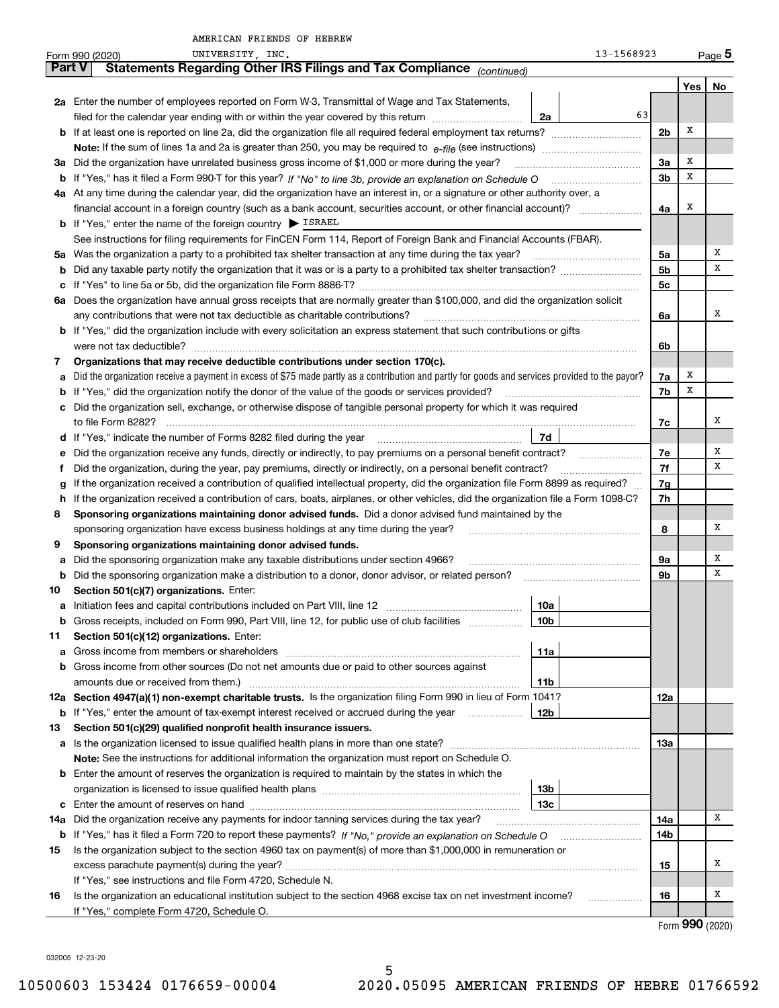|               | UNIVERSITY, INC.<br>Form 990 (2020)                                                                                                             | 13-1568923      |                |     | Page 5        |
|---------------|-------------------------------------------------------------------------------------------------------------------------------------------------|-----------------|----------------|-----|---------------|
| <b>Part V</b> | Statements Regarding Other IRS Filings and Tax Compliance (continued)                                                                           |                 |                |     |               |
|               |                                                                                                                                                 |                 |                | Yes | No            |
|               | 2a Enter the number of employees reported on Form W-3, Transmittal of Wage and Tax Statements,                                                  |                 |                |     |               |
|               | filed for the calendar year ending with or within the year covered by this return                                                               | 63<br>2a        |                |     |               |
|               |                                                                                                                                                 |                 | 2 <sub>b</sub> | х   |               |
|               |                                                                                                                                                 |                 |                |     |               |
|               | 3a Did the organization have unrelated business gross income of \$1,000 or more during the year?                                                |                 | 3a             | х   |               |
|               |                                                                                                                                                 |                 | 3 <sub>b</sub> | х   |               |
|               | 4a At any time during the calendar year, did the organization have an interest in, or a signature or other authority over, a                    |                 |                |     |               |
|               | financial account in a foreign country (such as a bank account, securities account, or other financial account)?                                |                 | 4a             | х   |               |
|               | <b>b</b> If "Yes," enter the name of the foreign country $\triangleright$ ISRAEL                                                                |                 |                |     |               |
|               | See instructions for filing requirements for FinCEN Form 114, Report of Foreign Bank and Financial Accounts (FBAR).                             |                 |                |     |               |
|               | 5a Was the organization a party to a prohibited tax shelter transaction at any time during the tax year?                                        |                 | 5a             |     | х             |
| b             |                                                                                                                                                 |                 | 5b             |     | х             |
| c             |                                                                                                                                                 |                 | 5с             |     |               |
|               | 6a Does the organization have annual gross receipts that are normally greater than \$100,000, and did the organization solicit                  |                 |                |     |               |
|               | any contributions that were not tax deductible as charitable contributions?                                                                     |                 | 6a             |     | х             |
|               | <b>b</b> If "Yes," did the organization include with every solicitation an express statement that such contributions or gifts                   |                 |                |     |               |
|               | were not tax deductible?                                                                                                                        |                 | 6b             |     |               |
| 7             | Organizations that may receive deductible contributions under section 170(c).                                                                   |                 |                |     |               |
| a             | Did the organization receive a payment in excess of \$75 made partly as a contribution and partly for goods and services provided to the payor? |                 | 7a             | x   |               |
|               | <b>b</b> If "Yes," did the organization notify the donor of the value of the goods or services provided?                                        |                 | 7b             | X   |               |
|               | c Did the organization sell, exchange, or otherwise dispose of tangible personal property for which it was required                             |                 |                |     |               |
|               | to file Form 8282?                                                                                                                              |                 | 7c             |     | х             |
|               |                                                                                                                                                 | 7d              |                |     |               |
| е             | Did the organization receive any funds, directly or indirectly, to pay premiums on a personal benefit contract?                                 |                 | 7e             |     | х             |
| f             | Did the organization, during the year, pay premiums, directly or indirectly, on a personal benefit contract?                                    |                 | 7f             |     | х             |
| g             | If the organization received a contribution of qualified intellectual property, did the organization file Form 8899 as required?                |                 | 7g             |     |               |
| h.            | If the organization received a contribution of cars, boats, airplanes, or other vehicles, did the organization file a Form 1098-C?              |                 | 7h             |     |               |
| 8             | Sponsoring organizations maintaining donor advised funds. Did a donor advised fund maintained by the                                            |                 |                |     |               |
|               | sponsoring organization have excess business holdings at any time during the year?                                                              |                 | 8              |     | x             |
| 9             | Sponsoring organizations maintaining donor advised funds.                                                                                       |                 |                |     |               |
| a             | Did the sponsoring organization make any taxable distributions under section 4966?                                                              |                 | 9a             |     | Х             |
| b             | Did the sponsoring organization make a distribution to a donor, donor advisor, or related person?                                               |                 | 9b             |     | Х             |
| 10            | Section 501(c)(7) organizations. Enter:                                                                                                         |                 |                |     |               |
|               |                                                                                                                                                 | 10a             |                |     |               |
|               | Gross receipts, included on Form 990, Part VIII, line 12, for public use of club facilities                                                     | 10 <sub>b</sub> |                |     |               |
| 11            | Section 501(c)(12) organizations. Enter:                                                                                                        |                 |                |     |               |
| a             | Gross income from members or shareholders                                                                                                       | 11a             |                |     |               |
| b             | Gross income from other sources (Do not net amounts due or paid to other sources against                                                        |                 |                |     |               |
|               | amounts due or received from them.)                                                                                                             | 11b             |                |     |               |
|               | 12a Section 4947(a)(1) non-exempt charitable trusts. Is the organization filing Form 990 in lieu of Form 1041?                                  |                 | 12a            |     |               |
|               | <b>b</b> If "Yes," enter the amount of tax-exempt interest received or accrued during the year                                                  | 12b             |                |     |               |
| 13            | Section 501(c)(29) qualified nonprofit health insurance issuers.                                                                                |                 |                |     |               |
| a             | Is the organization licensed to issue qualified health plans in more than one state?                                                            |                 | 13а            |     |               |
|               | Note: See the instructions for additional information the organization must report on Schedule O.                                               |                 |                |     |               |
|               | <b>b</b> Enter the amount of reserves the organization is required to maintain by the states in which the                                       |                 |                |     |               |
|               |                                                                                                                                                 | 13b             |                |     |               |
|               |                                                                                                                                                 | 13c             |                |     | x             |
| 14a           | Did the organization receive any payments for indoor tanning services during the tax year?                                                      |                 | 14a            |     |               |
|               | <b>b</b> If "Yes," has it filed a Form 720 to report these payments? If "No," provide an explanation on Schedule O                              |                 | 14b            |     |               |
| 15            | Is the organization subject to the section 4960 tax on payment(s) of more than \$1,000,000 in remuneration or                                   |                 |                |     | x             |
|               |                                                                                                                                                 |                 | 15             |     |               |
|               | If "Yes," see instructions and file Form 4720, Schedule N.                                                                                      |                 |                |     | Х             |
| 16            | Is the organization an educational institution subject to the section 4968 excise tax on net investment income?                                 |                 | 16             |     |               |
|               | If "Yes," complete Form 4720, Schedule O.                                                                                                       |                 |                |     | $\mathbf{QQ}$ |

5

Form (2020) **990**

032005 12-23-20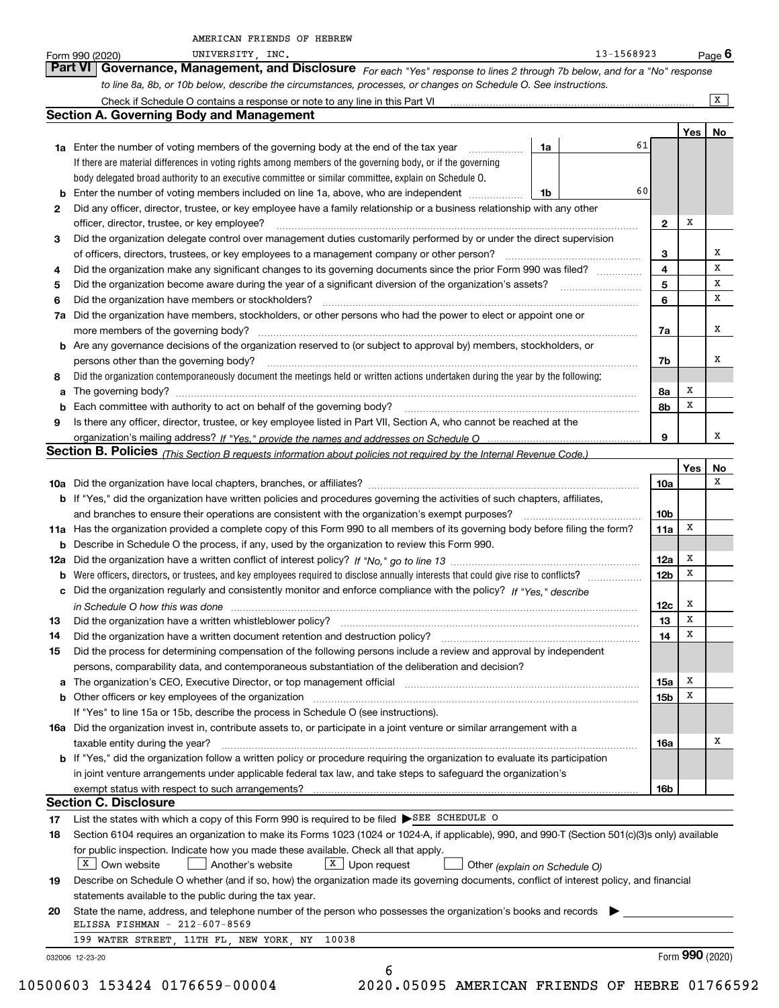|          | 13-1568923<br>UNIVERSITY, INC.<br>Form 990 (2020)                                                                                                                                                                                                                                           |                 |                 | <u>Page</u> 6 |
|----------|---------------------------------------------------------------------------------------------------------------------------------------------------------------------------------------------------------------------------------------------------------------------------------------------|-----------------|-----------------|---------------|
|          | Governance, Management, and Disclosure For each "Yes" response to lines 2 through 7b below, and for a "No" response<br>Part VI I                                                                                                                                                            |                 |                 |               |
|          | to line 8a, 8b, or 10b below, describe the circumstances, processes, or changes on Schedule O. See instructions.                                                                                                                                                                            |                 |                 |               |
|          | Check if Schedule O contains a response or note to any line in this Part VI [11] [12] [12] [13] Check if Schedule O contains a response or note to any line in this Part VI                                                                                                                 |                 |                 | x             |
|          | <b>Section A. Governing Body and Management</b>                                                                                                                                                                                                                                             |                 |                 |               |
|          |                                                                                                                                                                                                                                                                                             |                 | Yes             | No            |
|          | 61<br>1a<br><b>1a</b> Enter the number of voting members of the governing body at the end of the tax year <i>manumum</i>                                                                                                                                                                    |                 |                 |               |
|          | If there are material differences in voting rights among members of the governing body, or if the governing                                                                                                                                                                                 |                 |                 |               |
|          | body delegated broad authority to an executive committee or similar committee, explain on Schedule O.                                                                                                                                                                                       |                 |                 |               |
|          | 60<br><b>b</b> Enter the number of voting members included on line 1a, above, who are independent<br>1b                                                                                                                                                                                     |                 |                 |               |
| 2        | Did any officer, director, trustee, or key employee have a family relationship or a business relationship with any other                                                                                                                                                                    |                 |                 |               |
|          | officer, director, trustee, or key employee?                                                                                                                                                                                                                                                | 2               | Х               |               |
| 3        | Did the organization delegate control over management duties customarily performed by or under the direct supervision                                                                                                                                                                       |                 |                 |               |
|          | of officers, directors, trustees, or key employees to a management company or other person?                                                                                                                                                                                                 | 3               |                 | х             |
| 4        | Did the organization make any significant changes to its governing documents since the prior Form 990 was filed?                                                                                                                                                                            | 4               |                 | x             |
| 5        |                                                                                                                                                                                                                                                                                             | 5               |                 | x             |
| 6        | Did the organization have members or stockholders?                                                                                                                                                                                                                                          | 6               |                 | х             |
|          | 7a Did the organization have members, stockholders, or other persons who had the power to elect or appoint one or                                                                                                                                                                           |                 |                 |               |
|          | more members of the governing body?                                                                                                                                                                                                                                                         | 7a              |                 | х             |
|          | b Are any governance decisions of the organization reserved to (or subject to approval by) members, stockholders, or                                                                                                                                                                        |                 |                 |               |
|          | persons other than the governing body?                                                                                                                                                                                                                                                      | 7b              |                 | х             |
| 8        | Did the organization contemporaneously document the meetings held or written actions undertaken during the year by the following:                                                                                                                                                           |                 |                 |               |
| a        |                                                                                                                                                                                                                                                                                             | 8а              | x               |               |
|          | <b>b</b> Each committee with authority to act on behalf of the governing body?                                                                                                                                                                                                              | 8b              | X               |               |
| 9        | Is there any officer, director, trustee, or key employee listed in Part VII, Section A, who cannot be reached at the                                                                                                                                                                        |                 |                 |               |
|          |                                                                                                                                                                                                                                                                                             | 9               |                 | х             |
|          | Section B. Policies (This Section B requests information about policies not required by the Internal Revenue Code.)                                                                                                                                                                         |                 |                 |               |
|          |                                                                                                                                                                                                                                                                                             |                 | Yes             | No            |
|          |                                                                                                                                                                                                                                                                                             | 10a             |                 | х             |
|          | b If "Yes," did the organization have written policies and procedures governing the activities of such chapters, affiliates,                                                                                                                                                                |                 |                 |               |
|          | and branches to ensure their operations are consistent with the organization's exempt purposes?                                                                                                                                                                                             | 10 <sub>b</sub> |                 |               |
|          | 11a Has the organization provided a complete copy of this Form 990 to all members of its governing body before filing the form?                                                                                                                                                             | 11a             | х               |               |
|          | <b>b</b> Describe in Schedule O the process, if any, used by the organization to review this Form 990.                                                                                                                                                                                      |                 | х               |               |
|          |                                                                                                                                                                                                                                                                                             | 12a             | х               |               |
|          | <b>b</b> Were officers, directors, or trustees, and key employees required to disclose annually interests that could give rise to conflicts?                                                                                                                                                | 12 <sub>b</sub> |                 |               |
|          | c Did the organization regularly and consistently monitor and enforce compliance with the policy? If "Yes," describe                                                                                                                                                                        |                 | Х               |               |
|          | in Schedule O how this was done manufactured and continuum control of the Schedule O how this was done manufactured and continuum and continuum and continuum and continuum and continuum and continuum and continuum and cont                                                              | 12c<br>13       | x               |               |
| 13<br>14 | Did the organization have a written whistleblower policy?<br>Did the organization have a written document retention and destruction policy? [11] manufacture in the organization have a written document retention and destruction policy? [11] manufacture in the organization have a writ | 14              | х               |               |
| 15       | Did the process for determining compensation of the following persons include a review and approval by independent                                                                                                                                                                          |                 |                 |               |
|          | persons, comparability data, and contemporaneous substantiation of the deliberation and decision?                                                                                                                                                                                           |                 |                 |               |
|          | a The organization's CEO, Executive Director, or top management official manufactured content content of the organization's CEO, Executive Director, or top management official manufactured content of the state of the state                                                              | 15a             | х               |               |
|          | b Other officers or key employees of the organization manufactured content to content of the organization manufactured content of the organization manufactured content of the organization manufactured content of the organi                                                              | 15b             | х               |               |
|          | If "Yes" to line 15a or 15b, describe the process in Schedule O (see instructions).                                                                                                                                                                                                         |                 |                 |               |
|          | 16a Did the organization invest in, contribute assets to, or participate in a joint venture or similar arrangement with a                                                                                                                                                                   |                 |                 |               |
|          | taxable entity during the year?                                                                                                                                                                                                                                                             | 16a             |                 | х             |
|          | b If "Yes," did the organization follow a written policy or procedure requiring the organization to evaluate its participation                                                                                                                                                              |                 |                 |               |
|          | in joint venture arrangements under applicable federal tax law, and take steps to safeguard the organization's                                                                                                                                                                              |                 |                 |               |
|          |                                                                                                                                                                                                                                                                                             | 16b             |                 |               |
|          | <b>Section C. Disclosure</b>                                                                                                                                                                                                                                                                |                 |                 |               |
| 17       | List the states with which a copy of this Form 990 is required to be filed SEE SCHEDULE O                                                                                                                                                                                                   |                 |                 |               |
| 18       | Section 6104 requires an organization to make its Forms 1023 (1024 or 1024-A, if applicable), 990, and 990-T (Section 501(c)(3)s only) available                                                                                                                                            |                 |                 |               |
|          | for public inspection. Indicate how you made these available. Check all that apply.                                                                                                                                                                                                         |                 |                 |               |
|          | $X$ Own website<br>Another's website<br>$X$ Upon request<br>Other (explain on Schedule O)                                                                                                                                                                                                   |                 |                 |               |
| 19       | Describe on Schedule O whether (and if so, how) the organization made its governing documents, conflict of interest policy, and financial                                                                                                                                                   |                 |                 |               |
|          | statements available to the public during the tax year.                                                                                                                                                                                                                                     |                 |                 |               |
| 20       | State the name, address, and telephone number of the person who possesses the organization's books and records                                                                                                                                                                              |                 |                 |               |
|          | ELISSA FISHMAN - 212-607-8569                                                                                                                                                                                                                                                               |                 |                 |               |
|          | 199 WATER STREET, 11TH FL, NEW YORK, NY<br>10038                                                                                                                                                                                                                                            |                 |                 |               |
|          | 032006 12-23-20                                                                                                                                                                                                                                                                             |                 | Form 990 (2020) |               |
|          | 6                                                                                                                                                                                                                                                                                           |                 |                 |               |

10500603 153424 0176659-00004 2020.05095 AMERICAN FRIENDS OF HEBRE 01766592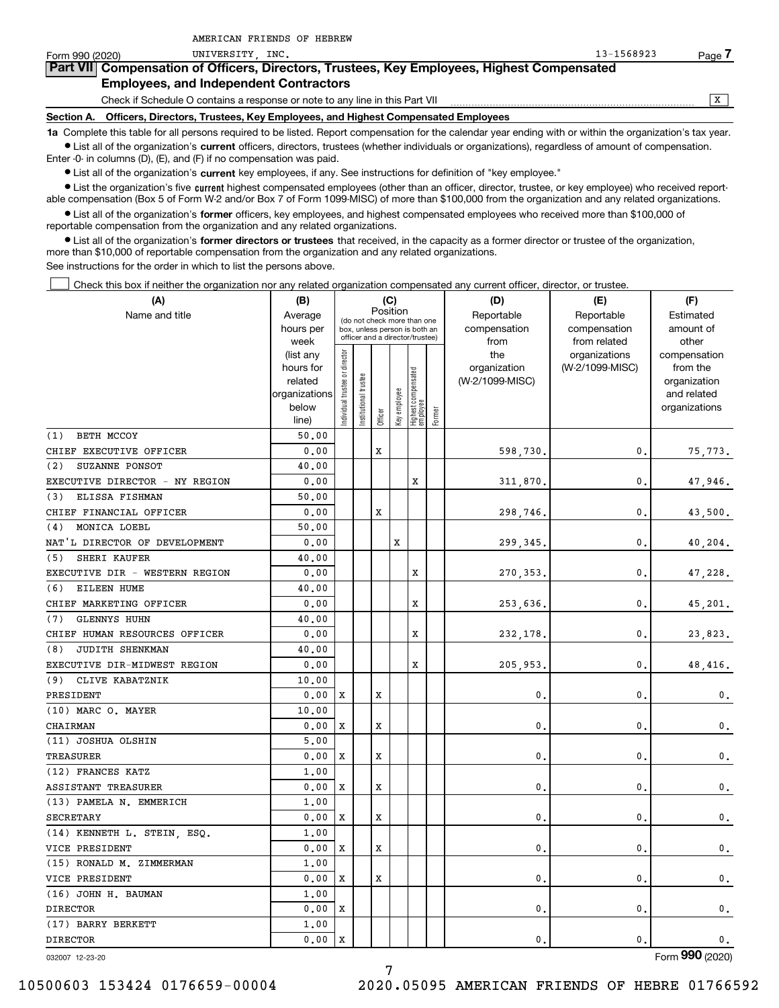| Form 990 (2020)                                                                                                                                            | UNIVERSITY INC.                                                              | $13 - 1568923$ | Page |  |  |  |  |  |  |
|------------------------------------------------------------------------------------------------------------------------------------------------------------|------------------------------------------------------------------------------|----------------|------|--|--|--|--|--|--|
| Part VII Compensation of Officers, Directors, Trustees, Key Employees, Highest Compensated                                                                 |                                                                              |                |      |  |  |  |  |  |  |
|                                                                                                                                                            | <b>Employees, and Independent Contractors</b>                                |                |      |  |  |  |  |  |  |
|                                                                                                                                                            | Check if Schedule O contains a response or note to any line in this Part VII |                |      |  |  |  |  |  |  |
| Officers, Directors, Trustees, Key Employees, and Highest Compensated Employees<br>Section A.                                                              |                                                                              |                |      |  |  |  |  |  |  |
| 1a Complete this table for all persons required to be listed. Report compensation for the calendar year ending with or within the organization's tax year. |                                                                              |                |      |  |  |  |  |  |  |

**•** List all of the organization's current officers, directors, trustees (whether individuals or organizations), regardless of amount of compensation. Enter -0- in columns (D), (E), and (F) if no compensation was paid.

 $\bullet$  List all of the organization's  $\,$ current key employees, if any. See instructions for definition of "key employee."

AMERICAN FRIENDS OF HEBREW

**•** List the organization's five current highest compensated employees (other than an officer, director, trustee, or key employee) who received reportable compensation (Box 5 of Form W-2 and/or Box 7 of Form 1099-MISC) of more than \$100,000 from the organization and any related organizations.

**•** List all of the organization's former officers, key employees, and highest compensated employees who received more than \$100,000 of reportable compensation from the organization and any related organizations.

**former directors or trustees**  ¥ List all of the organization's that received, in the capacity as a former director or trustee of the organization, more than \$10,000 of reportable compensation from the organization and any related organizations.

See instructions for the order in which to list the persons above.

Check this box if neither the organization nor any related organization compensated any current officer, director, or trustee.  $\mathcal{L}^{\text{max}}$ 

| (A)                            | (B)               |                                                                  |              |            | (C)          |                                   |                               | (D)                   | (E)             | (F)            |
|--------------------------------|-------------------|------------------------------------------------------------------|--------------|------------|--------------|-----------------------------------|-------------------------------|-----------------------|-----------------|----------------|
| Name and title                 | Average           | Position<br>(do not check more than one                          |              | Reportable | Reportable   | Estimated                         |                               |                       |                 |                |
|                                | hours per         | box, unless person is both an<br>officer and a director/trustee) |              |            |              |                                   | compensation                  | compensation          | amount of       |                |
|                                | week<br>(list any |                                                                  |              |            |              | from<br>the                       | from related<br>organizations | other<br>compensation |                 |                |
|                                | hours for         |                                                                  |              |            |              |                                   |                               | organization          | (W-2/1099-MISC) | from the       |
|                                | related           |                                                                  | trustee      |            |              |                                   |                               | (W-2/1099-MISC)       |                 | organization   |
|                                | organizations     |                                                                  |              |            |              |                                   |                               |                       |                 | and related    |
|                                | below             | ndividual trustee or director                                    | nstitutional |            | Key employee |                                   |                               |                       |                 | organizations  |
|                                | line)             |                                                                  |              | Officer    |              | Highest compensated<br>  employee | Former                        |                       |                 |                |
| BETH MCCOY<br>(1)              | 50.00             |                                                                  |              |            |              |                                   |                               |                       |                 |                |
| CHIEF EXECUTIVE OFFICER        | 0.00              |                                                                  |              | X          |              |                                   |                               | 598.730.              | 0.              | 75,773.        |
| (2)<br>SUZANNE PONSOT          | 40.00             |                                                                  |              |            |              |                                   |                               |                       |                 |                |
| EXECUTIVE DIRECTOR - NY REGION | 0.00              |                                                                  |              |            |              | x                                 |                               | 311,870.              | 0.              | 47,946.        |
| (3) ELISSA FISHMAN             | 50.00             |                                                                  |              |            |              |                                   |                               |                       |                 |                |
| CHIEF FINANCIAL OFFICER        | 0.00              |                                                                  |              | X          |              |                                   |                               | 298,746.              | 0.              | 43,500.        |
| MONICA LOEBL<br>(4)            | 50.00             |                                                                  |              |            |              |                                   |                               |                       |                 |                |
| NAT'L DIRECTOR OF DEVELOPMENT  | 0.00              |                                                                  |              |            | X            |                                   |                               | 299, 345,             | 0.              | 40,204.        |
| SHERI KAUFER<br>(5)            | 40.00             |                                                                  |              |            |              |                                   |                               |                       |                 |                |
| EXECUTIVE DIR - WESTERN REGION | 0.00              |                                                                  |              |            |              | X                                 |                               | 270, 353.             | 0.              | 47,228.        |
| EILEEN HUME<br>(6)             | 40.00             |                                                                  |              |            |              |                                   |                               |                       |                 |                |
| CHIEF MARKETING OFFICER        | 0.00              |                                                                  |              |            |              | X                                 |                               | 253,636.              | 0.              | 45,201.        |
| <b>GLENNYS HUHN</b><br>(7)     | 40.00             |                                                                  |              |            |              |                                   |                               |                       |                 |                |
| CHIEF HUMAN RESOURCES OFFICER  | 0.00              |                                                                  |              |            |              | X                                 |                               | 232,178.              | 0.              | 23,823.        |
| JUDITH SHENKMAN<br>(8)         | 40.00             |                                                                  |              |            |              |                                   |                               |                       |                 |                |
| EXECUTIVE DIR-MIDWEST REGION   | 0.00              |                                                                  |              |            |              | X                                 |                               | 205,953.              | 0.              | 48,416.        |
| (9) CLIVE KABATZNIK            | 10.00             |                                                                  |              |            |              |                                   |                               |                       |                 |                |
| PRESIDENT                      | 0.00              | x                                                                |              | х          |              |                                   |                               | 0.                    | 0.              | $\mathbf{0}$ . |
| (10) MARC O. MAYER             | 10.00             |                                                                  |              |            |              |                                   |                               |                       |                 |                |
| <b>CHAIRMAN</b>                | 0.00              | X                                                                |              | х          |              |                                   |                               | 0.                    | 0.              | $\mathbf{0}$ . |
| (11) JOSHUA OLSHIN             | 5,00              |                                                                  |              |            |              |                                   |                               |                       |                 |                |
| <b>TREASURER</b>               | 0.00              | X                                                                |              | х          |              |                                   |                               | $\mathbf{0}$ .        | 0.              | 0.             |
| (12) FRANCES KATZ              | 1.00              |                                                                  |              |            |              |                                   |                               |                       |                 |                |
| <b>ASSISTANT TREASURER</b>     | 0.00              | X                                                                |              | х          |              |                                   |                               | 0.                    | 0.              | 0.             |
| (13) PAMELA N. EMMERICH        | 1.00              |                                                                  |              |            |              |                                   |                               |                       |                 |                |
| <b>SECRETARY</b>               | 0.00              | х                                                                |              | X          |              |                                   |                               | $\mathbf{0}$ .        | 0.              | $\mathbf 0$ .  |
| (14) KENNETH L. STEIN, ESQ.    | 1.00              |                                                                  |              |            |              |                                   |                               |                       |                 |                |
| VICE PRESIDENT                 | 0.00              | X                                                                |              | х          |              |                                   |                               | 0.                    | 0.              | $\mathbf 0$ .  |
| (15) RONALD M. ZIMMERMAN       | 1.00              |                                                                  |              |            |              |                                   |                               |                       |                 |                |
| VICE PRESIDENT                 | 0.00              | х                                                                |              | X          |              |                                   |                               | $\mathbf{0}$ .        | 0.              | 0.             |
| (16) JOHN H. BAUMAN            | 1.00              |                                                                  |              |            |              |                                   |                               |                       |                 |                |
| <b>DIRECTOR</b>                | 0.00              | X                                                                |              |            |              |                                   |                               | 0.                    | 0.              | 0.             |
| (17) BARRY BERKETT             | 1,00              |                                                                  |              |            |              |                                   |                               |                       |                 |                |
| <b>DIRECTOR</b>                | 0.00              | X                                                                |              |            |              |                                   |                               | 0.                    | 0.              | 0.             |

032007 12-23-20

Form (2020) **990**

7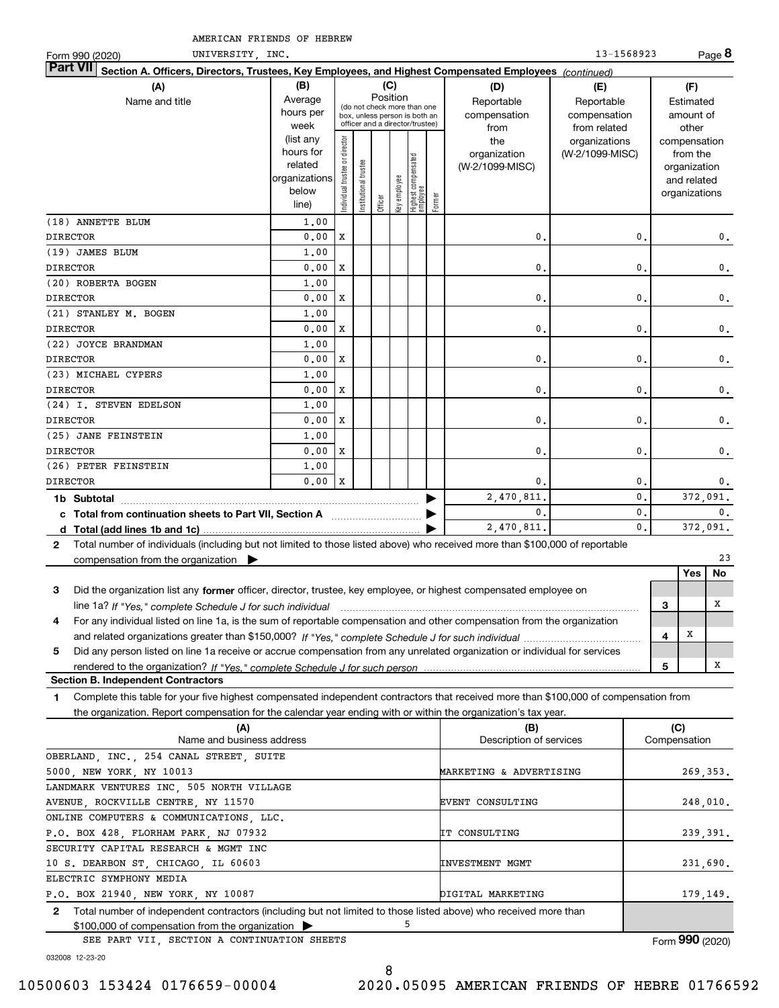| UNIVERSITY, INC.<br>Form 990 (2020)                                                                                                          |                   |                               |                      |                                         |              |                                                                  |        |                 | 13-1568923                    |   |                       | Page 8 |
|----------------------------------------------------------------------------------------------------------------------------------------------|-------------------|-------------------------------|----------------------|-----------------------------------------|--------------|------------------------------------------------------------------|--------|-----------------|-------------------------------|---|-----------------------|--------|
| <b>Part VII</b><br>Section A. Officers, Directors, Trustees, Key Employees, and Highest Compensated Employees (continued)                    |                   |                               |                      |                                         |              |                                                                  |        |                 |                               |   |                       |        |
| (A)                                                                                                                                          | (B)               |                               |                      | (C)                                     |              |                                                                  |        | (D)             | (E)                           |   | (F)                   |        |
| Name and title                                                                                                                               | Average           |                               |                      | Position<br>(do not check more than one |              |                                                                  |        | Reportable      | Reportable                    |   | Estimated             |        |
|                                                                                                                                              | hours per<br>week |                               |                      |                                         |              | box, unless person is both an<br>officer and a director/trustee) |        | compensation    | compensation                  |   | amount of             |        |
|                                                                                                                                              | (list any         |                               |                      |                                         |              |                                                                  |        | from<br>the     | from related<br>organizations |   | other<br>compensation |        |
|                                                                                                                                              | hours for         | ndividual trustee or director |                      |                                         |              |                                                                  |        | organization    | (W-2/1099-MISC)               |   | from the              |        |
|                                                                                                                                              | related           |                               |                      |                                         |              | Highest compensated<br>employee                                  |        | (W-2/1099-MISC) |                               |   | organization          |        |
|                                                                                                                                              | organizations     |                               | nstitutional trustee |                                         |              |                                                                  |        |                 |                               |   | and related           |        |
|                                                                                                                                              | below             |                               |                      | Officer                                 | key employee |                                                                  | Former |                 |                               |   | organizations         |        |
|                                                                                                                                              | line)             |                               |                      |                                         |              |                                                                  |        |                 |                               |   |                       |        |
| (18) ANNETTE BLUM                                                                                                                            | 1.00              |                               |                      |                                         |              |                                                                  |        |                 |                               |   |                       |        |
| <b>DIRECTOR</b>                                                                                                                              | 0.00              | X                             |                      |                                         |              |                                                                  |        | $\mathbf{0}$    | 0.                            |   |                       | 0.     |
| (19) JAMES BLUM                                                                                                                              | 1.00              |                               |                      |                                         |              |                                                                  |        |                 |                               |   |                       |        |
| <b>DIRECTOR</b>                                                                                                                              | 0.00              | X                             |                      |                                         |              |                                                                  |        | $\mathbf{0}$ .  | $\mathbf{0}$ .                |   |                       | 0.     |
| (20) ROBERTA BOGEN                                                                                                                           | 1.00              |                               |                      |                                         |              |                                                                  |        |                 |                               |   |                       |        |
| <b>DIRECTOR</b>                                                                                                                              | 0.00              | X                             |                      |                                         |              |                                                                  |        | 0               | 0                             |   |                       | 0.     |
| (21) STANLEY M. BOGEN                                                                                                                        | 1.00              |                               |                      |                                         |              |                                                                  |        |                 |                               |   |                       |        |
| <b>DIRECTOR</b>                                                                                                                              | 0.00              | X                             |                      |                                         |              |                                                                  |        | 0               | 0                             |   |                       | 0.     |
| (22) JOYCE BRANDMAN                                                                                                                          | 1.00              |                               |                      |                                         |              |                                                                  |        |                 |                               |   |                       |        |
| <b>DIRECTOR</b>                                                                                                                              | 0.00              | X                             |                      |                                         |              |                                                                  |        | $\mathbf{0}$ .  | 0.                            |   |                       | 0.     |
| (23) MICHAEL CYPERS                                                                                                                          | 1.00              |                               |                      |                                         |              |                                                                  |        |                 |                               |   |                       |        |
| <b>DIRECTOR</b>                                                                                                                              | 0.00              | X                             |                      |                                         |              |                                                                  |        | 0               | 0                             |   |                       | 0.     |
| (24) I. STEVEN EDELSON                                                                                                                       | 1,00              |                               |                      |                                         |              |                                                                  |        |                 |                               |   |                       |        |
| <b>DIRECTOR</b>                                                                                                                              | 0.00              | X                             |                      |                                         |              |                                                                  |        | $\mathbf 0$     | 0                             |   |                       | 0.     |
| (25) JANE FEINSTEIN                                                                                                                          | 1.00              |                               |                      |                                         |              |                                                                  |        |                 |                               |   |                       |        |
| DIRECTOR                                                                                                                                     | 0.00              | X                             |                      |                                         |              |                                                                  |        | 0               | 0                             |   |                       | 0.     |
| (26) PETER FEINSTEIN                                                                                                                         | 1.00              |                               |                      |                                         |              |                                                                  |        |                 |                               |   |                       |        |
| <b>DIRECTOR</b>                                                                                                                              | 0.00              | X                             |                      |                                         |              |                                                                  |        | 0               | 0.                            |   |                       | 0.     |
|                                                                                                                                              |                   |                               |                      |                                         |              |                                                                  |        | 2,470,811       | $\mathbf{0}$ .                |   | 372,091.              |        |
| c Total from continuation sheets to Part VII, Section A manufactured by                                                                      |                   |                               |                      |                                         |              |                                                                  |        | $\mathbf{0}$ .  | 0.                            |   |                       | 0.     |
|                                                                                                                                              |                   |                               |                      |                                         |              |                                                                  |        | 2,470,811.      | $\mathbf 0$ .                 |   | 372,091.              |        |
| Total number of individuals (including but not limited to those listed above) who received more than \$100,000 of reportable<br>$\mathbf{2}$ |                   |                               |                      |                                         |              |                                                                  |        |                 |                               |   |                       |        |
| compensation from the organization $\blacktriangleright$                                                                                     |                   |                               |                      |                                         |              |                                                                  |        |                 |                               |   |                       | 23     |
|                                                                                                                                              |                   |                               |                      |                                         |              |                                                                  |        |                 |                               |   | <b>Yes</b>            | No     |
| Did the organization list any former officer, director, trustee, key employee, or highest compensated employee on<br>з                       |                   |                               |                      |                                         |              |                                                                  |        |                 |                               |   |                       |        |
| line 1a? If "Yes," complete Schedule J for such individual material content content to the content of the schedu                             |                   |                               |                      |                                         |              |                                                                  |        |                 |                               | 3 |                       | х      |
| For any individual listed on line 1a, is the sum of reportable compensation and other compensation from the organization<br>4                |                   |                               |                      |                                         |              |                                                                  |        |                 |                               |   |                       |        |
|                                                                                                                                              |                   |                               |                      |                                         |              |                                                                  |        |                 |                               | 4 | X                     |        |
| Did any person listed on line 1a receive or accrue compensation from any unrelated organization or individual for services<br>5              |                   |                               |                      |                                         |              |                                                                  |        |                 |                               |   |                       |        |
|                                                                                                                                              |                   |                               |                      |                                         |              |                                                                  |        |                 |                               | 5 |                       | X      |
| <b>Section B. Independent Contractors</b>                                                                                                    |                   |                               |                      |                                         |              |                                                                  |        |                 |                               |   |                       |        |

**1**Complete this table for your five highest compensated independent contractors that received more than \$100,000 of compensation from the organization. Report compensation for the calendar year ending with or within the organization's tax year.

| (A)                                                                                                                   | (B)                     | (C)             |  |  |  |  |
|-----------------------------------------------------------------------------------------------------------------------|-------------------------|-----------------|--|--|--|--|
| Name and business address                                                                                             | Description of services | Compensation    |  |  |  |  |
| OBERLAND, INC., 254 CANAL STREET, SUITE                                                                               |                         |                 |  |  |  |  |
| 5000, NEW YORK, NY 10013                                                                                              | MARKETING & ADVERTISING | 269, 353.       |  |  |  |  |
| LANDMARK VENTURES INC, 505 NORTH VILLAGE                                                                              |                         |                 |  |  |  |  |
| AVENUE, ROCKVILLE CENTRE, NY 11570                                                                                    | EVENT CONSULTING        | 248,010.        |  |  |  |  |
| ONLINE COMPUTERS & COMMUNICATIONS, LLC.                                                                               |                         |                 |  |  |  |  |
| P.O. BOX 428, FLORHAM PARK, NJ 07932                                                                                  | <b>IT CONSULTING</b>    | 239,391.        |  |  |  |  |
| SECURITY CAPITAL RESEARCH & MGMT INC                                                                                  |                         |                 |  |  |  |  |
| 10 S. DEARBON ST. CHICAGO. IL 60603                                                                                   | <b>INVESTMENT MGMT</b>  | 231,690.        |  |  |  |  |
| ELECTRIC SYMPHONY MEDIA                                                                                               |                         |                 |  |  |  |  |
| P.O. BOX 21940, NEW YORK, NY 10087                                                                                    | DIGITAL MARKETING       | 179,149.        |  |  |  |  |
| Total number of independent contractors (including but not limited to those listed above) who received more than<br>2 |                         |                 |  |  |  |  |
| $$100,000$ of compensation from the organization $\triangleright$<br>5                                                |                         |                 |  |  |  |  |
| SEE PART VII, SECTION A CONTINUATION SHEETS                                                                           |                         | Form 990 (2020) |  |  |  |  |

032008 12-23-20

8 10500603 153424 0176659-00004 2020.05095 AMERICAN FRIENDS OF HEBRE 01766592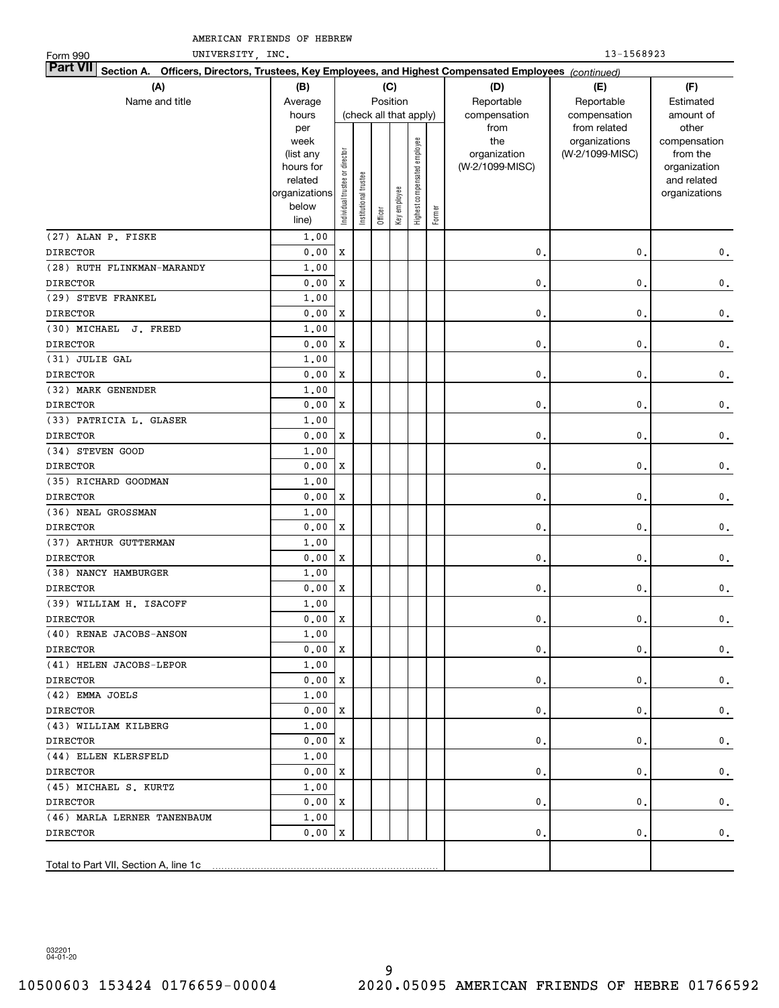| UNIVERSITY, INC.<br>Form 990                                                                                              |                      |                                |                       |         |                        |                              |        |                 | 13-1568923      |                             |
|---------------------------------------------------------------------------------------------------------------------------|----------------------|--------------------------------|-----------------------|---------|------------------------|------------------------------|--------|-----------------|-----------------|-----------------------------|
| <b>Part VII</b><br>Section A. Officers, Directors, Trustees, Key Employees, and Highest Compensated Employees (continued) |                      |                                |                       |         |                        |                              |        |                 |                 |                             |
| (A)                                                                                                                       | (B)                  |                                |                       |         | (C)                    |                              |        | (D)             | (E)             | (F)                         |
| Name and title                                                                                                            | Average              |                                |                       |         | Position               |                              |        | Reportable      | Reportable      | Estimated                   |
|                                                                                                                           | hours                |                                |                       |         | (check all that apply) |                              |        | compensation    | compensation    | amount of                   |
|                                                                                                                           | per                  |                                |                       |         |                        |                              |        | from            | from related    | other                       |
|                                                                                                                           | week                 |                                |                       |         |                        |                              |        | the             | organizations   | compensation                |
|                                                                                                                           | (list any            |                                |                       |         |                        |                              |        | organization    | (W-2/1099-MISC) | from the                    |
|                                                                                                                           | hours for<br>related |                                |                       |         |                        |                              |        | (W-2/1099-MISC) |                 | organization<br>and related |
|                                                                                                                           | organizations        | Individual trustee or director | Institutional trustee |         |                        | Highest compensated employee |        |                 |                 | organizations               |
|                                                                                                                           | below                |                                |                       |         | Key employee           |                              |        |                 |                 |                             |
|                                                                                                                           | line)                |                                |                       | Officer |                        |                              | Former |                 |                 |                             |
| (27) ALAN P. FISKE                                                                                                        | 1,00                 |                                |                       |         |                        |                              |        |                 |                 |                             |
| <b>DIRECTOR</b>                                                                                                           | 0.00                 | $\mathbf X$                    |                       |         |                        |                              |        | $\mathbf{0}$    | 0.              | $\mathbf 0$ .               |
| (28) RUTH FLINKMAN-MARANDY                                                                                                | 1,00                 |                                |                       |         |                        |                              |        |                 |                 |                             |
| <b>DIRECTOR</b>                                                                                                           | 0.00                 | X                              |                       |         |                        |                              |        | $\mathbf{0}$ .  | $\mathbf{0}$ .  | $\mathbf 0$ .               |
| (29) STEVE FRANKEL                                                                                                        | 1.00                 |                                |                       |         |                        |                              |        |                 |                 |                             |
| <b>DIRECTOR</b>                                                                                                           | 0.00                 | X                              |                       |         |                        |                              |        | $\mathbf{0}$ .  | $\mathbf{0}$ .  | $\mathbf 0$ .               |
| (30) MICHAEL J. FREED                                                                                                     | 1.00                 |                                |                       |         |                        |                              |        |                 |                 |                             |
| <b>DIRECTOR</b>                                                                                                           | 0.00                 | X                              |                       |         |                        |                              |        | $\mathbf{0}$ .  | $\mathbf{0}$ .  | $\mathbf 0$ .               |
| (31) JULIE GAL                                                                                                            | 1.00                 |                                |                       |         |                        |                              |        |                 |                 |                             |
| <b>DIRECTOR</b>                                                                                                           | 0.00                 | X                              |                       |         |                        |                              |        | 0.              | $\mathbf{0}$ .  | $\mathbf 0$ .               |
| (32) MARK GENENDER                                                                                                        | 1.00                 |                                |                       |         |                        |                              |        |                 |                 |                             |
| <b>DIRECTOR</b>                                                                                                           | 0.00                 | X                              |                       |         |                        |                              |        | 0.              | $\mathbf{0}$ .  | $\mathbf 0$ .               |
| (33) PATRICIA L. GLASER                                                                                                   | 1.00                 |                                |                       |         |                        |                              |        |                 |                 |                             |
| <b>DIRECTOR</b>                                                                                                           | 0.00                 | X                              |                       |         |                        |                              |        | 0.              | $\mathbf{0}$ .  | $\mathbf 0$ .               |
| (34) STEVEN GOOD                                                                                                          | 1.00                 |                                |                       |         |                        |                              |        |                 |                 |                             |
| <b>DIRECTOR</b>                                                                                                           | 0.00                 | X                              |                       |         |                        |                              |        | 0.              | $\mathbf{0}$ .  | $\mathbf 0$ .               |
| (35) RICHARD GOODMAN                                                                                                      | 1.00                 |                                |                       |         |                        |                              |        |                 |                 |                             |
| <b>DIRECTOR</b>                                                                                                           | 0.00                 | X                              |                       |         |                        |                              |        | 0.              | $\mathbf{0}$ .  | $\mathbf 0$ .               |
| (36) NEAL GROSSMAN                                                                                                        | 1.00                 |                                |                       |         |                        |                              |        |                 |                 |                             |
| <b>DIRECTOR</b>                                                                                                           | 0.00                 | X                              |                       |         |                        |                              |        | 0.              | $\mathbf{0}$ .  | $\mathbf 0$ .               |
| (37) ARTHUR GUTTERMAN                                                                                                     | 1.00                 |                                |                       |         |                        |                              |        |                 |                 |                             |
| <b>DIRECTOR</b>                                                                                                           | 0.00                 | X                              |                       |         |                        |                              |        | 0.              | $\mathbf{0}$ .  | $\mathbf 0$ .               |
| (38) NANCY HAMBURGER                                                                                                      | 1.00                 |                                |                       |         |                        |                              |        |                 |                 |                             |
| <b>DIRECTOR</b>                                                                                                           | 0.00                 | X                              |                       |         |                        |                              |        | 0.              | 0.              | $\mathbf 0$ .               |
| (39) WILLIAM H. ISACOFF                                                                                                   | 1.00                 |                                |                       |         |                        |                              |        |                 |                 |                             |
| <b>DIRECTOR</b>                                                                                                           | 0.00X                |                                |                       |         |                        |                              |        | $\mathbf 0$ .   | $\mathbf 0$ .   | 0.                          |
| (40) RENAE JACOBS-ANSON                                                                                                   | 1,00                 |                                |                       |         |                        |                              |        |                 |                 |                             |
| <b>DIRECTOR</b>                                                                                                           | 0.00X                |                                |                       |         |                        |                              |        | 0.              | $\mathbf{0}$ .  | $\mathbf{0}$ .              |
| (41) HELEN JACOBS-LEPOR                                                                                                   | 1,00                 |                                |                       |         |                        |                              |        |                 |                 |                             |
| <b>DIRECTOR</b>                                                                                                           | 0.00 X               |                                |                       |         |                        |                              |        | 0.              | $\mathbf{0}$ .  | $\mathbf 0$ .               |
| (42) EMMA JOELS                                                                                                           | 1,00                 |                                |                       |         |                        |                              |        |                 |                 |                             |
| <b>DIRECTOR</b>                                                                                                           | 0.00 X               |                                |                       |         |                        |                              |        | 0.              | 0.              | $\mathbf 0$ .               |
| (43) WILLIAM KILBERG                                                                                                      | 1,00                 |                                |                       |         |                        |                              |        |                 |                 |                             |
| <b>DIRECTOR</b>                                                                                                           | 0.00 X               |                                |                       |         |                        |                              |        | 0.              | 0.              | $\mathbf 0$ .               |
| (44) ELLEN KLERSFELD                                                                                                      | 1,00                 |                                |                       |         |                        |                              |        |                 |                 |                             |
| <b>DIRECTOR</b>                                                                                                           | 0.00 X               |                                |                       |         |                        |                              |        | 0.              | 0.              | $\mathbf 0$ .               |
| (45) MICHAEL S. KURTZ                                                                                                     | 1,00                 |                                |                       |         |                        |                              |        |                 |                 |                             |
| <b>DIRECTOR</b>                                                                                                           | 0.00 X               |                                |                       |         |                        |                              |        | 0.              | 0.              | $\mathbf 0$ .               |
| (46) MARLA LERNER TANENBAUM                                                                                               | 1,00                 |                                |                       |         |                        |                              |        |                 |                 |                             |
| <b>DIRECTOR</b>                                                                                                           | 0.00 X               |                                |                       |         |                        |                              |        | 0.              | $\mathbf{0}$ .  | 0.                          |
|                                                                                                                           |                      |                                |                       |         |                        |                              |        |                 |                 |                             |
|                                                                                                                           |                      |                                |                       |         |                        |                              |        |                 |                 |                             |

032201 04-01-20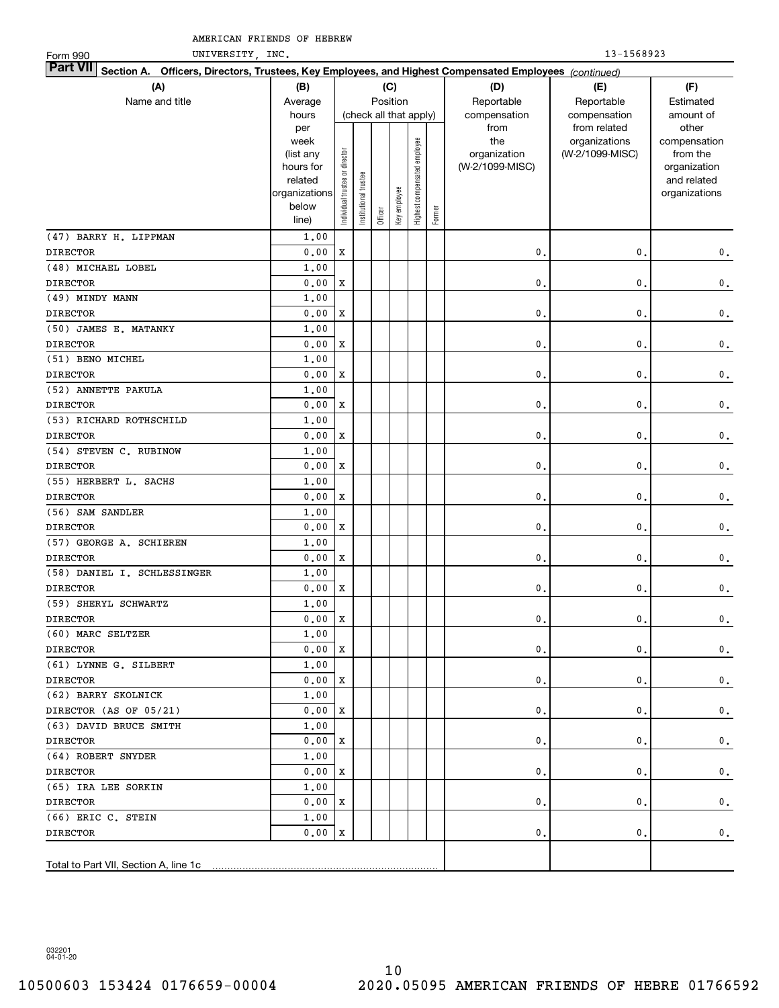| UNIVERSITY, INC.<br>Form 990                                                                                              |                      |                                |                        |         |              |                              |        |                 | 13-1568923      |                             |
|---------------------------------------------------------------------------------------------------------------------------|----------------------|--------------------------------|------------------------|---------|--------------|------------------------------|--------|-----------------|-----------------|-----------------------------|
| <b>Part VII</b><br>Section A. Officers, Directors, Trustees, Key Employees, and Highest Compensated Employees (continued) |                      |                                |                        |         |              |                              |        |                 |                 |                             |
| (A)                                                                                                                       | (B)                  |                                |                        |         | (C)          |                              |        | (D)             | (E)             | (F)                         |
| Name and title                                                                                                            | Average              |                                |                        |         | Position     |                              |        | Reportable      | Reportable      | Estimated                   |
|                                                                                                                           | hours                |                                | (check all that apply) |         |              |                              |        | compensation    | compensation    | amount of                   |
|                                                                                                                           | per                  |                                |                        |         |              |                              |        | from            | from related    | other                       |
|                                                                                                                           | week                 |                                |                        |         |              |                              |        | the             | organizations   | compensation                |
|                                                                                                                           | (list any            |                                |                        |         |              |                              |        | organization    | (W-2/1099-MISC) | from the                    |
|                                                                                                                           | hours for<br>related |                                |                        |         |              |                              |        | (W-2/1099-MISC) |                 | organization<br>and related |
|                                                                                                                           | organizations        | Individual trustee or director | nstitutional trustee   |         |              | Highest compensated employee |        |                 |                 | organizations               |
|                                                                                                                           | below                |                                |                        |         | Key employee |                              |        |                 |                 |                             |
|                                                                                                                           | line)                |                                |                        | Officer |              |                              | Former |                 |                 |                             |
| (47) BARRY H. LIPPMAN                                                                                                     | 1,00                 |                                |                        |         |              |                              |        |                 |                 |                             |
| <b>DIRECTOR</b>                                                                                                           | 0.00                 | X                              |                        |         |              |                              |        | 0               | 0.              | $\mathbf 0$ .               |
| (48) MICHAEL LOBEL                                                                                                        | 1.00                 |                                |                        |         |              |                              |        |                 |                 |                             |
| <b>DIRECTOR</b>                                                                                                           | 0.00                 | X                              |                        |         |              |                              |        | $\mathbf{0}$    | 0.              | $\mathbf 0$ .               |
| (49) MINDY MANN                                                                                                           | 1.00                 |                                |                        |         |              |                              |        |                 |                 |                             |
| <b>DIRECTOR</b>                                                                                                           | 0.00                 | X                              |                        |         |              |                              |        | $\mathbf{0}$    | 0.              | $\mathbf 0$ .               |
| (50) JAMES E. MATANKY                                                                                                     | 1.00                 |                                |                        |         |              |                              |        |                 |                 |                             |
| <b>DIRECTOR</b>                                                                                                           | 0.00                 | X                              |                        |         |              |                              |        | 0               | $\mathbf{0}$    | $\mathbf 0$ .               |
| (51) BENO MICHEL                                                                                                          | 1.00                 |                                |                        |         |              |                              |        |                 |                 |                             |
| <b>DIRECTOR</b>                                                                                                           | 0.00                 | X                              |                        |         |              |                              |        | 0               | $\mathbf{0}$    | $\mathbf 0$ .               |
| (52) ANNETTE PAKULA                                                                                                       | 1.00                 |                                |                        |         |              |                              |        |                 |                 |                             |
| <b>DIRECTOR</b>                                                                                                           | 0.00                 | X                              |                        |         |              |                              |        | $\mathbf{0}$    | $\mathbf{0}$    | $\mathbf 0$ .               |
| (53) RICHARD ROTHSCHILD                                                                                                   | 1.00                 |                                |                        |         |              |                              |        |                 |                 |                             |
| <b>DIRECTOR</b>                                                                                                           | 0.00                 | X                              |                        |         |              |                              |        | $\mathbf{0}$    | $\mathbf{0}$    | $\mathbf 0$ .               |
| (54) STEVEN C. RUBINOW                                                                                                    | 1.00                 |                                |                        |         |              |                              |        |                 |                 |                             |
| <b>DIRECTOR</b>                                                                                                           | 0.00                 | X                              |                        |         |              |                              |        | $\mathbf{0}$    | $\mathbf{0}$ .  | $\mathbf 0$ .               |
| (55) HERBERT L. SACHS                                                                                                     | 1.00                 |                                |                        |         |              |                              |        |                 |                 |                             |
| <b>DIRECTOR</b>                                                                                                           | 0.00                 | X                              |                        |         |              |                              |        | $\mathbf{0}$    | 0.              | $\mathbf 0$ .               |
| (56) SAM SANDLER                                                                                                          | 1.00                 |                                |                        |         |              |                              |        |                 |                 |                             |
| <b>DIRECTOR</b>                                                                                                           | 0.00                 | X                              |                        |         |              |                              |        | $\mathbf{0}$    | 0.              | $\mathbf 0$ .               |
| (57) GEORGE A. SCHIEREN                                                                                                   | 1.00                 |                                |                        |         |              |                              |        |                 |                 |                             |
| <b>DIRECTOR</b>                                                                                                           | 0.00                 | X                              |                        |         |              |                              |        | 0.              | 0.              | $\mathbf 0$ .               |
| (58) DANIEL I. SCHLESSINGER                                                                                               | 1.00                 |                                |                        |         |              |                              |        |                 |                 |                             |
| <b>DIRECTOR</b>                                                                                                           | 0.00                 | X                              |                        |         |              |                              |        | 0.              | $\mathbf{0}$ .  | $\mathbf 0$ .               |
| (59) SHERYL SCHWARTZ                                                                                                      | 1,00                 |                                |                        |         |              |                              |        |                 |                 |                             |
| <b>DIRECTOR</b>                                                                                                           | $0.00$ X             |                                |                        |         |              |                              |        | $\mathsf{0}$ .  | $\mathbf 0$ .   | 0.                          |
| (60) MARC SELTZER                                                                                                         | 1,00                 |                                |                        |         |              |                              |        |                 |                 |                             |
| DIRECTOR                                                                                                                  | 0.00                 | x                              |                        |         |              |                              |        | 0.              | 0.              | 0.                          |
| (61) LYNNE G. SILBERT                                                                                                     | 1,00                 |                                |                        |         |              |                              |        |                 |                 |                             |
| DIRECTOR                                                                                                                  | 0.00                 | x                              |                        |         |              |                              |        | 0.              | 0.              | $\mathbf 0$ .               |
| (62) BARRY SKOLNICK                                                                                                       | 1,00                 |                                |                        |         |              |                              |        |                 |                 |                             |
| DIRECTOR (AS OF 05/21)                                                                                                    | 0.00                 | x                              |                        |         |              |                              |        | 0.              | 0.              | $\mathbf{0}$ .              |
| (63) DAVID BRUCE SMITH                                                                                                    | 1,00                 |                                |                        |         |              |                              |        |                 |                 |                             |
| DIRECTOR                                                                                                                  | 0.00                 | x                              |                        |         |              |                              |        | 0.              | 0.              | $\mathbf 0$ .               |
| (64) ROBERT SNYDER                                                                                                        | 1,00                 |                                |                        |         |              |                              |        |                 |                 |                             |
| DIRECTOR                                                                                                                  | 0.00                 | x                              |                        |         |              |                              |        | 0.              | 0.              | $\mathbf 0$ .               |
| (65) IRA LEE SORKIN                                                                                                       | 1,00                 |                                |                        |         |              |                              |        |                 |                 |                             |
| DIRECTOR                                                                                                                  | 0.00                 | x                              |                        |         |              |                              |        | 0.              | 0.              | 0.                          |
| (66) ERIC C. STEIN                                                                                                        | 1.00                 |                                |                        |         |              |                              |        |                 |                 |                             |
| DIRECTOR                                                                                                                  | 0.00                 | Х                              |                        |         |              |                              |        | 0.              | 0.              | 0.                          |
|                                                                                                                           |                      |                                |                        |         |              |                              |        |                 |                 |                             |
|                                                                                                                           |                      |                                |                        |         |              |                              |        |                 |                 |                             |
|                                                                                                                           |                      |                                |                        |         |              |                              |        |                 |                 |                             |

032201 04-01-20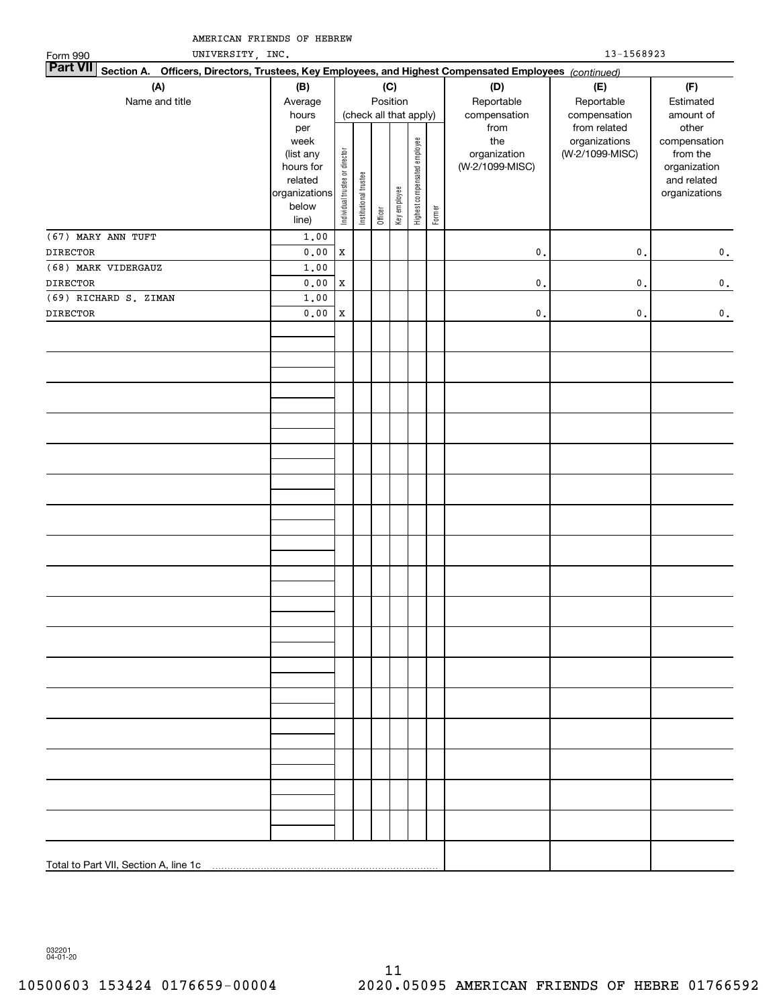| UNIVERSITY, INC.<br>Form 990                                                                                    |                                                                                     |                                |                       |         |                                        |                              |        |                                                                | 13-1568923                                                       |                                                                                                |
|-----------------------------------------------------------------------------------------------------------------|-------------------------------------------------------------------------------------|--------------------------------|-----------------------|---------|----------------------------------------|------------------------------|--------|----------------------------------------------------------------|------------------------------------------------------------------|------------------------------------------------------------------------------------------------|
| Part VII Section A. Officers, Directors, Trustees, Key Employees, and Highest Compensated Employees (continued) |                                                                                     |                                |                       |         |                                        |                              |        |                                                                |                                                                  |                                                                                                |
| (A)                                                                                                             | (B)                                                                                 |                                |                       |         | (C)                                    |                              |        | (D)                                                            | (E)                                                              | (F)                                                                                            |
| Name and title                                                                                                  | Average                                                                             |                                |                       |         | Position                               |                              |        | Reportable                                                     | Reportable                                                       | Estimated                                                                                      |
|                                                                                                                 | hours<br>per<br>week<br>(list any<br>hours for<br>related<br>organizations<br>below | Individual trustee or director | Institutional trustee | Officer | (check all that apply)<br>Key employee | Highest compensated employee | Former | compensation<br>from<br>the<br>organization<br>(W-2/1099-MISC) | compensation<br>from related<br>organizations<br>(W-2/1099-MISC) | amount of<br>other<br>compensation<br>from the<br>organization<br>and related<br>organizations |
| (67) MARY ANN TUFT                                                                                              | line)                                                                               |                                |                       |         |                                        |                              |        |                                                                |                                                                  |                                                                                                |
| <b>DIRECTOR</b>                                                                                                 | 1.00<br>0.00                                                                        | $\mathbf x$                    |                       |         |                                        |                              |        | $\mathbf 0$ .                                                  | $\mathfrak o$ .                                                  | $\mathbf 0$ .                                                                                  |
| (68) MARK VIDERGAUZ                                                                                             | 1.00                                                                                |                                |                       |         |                                        |                              |        |                                                                |                                                                  |                                                                                                |
| <b>DIRECTOR</b>                                                                                                 | 0.00                                                                                | $\mathbf X$                    |                       |         |                                        |                              |        | $\mathbf 0$ .                                                  | $\mathfrak o$ .                                                  | $\mathbf 0$ .                                                                                  |
| (69) RICHARD S. ZIMAN                                                                                           | 1.00                                                                                |                                |                       |         |                                        |                              |        |                                                                |                                                                  |                                                                                                |
| <b>DIRECTOR</b>                                                                                                 | $0.00$                                                                              | $\mathbf x$                    |                       |         |                                        |                              |        | $\mathbf 0$ .                                                  | $\mathfrak o$ .                                                  | $\mathbf 0$ .                                                                                  |
|                                                                                                                 |                                                                                     |                                |                       |         |                                        |                              |        |                                                                |                                                                  |                                                                                                |
|                                                                                                                 |                                                                                     |                                |                       |         |                                        |                              |        |                                                                |                                                                  |                                                                                                |
|                                                                                                                 |                                                                                     |                                |                       |         |                                        |                              |        |                                                                |                                                                  |                                                                                                |
|                                                                                                                 |                                                                                     |                                |                       |         |                                        |                              |        |                                                                |                                                                  |                                                                                                |
|                                                                                                                 |                                                                                     |                                |                       |         |                                        |                              |        |                                                                |                                                                  |                                                                                                |
|                                                                                                                 |                                                                                     |                                |                       |         |                                        |                              |        |                                                                |                                                                  |                                                                                                |
|                                                                                                                 |                                                                                     |                                |                       |         |                                        |                              |        |                                                                |                                                                  |                                                                                                |
|                                                                                                                 |                                                                                     |                                |                       |         |                                        |                              |        |                                                                |                                                                  |                                                                                                |
|                                                                                                                 |                                                                                     |                                |                       |         |                                        |                              |        |                                                                |                                                                  |                                                                                                |
|                                                                                                                 |                                                                                     |                                |                       |         |                                        |                              |        |                                                                |                                                                  |                                                                                                |
|                                                                                                                 |                                                                                     |                                |                       |         |                                        |                              |        |                                                                |                                                                  |                                                                                                |

032201 04-01-20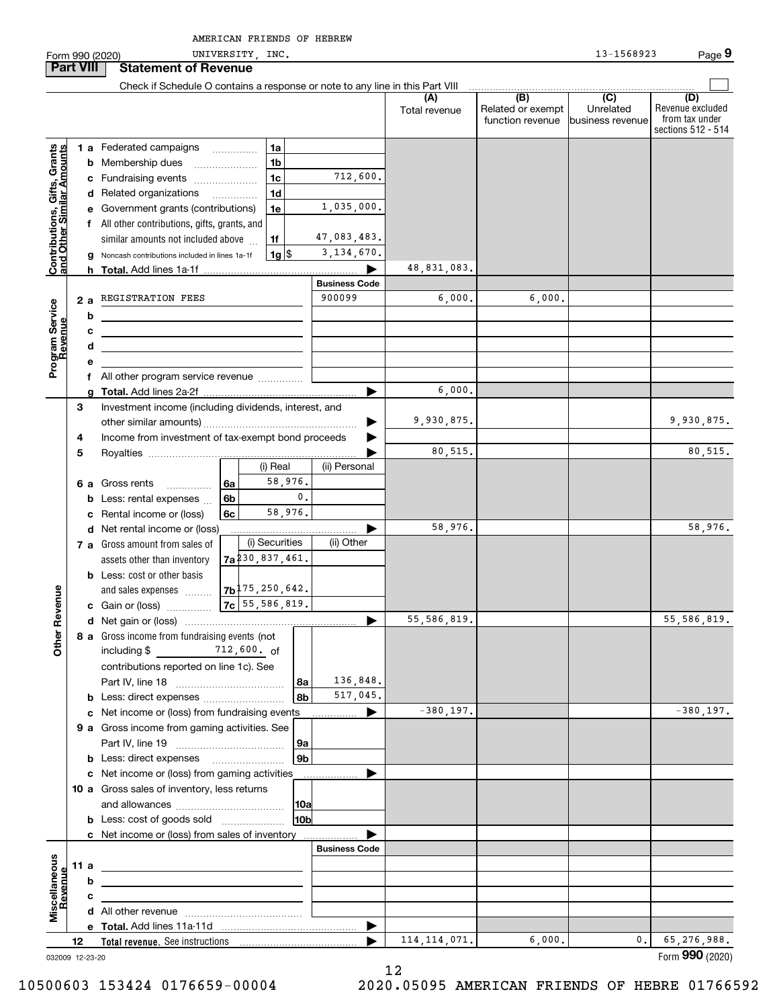|                                                           |                  |   | Form 990 (2020)                                                                                                                                                                                                                      |    | UNIVERSITY, INC.                |                      |                      |                                              | 13-1568923                                        | Page 9                                                          |
|-----------------------------------------------------------|------------------|---|--------------------------------------------------------------------------------------------------------------------------------------------------------------------------------------------------------------------------------------|----|---------------------------------|----------------------|----------------------|----------------------------------------------|---------------------------------------------------|-----------------------------------------------------------------|
|                                                           | <b>Part VIII</b> |   | <b>Statement of Revenue</b>                                                                                                                                                                                                          |    |                                 |                      |                      |                                              |                                                   |                                                                 |
|                                                           |                  |   | Check if Schedule O contains a response or note to any line in this Part VIII                                                                                                                                                        |    |                                 |                      |                      |                                              |                                                   |                                                                 |
|                                                           |                  |   |                                                                                                                                                                                                                                      |    |                                 |                      | (A)<br>Total revenue | (B)<br>Related or exempt<br>function revenue | $\overline{(C)}$<br>Unrelated<br>business revenue | (D)<br>Revenue excluded<br>from tax under<br>sections 512 - 514 |
|                                                           |                  |   |                                                                                                                                                                                                                                      |    |                                 |                      |                      |                                              |                                                   |                                                                 |
| Contributions, Gifts, Grants<br>and Other Similar Amounts |                  |   | <b>1 a</b> Federated campaigns                                                                                                                                                                                                       |    | 1a                              |                      |                      |                                              |                                                   |                                                                 |
|                                                           |                  |   | <b>b</b> Membership dues<br>$\overline{\phantom{a}}$                                                                                                                                                                                 |    | 1 <sub>b</sub>                  |                      |                      |                                              |                                                   |                                                                 |
|                                                           |                  |   | c Fundraising events                                                                                                                                                                                                                 |    | 1 <sub>c</sub>                  | 712,600.             |                      |                                              |                                                   |                                                                 |
|                                                           |                  |   | d Related organizations                                                                                                                                                                                                              | .  | 1d                              |                      |                      |                                              |                                                   |                                                                 |
|                                                           |                  |   | e Government grants (contributions)                                                                                                                                                                                                  |    | 1e                              | 1,035,000.           |                      |                                              |                                                   |                                                                 |
|                                                           |                  |   | f All other contributions, gifts, grants, and                                                                                                                                                                                        |    |                                 |                      |                      |                                              |                                                   |                                                                 |
|                                                           |                  |   | similar amounts not included above                                                                                                                                                                                                   |    | 1f                              | 47,083,483.          |                      |                                              |                                                   |                                                                 |
|                                                           |                  |   | Noncash contributions included in lines 1a-1f                                                                                                                                                                                        |    | $1g$ $\frac{1}{3}$              | 3, 134, 670.         |                      |                                              |                                                   |                                                                 |
|                                                           |                  |   | h Total. Add lines 1a-1f                                                                                                                                                                                                             |    |                                 |                      | 48,831,083.          |                                              |                                                   |                                                                 |
|                                                           |                  |   |                                                                                                                                                                                                                                      |    |                                 | <b>Business Code</b> |                      |                                              |                                                   |                                                                 |
|                                                           | 2a               |   | REGISTRATION FEES                                                                                                                                                                                                                    |    |                                 | 900099               | 6,000.               | 6,000.                                       |                                                   |                                                                 |
|                                                           |                  | b |                                                                                                                                                                                                                                      |    |                                 |                      |                      |                                              |                                                   |                                                                 |
|                                                           |                  | с | <u> 1980 - Johann Barbara, martxa alemaniar amerikan a</u>                                                                                                                                                                           |    |                                 |                      |                      |                                              |                                                   |                                                                 |
|                                                           |                  | d | the contract of the contract of the contract of the contract of the contract of                                                                                                                                                      |    |                                 |                      |                      |                                              |                                                   |                                                                 |
| Program Service<br>Revenue                                |                  | е |                                                                                                                                                                                                                                      |    |                                 |                      |                      |                                              |                                                   |                                                                 |
|                                                           |                  |   | f All other program service revenue                                                                                                                                                                                                  |    |                                 |                      |                      |                                              |                                                   |                                                                 |
|                                                           |                  |   |                                                                                                                                                                                                                                      |    |                                 | ь                    | 6,000.               |                                              |                                                   |                                                                 |
|                                                           | З                |   | Investment income (including dividends, interest, and                                                                                                                                                                                |    |                                 |                      |                      |                                              |                                                   |                                                                 |
|                                                           |                  |   |                                                                                                                                                                                                                                      |    |                                 | ▶                    | 9,930,875.           |                                              |                                                   | 9,930,875.                                                      |
|                                                           | 4                |   | Income from investment of tax-exempt bond proceeds                                                                                                                                                                                   |    |                                 |                      |                      |                                              |                                                   |                                                                 |
|                                                           | 5                |   |                                                                                                                                                                                                                                      |    |                                 |                      | 80,515.              |                                              |                                                   | 80,515.                                                         |
|                                                           |                  |   |                                                                                                                                                                                                                                      |    | (i) Real                        | (ii) Personal        |                      |                                              |                                                   |                                                                 |
|                                                           |                  |   | 6 a Gross rents<br>$\overline{\phantom{a}}$                                                                                                                                                                                          | 6a | 58,976.                         |                      |                      |                                              |                                                   |                                                                 |
|                                                           |                  |   | <b>b</b> Less: rental expenses                                                                                                                                                                                                       | 6b | $\mathbf{0}$ .                  |                      |                      |                                              |                                                   |                                                                 |
|                                                           |                  |   | c Rental income or (loss)                                                                                                                                                                                                            | 6c | 58,976.                         |                      |                      |                                              |                                                   |                                                                 |
|                                                           |                  |   | d Net rental income or (loss)                                                                                                                                                                                                        |    |                                 |                      | 58,976.              |                                              |                                                   | 58,976.                                                         |
|                                                           |                  |   | 7 a Gross amount from sales of                                                                                                                                                                                                       |    | (i) Securities                  | (ii) Other           |                      |                                              |                                                   |                                                                 |
|                                                           |                  |   | assets other than inventory                                                                                                                                                                                                          |    | $7a$ <sup>230</sup> , 837, 461. |                      |                      |                                              |                                                   |                                                                 |
|                                                           |                  |   | <b>b</b> Less: cost or other basis                                                                                                                                                                                                   |    |                                 |                      |                      |                                              |                                                   |                                                                 |
|                                                           |                  |   | and sales expenses                                                                                                                                                                                                                   |    | $7b$ <sup>175</sup> , 250, 642. |                      |                      |                                              |                                                   |                                                                 |
| evenue                                                    |                  |   | c Gain or (loss)                                                                                                                                                                                                                     |    | $7c$ 55, 586, 819.              |                      |                      |                                              |                                                   |                                                                 |
|                                                           |                  |   |                                                                                                                                                                                                                                      |    |                                 |                      | 55,586,819           |                                              |                                                   | 55,586,819,                                                     |
| Other F                                                   |                  |   | 8 a Gross income from fundraising events (not                                                                                                                                                                                        |    |                                 |                      |                      |                                              |                                                   |                                                                 |
|                                                           |                  |   | including \$ 712,600. of                                                                                                                                                                                                             |    |                                 |                      |                      |                                              |                                                   |                                                                 |
|                                                           |                  |   | contributions reported on line 1c). See                                                                                                                                                                                              |    |                                 |                      |                      |                                              |                                                   |                                                                 |
|                                                           |                  |   |                                                                                                                                                                                                                                      |    | 8a                              | 136,848.             |                      |                                              |                                                   |                                                                 |
|                                                           |                  |   | <b>b</b> Less: direct expenses <i>manually contained</i>                                                                                                                                                                             |    | 8b                              | 517,045.             |                      |                                              |                                                   |                                                                 |
|                                                           |                  |   | c Net income or (loss) from fundraising events                                                                                                                                                                                       |    |                                 | ▶<br>.               | $-380, 197.$         |                                              |                                                   | $-380, 197.$                                                    |
|                                                           |                  |   | 9 a Gross income from gaming activities. See                                                                                                                                                                                         |    |                                 |                      |                      |                                              |                                                   |                                                                 |
|                                                           |                  |   |                                                                                                                                                                                                                                      |    | 9a                              |                      |                      |                                              |                                                   |                                                                 |
|                                                           |                  |   | <b>b</b> Less: direct expenses <b>manually</b>                                                                                                                                                                                       |    | 9b                              |                      |                      |                                              |                                                   |                                                                 |
|                                                           |                  |   | c Net income or (loss) from gaming activities                                                                                                                                                                                        |    |                                 |                      |                      |                                              |                                                   |                                                                 |
|                                                           |                  |   | 10 a Gross sales of inventory, less returns                                                                                                                                                                                          |    |                                 |                      |                      |                                              |                                                   |                                                                 |
|                                                           |                  |   |                                                                                                                                                                                                                                      |    | 10a                             |                      |                      |                                              |                                                   |                                                                 |
|                                                           |                  |   | <b>b</b> Less: cost of goods sold                                                                                                                                                                                                    |    | 10b                             |                      |                      |                                              |                                                   |                                                                 |
|                                                           |                  |   | c Net income or (loss) from sales of inventory                                                                                                                                                                                       |    |                                 |                      |                      |                                              |                                                   |                                                                 |
|                                                           |                  |   |                                                                                                                                                                                                                                      |    |                                 | <b>Business Code</b> |                      |                                              |                                                   |                                                                 |
|                                                           | 11 a             |   | <u>and the state of the state of the state of the state of the state of the state of the state of the state of the state of the state of the state of the state of the state of the state of the state of the state of the state</u> |    |                                 |                      |                      |                                              |                                                   |                                                                 |
| evenue                                                    |                  | b | <u>and the state of the state of the state of the state of the state of the state of the state of the state of the state of the state of the state of the state of the state of the state of the state of the state of the state</u> |    |                                 |                      |                      |                                              |                                                   |                                                                 |
| Miscellaneous                                             |                  | с | <u> 1989 - Johann Barbara, martxa alemaniar arg</u>                                                                                                                                                                                  |    |                                 |                      |                      |                                              |                                                   |                                                                 |
|                                                           |                  |   |                                                                                                                                                                                                                                      |    |                                 |                      |                      |                                              |                                                   |                                                                 |
|                                                           |                  |   |                                                                                                                                                                                                                                      |    |                                 |                      |                      |                                              |                                                   |                                                                 |

032009 12-23-20 **12**

**Total revenue.**  See instructions

**eTotal.**  Add lines 11a-11d |

12

 $\blacktriangleright$ 

Form (2020) **990**

**9**

10500603 153424 0176659-00004 2020.05095 AMERICAN FRIENDS OF HEBRE 01766592

114,114,071. 6,000. 0. 65,276,988.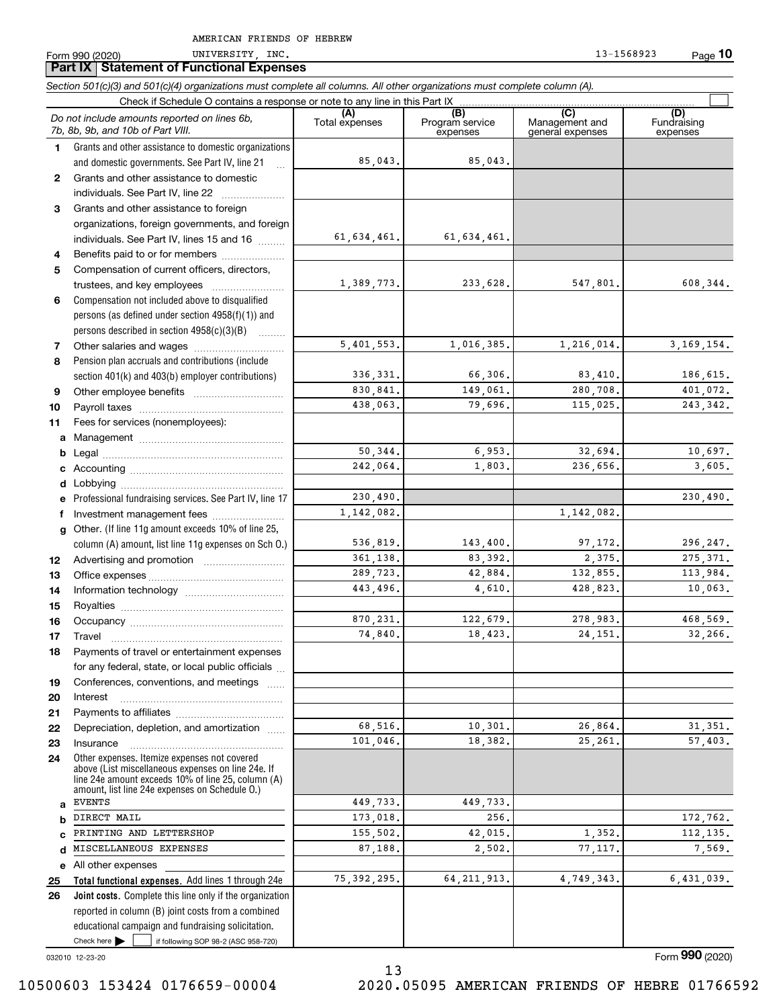**Part IX Statement of Functional Expenses**

**10**

Form 990 (2020) UNIVERSITY,INC. 13-1568923 Page

*Section 501(c)(3) and 501(c)(4) organizations must complete all columns. All other organizations must complete column (A).*

|              | Do not include amounts reported on lines 6b,<br>7b, 8b, 9b, and 10b of Part VIII.                                                                                                                          | (A)<br>Total expenses | (B)<br>Program service<br>expenses | (C)<br>Management and<br>general expenses | (D)<br>Fundraising<br>expenses |
|--------------|------------------------------------------------------------------------------------------------------------------------------------------------------------------------------------------------------------|-----------------------|------------------------------------|-------------------------------------------|--------------------------------|
| 1.           | Grants and other assistance to domestic organizations                                                                                                                                                      |                       |                                    |                                           |                                |
|              | and domestic governments. See Part IV, line 21                                                                                                                                                             | 85,043.               | 85,043.                            |                                           |                                |
| $\mathbf{2}$ | Grants and other assistance to domestic                                                                                                                                                                    |                       |                                    |                                           |                                |
|              | individuals. See Part IV, line 22                                                                                                                                                                          |                       |                                    |                                           |                                |
| 3            | Grants and other assistance to foreign                                                                                                                                                                     |                       |                                    |                                           |                                |
|              | organizations, foreign governments, and foreign                                                                                                                                                            |                       |                                    |                                           |                                |
|              | individuals. See Part IV, lines 15 and 16                                                                                                                                                                  | 61,634,461.           | 61,634,461.                        |                                           |                                |
| 4            | Benefits paid to or for members                                                                                                                                                                            |                       |                                    |                                           |                                |
| 5            | Compensation of current officers, directors,                                                                                                                                                               |                       |                                    |                                           |                                |
|              |                                                                                                                                                                                                            | 1,389,773.            | 233,628.                           | 547,801.                                  | 608,344.                       |
| 6            | Compensation not included above to disqualified                                                                                                                                                            |                       |                                    |                                           |                                |
|              | persons (as defined under section 4958(f)(1)) and                                                                                                                                                          |                       |                                    |                                           |                                |
|              | persons described in section 4958(c)(3)(B)                                                                                                                                                                 |                       |                                    |                                           |                                |
| 7            |                                                                                                                                                                                                            | 5,401,553.            | 1,016,385.                         | 1,216,014.                                | 3, 169, 154.                   |
| 8            | Pension plan accruals and contributions (include                                                                                                                                                           |                       |                                    |                                           |                                |
|              | section 401(k) and 403(b) employer contributions)                                                                                                                                                          | 336, 331.             | 66,306.                            | 83,410.                                   | 186,615.                       |
| 9            |                                                                                                                                                                                                            | 830,841.              | 149,061.                           | 280,708.                                  | 401,072.                       |
| 10           |                                                                                                                                                                                                            | 438.063.              | 79,696.                            | 115,025.                                  | 243, 342.                      |
| 11           | Fees for services (nonemployees):                                                                                                                                                                          |                       |                                    |                                           |                                |
| a            |                                                                                                                                                                                                            |                       |                                    |                                           |                                |
| b            |                                                                                                                                                                                                            | 50,344.               | 6,953.                             | 32,694.                                   | 10,697.                        |
| c            |                                                                                                                                                                                                            | 242,064.              | 1,803.                             | 236,656.                                  | 3,605.                         |
| d            |                                                                                                                                                                                                            | 230,490.              |                                    |                                           | 230,490.                       |
| е            | Professional fundraising services. See Part IV, line 17                                                                                                                                                    | 1, 142, 082.          |                                    | 1,142,082.                                |                                |
| f            | Investment management fees                                                                                                                                                                                 |                       |                                    |                                           |                                |
| $\mathbf{q}$ | Other. (If line 11g amount exceeds 10% of line 25,<br>column (A) amount, list line 11g expenses on Sch 0.)                                                                                                 | 536,819.              | 143,400.                           | 97, 172.                                  | 296,247.                       |
| 12           |                                                                                                                                                                                                            | 361,138.              | 83,392.                            | 2,375.                                    | 275, 371.                      |
| 13           |                                                                                                                                                                                                            | 289,723.              | 42,884.                            | 132,855.                                  | 113,984.                       |
| 14           |                                                                                                                                                                                                            | 443,496.              | 4,610.                             | 428,823.                                  | 10,063.                        |
| 15           |                                                                                                                                                                                                            |                       |                                    |                                           |                                |
| 16           |                                                                                                                                                                                                            | 870,231.              | 122,679.                           | 278,983.                                  | 468,569.                       |
| 17           | Travel                                                                                                                                                                                                     | 74,840.               | 18,423.                            | 24.151.                                   | 32,266.                        |
| 18           | Payments of travel or entertainment expenses                                                                                                                                                               |                       |                                    |                                           |                                |
|              | for any federal, state, or local public officials                                                                                                                                                          |                       |                                    |                                           |                                |
| 19           | Conferences, conventions, and meetings                                                                                                                                                                     |                       |                                    |                                           |                                |
| 20           | Interest                                                                                                                                                                                                   |                       |                                    |                                           |                                |
| 21           |                                                                                                                                                                                                            |                       |                                    |                                           |                                |
| 22           | Depreciation, depletion, and amortization                                                                                                                                                                  | 68,516.               | 10,301.                            | 26,864.                                   | 31, 351.                       |
| 23           | Insurance                                                                                                                                                                                                  | 101,046.              | 18,382.                            | 25, 261.                                  | 57,403.                        |
| 24           | Other expenses. Itemize expenses not covered<br>above (List miscellaneous expenses on line 24e. If<br>line 24e amount exceeds 10% of line 25, column (A)<br>amount. list line 24e expenses on Schedule O.) |                       |                                    |                                           |                                |
| a            | <b>EVENTS</b>                                                                                                                                                                                              | 449,733.              | 449,733.                           |                                           |                                |
| b            | DIRECT MAIL                                                                                                                                                                                                | 173,018.              | 256.                               |                                           | 172,762.                       |
| C            | PRINTING AND LETTERSHOP                                                                                                                                                                                    | 155,502.              | 42,015.                            | 1,352.                                    | 112, 135.                      |
| d            | MISCELLANEOUS EXPENSES                                                                                                                                                                                     | 87,188.               | 2,502.                             | 77,117.                                   | 7,569.                         |
| е            | All other expenses                                                                                                                                                                                         |                       |                                    |                                           |                                |
| 25           | Total functional expenses. Add lines 1 through 24e                                                                                                                                                         | 75, 392, 295.         | 64, 211, 913.                      | 4,749,343.                                | 6,431,039.                     |
| 26           | Joint costs. Complete this line only if the organization                                                                                                                                                   |                       |                                    |                                           |                                |
|              | reported in column (B) joint costs from a combined                                                                                                                                                         |                       |                                    |                                           |                                |
|              | educational campaign and fundraising solicitation.                                                                                                                                                         |                       |                                    |                                           |                                |
|              | Check here $\blacktriangleright$<br>if following SOP 98-2 (ASC 958-720)                                                                                                                                    |                       |                                    |                                           |                                |

032010 12-23-20

Form (2020) **990**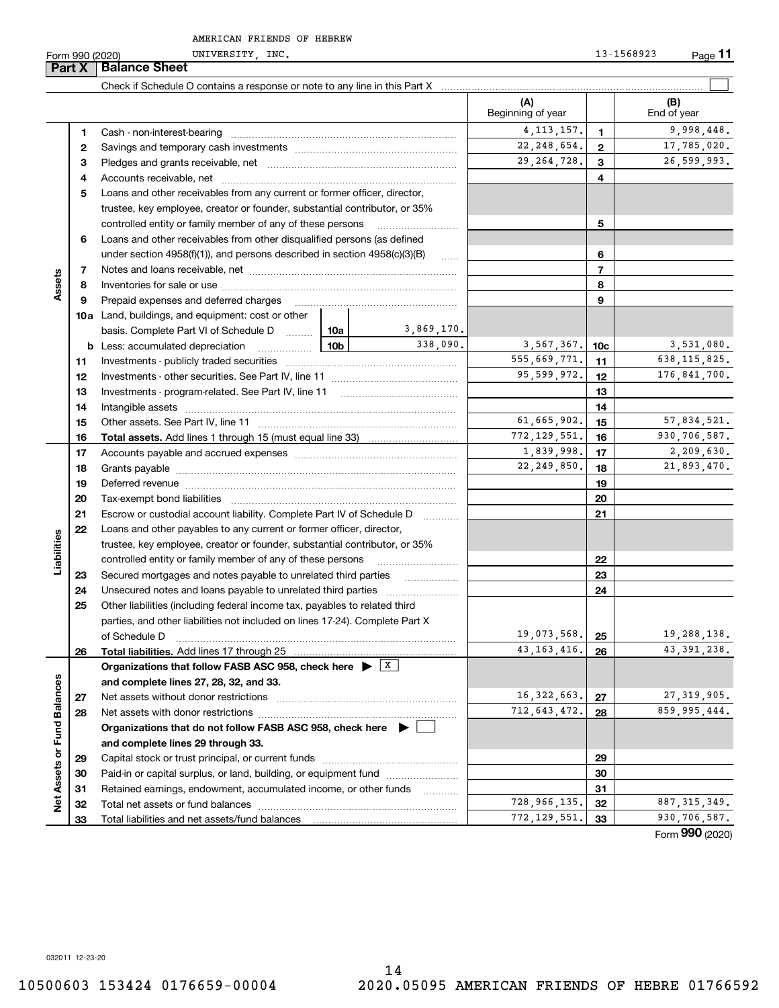**Part X Balance B**<br>**Part X Bala** 

|                             | <b>Part X</b> | <b>Balance Sheet</b>                                                                                                   |             |                     |                          |                 |                    |
|-----------------------------|---------------|------------------------------------------------------------------------------------------------------------------------|-------------|---------------------|--------------------------|-----------------|--------------------|
|                             |               |                                                                                                                        |             |                     |                          |                 |                    |
|                             |               |                                                                                                                        |             |                     | (A)<br>Beginning of year |                 | (B)<br>End of year |
|                             | 1.            |                                                                                                                        |             |                     | 4, 113, 157.             | 1               | 9,998,448.         |
|                             | 2             |                                                                                                                        |             |                     | 22, 248, 654.            | $\mathbf{2}$    | 17,785,020.        |
|                             | з             |                                                                                                                        |             |                     | 29, 264, 728.            | 3               | 26,599,993.        |
|                             | 4             |                                                                                                                        |             |                     |                          | 4               |                    |
|                             | 5             | Loans and other receivables from any current or former officer, director,                                              |             |                     |                          |                 |                    |
|                             |               | trustee, key employee, creator or founder, substantial contributor, or 35%                                             |             |                     |                          |                 |                    |
|                             |               | controlled entity or family member of any of these persons                                                             |             |                     |                          | 5               |                    |
|                             | 6             | Loans and other receivables from other disqualified persons (as defined                                                |             |                     |                          |                 |                    |
|                             |               | under section $4958(f)(1)$ , and persons described in section $4958(c)(3)(B)$                                          |             | 1.1.1.1             |                          | 6               |                    |
|                             | 7             |                                                                                                                        |             |                     |                          | 7               |                    |
| Assets                      | 8             |                                                                                                                        |             |                     |                          | 8               |                    |
|                             | 9             | Prepaid expenses and deferred charges                                                                                  |             |                     |                          | 9               |                    |
|                             |               | 10a Land, buildings, and equipment: cost or other                                                                      |             |                     |                          |                 |                    |
|                             |               | basis. Complete Part VI of Schedule D  10a                                                                             |             | 3,869,170.          |                          |                 |                    |
|                             |               | <b>b</b> Less: accumulated depreciation<br>. 1                                                                         | 10b         | 338,090.            | 3,567,367.               | 10 <sub>c</sub> | 3,531,080.         |
|                             | 11            |                                                                                                                        |             |                     | 555,669,771.             | 11              | 638, 115, 825.     |
|                             | 12            |                                                                                                                        | 95,599,972. | 12                  | 176,841,700.             |                 |                    |
|                             | 13            |                                                                                                                        |             |                     | 13                       |                 |                    |
|                             | 14            |                                                                                                                        |             |                     | 14                       |                 |                    |
|                             | 15            |                                                                                                                        |             |                     | 61,665,902.              | 15              | 57,834,521.        |
|                             | 16            |                                                                                                                        |             |                     | 772, 129, 551.           | 16              | 930,706,587.       |
|                             | 17            |                                                                                                                        |             |                     | 1,839,998.               | 17              | 2,209,630.         |
|                             | 18            |                                                                                                                        |             | 22, 249, 850.       | 18                       | 21,893,470.     |                    |
|                             | 19            |                                                                                                                        |             |                     |                          | 19              |                    |
|                             | 20            |                                                                                                                        |             |                     |                          | 20              |                    |
|                             | 21            | Escrow or custodial account liability. Complete Part IV of Schedule D                                                  |             | .                   |                          | 21              |                    |
|                             | 22            | Loans and other payables to any current or former officer, director,                                                   |             |                     |                          |                 |                    |
|                             |               | trustee, key employee, creator or founder, substantial contributor, or 35%                                             |             |                     |                          |                 |                    |
| Liabilities                 |               | controlled entity or family member of any of these persons                                                             |             |                     |                          | 22              |                    |
|                             | 23            | Secured mortgages and notes payable to unrelated third parties                                                         |             |                     |                          | 23              |                    |
|                             | 24            |                                                                                                                        |             |                     |                          | 24              |                    |
|                             | 25            | Other liabilities (including federal income tax, payables to related third                                             |             |                     |                          |                 |                    |
|                             |               | parties, and other liabilities not included on lines 17-24). Complete Part X                                           |             |                     |                          |                 |                    |
|                             |               | of Schedule D                                                                                                          |             |                     | 19,073,568.              | 25              | 19,288,138.        |
|                             | 26            | Total liabilities. Add lines 17 through 25                                                                             |             |                     | 43, 163, 416.            | 26              | 43, 391, 238.      |
|                             |               | Organizations that follow FASB ASC 958, check here $\blacktriangleright \begin{array}{c} \perp \mathbf{X} \end{array}$ |             |                     |                          |                 |                    |
|                             |               | and complete lines 27, 28, 32, and 33.                                                                                 |             |                     |                          |                 |                    |
|                             | 27            | Net assets without donor restrictions                                                                                  |             |                     | 16, 322, 663.            | 27              | 27, 319, 905.      |
|                             | 28            |                                                                                                                        |             |                     | 712, 643, 472.           | 28              | 859,995,444.       |
|                             |               | Organizations that do not follow FASB ASC 958, check here $\blacktriangleright$                                        |             |                     |                          |                 |                    |
|                             |               | and complete lines 29 through 33.                                                                                      |             |                     |                          |                 |                    |
|                             | 29            |                                                                                                                        |             |                     | 29                       |                 |                    |
|                             | 30            | Paid-in or capital surplus, or land, building, or equipment fund                                                       |             |                     |                          | 30              |                    |
| Net Assets or Fund Balances | 31            | Retained earnings, endowment, accumulated income, or other funds                                                       |             | 1.1.1.1.1.1.1.1.1.1 | 728,966,135.             | 31              | 887, 315, 349.     |
|                             | 32            |                                                                                                                        |             |                     | 772,129,551.             | 32              | 930,706,587.       |
|                             | 33            |                                                                                                                        |             |                     |                          | 33              |                    |

Form (2020) **990**

032011 12-23-20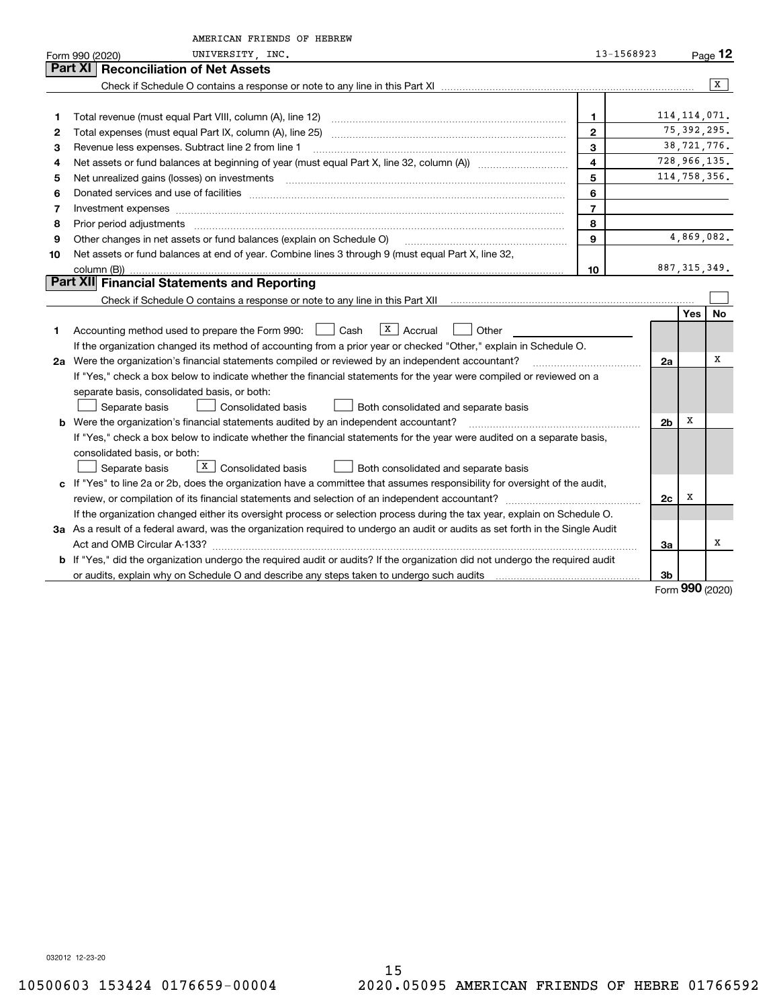|    | AMERICAN FRIENDS OF HEBREW                                                                                                      |                         |                |                |               |
|----|---------------------------------------------------------------------------------------------------------------------------------|-------------------------|----------------|----------------|---------------|
|    | UNIVERSITY INC.<br>Form 990 (2020)                                                                                              | 13-1568923              |                |                | Page $12$     |
|    | <b>Reconciliation of Net Assets</b><br>Part XI                                                                                  |                         |                |                |               |
|    |                                                                                                                                 |                         |                |                | X             |
|    |                                                                                                                                 |                         |                |                |               |
| 1  | Total revenue (must equal Part VIII, column (A), line 12)                                                                       | $\mathbf 1$             |                | 114, 114, 071. |               |
| 2  |                                                                                                                                 | $\mathbf{2}$            |                | 75, 392, 295.  |               |
| 3  | Revenue less expenses. Subtract line 2 from line 1                                                                              | $\mathbf{3}$            |                |                | 38, 721, 776. |
| 4  |                                                                                                                                 | $\overline{\mathbf{4}}$ |                |                | 728,966,135.  |
| 5  |                                                                                                                                 | 5                       |                |                | 114,758,356.  |
| 6  |                                                                                                                                 | 6                       |                |                |               |
| 7  | Investment expenses www.communication.com/www.communication.com/www.communication.com/www.com                                   | $\overline{7}$          |                |                |               |
| 8  | Prior period adjustments                                                                                                        | 8                       |                |                |               |
| 9  | Other changes in net assets or fund balances (explain on Schedule O)                                                            | $\mathbf{Q}$            |                |                | 4,869,082.    |
| 10 | Net assets or fund balances at end of year. Combine lines 3 through 9 (must equal Part X, line 32,                              |                         |                |                |               |
|    | column (B))                                                                                                                     | 10                      |                | 887, 315, 349. |               |
|    | <b>Part XII</b> Financial Statements and Reporting                                                                              |                         |                |                |               |
|    |                                                                                                                                 |                         |                |                |               |
|    |                                                                                                                                 |                         |                | <b>Yes</b>     | No            |
| 1  | $X \mid$ Accrual<br>Accounting method used to prepare the Form 990: <u>[16</u> ] Cash<br>Other                                  |                         |                |                |               |
|    | If the organization changed its method of accounting from a prior year or checked "Other," explain in Schedule O.               |                         |                |                |               |
|    | 2a Were the organization's financial statements compiled or reviewed by an independent accountant?                              |                         | 2a             |                | х             |
|    | If "Yes," check a box below to indicate whether the financial statements for the year were compiled or reviewed on a            |                         |                |                |               |
|    | separate basis, consolidated basis, or both:                                                                                    |                         |                |                |               |
|    | <b>Consolidated basis</b><br>Separate basis<br>Both consolidated and separate basis                                             |                         |                |                |               |
|    | b Were the organization's financial statements audited by an independent accountant?                                            |                         | 2 <sub>b</sub> | х              |               |
|    | If "Yes," check a box below to indicate whether the financial statements for the year were audited on a separate basis,         |                         |                |                |               |
|    | consolidated basis, or both:                                                                                                    |                         |                |                |               |
|    | $\boxed{\text{X}}$ Consolidated basis<br>Separate basis<br>Both consolidated and separate basis                                 |                         |                |                |               |
|    | c If "Yes" to line 2a or 2b, does the organization have a committee that assumes responsibility for oversight of the audit,     |                         |                |                |               |
|    |                                                                                                                                 |                         | 2c             | х              |               |
|    | If the organization changed either its oversight process or selection process during the tax year, explain on Schedule O.       |                         |                |                |               |
|    | 3a As a result of a federal award, was the organization required to undergo an audit or audits as set forth in the Single Audit |                         |                |                |               |
|    |                                                                                                                                 |                         | За             |                | х             |
|    | b If "Yes," did the organization undergo the required audit or audits? If the organization did not undergo the required audit   |                         |                |                |               |
|    |                                                                                                                                 |                         | 3b             |                |               |
|    |                                                                                                                                 |                         |                | $\Omega$       |               |

Form (2020) **990**

032012 12-23-20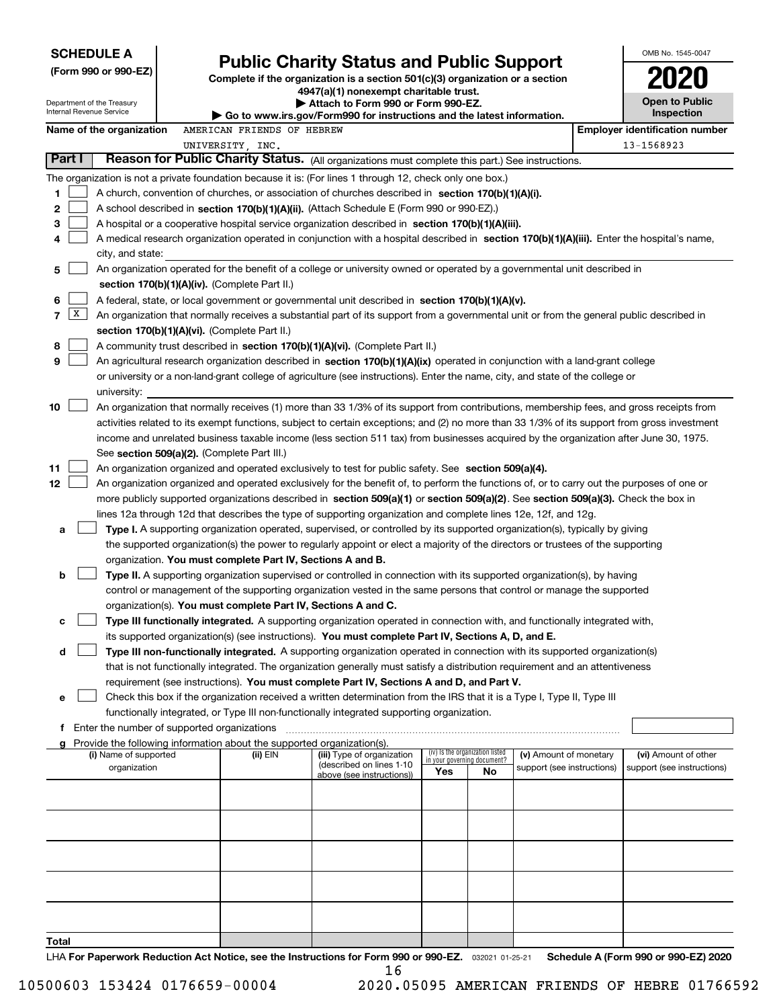|                                                                                                                                                                                            |                                                                                                                                    | <b>SCHEDULE A</b>                                      |  |                                                                        |                                                                                                                                                                                                                                                           |     |                                                      |  |                                                    | OMB No. 1545-0047                     |
|--------------------------------------------------------------------------------------------------------------------------------------------------------------------------------------------|------------------------------------------------------------------------------------------------------------------------------------|--------------------------------------------------------|--|------------------------------------------------------------------------|-----------------------------------------------------------------------------------------------------------------------------------------------------------------------------------------------------------------------------------------------------------|-----|------------------------------------------------------|--|----------------------------------------------------|---------------------------------------|
|                                                                                                                                                                                            |                                                                                                                                    | (Form 990 or 990-EZ)                                   |  |                                                                        | <b>Public Charity Status and Public Support</b><br>Complete if the organization is a section 501(c)(3) organization or a section                                                                                                                          |     |                                                      |  |                                                    |                                       |
|                                                                                                                                                                                            |                                                                                                                                    |                                                        |  |                                                                        | 4947(a)(1) nonexempt charitable trust.                                                                                                                                                                                                                    |     |                                                      |  |                                                    |                                       |
|                                                                                                                                                                                            |                                                                                                                                    | Department of the Treasury<br>Internal Revenue Service |  |                                                                        | Attach to Form 990 or Form 990-EZ.                                                                                                                                                                                                                        |     |                                                      |  |                                                    | Open to Public<br>Inspection          |
|                                                                                                                                                                                            |                                                                                                                                    | Name of the organization                               |  | AMERICAN FRIENDS OF HEBREW                                             | Go to www.irs.gov/Form990 for instructions and the latest information.                                                                                                                                                                                    |     |                                                      |  |                                                    | <b>Employer identification number</b> |
|                                                                                                                                                                                            |                                                                                                                                    |                                                        |  | UNIVERSITY, INC.                                                       |                                                                                                                                                                                                                                                           |     |                                                      |  |                                                    | 13-1568923                            |
|                                                                                                                                                                                            | Part I                                                                                                                             |                                                        |  |                                                                        | Reason for Public Charity Status. (All organizations must complete this part.) See instructions.                                                                                                                                                          |     |                                                      |  |                                                    |                                       |
|                                                                                                                                                                                            |                                                                                                                                    |                                                        |  |                                                                        | The organization is not a private foundation because it is: (For lines 1 through 12, check only one box.)                                                                                                                                                 |     |                                                      |  |                                                    |                                       |
| 1                                                                                                                                                                                          |                                                                                                                                    |                                                        |  |                                                                        | A church, convention of churches, or association of churches described in section 170(b)(1)(A)(i).                                                                                                                                                        |     |                                                      |  |                                                    |                                       |
| 2                                                                                                                                                                                          |                                                                                                                                    |                                                        |  |                                                                        | A school described in section 170(b)(1)(A)(ii). (Attach Schedule E (Form 990 or 990-EZ).)                                                                                                                                                                 |     |                                                      |  |                                                    |                                       |
| 3                                                                                                                                                                                          |                                                                                                                                    |                                                        |  |                                                                        | A hospital or a cooperative hospital service organization described in section 170(b)(1)(A)(iii).                                                                                                                                                         |     |                                                      |  |                                                    |                                       |
| 4                                                                                                                                                                                          |                                                                                                                                    |                                                        |  |                                                                        | A medical research organization operated in conjunction with a hospital described in section 170(b)(1)(A)(iii). Enter the hospital's name,                                                                                                                |     |                                                      |  |                                                    |                                       |
|                                                                                                                                                                                            |                                                                                                                                    | city, and state:                                       |  |                                                                        |                                                                                                                                                                                                                                                           |     |                                                      |  |                                                    |                                       |
| 5                                                                                                                                                                                          |                                                                                                                                    |                                                        |  |                                                                        | An organization operated for the benefit of a college or university owned or operated by a governmental unit described in                                                                                                                                 |     |                                                      |  |                                                    |                                       |
|                                                                                                                                                                                            |                                                                                                                                    |                                                        |  | section 170(b)(1)(A)(iv). (Complete Part II.)                          |                                                                                                                                                                                                                                                           |     |                                                      |  |                                                    |                                       |
| 6<br>$\overline{7}$                                                                                                                                                                        | x                                                                                                                                  |                                                        |  |                                                                        | A federal, state, or local government or governmental unit described in section 170(b)(1)(A)(v).                                                                                                                                                          |     |                                                      |  |                                                    |                                       |
| An organization that normally receives a substantial part of its support from a governmental unit or from the general public described in<br>section 170(b)(1)(A)(vi). (Complete Part II.) |                                                                                                                                    |                                                        |  |                                                                        |                                                                                                                                                                                                                                                           |     |                                                      |  |                                                    |                                       |
| 8                                                                                                                                                                                          | A community trust described in section 170(b)(1)(A)(vi). (Complete Part II.)                                                       |                                                        |  |                                                                        |                                                                                                                                                                                                                                                           |     |                                                      |  |                                                    |                                       |
|                                                                                                                                                                                            | 9<br>An agricultural research organization described in section 170(b)(1)(A)(ix) operated in conjunction with a land-grant college |                                                        |  |                                                                        |                                                                                                                                                                                                                                                           |     |                                                      |  |                                                    |                                       |
|                                                                                                                                                                                            | or university or a non-land-grant college of agriculture (see instructions). Enter the name, city, and state of the college or     |                                                        |  |                                                                        |                                                                                                                                                                                                                                                           |     |                                                      |  |                                                    |                                       |
| university:                                                                                                                                                                                |                                                                                                                                    |                                                        |  |                                                                        |                                                                                                                                                                                                                                                           |     |                                                      |  |                                                    |                                       |
| 10                                                                                                                                                                                         |                                                                                                                                    |                                                        |  |                                                                        | An organization that normally receives (1) more than 33 1/3% of its support from contributions, membership fees, and gross receipts from                                                                                                                  |     |                                                      |  |                                                    |                                       |
|                                                                                                                                                                                            |                                                                                                                                    |                                                        |  |                                                                        | activities related to its exempt functions, subject to certain exceptions; and (2) no more than 33 1/3% of its support from gross investment                                                                                                              |     |                                                      |  |                                                    |                                       |
|                                                                                                                                                                                            |                                                                                                                                    |                                                        |  |                                                                        | income and unrelated business taxable income (less section 511 tax) from businesses acquired by the organization after June 30, 1975.                                                                                                                     |     |                                                      |  |                                                    |                                       |
|                                                                                                                                                                                            |                                                                                                                                    |                                                        |  | See section 509(a)(2). (Complete Part III.)                            |                                                                                                                                                                                                                                                           |     |                                                      |  |                                                    |                                       |
| 11                                                                                                                                                                                         |                                                                                                                                    |                                                        |  |                                                                        | An organization organized and operated exclusively to test for public safety. See section 509(a)(4).                                                                                                                                                      |     |                                                      |  |                                                    |                                       |
| 12                                                                                                                                                                                         |                                                                                                                                    |                                                        |  |                                                                        | An organization organized and operated exclusively for the benefit of, to perform the functions of, or to carry out the purposes of one or                                                                                                                |     |                                                      |  |                                                    |                                       |
|                                                                                                                                                                                            |                                                                                                                                    |                                                        |  |                                                                        | more publicly supported organizations described in section 509(a)(1) or section 509(a)(2). See section 509(a)(3). Check the box in<br>lines 12a through 12d that describes the type of supporting organization and complete lines 12e, 12f, and 12g.      |     |                                                      |  |                                                    |                                       |
| a                                                                                                                                                                                          |                                                                                                                                    |                                                        |  |                                                                        | Type I. A supporting organization operated, supervised, or controlled by its supported organization(s), typically by giving                                                                                                                               |     |                                                      |  |                                                    |                                       |
|                                                                                                                                                                                            |                                                                                                                                    |                                                        |  |                                                                        | the supported organization(s) the power to regularly appoint or elect a majority of the directors or trustees of the supporting                                                                                                                           |     |                                                      |  |                                                    |                                       |
|                                                                                                                                                                                            |                                                                                                                                    |                                                        |  | organization. You must complete Part IV, Sections A and B.             |                                                                                                                                                                                                                                                           |     |                                                      |  |                                                    |                                       |
| b                                                                                                                                                                                          |                                                                                                                                    |                                                        |  |                                                                        | Type II. A supporting organization supervised or controlled in connection with its supported organization(s), by having                                                                                                                                   |     |                                                      |  |                                                    |                                       |
|                                                                                                                                                                                            |                                                                                                                                    |                                                        |  |                                                                        | control or management of the supporting organization vested in the same persons that control or manage the supported                                                                                                                                      |     |                                                      |  |                                                    |                                       |
|                                                                                                                                                                                            |                                                                                                                                    |                                                        |  | organization(s). You must complete Part IV, Sections A and C.          |                                                                                                                                                                                                                                                           |     |                                                      |  |                                                    |                                       |
| с                                                                                                                                                                                          |                                                                                                                                    |                                                        |  |                                                                        | Type III functionally integrated. A supporting organization operated in connection with, and functionally integrated with,                                                                                                                                |     |                                                      |  |                                                    |                                       |
|                                                                                                                                                                                            |                                                                                                                                    |                                                        |  |                                                                        | its supported organization(s) (see instructions). You must complete Part IV, Sections A, D, and E.                                                                                                                                                        |     |                                                      |  |                                                    |                                       |
| d                                                                                                                                                                                          |                                                                                                                                    |                                                        |  |                                                                        | Type III non-functionally integrated. A supporting organization operated in connection with its supported organization(s)<br>that is not functionally integrated. The organization generally must satisfy a distribution requirement and an attentiveness |     |                                                      |  |                                                    |                                       |
|                                                                                                                                                                                            |                                                                                                                                    |                                                        |  |                                                                        | requirement (see instructions). You must complete Part IV, Sections A and D, and Part V.                                                                                                                                                                  |     |                                                      |  |                                                    |                                       |
| е                                                                                                                                                                                          |                                                                                                                                    |                                                        |  |                                                                        | Check this box if the organization received a written determination from the IRS that it is a Type I, Type II, Type III                                                                                                                                   |     |                                                      |  |                                                    |                                       |
|                                                                                                                                                                                            |                                                                                                                                    |                                                        |  |                                                                        | functionally integrated, or Type III non-functionally integrated supporting organization.                                                                                                                                                                 |     |                                                      |  |                                                    |                                       |
|                                                                                                                                                                                            |                                                                                                                                    | f Enter the number of supported organizations          |  |                                                                        |                                                                                                                                                                                                                                                           |     |                                                      |  |                                                    |                                       |
|                                                                                                                                                                                            |                                                                                                                                    |                                                        |  | Provide the following information about the supported organization(s). |                                                                                                                                                                                                                                                           |     |                                                      |  |                                                    |                                       |
| (iv) Is the organization listed<br>(i) Name of supported<br>(iii) Type of organization<br>(ii) EIN<br>in your governing document?<br>(described on lines 1-10                              |                                                                                                                                    |                                                        |  |                                                                        |                                                                                                                                                                                                                                                           |     | (v) Amount of monetary<br>support (see instructions) |  | (vi) Amount of other<br>support (see instructions) |                                       |
|                                                                                                                                                                                            |                                                                                                                                    | organization                                           |  |                                                                        | above (see instructions))                                                                                                                                                                                                                                 | Yes | No                                                   |  |                                                    |                                       |
|                                                                                                                                                                                            |                                                                                                                                    |                                                        |  |                                                                        |                                                                                                                                                                                                                                                           |     |                                                      |  |                                                    |                                       |
|                                                                                                                                                                                            |                                                                                                                                    |                                                        |  |                                                                        |                                                                                                                                                                                                                                                           |     |                                                      |  |                                                    |                                       |
|                                                                                                                                                                                            |                                                                                                                                    |                                                        |  |                                                                        |                                                                                                                                                                                                                                                           |     |                                                      |  |                                                    |                                       |
|                                                                                                                                                                                            |                                                                                                                                    |                                                        |  |                                                                        |                                                                                                                                                                                                                                                           |     |                                                      |  |                                                    |                                       |
|                                                                                                                                                                                            |                                                                                                                                    |                                                        |  |                                                                        |                                                                                                                                                                                                                                                           |     |                                                      |  |                                                    |                                       |
|                                                                                                                                                                                            |                                                                                                                                    |                                                        |  |                                                                        |                                                                                                                                                                                                                                                           |     |                                                      |  |                                                    |                                       |
|                                                                                                                                                                                            |                                                                                                                                    |                                                        |  |                                                                        |                                                                                                                                                                                                                                                           |     |                                                      |  |                                                    |                                       |
|                                                                                                                                                                                            |                                                                                                                                    |                                                        |  |                                                                        |                                                                                                                                                                                                                                                           |     |                                                      |  |                                                    |                                       |
|                                                                                                                                                                                            |                                                                                                                                    |                                                        |  |                                                                        |                                                                                                                                                                                                                                                           |     |                                                      |  |                                                    |                                       |
| Total                                                                                                                                                                                      |                                                                                                                                    |                                                        |  |                                                                        |                                                                                                                                                                                                                                                           |     |                                                      |  |                                                    |                                       |

LHA For Paperwork Reduction Act Notice, see the Instructions for Form 990 or 990-EZ. <sub>032021</sub> o1-25-21 Schedule A (Form 990 or 990-EZ) 2020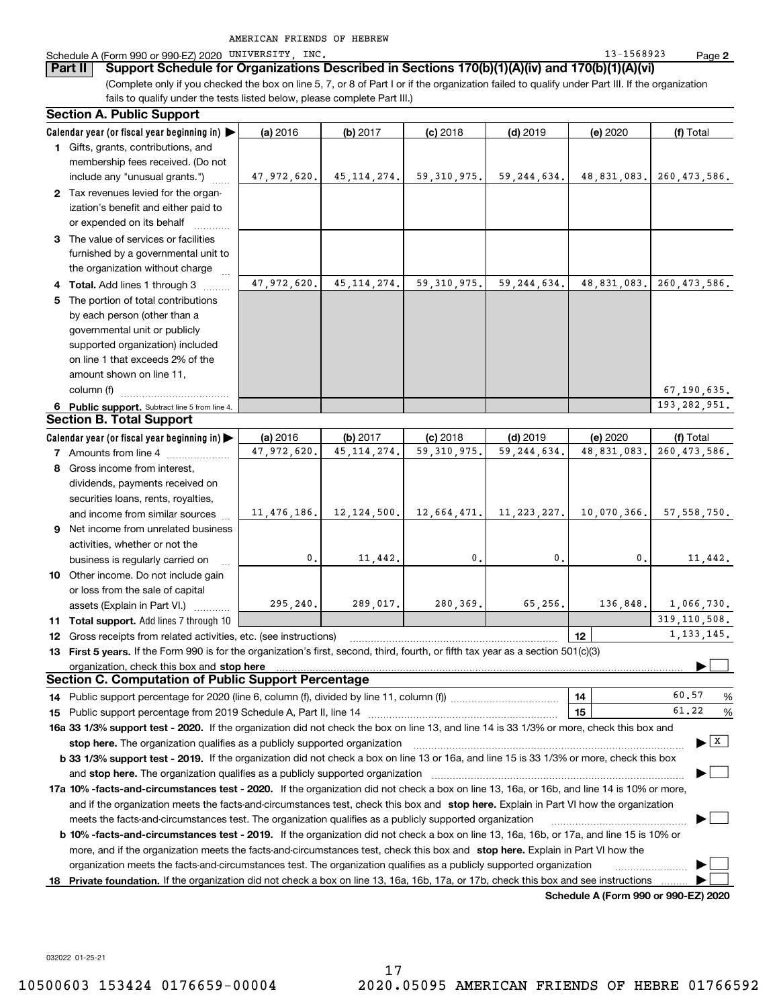| AMERICAN FRIENDS OF HEBREW |  |  |  |  |
|----------------------------|--|--|--|--|
|----------------------------|--|--|--|--|

### Schedule A (Form 990 or 990-EZ) 2020 UNIVERSITY, INC. 13-1568923 Page

**Part II Support Schedule for Organizations Described in Sections 170(b)(1)(A)(iv) and 170(b)(1)(A)(vi)**

(Complete only if you checked the box on line 5, 7, or 8 of Part I or if the organization failed to qualify under Part III. If the organization fails to qualify under the tests listed below, please complete Part III.)

|    | <b>Section A. Public Support</b>                                                                                                               |             |               |               |               |             |                                       |  |  |  |  |
|----|------------------------------------------------------------------------------------------------------------------------------------------------|-------------|---------------|---------------|---------------|-------------|---------------------------------------|--|--|--|--|
|    | Calendar year (or fiscal year beginning in) $\blacktriangleright$                                                                              | (a) 2016    | (b) 2017      | $(c)$ 2018    | $(d)$ 2019    | (e) 2020    | (f) Total                             |  |  |  |  |
|    | 1 Gifts, grants, contributions, and                                                                                                            |             |               |               |               |             |                                       |  |  |  |  |
|    | membership fees received. (Do not                                                                                                              |             |               |               |               |             |                                       |  |  |  |  |
|    | include any "unusual grants.")                                                                                                                 | 47,972,620. | 45, 114, 274. | 59, 310, 975. | 59, 244, 634. | 48,831,083. | 260, 473, 586.                        |  |  |  |  |
|    | 2 Tax revenues levied for the organ-                                                                                                           |             |               |               |               |             |                                       |  |  |  |  |
|    | ization's benefit and either paid to                                                                                                           |             |               |               |               |             |                                       |  |  |  |  |
|    | or expended on its behalf                                                                                                                      |             |               |               |               |             |                                       |  |  |  |  |
|    | 3 The value of services or facilities                                                                                                          |             |               |               |               |             |                                       |  |  |  |  |
|    | furnished by a governmental unit to                                                                                                            |             |               |               |               |             |                                       |  |  |  |  |
|    | the organization without charge                                                                                                                |             |               |               |               |             |                                       |  |  |  |  |
|    | 4 Total. Add lines 1 through 3                                                                                                                 | 47,972,620. | 45, 114, 274. | 59, 310, 975. | 59, 244, 634. | 48,831,083. | 260, 473, 586.                        |  |  |  |  |
|    | 5 The portion of total contributions                                                                                                           |             |               |               |               |             |                                       |  |  |  |  |
|    | by each person (other than a                                                                                                                   |             |               |               |               |             |                                       |  |  |  |  |
|    | governmental unit or publicly                                                                                                                  |             |               |               |               |             |                                       |  |  |  |  |
|    | supported organization) included                                                                                                               |             |               |               |               |             |                                       |  |  |  |  |
|    | on line 1 that exceeds 2% of the                                                                                                               |             |               |               |               |             |                                       |  |  |  |  |
|    | amount shown on line 11,                                                                                                                       |             |               |               |               |             |                                       |  |  |  |  |
|    | column (f)                                                                                                                                     |             |               |               |               |             | 67, 190, 635.                         |  |  |  |  |
|    | 6 Public support. Subtract line 5 from line 4.                                                                                                 |             |               |               |               |             | 193, 282, 951.                        |  |  |  |  |
|    | <b>Section B. Total Support</b>                                                                                                                |             |               |               |               |             |                                       |  |  |  |  |
|    | Calendar year (or fiscal year beginning in)                                                                                                    | (a) 2016    | (b) 2017      | $(c)$ 2018    | $(d)$ 2019    | (e) 2020    | (f) Total                             |  |  |  |  |
|    | <b>7</b> Amounts from line 4                                                                                                                   | 47,972,620. | 45.114.274.   | 59, 310, 975, | 59, 244, 634, | 48,831,083. | 260, 473, 586.                        |  |  |  |  |
|    | 8 Gross income from interest,                                                                                                                  |             |               |               |               |             |                                       |  |  |  |  |
|    | dividends, payments received on                                                                                                                |             |               |               |               |             |                                       |  |  |  |  |
|    | securities loans, rents, royalties,                                                                                                            |             |               |               |               |             |                                       |  |  |  |  |
|    | and income from similar sources                                                                                                                | 11,476,186. | 12,124,500.   | 12,664,471.   | 11, 223, 227. | 10,070,366. | 57, 558, 750.                         |  |  |  |  |
|    | 9 Net income from unrelated business                                                                                                           |             |               |               |               |             |                                       |  |  |  |  |
|    | activities, whether or not the                                                                                                                 |             |               |               |               |             |                                       |  |  |  |  |
|    | business is regularly carried on                                                                                                               | 0.          | 11,442.       | 0.            | 0.            | 0.          | 11,442.                               |  |  |  |  |
|    | 10 Other income. Do not include gain                                                                                                           |             |               |               |               |             |                                       |  |  |  |  |
|    | or loss from the sale of capital                                                                                                               |             |               |               |               |             |                                       |  |  |  |  |
|    | assets (Explain in Part VI.)                                                                                                                   | 295, 240.   | 289,017.      | 280,369.      | 65,256.       | 136,848.    | 1,066,730.                            |  |  |  |  |
|    | <b>11 Total support.</b> Add lines 7 through 10                                                                                                |             |               |               |               |             | 319, 110, 508.                        |  |  |  |  |
|    | <b>12</b> Gross receipts from related activities, etc. (see instructions)                                                                      |             |               |               |               | 12          | 1, 133, 145.                          |  |  |  |  |
|    | 13 First 5 years. If the Form 990 is for the organization's first, second, third, fourth, or fifth tax year as a section 501(c)(3)             |             |               |               |               |             |                                       |  |  |  |  |
|    | organization, check this box and stop here                                                                                                     |             |               |               |               |             |                                       |  |  |  |  |
|    | <b>Section C. Computation of Public Support Percentage</b>                                                                                     |             |               |               |               |             |                                       |  |  |  |  |
|    | 14 Public support percentage for 2020 (line 6, column (f), divided by line 11, column (f) <i>marroummaname</i>                                 |             |               |               |               | 14          | 60.57<br>%                            |  |  |  |  |
|    |                                                                                                                                                |             |               |               |               | 15          | 61.22<br>%                            |  |  |  |  |
|    | 16a 33 1/3% support test - 2020. If the organization did not check the box on line 13, and line 14 is 33 1/3% or more, check this box and      |             |               |               |               |             |                                       |  |  |  |  |
|    | stop here. The organization qualifies as a publicly supported organization                                                                     |             |               |               |               |             | $\blacktriangleright$ $\mid$ X $\mid$ |  |  |  |  |
|    | b 33 1/3% support test - 2019. If the organization did not check a box on line 13 or 16a, and line 15 is 33 1/3% or more, check this box       |             |               |               |               |             |                                       |  |  |  |  |
|    | and stop here. The organization qualifies as a publicly supported organization                                                                 |             |               |               |               |             |                                       |  |  |  |  |
|    | 17a 10% -facts-and-circumstances test - 2020. If the organization did not check a box on line 13, 16a, or 16b, and line 14 is 10% or more,     |             |               |               |               |             |                                       |  |  |  |  |
|    | and if the organization meets the facts-and-circumstances test, check this box and stop here. Explain in Part VI how the organization          |             |               |               |               |             |                                       |  |  |  |  |
|    | meets the facts-and-circumstances test. The organization qualifies as a publicly supported organization                                        |             |               |               |               |             |                                       |  |  |  |  |
|    | <b>b 10% -facts-and-circumstances test - 2019.</b> If the organization did not check a box on line 13, 16a, 16b, or 17a, and line 15 is 10% or |             |               |               |               |             |                                       |  |  |  |  |
|    | more, and if the organization meets the facts-and-circumstances test, check this box and stop here. Explain in Part VI how the                 |             |               |               |               |             |                                       |  |  |  |  |
|    | organization meets the facts-and-circumstances test. The organization qualifies as a publicly supported organization                           |             |               |               |               |             |                                       |  |  |  |  |
| 18 | Private foundation. If the organization did not check a box on line 13, 16a, 16b, 17a, or 17b, check this box and see instructions             |             |               |               |               |             |                                       |  |  |  |  |
|    |                                                                                                                                                |             |               |               |               |             |                                       |  |  |  |  |

**Schedule A (Form 990 or 990-EZ) 2020**

032022 01-25-21

**2**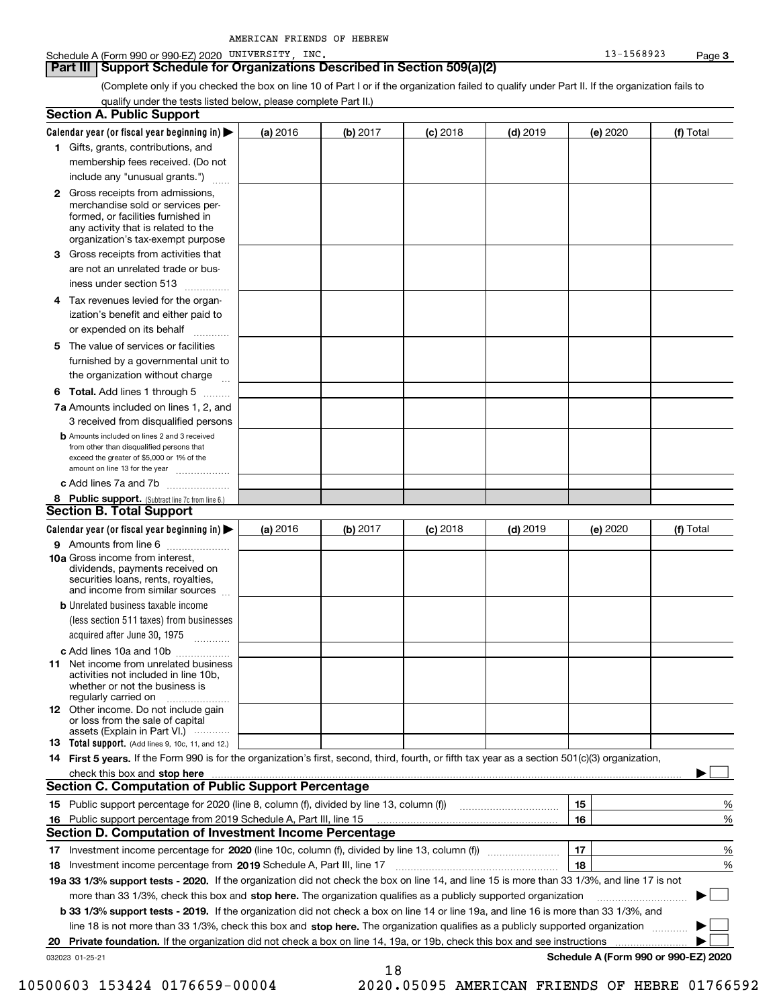| AMERICAN FRIENDS OF HEBREW |  |  |  |  |
|----------------------------|--|--|--|--|
|----------------------------|--|--|--|--|

(Complete only if you checked the box on line 10 of Part I or if the organization failed to qualify under Part II. If the organization fails to qualify under the tests listed below, please complete Part II.)

|    | <b>Section A. Public Support</b>                                                                                                                                                                                               |          |            |            |            |          |                                      |
|----|--------------------------------------------------------------------------------------------------------------------------------------------------------------------------------------------------------------------------------|----------|------------|------------|------------|----------|--------------------------------------|
|    | Calendar year (or fiscal year beginning in) $\blacktriangleright$                                                                                                                                                              | (a) 2016 | (b) 2017   | $(c)$ 2018 | $(d)$ 2019 | (e) 2020 | (f) Total                            |
|    | <b>1</b> Gifts, grants, contributions, and                                                                                                                                                                                     |          |            |            |            |          |                                      |
|    | membership fees received. (Do not                                                                                                                                                                                              |          |            |            |            |          |                                      |
|    | include any "unusual grants.")                                                                                                                                                                                                 |          |            |            |            |          |                                      |
|    | <b>2</b> Gross receipts from admissions,<br>merchandise sold or services per-<br>formed, or facilities furnished in<br>any activity that is related to the<br>organization's tax-exempt purpose                                |          |            |            |            |          |                                      |
|    | <b>3</b> Gross receipts from activities that<br>are not an unrelated trade or bus-                                                                                                                                             |          |            |            |            |          |                                      |
|    | iness under section 513                                                                                                                                                                                                        |          |            |            |            |          |                                      |
|    | 4 Tax revenues levied for the organ-<br>ization's benefit and either paid to                                                                                                                                                   |          |            |            |            |          |                                      |
|    | or expended on its behalf<br>.                                                                                                                                                                                                 |          |            |            |            |          |                                      |
|    | 5 The value of services or facilities<br>furnished by a governmental unit to<br>the organization without charge                                                                                                                |          |            |            |            |          |                                      |
|    | <b>6 Total.</b> Add lines 1 through 5                                                                                                                                                                                          |          |            |            |            |          |                                      |
|    | 7a Amounts included on lines 1, 2, and<br>3 received from disqualified persons                                                                                                                                                 |          |            |            |            |          |                                      |
|    | <b>b</b> Amounts included on lines 2 and 3 received<br>from other than disqualified persons that<br>exceed the greater of \$5,000 or 1% of the<br>amount on line 13 for the year                                               |          |            |            |            |          |                                      |
|    | c Add lines 7a and 7b                                                                                                                                                                                                          |          |            |            |            |          |                                      |
|    | 8 Public support. (Subtract line 7c from line 6.)<br><b>Section B. Total Support</b>                                                                                                                                           |          |            |            |            |          |                                      |
|    | Calendar year (or fiscal year beginning in)                                                                                                                                                                                    | (a) 2016 | (b) $2017$ | $(c)$ 2018 | $(d)$ 2019 | (e) 2020 | (f) Total                            |
|    | 9 Amounts from line 6                                                                                                                                                                                                          |          |            |            |            |          |                                      |
|    | 10a Gross income from interest,<br>dividends, payments received on<br>securities loans, rents, royalties,<br>and income from similar sources                                                                                   |          |            |            |            |          |                                      |
|    | <b>b</b> Unrelated business taxable income<br>(less section 511 taxes) from businesses                                                                                                                                         |          |            |            |            |          |                                      |
|    | acquired after June 30, 1975                                                                                                                                                                                                   |          |            |            |            |          |                                      |
|    | c Add lines 10a and 10b<br>11 Net income from unrelated business<br>activities not included in line 10b,<br>whether or not the business is<br>regularly carried on                                                             |          |            |            |            |          |                                      |
|    | 12 Other income. Do not include gain<br>or loss from the sale of capital<br>assets (Explain in Part VI.)                                                                                                                       |          |            |            |            |          |                                      |
|    | <b>13</b> Total support. (Add lines 9, 10c, 11, and 12.)                                                                                                                                                                       |          |            |            |            |          |                                      |
|    | 14 First 5 years. If the Form 990 is for the organization's first, second, third, fourth, or fifth tax year as a section 501(c)(3) organization,                                                                               |          |            |            |            |          |                                      |
|    | check this box and stop here manufactured and content to the state of the state of the state of the state of the state of the state of the state of the state of the state of the state of the state of the state of the state |          |            |            |            |          |                                      |
|    | <b>Section C. Computation of Public Support Percentage</b>                                                                                                                                                                     |          |            |            |            |          |                                      |
|    |                                                                                                                                                                                                                                |          |            |            |            | 15       | %                                    |
|    | 16 Public support percentage from 2019 Schedule A, Part III, line 15                                                                                                                                                           |          |            |            |            | 16       | %                                    |
|    | <b>Section D. Computation of Investment Income Percentage</b>                                                                                                                                                                  |          |            |            |            |          |                                      |
| 17 |                                                                                                                                                                                                                                |          |            |            |            | 17       | %                                    |
| 18 | Investment income percentage from 2019 Schedule A, Part III, line 17                                                                                                                                                           |          |            |            |            | 18       | %                                    |
|    | 19a 33 1/3% support tests - 2020. If the organization did not check the box on line 14, and line 15 is more than 33 1/3%, and line 17 is not                                                                                   |          |            |            |            |          |                                      |
|    | more than 33 1/3%, check this box and stop here. The organization qualifies as a publicly supported organization                                                                                                               |          |            |            |            |          | $\blacksquare$<br>▶                  |
|    | b 33 1/3% support tests - 2019. If the organization did not check a box on line 14 or line 19a, and line 16 is more than 33 1/3%, and                                                                                          |          |            |            |            |          |                                      |
|    | line 18 is not more than 33 1/3%, check this box and stop here. The organization qualifies as a publicly supported organization                                                                                                |          |            |            |            |          |                                      |
|    | 20 Private foundation. If the organization did not check a box on line 14, 19a, or 19b, check this box and see instructions                                                                                                    |          |            |            |            |          |                                      |
|    | 032023 01-25-21                                                                                                                                                                                                                |          | 18         |            |            |          | Schedule A (Form 990 or 990-EZ) 2020 |

10500603 153424 0176659-00004 2020.05095 AMERICAN FRIENDS OF HEBRE 01766592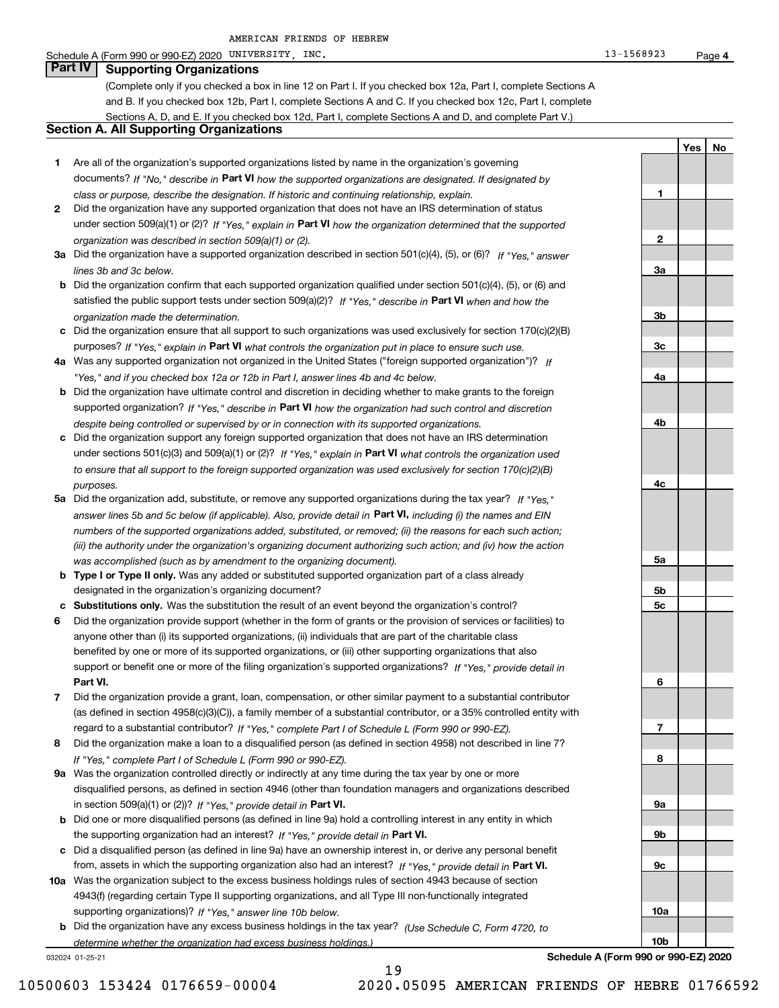### Schedule A (Form 990 or 990-EZ) 2020 UNIVERSITY, INC. 13-1568923 Page

## **Part IV Supporting Organizations**

(Complete only if you checked a box in line 12 on Part I. If you checked box 12a, Part I, complete Sections A and B. If you checked box 12b, Part I, complete Sections A and C. If you checked box 12c, Part I, complete Sections A, D, and E. If you checked box 12d, Part I, complete Sections A and D, and complete Part V.)

### **Section A. All Supporting Organizations**

- **1** Are all of the organization's supported organizations listed by name in the organization's governing documents? If "No," describe in **Part VI** how the supported organizations are designated. If designated by *class or purpose, describe the designation. If historic and continuing relationship, explain.*
- **2** Did the organization have any supported organization that does not have an IRS determination of status under section 509(a)(1) or (2)? If "Yes," explain in Part VI how the organization determined that the supported *organization was described in section 509(a)(1) or (2).*
- **3a** Did the organization have a supported organization described in section 501(c)(4), (5), or (6)? If "Yes," answer *lines 3b and 3c below.*
- **b** Did the organization confirm that each supported organization qualified under section 501(c)(4), (5), or (6) and satisfied the public support tests under section 509(a)(2)? If "Yes," describe in **Part VI** when and how the *organization made the determination.*
- **c**Did the organization ensure that all support to such organizations was used exclusively for section 170(c)(2)(B) purposes? If "Yes," explain in **Part VI** what controls the organization put in place to ensure such use.
- **4a***If* Was any supported organization not organized in the United States ("foreign supported organization")? *"Yes," and if you checked box 12a or 12b in Part I, answer lines 4b and 4c below.*
- **b** Did the organization have ultimate control and discretion in deciding whether to make grants to the foreign supported organization? If "Yes," describe in **Part VI** how the organization had such control and discretion *despite being controlled or supervised by or in connection with its supported organizations.*
- **c** Did the organization support any foreign supported organization that does not have an IRS determination under sections 501(c)(3) and 509(a)(1) or (2)? If "Yes," explain in **Part VI** what controls the organization used *to ensure that all support to the foreign supported organization was used exclusively for section 170(c)(2)(B) purposes.*
- **5a** Did the organization add, substitute, or remove any supported organizations during the tax year? If "Yes," answer lines 5b and 5c below (if applicable). Also, provide detail in **Part VI,** including (i) the names and EIN *numbers of the supported organizations added, substituted, or removed; (ii) the reasons for each such action; (iii) the authority under the organization's organizing document authorizing such action; and (iv) how the action was accomplished (such as by amendment to the organizing document).*
- **b** Type I or Type II only. Was any added or substituted supported organization part of a class already designated in the organization's organizing document?
- **cSubstitutions only.**  Was the substitution the result of an event beyond the organization's control?
- **6** Did the organization provide support (whether in the form of grants or the provision of services or facilities) to **Part VI.** *If "Yes," provide detail in* support or benefit one or more of the filing organization's supported organizations? anyone other than (i) its supported organizations, (ii) individuals that are part of the charitable class benefited by one or more of its supported organizations, or (iii) other supporting organizations that also
- **7**Did the organization provide a grant, loan, compensation, or other similar payment to a substantial contributor *If "Yes," complete Part I of Schedule L (Form 990 or 990-EZ).* regard to a substantial contributor? (as defined in section 4958(c)(3)(C)), a family member of a substantial contributor, or a 35% controlled entity with
- **8** Did the organization make a loan to a disqualified person (as defined in section 4958) not described in line 7? *If "Yes," complete Part I of Schedule L (Form 990 or 990-EZ).*
- **9a** Was the organization controlled directly or indirectly at any time during the tax year by one or more in section 509(a)(1) or (2))? If "Yes," *provide detail in* <code>Part VI.</code> disqualified persons, as defined in section 4946 (other than foundation managers and organizations described
- **b**the supporting organization had an interest? If "Yes," provide detail in P**art VI**. Did one or more disqualified persons (as defined in line 9a) hold a controlling interest in any entity in which
- **c**Did a disqualified person (as defined in line 9a) have an ownership interest in, or derive any personal benefit from, assets in which the supporting organization also had an interest? If "Yes," provide detail in P**art VI.**
- **10a** Was the organization subject to the excess business holdings rules of section 4943 because of section supporting organizations)? If "Yes," answer line 10b below. 4943(f) (regarding certain Type II supporting organizations, and all Type III non-functionally integrated
- **b** Did the organization have any excess business holdings in the tax year? (Use Schedule C, Form 4720, to *determine whether the organization had excess business holdings.)*

19

032024 01-25-21

**10a10b**

**4**

**YesNo**

**1**

**2**

**3a**

**3b**

**3c**

**4a**

**4b**

**4c**

**5a**

**5b5c**

**6**

**7**

**8**

**9a**

**9b**

**9c**

**Schedule A (Form 990 or 990-EZ) 2020**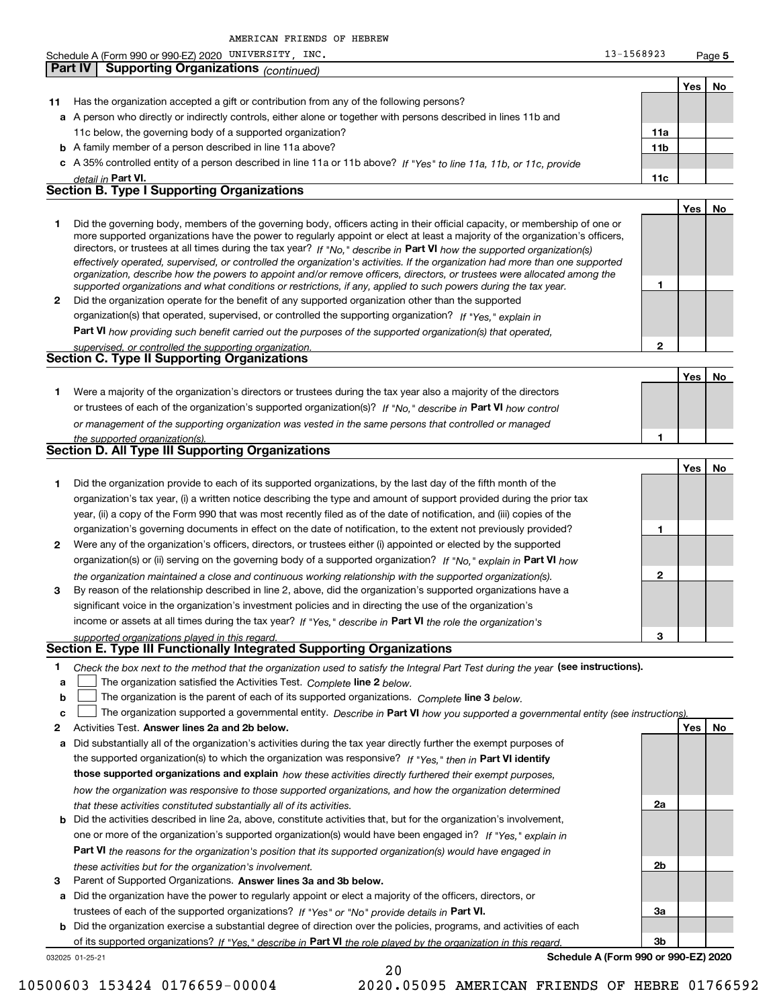|              |         | AMERICAN FRIENDS OF HEBREW                                                                                                                                                                                                                                                                                                                                                                                                                                                                                                                                                                                                                           |                 |            |        |
|--------------|---------|------------------------------------------------------------------------------------------------------------------------------------------------------------------------------------------------------------------------------------------------------------------------------------------------------------------------------------------------------------------------------------------------------------------------------------------------------------------------------------------------------------------------------------------------------------------------------------------------------------------------------------------------------|-----------------|------------|--------|
|              |         | Schedule A (Form 990 or 990-EZ) 2020 UNIVERSITY, INC.                                                                                                                                                                                                                                                                                                                                                                                                                                                                                                                                                                                                | 13-1568923      |            | Page 5 |
|              | Part IV | <b>Supporting Organizations (continued)</b>                                                                                                                                                                                                                                                                                                                                                                                                                                                                                                                                                                                                          |                 |            |        |
|              |         |                                                                                                                                                                                                                                                                                                                                                                                                                                                                                                                                                                                                                                                      |                 | Yes        | No     |
| 11           |         | Has the organization accepted a gift or contribution from any of the following persons?                                                                                                                                                                                                                                                                                                                                                                                                                                                                                                                                                              |                 |            |        |
|              |         | a A person who directly or indirectly controls, either alone or together with persons described in lines 11b and                                                                                                                                                                                                                                                                                                                                                                                                                                                                                                                                     |                 |            |        |
|              |         | 11c below, the governing body of a supported organization?                                                                                                                                                                                                                                                                                                                                                                                                                                                                                                                                                                                           | 11a             |            |        |
|              |         |                                                                                                                                                                                                                                                                                                                                                                                                                                                                                                                                                                                                                                                      |                 |            |        |
|              |         | <b>b</b> A family member of a person described in line 11a above?                                                                                                                                                                                                                                                                                                                                                                                                                                                                                                                                                                                    | 11 <sub>b</sub> |            |        |
|              |         | c A 35% controlled entity of a person described in line 11a or 11b above? If "Yes" to line 11a, 11b, or 11c, provide                                                                                                                                                                                                                                                                                                                                                                                                                                                                                                                                 |                 |            |        |
|              |         | detail in Part VI.<br><b>Section B. Type I Supporting Organizations</b>                                                                                                                                                                                                                                                                                                                                                                                                                                                                                                                                                                              | 11c             |            |        |
|              |         |                                                                                                                                                                                                                                                                                                                                                                                                                                                                                                                                                                                                                                                      |                 |            |        |
| 1            |         | Did the governing body, members of the governing body, officers acting in their official capacity, or membership of one or<br>more supported organizations have the power to regularly appoint or elect at least a majority of the organization's officers,<br>directors, or trustees at all times during the tax year? If "No," describe in Part VI how the supported organization(s)<br>effectively operated, supervised, or controlled the organization's activities. If the organization had more than one supported<br>organization, describe how the powers to appoint and/or remove officers, directors, or trustees were allocated among the |                 | Yes        | No     |
|              |         | supported organizations and what conditions or restrictions, if any, applied to such powers during the tax year.                                                                                                                                                                                                                                                                                                                                                                                                                                                                                                                                     | 1               |            |        |
| $\mathbf{2}$ |         | Did the organization operate for the benefit of any supported organization other than the supported                                                                                                                                                                                                                                                                                                                                                                                                                                                                                                                                                  |                 |            |        |
|              |         | organization(s) that operated, supervised, or controlled the supporting organization? If "Yes," explain in                                                                                                                                                                                                                                                                                                                                                                                                                                                                                                                                           |                 |            |        |
|              |         | Part VI how providing such benefit carried out the purposes of the supported organization(s) that operated,                                                                                                                                                                                                                                                                                                                                                                                                                                                                                                                                          |                 |            |        |
|              |         | supervised, or controlled the supporting organization.                                                                                                                                                                                                                                                                                                                                                                                                                                                                                                                                                                                               | 2               |            |        |
|              |         | Section C. Type II Supporting Organizations                                                                                                                                                                                                                                                                                                                                                                                                                                                                                                                                                                                                          |                 |            |        |
|              |         |                                                                                                                                                                                                                                                                                                                                                                                                                                                                                                                                                                                                                                                      |                 | <b>Yes</b> | No     |
| 1.           |         | Were a majority of the organization's directors or trustees during the tax year also a majority of the directors                                                                                                                                                                                                                                                                                                                                                                                                                                                                                                                                     |                 |            |        |
|              |         | or trustees of each of the organization's supported organization(s)? If "No," describe in Part VI how control                                                                                                                                                                                                                                                                                                                                                                                                                                                                                                                                        |                 |            |        |
|              |         | or management of the supporting organization was vested in the same persons that controlled or managed                                                                                                                                                                                                                                                                                                                                                                                                                                                                                                                                               |                 |            |        |
|              |         | the supported organization(s).                                                                                                                                                                                                                                                                                                                                                                                                                                                                                                                                                                                                                       | 1               |            |        |
|              |         | <b>Section D. All Type III Supporting Organizations</b>                                                                                                                                                                                                                                                                                                                                                                                                                                                                                                                                                                                              |                 |            |        |
|              |         |                                                                                                                                                                                                                                                                                                                                                                                                                                                                                                                                                                                                                                                      |                 | Yes        | No     |
| 1.           |         | Did the organization provide to each of its supported organizations, by the last day of the fifth month of the                                                                                                                                                                                                                                                                                                                                                                                                                                                                                                                                       |                 |            |        |
|              |         | organization's tax year, (i) a written notice describing the type and amount of support provided during the prior tax                                                                                                                                                                                                                                                                                                                                                                                                                                                                                                                                |                 |            |        |
|              |         |                                                                                                                                                                                                                                                                                                                                                                                                                                                                                                                                                                                                                                                      |                 |            |        |
|              |         | year, (ii) a copy of the Form 990 that was most recently filed as of the date of notification, and (iii) copies of the                                                                                                                                                                                                                                                                                                                                                                                                                                                                                                                               |                 |            |        |
|              |         | organization's governing documents in effect on the date of notification, to the extent not previously provided?                                                                                                                                                                                                                                                                                                                                                                                                                                                                                                                                     | 1               |            |        |
| 2            |         | Were any of the organization's officers, directors, or trustees either (i) appointed or elected by the supported                                                                                                                                                                                                                                                                                                                                                                                                                                                                                                                                     |                 |            |        |
|              |         | organization(s) or (ii) serving on the governing body of a supported organization? If "No," explain in Part VI how                                                                                                                                                                                                                                                                                                                                                                                                                                                                                                                                   |                 |            |        |
|              |         | the organization maintained a close and continuous working relationship with the supported organization(s).                                                                                                                                                                                                                                                                                                                                                                                                                                                                                                                                          | 2               |            |        |
| 3            |         | By reason of the relationship described in line 2, above, did the organization's supported organizations have a                                                                                                                                                                                                                                                                                                                                                                                                                                                                                                                                      |                 |            |        |
|              |         | significant voice in the organization's investment policies and in directing the use of the organization's                                                                                                                                                                                                                                                                                                                                                                                                                                                                                                                                           |                 |            |        |
|              |         | income or assets at all times during the tax year? If "Yes," describe in Part VI the role the organization's                                                                                                                                                                                                                                                                                                                                                                                                                                                                                                                                         |                 |            |        |
|              |         | supported organizations played in this regard.                                                                                                                                                                                                                                                                                                                                                                                                                                                                                                                                                                                                       | з               |            |        |
|              |         | Section E. Type III Functionally Integrated Supporting Organizations                                                                                                                                                                                                                                                                                                                                                                                                                                                                                                                                                                                 |                 |            |        |
| 1<br>a       |         | Check the box next to the method that the organization used to satisfy the Integral Part Test during the year (see instructions).<br>The organization satisfied the Activities Test. Complete line 2 below.                                                                                                                                                                                                                                                                                                                                                                                                                                          |                 |            |        |
| b            |         | The organization is the parent of each of its supported organizations. Complete line 3 below.                                                                                                                                                                                                                                                                                                                                                                                                                                                                                                                                                        |                 |            |        |
| c            |         | The organization supported a governmental entity. Describe in Part VI how you supported a governmental entity (see instructions).                                                                                                                                                                                                                                                                                                                                                                                                                                                                                                                    |                 |            |        |
| 2            |         | Activities Test. Answer lines 2a and 2b below.                                                                                                                                                                                                                                                                                                                                                                                                                                                                                                                                                                                                       |                 | Yes        | No     |
| a            |         | Did substantially all of the organization's activities during the tax year directly further the exempt purposes of                                                                                                                                                                                                                                                                                                                                                                                                                                                                                                                                   |                 |            |        |
|              |         |                                                                                                                                                                                                                                                                                                                                                                                                                                                                                                                                                                                                                                                      |                 |            |        |
|              |         | the supported organization(s) to which the organization was responsive? If "Yes," then in Part VI identify                                                                                                                                                                                                                                                                                                                                                                                                                                                                                                                                           |                 |            |        |
|              |         | those supported organizations and explain how these activities directly furthered their exempt purposes,                                                                                                                                                                                                                                                                                                                                                                                                                                                                                                                                             |                 |            |        |
|              |         | how the organization was responsive to those supported organizations, and how the organization determined<br>that these activities constituted substantially all of its activities.                                                                                                                                                                                                                                                                                                                                                                                                                                                                  | 2a              |            |        |

- **b** Did the activities described in line 2a, above, constitute activities that, but for the organization's involvement, **Part VI**  *the reasons for the organization's position that its supported organization(s) would have engaged in* one or more of the organization's supported organization(s) would have been engaged in? If "Yes," e*xplain in these activities but for the organization's involvement.*
- **3** Parent of Supported Organizations. Answer lines 3a and 3b below.

**a** Did the organization have the power to regularly appoint or elect a majority of the officers, directors, or trustees of each of the supported organizations? If "Yes" or "No" provide details in **Part VI.** 

**b** Did the organization exercise a substantial degree of direction over the policies, programs, and activities of each of its supported organizations? If "Yes," describe in Part VI the role played by the organization in this regard.

20

032025 01-25-21

**Schedule A (Form 990 or 990-EZ) 2020**

**2b**

**3a**

**3b**

10500603 153424 0176659-00004 2020.05095 AMERICAN FRIENDS OF HEBRE 01766592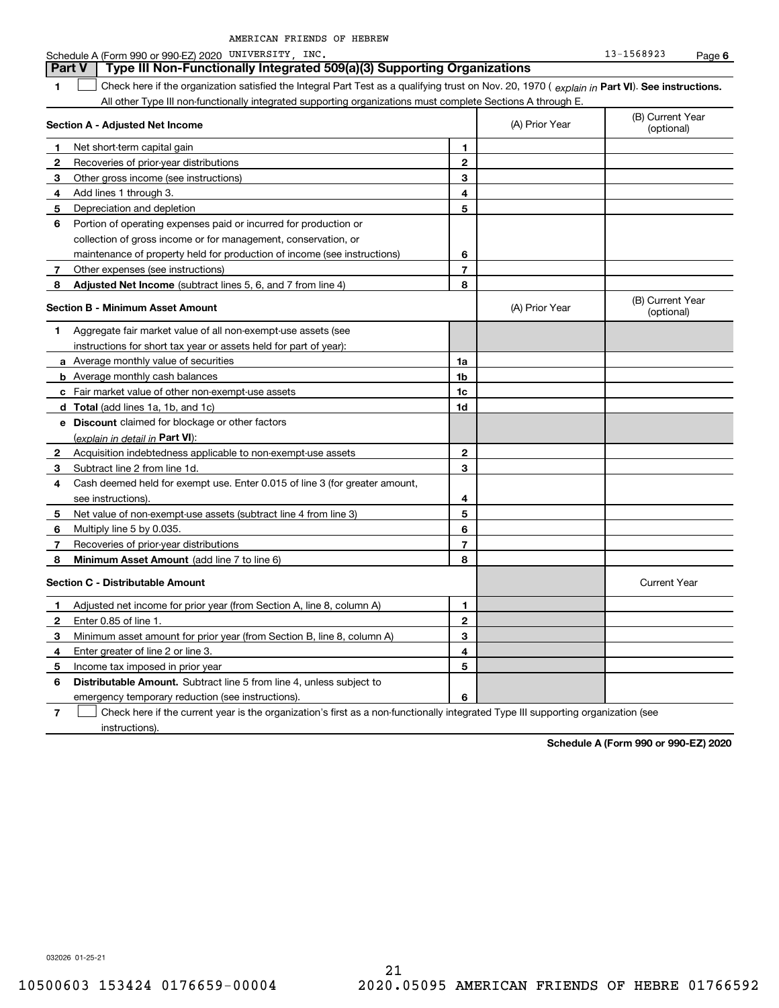### **1Part VI** Check here if the organization satisfied the Integral Part Test as a qualifying trust on Nov. 20, 1970 ( explain in Part **VI**). See instructions. **Section A - Adjusted Net Income 123** Other gross income (see instructions) **456** Portion of operating expenses paid or incurred for production or **7** Other expenses (see instructions) **8** Adjusted Net Income (subtract lines 5, 6, and 7 from line 4) **8 8 1234567Section B - Minimum Asset Amount 1**Aggregate fair market value of all non-exempt-use assets (see **2**Acquisition indebtedness applicable to non-exempt-use assets **3** Subtract line 2 from line 1d. **4**Cash deemed held for exempt use. Enter 0.015 of line 3 (for greater amount, **5** Net value of non-exempt-use assets (subtract line 4 from line 3) **678a** Average monthly value of securities **b** Average monthly cash balances **c**Fair market value of other non-exempt-use assets **dTotal**  (add lines 1a, 1b, and 1c) **eDiscount** claimed for blockage or other factors **1a1b1c1d2345678**(explain in detail in Part VI): **Minimum Asset Amount**  (add line 7 to line 6) **Section C - Distributable Amount 123456123456Distributable Amount.** Subtract line 5 from line 4, unless subject to All other Type III non-functionally integrated supporting organizations must complete Sections A through E. (B) Current Year (optional)(A) Prior Year Net short-term capital gain Recoveries of prior-year distributions Add lines 1 through 3. Depreciation and depletion collection of gross income or for management, conservation, or maintenance of property held for production of income (see instructions) (B) Current Year (optional)(A) Prior Year instructions for short tax year or assets held for part of year): see instructions). Multiply line 5 by 0.035. Recoveries of prior-year distributions Current Year Adjusted net income for prior year (from Section A, line 8, column A) Enter 0.85 of line 1. Minimum asset amount for prior year (from Section B, line 8, column A) Enter greater of line 2 or line 3. Income tax imposed in prior year emergency temporary reduction (see instructions). **Part V Type III Non-Functionally Integrated 509(a)(3) Supporting Organizations**   $\mathcal{L}^{\text{max}}$

**7**Check here if the current year is the organization's first as a non-functionally integrated Type III supporting organization (see instructions). $\mathcal{L}^{\text{max}}$ 

**Schedule A (Form 990 or 990-EZ) 2020**

032026 01-25-21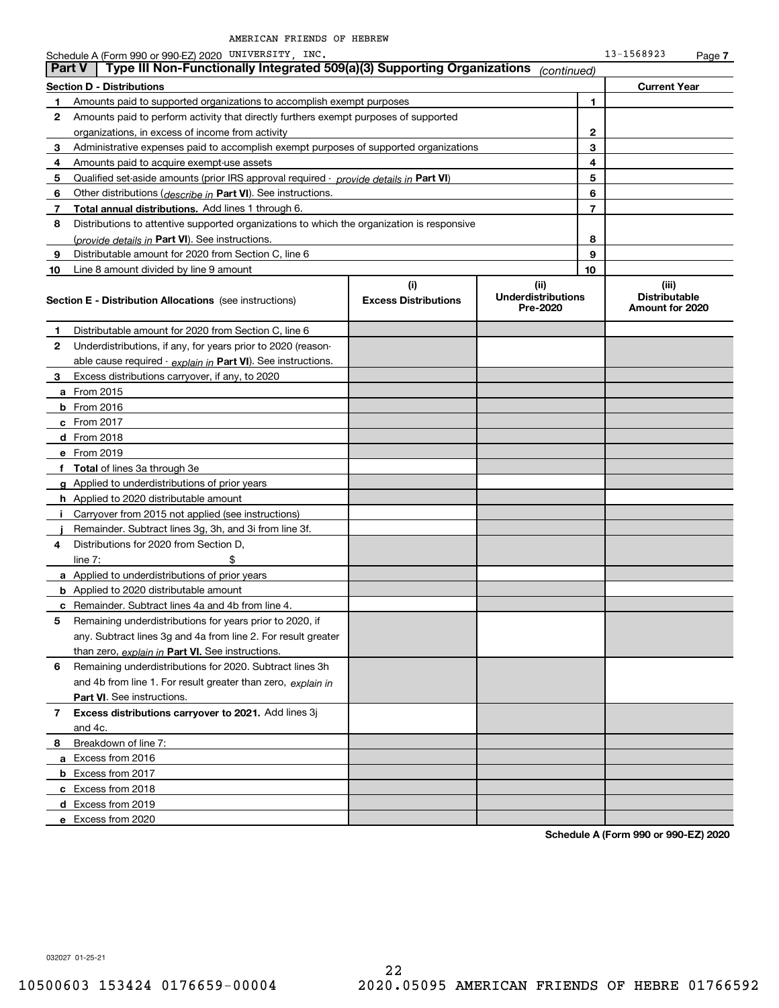|                | Schedule A (Form 990 or 990-EZ) 2020 UNIVERSITY, INC.                                      |                                    |                                               |    | 13-1568923                                       | Page 7 |
|----------------|--------------------------------------------------------------------------------------------|------------------------------------|-----------------------------------------------|----|--------------------------------------------------|--------|
|                | Type III Non-Functionally Integrated 509(a)(3) Supporting Organizations<br><b>Part V</b>   |                                    | (continued)                                   |    |                                                  |        |
|                | <b>Section D - Distributions</b>                                                           |                                    |                                               |    | <b>Current Year</b>                              |        |
| 1              | Amounts paid to supported organizations to accomplish exempt purposes                      |                                    |                                               | 1  |                                                  |        |
| 2              | Amounts paid to perform activity that directly furthers exempt purposes of supported       |                                    |                                               |    |                                                  |        |
|                | organizations, in excess of income from activity                                           |                                    | 2                                             |    |                                                  |        |
| 3              | Administrative expenses paid to accomplish exempt purposes of supported organizations      |                                    |                                               | 3  |                                                  |        |
| 4              | Amounts paid to acquire exempt-use assets                                                  |                                    |                                               | 4  |                                                  |        |
| 5              | Qualified set-aside amounts (prior IRS approval required - provide details in Part VI)     |                                    |                                               | 5  |                                                  |        |
| 6              | Other distributions ( <i>describe in</i> Part VI). See instructions.                       |                                    |                                               | 6  |                                                  |        |
| 7              | Total annual distributions. Add lines 1 through 6.                                         |                                    |                                               | 7  |                                                  |        |
| 8              | Distributions to attentive supported organizations to which the organization is responsive |                                    |                                               |    |                                                  |        |
|                | (provide details in Part VI). See instructions.                                            |                                    |                                               | 8  |                                                  |        |
| 9              | Distributable amount for 2020 from Section C, line 6                                       |                                    |                                               | 9  |                                                  |        |
| 10             | Line 8 amount divided by line 9 amount                                                     |                                    |                                               | 10 |                                                  |        |
|                | <b>Section E - Distribution Allocations</b> (see instructions)                             | (i)<br><b>Excess Distributions</b> | (ii)<br><b>Underdistributions</b><br>Pre-2020 |    | (iii)<br><b>Distributable</b><br>Amount for 2020 |        |
| 1              | Distributable amount for 2020 from Section C, line 6                                       |                                    |                                               |    |                                                  |        |
| 2              | Underdistributions, if any, for years prior to 2020 (reason-                               |                                    |                                               |    |                                                  |        |
|                | able cause required - explain in Part VI). See instructions.                               |                                    |                                               |    |                                                  |        |
| 3              | Excess distributions carryover, if any, to 2020                                            |                                    |                                               |    |                                                  |        |
|                | a From 2015                                                                                |                                    |                                               |    |                                                  |        |
|                | <b>b</b> From 2016                                                                         |                                    |                                               |    |                                                  |        |
|                | $c$ From 2017                                                                              |                                    |                                               |    |                                                  |        |
|                | d From 2018                                                                                |                                    |                                               |    |                                                  |        |
|                | e From 2019                                                                                |                                    |                                               |    |                                                  |        |
|                | f Total of lines 3a through 3e                                                             |                                    |                                               |    |                                                  |        |
|                | g Applied to underdistributions of prior years                                             |                                    |                                               |    |                                                  |        |
|                | <b>h</b> Applied to 2020 distributable amount                                              |                                    |                                               |    |                                                  |        |
| j.             | Carryover from 2015 not applied (see instructions)                                         |                                    |                                               |    |                                                  |        |
|                | Remainder. Subtract lines 3g, 3h, and 3i from line 3f.                                     |                                    |                                               |    |                                                  |        |
| 4              | Distributions for 2020 from Section D,                                                     |                                    |                                               |    |                                                  |        |
|                | \$<br>line $7:$                                                                            |                                    |                                               |    |                                                  |        |
|                | <b>a</b> Applied to underdistributions of prior years                                      |                                    |                                               |    |                                                  |        |
|                | <b>b</b> Applied to 2020 distributable amount                                              |                                    |                                               |    |                                                  |        |
|                | <b>c</b> Remainder. Subtract lines 4a and 4b from line 4.                                  |                                    |                                               |    |                                                  |        |
|                | Remaining underdistributions for years prior to 2020, if                                   |                                    |                                               |    |                                                  |        |
|                | any. Subtract lines 3g and 4a from line 2. For result greater                              |                                    |                                               |    |                                                  |        |
|                | than zero, explain in Part VI. See instructions.                                           |                                    |                                               |    |                                                  |        |
| 6              | Remaining underdistributions for 2020. Subtract lines 3h                                   |                                    |                                               |    |                                                  |        |
|                | and 4b from line 1. For result greater than zero, explain in                               |                                    |                                               |    |                                                  |        |
|                | Part VI. See instructions.                                                                 |                                    |                                               |    |                                                  |        |
|                | Excess distributions carryover to 2021. Add lines 3j                                       |                                    |                                               |    |                                                  |        |
| 7 <sup>1</sup> | and 4c.                                                                                    |                                    |                                               |    |                                                  |        |
| 8              | Breakdown of line 7:                                                                       |                                    |                                               |    |                                                  |        |
|                | a Excess from 2016                                                                         |                                    |                                               |    |                                                  |        |
|                |                                                                                            |                                    |                                               |    |                                                  |        |
|                | <b>b</b> Excess from 2017                                                                  |                                    |                                               |    |                                                  |        |
|                | c Excess from 2018                                                                         |                                    |                                               |    |                                                  |        |
|                | d Excess from 2019                                                                         |                                    |                                               |    |                                                  |        |
|                | e Excess from 2020                                                                         |                                    |                                               |    |                                                  |        |

**Schedule A (Form 990 or 990-EZ) 2020**

032027 01-25-21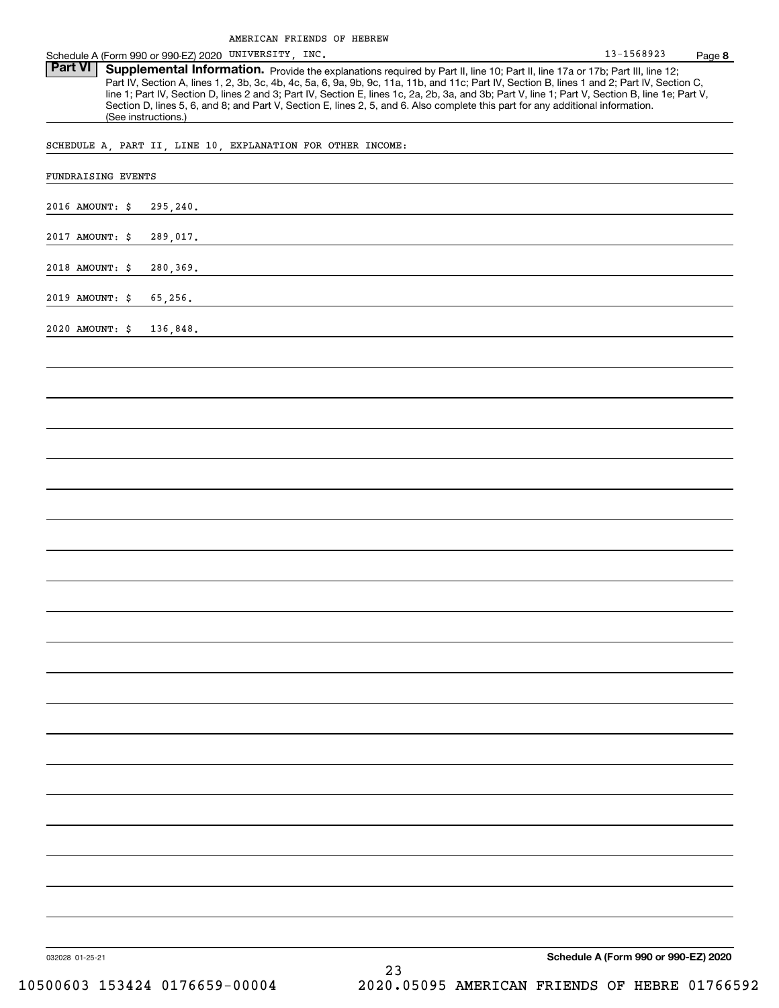Schedule A (Form 990 or 990-EZ) 2020 UNIVERSITY, INC. 13-1568923 Page

Part VI | Supplemental Information. Provide the explanations required by Part II, line 10; Part II, line 17a or 17b; Part III, line 12; Part IV, Section A, lines 1, 2, 3b, 3c, 4b, 4c, 5a, 6, 9a, 9b, 9c, 11a, 11b, and 11c; Part IV, Section B, lines 1 and 2; Part IV, Section C, line 1; Part IV, Section D, lines 2 and 3; Part IV, Section E, lines 1c, 2a, 2b, 3a, and 3b; Part V, line 1; Part V, Section B, line 1e; Part V, Section D, lines 5, 6, and 8; and Part V, Section E, lines 2, 5, and 6. Also complete this part for any additional information. (See instructions.)

SCHEDULE A, PART II, LINE 10, EXPLANATION FOR OTHER INCOME:

| 2016 AMOUNT: \$ | 295,240. |  |                                      |  |
|-----------------|----------|--|--------------------------------------|--|
| 2017 AMOUNT: \$ | 289,017. |  |                                      |  |
| 2018 AMOUNT: \$ | 280,369. |  |                                      |  |
| 2019 AMOUNT: \$ | 65,256.  |  |                                      |  |
| 2020 AMOUNT: \$ | 136,848. |  |                                      |  |
|                 |          |  |                                      |  |
|                 |          |  |                                      |  |
|                 |          |  |                                      |  |
|                 |          |  |                                      |  |
|                 |          |  |                                      |  |
|                 |          |  |                                      |  |
|                 |          |  |                                      |  |
|                 |          |  |                                      |  |
|                 |          |  |                                      |  |
|                 |          |  |                                      |  |
|                 |          |  |                                      |  |
|                 |          |  |                                      |  |
|                 |          |  |                                      |  |
|                 |          |  |                                      |  |
|                 |          |  |                                      |  |
|                 |          |  |                                      |  |
|                 |          |  |                                      |  |
|                 |          |  |                                      |  |
|                 |          |  |                                      |  |
|                 |          |  |                                      |  |
|                 |          |  |                                      |  |
| 032028 01-25-21 |          |  | Schedule A (Form 990 or 990-EZ) 2020 |  |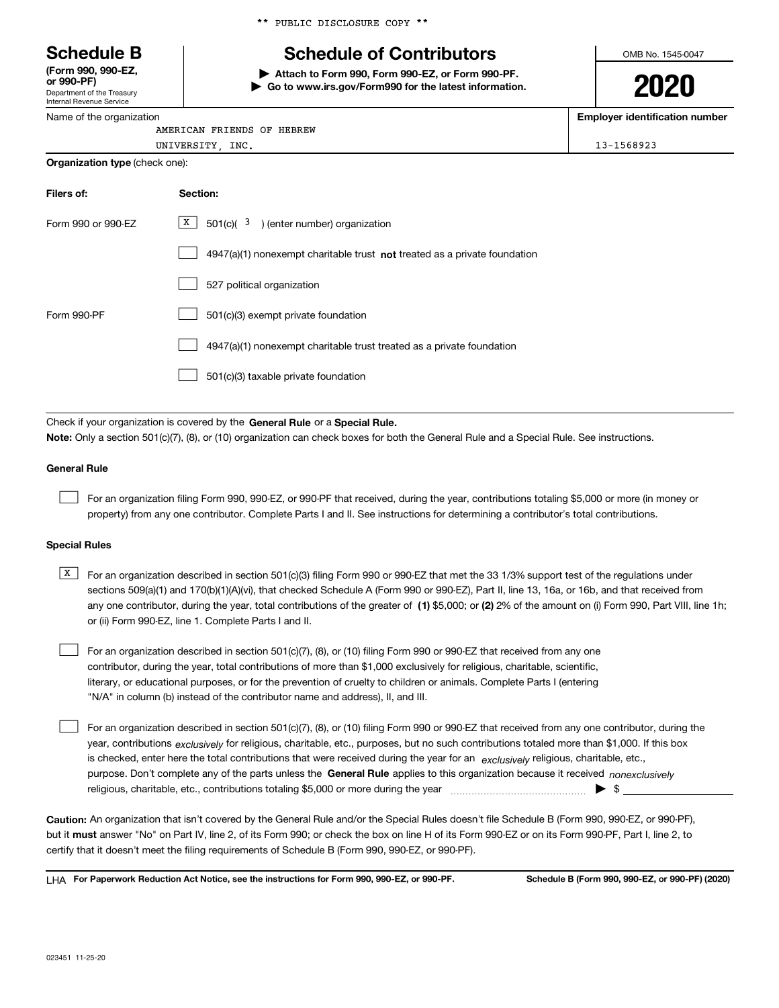Department of the Treasury **(Form 990, 990-EZ, or 990-PF)**

Internal Revenue Service Name of the organization \*\* PUBLIC DISCLOSURE COPY \*\*

# **Schedule B Schedule of Contributors**

**| Attach to Form 990, Form 990-EZ, or Form 990-PF. | Go to www.irs.gov/Form990 for the latest information.** OMB No. 1545-0047

**2020**

**Employer identification number**

| AMERICAN FRIENDS OF HEBREW | -------- | ___ |  |
|----------------------------|----------|-----|--|
|                            |          |     |  |

| UNIVERSITY<br>. | INC.<br>____ | $\cdots$<br>.<br><b>POOP</b><br>- 11 |
|-----------------|--------------|--------------------------------------|
|                 |              |                                      |

| <b>Organization type (check one):</b> |                                                                           |  |  |  |  |  |
|---------------------------------------|---------------------------------------------------------------------------|--|--|--|--|--|
| Filers of:                            | Section:                                                                  |  |  |  |  |  |
| Form 990 or 990-EZ                    | X  <br>$501(c)$ ( $3$ ) (enter number) organization                       |  |  |  |  |  |
|                                       | 4947(a)(1) nonexempt charitable trust not treated as a private foundation |  |  |  |  |  |
|                                       | 527 political organization                                                |  |  |  |  |  |
| Form 990-PF                           | 501(c)(3) exempt private foundation                                       |  |  |  |  |  |

4947(a)(1) nonexempt charitable trust treated as a private foundation  $\mathcal{L}^{\text{max}}$ 

501(c)(3) taxable private foundation  $\mathcal{L}^{\text{max}}$ 

Check if your organization is covered by the **General Rule** or a **Special Rule. Note:**  Only a section 501(c)(7), (8), or (10) organization can check boxes for both the General Rule and a Special Rule. See instructions.

### **General Rule**

 $\mathcal{L}^{\text{max}}$ 

For an organization filing Form 990, 990-EZ, or 990-PF that received, during the year, contributions totaling \$5,000 or more (in money or property) from any one contributor. Complete Parts I and II. See instructions for determining a contributor's total contributions.

### **Special Rules**

any one contributor, during the year, total contributions of the greater of  $\,$  (1) \$5,000; or **(2)** 2% of the amount on (i) Form 990, Part VIII, line 1h;  $\overline{X}$  For an organization described in section 501(c)(3) filing Form 990 or 990-EZ that met the 33 1/3% support test of the regulations under sections 509(a)(1) and 170(b)(1)(A)(vi), that checked Schedule A (Form 990 or 990-EZ), Part II, line 13, 16a, or 16b, and that received from or (ii) Form 990-EZ, line 1. Complete Parts I and II.

For an organization described in section 501(c)(7), (8), or (10) filing Form 990 or 990-EZ that received from any one contributor, during the year, total contributions of more than \$1,000 exclusively for religious, charitable, scientific, literary, or educational purposes, or for the prevention of cruelty to children or animals. Complete Parts I (entering "N/A" in column (b) instead of the contributor name and address), II, and III.  $\mathcal{L}^{\text{max}}$ 

purpose. Don't complete any of the parts unless the **General Rule** applies to this organization because it received *nonexclusively* year, contributions <sub>exclusively</sub> for religious, charitable, etc., purposes, but no such contributions totaled more than \$1,000. If this box is checked, enter here the total contributions that were received during the year for an  $\;$ exclusively religious, charitable, etc., For an organization described in section 501(c)(7), (8), or (10) filing Form 990 or 990-EZ that received from any one contributor, during the religious, charitable, etc., contributions totaling \$5,000 or more during the year  $\Box$ — $\Box$  =  $\Box$  $\mathcal{L}^{\text{max}}$ 

**Caution:**  An organization that isn't covered by the General Rule and/or the Special Rules doesn't file Schedule B (Form 990, 990-EZ, or 990-PF),  **must** but it answer "No" on Part IV, line 2, of its Form 990; or check the box on line H of its Form 990-EZ or on its Form 990-PF, Part I, line 2, to certify that it doesn't meet the filing requirements of Schedule B (Form 990, 990-EZ, or 990-PF).

**For Paperwork Reduction Act Notice, see the instructions for Form 990, 990-EZ, or 990-PF. Schedule B (Form 990, 990-EZ, or 990-PF) (2020)** LHA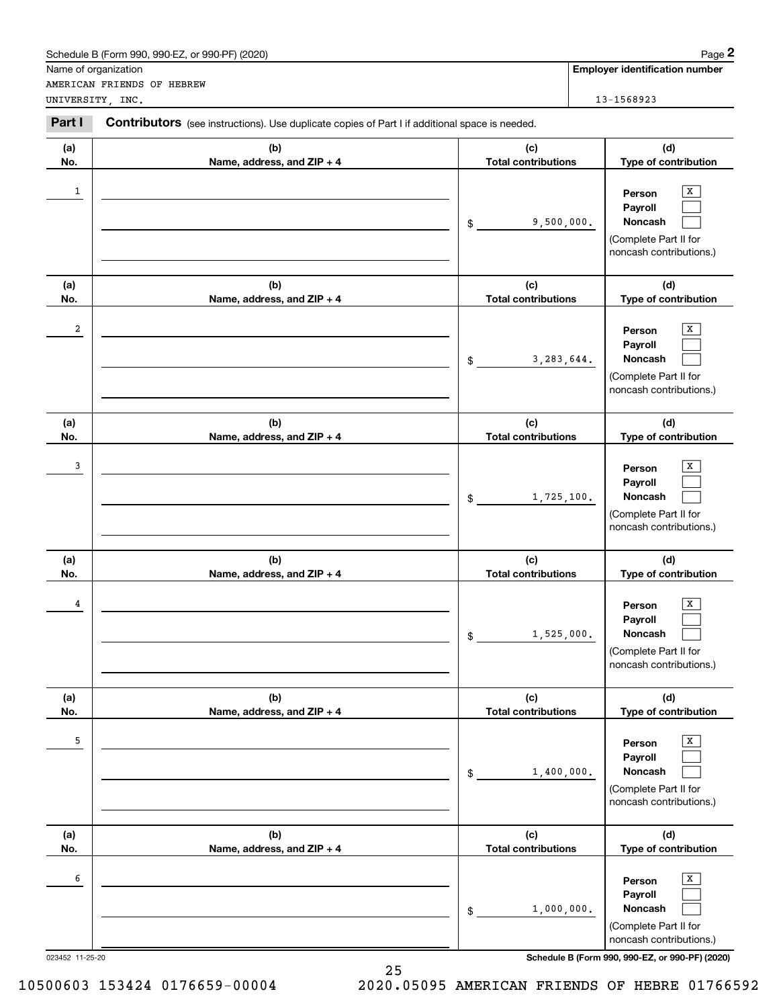|                 | Schedule B (Form 990, 990-EZ, or 990-PF) (2020)                                                |                                   | Page 2                                                                                                        |
|-----------------|------------------------------------------------------------------------------------------------|-----------------------------------|---------------------------------------------------------------------------------------------------------------|
|                 | Name of organization                                                                           |                                   | <b>Employer identification number</b>                                                                         |
|                 | AMERICAN FRIENDS OF HEBREW<br>UNIVERSITY, INC.                                                 |                                   | 13-1568923                                                                                                    |
| Part I          | Contributors (see instructions). Use duplicate copies of Part I if additional space is needed. |                                   |                                                                                                               |
| (a)             | (b)                                                                                            | (c)                               | (d)                                                                                                           |
| No.             | Name, address, and ZIP + 4                                                                     | <b>Total contributions</b>        | Type of contribution                                                                                          |
| 1               |                                                                                                | 9,500,000.<br>\$                  | x<br>Person<br>Payroll<br>Noncash<br>(Complete Part II for<br>noncash contributions.)                         |
| (a)             | (b)                                                                                            | (c)<br><b>Total contributions</b> | (d)                                                                                                           |
| No.<br>2        | Name, address, and ZIP + 4                                                                     | 3,283,644.<br>$\mathsf{\$}$       | Type of contribution<br>x<br>Person<br>Payroll<br>Noncash<br>(Complete Part II for<br>noncash contributions.) |
| (a)<br>No.      | (b)<br>Name, address, and ZIP + 4                                                              | (c)<br><b>Total contributions</b> | (d)<br>Type of contribution                                                                                   |
| 3               |                                                                                                | 1,725,100.<br>\$                  | X<br>Person<br>Payroll<br>Noncash<br>(Complete Part II for<br>noncash contributions.)                         |
| (a)<br>No.      | (b)<br>Name, address, and ZIP + 4                                                              | (c)<br><b>Total contributions</b> | (d)<br>Type of contribution                                                                                   |
| 4               |                                                                                                | 1,525,000.<br>$$\mathbb{S}$$      | X<br>Person<br>Payroll<br>Noncash<br>(Complete Part II for<br>noncash contributions.)                         |
| (a)<br>No.      | (b)<br>Name, address, and ZIP + 4                                                              | (c)<br><b>Total contributions</b> | (d)<br>Type of contribution                                                                                   |
| 5               |                                                                                                | 1,400,000.<br>\$                  | X<br>Person<br>Payroll<br>Noncash<br>(Complete Part II for<br>noncash contributions.)                         |
| (a)<br>No.      | (b)<br>Name, address, and ZIP + 4                                                              | (c)<br><b>Total contributions</b> | (d)<br>Type of contribution                                                                                   |
| 6               |                                                                                                | 1,000,000.<br>\$                  | x<br>Person<br>Payroll<br>Noncash<br>(Complete Part II for<br>noncash contributions.)                         |
| 023452 11-25-20 |                                                                                                |                                   | Schedule B (Form 990, 990-EZ, or 990-PF) (2020)                                                               |

25 10500603 153424 0176659-00004 2020.05095 AMERICAN FRIENDS OF HEBRE 01766592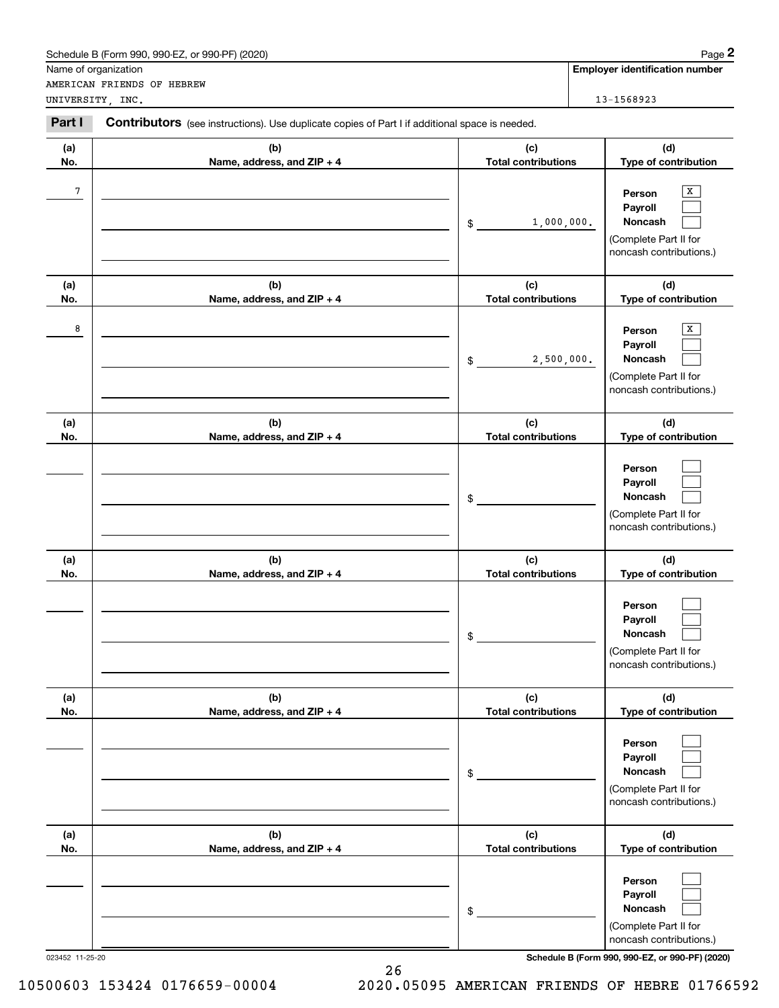|            | Schedule B (Form 990, 990-EZ, or 990-PF) (2020)                                                |                                   | Page 2                                                                                  |
|------------|------------------------------------------------------------------------------------------------|-----------------------------------|-----------------------------------------------------------------------------------------|
|            | Name of organization<br>AMERICAN FRIENDS OF HEBREW                                             |                                   | <b>Employer identification number</b>                                                   |
|            | UNIVERSITY, INC.                                                                               |                                   | 13-1568923                                                                              |
| Part I     | Contributors (see instructions). Use duplicate copies of Part I if additional space is needed. |                                   |                                                                                         |
| (a)        | (b)                                                                                            | (c)                               | (d)                                                                                     |
| No.        | Name, address, and ZIP + 4                                                                     | <b>Total contributions</b>        | Type of contribution                                                                    |
| 7          |                                                                                                | 1,000,000.<br>$\mathsf{\$}$       | x<br>Person<br>Payroll<br>Noncash<br>(Complete Part II for<br>noncash contributions.)   |
| (a)<br>No. | (b)<br>Name, address, and ZIP + 4                                                              | (c)<br><b>Total contributions</b> | (d)<br>Type of contribution                                                             |
| 8          |                                                                                                | 2,500,000.<br>\$                  | x<br>Person<br>Payroll<br>Noncash<br>(Complete Part II for<br>noncash contributions.)   |
| (a)<br>No. | (b)<br>Name, address, and ZIP + 4                                                              | (c)<br><b>Total contributions</b> | (d)<br>Type of contribution                                                             |
|            |                                                                                                | \$                                | Person<br>Payroll<br>Noncash<br>(Complete Part II for<br>noncash contributions.)        |
| (a)<br>No. | (b)<br>Name, address, and ZIP + 4                                                              | (c)<br><b>Total contributions</b> | (d)<br>Type of contribution                                                             |
|            |                                                                                                | \$                                | Person<br>Payroll<br>Noncash<br>(Complete Part II for<br>noncash contributions.)        |
| (a)<br>No. | (b)<br>Name, address, and ZIP + 4                                                              | (c)<br><b>Total contributions</b> | (d)<br>Type of contribution                                                             |
|            |                                                                                                | \$                                | Person<br>Payroll<br><b>Noncash</b><br>(Complete Part II for<br>noncash contributions.) |
| (a)<br>No. | (b)<br>Name, address, and ZIP + 4                                                              | (c)<br><b>Total contributions</b> | (d)<br>Type of contribution                                                             |
|            |                                                                                                | \$                                | Person<br>Payroll<br>Noncash<br>(Complete Part II for<br>noncash contributions.)        |

26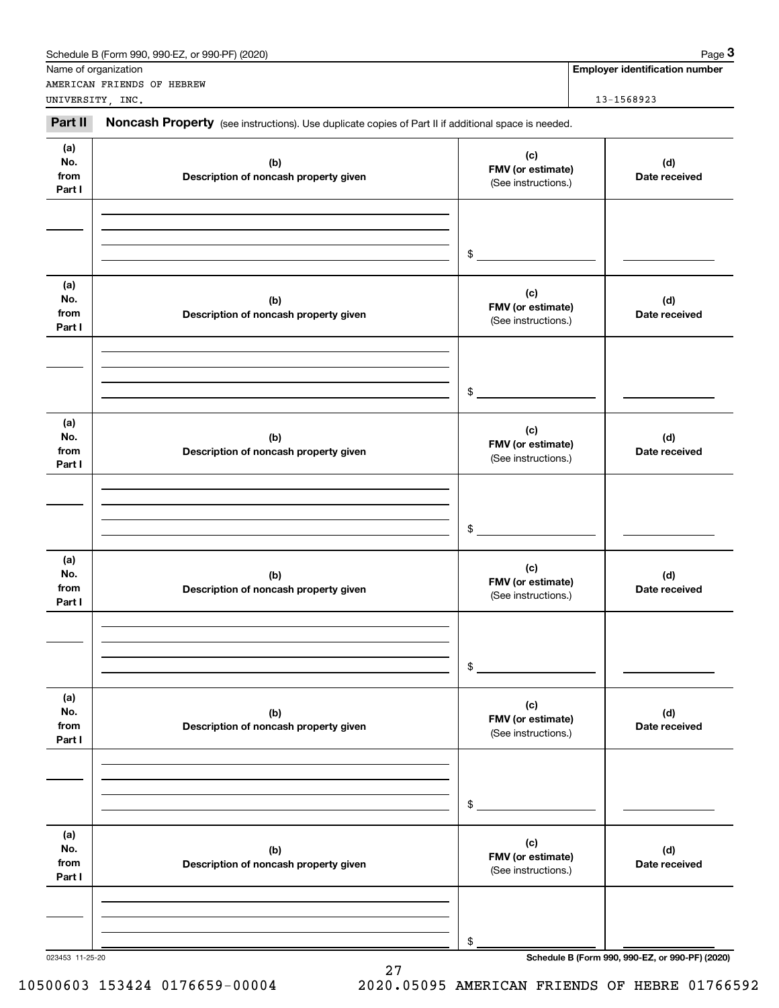|                              | Schedule B (Form 990, 990-EZ, or 990-PF) (2020)                                                     |                                                 | Page 3                                          |
|------------------------------|-----------------------------------------------------------------------------------------------------|-------------------------------------------------|-------------------------------------------------|
|                              | Name of organization<br>AMERICAN FRIENDS OF HEBREW                                                  |                                                 | <b>Employer identification number</b>           |
|                              | UNIVERSITY, INC.                                                                                    |                                                 | 13-1568923                                      |
| Part II                      | Noncash Property (see instructions). Use duplicate copies of Part II if additional space is needed. |                                                 |                                                 |
| (a)<br>No.<br>from<br>Part I | (c)<br>(b)<br>FMV (or estimate)<br>Description of noncash property given<br>(See instructions.)     |                                                 | (d)<br>Date received                            |
|                              |                                                                                                     | $\mathsf{\$}$                                   |                                                 |
| (a)<br>No.<br>from<br>Part I | (b)<br>Description of noncash property given                                                        | (c)<br>FMV (or estimate)<br>(See instructions.) | (d)<br>Date received                            |
|                              |                                                                                                     | $\mathsf{\$}$                                   |                                                 |
| (a)<br>No.<br>from<br>Part I | (b)<br>Description of noncash property given                                                        | (c)<br>FMV (or estimate)<br>(See instructions.) | (d)<br>Date received                            |
|                              |                                                                                                     | \$                                              |                                                 |
| (a)<br>No.<br>from<br>Part I | (b)<br>Description of noncash property given                                                        | (c)<br>FMV (or estimate)<br>(See instructions.) | (d)<br>Date received                            |
|                              |                                                                                                     | \$                                              |                                                 |
| (a)<br>No.<br>from<br>Part I | (b)<br>Description of noncash property given                                                        | (c)<br>FMV (or estimate)<br>(See instructions.) | (d)<br>Date received                            |
|                              |                                                                                                     | \$                                              |                                                 |
| (a)<br>No.<br>from<br>Part I | (b)<br>Description of noncash property given                                                        | (c)<br>FMV (or estimate)<br>(See instructions.) | (d)<br>Date received                            |
|                              |                                                                                                     | \$                                              |                                                 |
| 023453 11-25-20              | $\sim$ $\Box$                                                                                       |                                                 | Schedule B (Form 990, 990-EZ, or 990-PF) (2020) |

27

10500603 153424 0176659-00004 2020.05095 AMERICAN FRIENDS OF HEBRE 01766592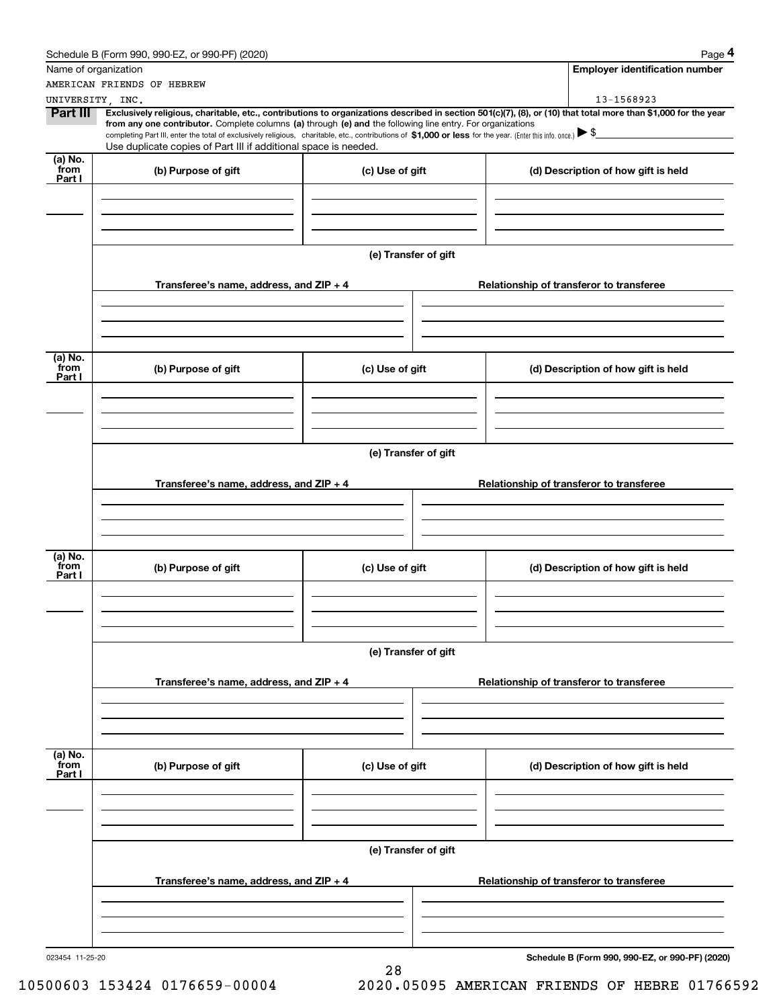|                           | Schedule B (Form 990, 990-EZ, or 990-PF) (2020)                                                                                                                                                                                                                                                                     |                      | Page 4                                                                                                                                                                       |  |  |  |  |  |  |
|---------------------------|---------------------------------------------------------------------------------------------------------------------------------------------------------------------------------------------------------------------------------------------------------------------------------------------------------------------|----------------------|------------------------------------------------------------------------------------------------------------------------------------------------------------------------------|--|--|--|--|--|--|
|                           | Name of organization                                                                                                                                                                                                                                                                                                |                      | <b>Employer identification number</b>                                                                                                                                        |  |  |  |  |  |  |
|                           | AMERICAN FRIENDS OF HEBREW                                                                                                                                                                                                                                                                                          |                      |                                                                                                                                                                              |  |  |  |  |  |  |
| Part III                  | UNIVERSITY, INC.<br>from any one contributor. Complete columns (a) through (e) and the following line entry. For organizations<br>completing Part III, enter the total of exclusively religious, charitable, etc., contributions of \$1,000 or less for the year. (Enter this info. once.) $\blacktriangleright$ \$ |                      | 13-1568923<br>Exclusively religious, charitable, etc., contributions to organizations described in section 501(c)(7), (8), or (10) that total more than \$1,000 for the year |  |  |  |  |  |  |
|                           | Use duplicate copies of Part III if additional space is needed.                                                                                                                                                                                                                                                     |                      |                                                                                                                                                                              |  |  |  |  |  |  |
| (a) No.<br>from<br>Part I | (b) Purpose of gift                                                                                                                                                                                                                                                                                                 | (c) Use of gift      | (d) Description of how gift is held                                                                                                                                          |  |  |  |  |  |  |
|                           |                                                                                                                                                                                                                                                                                                                     |                      |                                                                                                                                                                              |  |  |  |  |  |  |
|                           |                                                                                                                                                                                                                                                                                                                     | (e) Transfer of gift |                                                                                                                                                                              |  |  |  |  |  |  |
|                           | Transferee's name, address, and ZIP + 4                                                                                                                                                                                                                                                                             |                      | Relationship of transferor to transferee                                                                                                                                     |  |  |  |  |  |  |
|                           |                                                                                                                                                                                                                                                                                                                     |                      |                                                                                                                                                                              |  |  |  |  |  |  |
| (a) No.<br>from<br>Part I | (b) Purpose of gift                                                                                                                                                                                                                                                                                                 | (c) Use of gift      | (d) Description of how gift is held                                                                                                                                          |  |  |  |  |  |  |
|                           |                                                                                                                                                                                                                                                                                                                     |                      |                                                                                                                                                                              |  |  |  |  |  |  |
|                           | (e) Transfer of gift                                                                                                                                                                                                                                                                                                |                      |                                                                                                                                                                              |  |  |  |  |  |  |
|                           | Transferee's name, address, and ZIP + 4                                                                                                                                                                                                                                                                             |                      | Relationship of transferor to transferee                                                                                                                                     |  |  |  |  |  |  |
|                           |                                                                                                                                                                                                                                                                                                                     |                      |                                                                                                                                                                              |  |  |  |  |  |  |
| (a) No.<br>from<br>Part I | (b) Purpose of gift                                                                                                                                                                                                                                                                                                 | (c) Use of gift      | (d) Description of how gift is held                                                                                                                                          |  |  |  |  |  |  |
|                           |                                                                                                                                                                                                                                                                                                                     |                      |                                                                                                                                                                              |  |  |  |  |  |  |
|                           | Transferee's name, address, and ZIP + 4                                                                                                                                                                                                                                                                             | (e) Transfer of gift | Relationship of transferor to transferee                                                                                                                                     |  |  |  |  |  |  |
|                           |                                                                                                                                                                                                                                                                                                                     |                      |                                                                                                                                                                              |  |  |  |  |  |  |
| (a) No.<br>from           |                                                                                                                                                                                                                                                                                                                     |                      |                                                                                                                                                                              |  |  |  |  |  |  |
| Part I                    | (b) Purpose of gift                                                                                                                                                                                                                                                                                                 | (c) Use of gift      | (d) Description of how gift is held                                                                                                                                          |  |  |  |  |  |  |
|                           |                                                                                                                                                                                                                                                                                                                     |                      |                                                                                                                                                                              |  |  |  |  |  |  |
|                           |                                                                                                                                                                                                                                                                                                                     | (e) Transfer of gift |                                                                                                                                                                              |  |  |  |  |  |  |
|                           | Transferee's name, address, and ZIP + 4                                                                                                                                                                                                                                                                             |                      | Relationship of transferor to transferee                                                                                                                                     |  |  |  |  |  |  |
|                           |                                                                                                                                                                                                                                                                                                                     |                      |                                                                                                                                                                              |  |  |  |  |  |  |
| 023454 11-25-20           |                                                                                                                                                                                                                                                                                                                     |                      | Schedule B (Form 990, 990-EZ, or 990-PF) (2020)                                                                                                                              |  |  |  |  |  |  |

28 10500603 153424 0176659-00004 2020.05095 AMERICAN FRIENDS OF HEBRE 01766592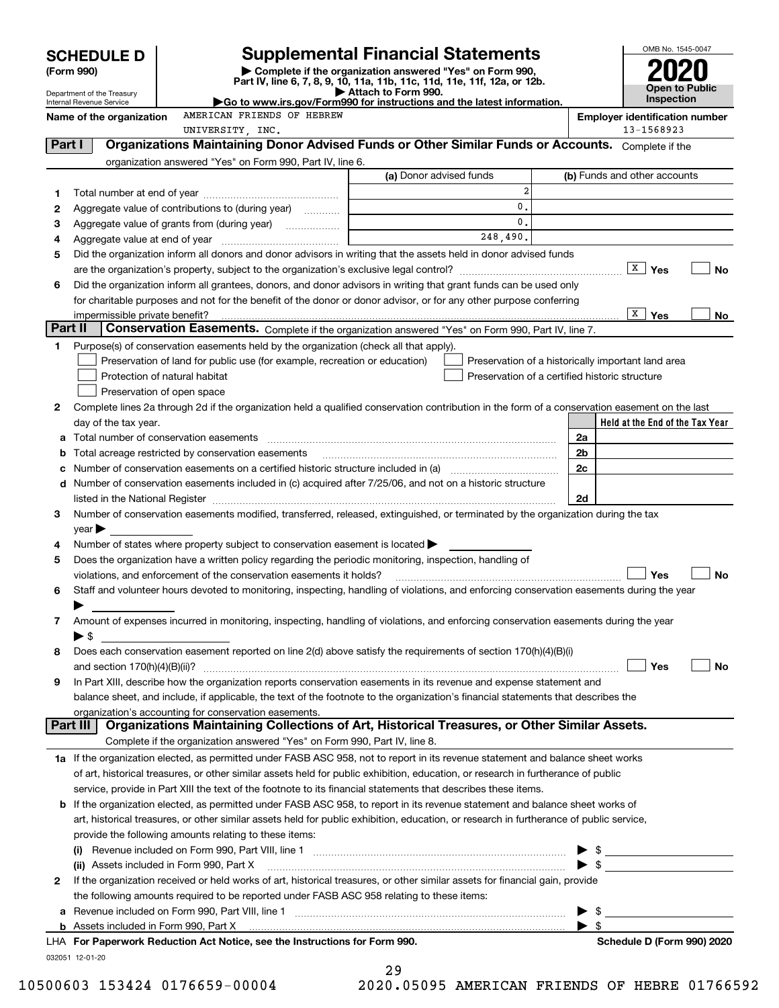|         | <b>SCHEDULE D</b>                        |                                                                                                                                                                                                                                                                      | <b>Supplemental Financial Statements</b>                                                        |                                                                                                      |                | OMB No. 1545-0047                                   |                                                                                                                                                                                                                                      |
|---------|------------------------------------------|----------------------------------------------------------------------------------------------------------------------------------------------------------------------------------------------------------------------------------------------------------------------|-------------------------------------------------------------------------------------------------|------------------------------------------------------------------------------------------------------|----------------|-----------------------------------------------------|--------------------------------------------------------------------------------------------------------------------------------------------------------------------------------------------------------------------------------------|
|         | (Form 990)                               |                                                                                                                                                                                                                                                                      | Complete if the organization answered "Yes" on Form 990,                                        |                                                                                                      |                |                                                     |                                                                                                                                                                                                                                      |
|         | Department of the Treasury               |                                                                                                                                                                                                                                                                      | Part IV, line 6, 7, 8, 9, 10, 11a, 11b, 11c, 11d, 11e, 11f, 12a, or 12b.<br>Attach to Form 990. |                                                                                                      |                | Open to                                             | Public                                                                                                                                                                                                                               |
|         | Internal Revenue Service                 |                                                                                                                                                                                                                                                                      | Go to www.irs.gov/Form990 for instructions and the latest information.                          |                                                                                                      |                | <b>Inspection</b>                                   |                                                                                                                                                                                                                                      |
|         | Name of the organization                 | AMERICAN FRIENDS OF HEBREW                                                                                                                                                                                                                                           |                                                                                                 |                                                                                                      |                | <b>Employer identification number</b><br>13-1568923 |                                                                                                                                                                                                                                      |
| Part I  |                                          | UNIVERSITY, INC.<br>Organizations Maintaining Donor Advised Funds or Other Similar Funds or Accounts. Complete if the                                                                                                                                                |                                                                                                 |                                                                                                      |                |                                                     |                                                                                                                                                                                                                                      |
|         |                                          | organization answered "Yes" on Form 990, Part IV, line 6.                                                                                                                                                                                                            |                                                                                                 |                                                                                                      |                |                                                     |                                                                                                                                                                                                                                      |
|         |                                          |                                                                                                                                                                                                                                                                      | (a) Donor advised funds                                                                         |                                                                                                      |                | (b) Funds and other accounts                        |                                                                                                                                                                                                                                      |
| 1       |                                          |                                                                                                                                                                                                                                                                      |                                                                                                 | $\overline{a}$                                                                                       |                |                                                     |                                                                                                                                                                                                                                      |
| 2       |                                          | Aggregate value of contributions to (during year)                                                                                                                                                                                                                    |                                                                                                 | 0.                                                                                                   |                |                                                     |                                                                                                                                                                                                                                      |
| 3       |                                          |                                                                                                                                                                                                                                                                      | the control of the control of the control of the                                                | 0.                                                                                                   |                |                                                     |                                                                                                                                                                                                                                      |
| 4       |                                          |                                                                                                                                                                                                                                                                      |                                                                                                 | 248,490.                                                                                             |                |                                                     |                                                                                                                                                                                                                                      |
| 5       |                                          | Did the organization inform all donors and donor advisors in writing that the assets held in donor advised funds                                                                                                                                                     |                                                                                                 |                                                                                                      |                |                                                     |                                                                                                                                                                                                                                      |
|         |                                          |                                                                                                                                                                                                                                                                      |                                                                                                 |                                                                                                      |                | $\sqrt{X}$ Yes                                      | No                                                                                                                                                                                                                                   |
| 6       |                                          | Did the organization inform all grantees, donors, and donor advisors in writing that grant funds can be used only                                                                                                                                                    |                                                                                                 |                                                                                                      |                |                                                     |                                                                                                                                                                                                                                      |
|         |                                          | for charitable purposes and not for the benefit of the donor or donor advisor, or for any other purpose conferring                                                                                                                                                   |                                                                                                 |                                                                                                      |                |                                                     |                                                                                                                                                                                                                                      |
| Part II | impermissible private benefit?           |                                                                                                                                                                                                                                                                      |                                                                                                 |                                                                                                      |                | X  <br>Yes                                          | No                                                                                                                                                                                                                                   |
|         |                                          | Conservation Easements. Complete if the organization answered "Yes" on Form 990, Part IV, line 7.                                                                                                                                                                    |                                                                                                 |                                                                                                      |                |                                                     |                                                                                                                                                                                                                                      |
| 1       |                                          | Purpose(s) of conservation easements held by the organization (check all that apply).<br>Preservation of land for public use (for example, recreation or education)                                                                                                  |                                                                                                 |                                                                                                      |                |                                                     |                                                                                                                                                                                                                                      |
|         | Protection of natural habitat            |                                                                                                                                                                                                                                                                      |                                                                                                 | Preservation of a historically important land area<br>Preservation of a certified historic structure |                |                                                     |                                                                                                                                                                                                                                      |
|         | Preservation of open space               |                                                                                                                                                                                                                                                                      |                                                                                                 |                                                                                                      |                |                                                     |                                                                                                                                                                                                                                      |
| 2       |                                          | Complete lines 2a through 2d if the organization held a qualified conservation contribution in the form of a conservation easement on the last                                                                                                                       |                                                                                                 |                                                                                                      |                |                                                     |                                                                                                                                                                                                                                      |
|         | day of the tax year.                     |                                                                                                                                                                                                                                                                      |                                                                                                 |                                                                                                      |                |                                                     | Held at the End of the Tax Year                                                                                                                                                                                                      |
| a       |                                          |                                                                                                                                                                                                                                                                      |                                                                                                 |                                                                                                      | 2a             |                                                     |                                                                                                                                                                                                                                      |
| b       |                                          | Total acreage restricted by conservation easements                                                                                                                                                                                                                   |                                                                                                 |                                                                                                      | 2 <sub>b</sub> |                                                     |                                                                                                                                                                                                                                      |
| с       |                                          |                                                                                                                                                                                                                                                                      |                                                                                                 |                                                                                                      | 2c             |                                                     |                                                                                                                                                                                                                                      |
| d       |                                          | Number of conservation easements included in (c) acquired after 7/25/06, and not on a historic structure                                                                                                                                                             |                                                                                                 |                                                                                                      |                |                                                     |                                                                                                                                                                                                                                      |
|         |                                          | listed in the National Register [11, 1200] [12] The National Register [11, 1200] [12] The National Register [11, 1200] [12] The National Register [11, 1200] [12] The National Register [11, 1200] [12] The National Register                                        |                                                                                                 |                                                                                                      | 2d             |                                                     |                                                                                                                                                                                                                                      |
| 3       |                                          | Number of conservation easements modified, transferred, released, extinguished, or terminated by the organization during the tax                                                                                                                                     |                                                                                                 |                                                                                                      |                |                                                     |                                                                                                                                                                                                                                      |
|         | $\mathsf{year}$                          |                                                                                                                                                                                                                                                                      |                                                                                                 |                                                                                                      |                |                                                     |                                                                                                                                                                                                                                      |
| 4       |                                          | Number of states where property subject to conservation easement is located $\blacktriangleright$                                                                                                                                                                    |                                                                                                 |                                                                                                      |                |                                                     |                                                                                                                                                                                                                                      |
| 5       |                                          | Does the organization have a written policy regarding the periodic monitoring, inspection, handling of<br>violations, and enforcement of the conservation easements it holds?                                                                                        |                                                                                                 |                                                                                                      |                | Yes                                                 | No                                                                                                                                                                                                                                   |
| 6       |                                          | Staff and volunteer hours devoted to monitoring, inspecting, handling of violations, and enforcing conservation easements during the year                                                                                                                            |                                                                                                 |                                                                                                      |                |                                                     |                                                                                                                                                                                                                                      |
|         |                                          |                                                                                                                                                                                                                                                                      |                                                                                                 |                                                                                                      |                |                                                     |                                                                                                                                                                                                                                      |
| 7       |                                          | Amount of expenses incurred in monitoring, inspecting, handling of violations, and enforcing conservation easements during the year                                                                                                                                  |                                                                                                 |                                                                                                      |                |                                                     |                                                                                                                                                                                                                                      |
|         | $\blacktriangleright$ \$                 |                                                                                                                                                                                                                                                                      |                                                                                                 |                                                                                                      |                |                                                     |                                                                                                                                                                                                                                      |
| 8       |                                          | Does each conservation easement reported on line 2(d) above satisfy the requirements of section 170(h)(4)(B)(i)                                                                                                                                                      |                                                                                                 |                                                                                                      |                |                                                     |                                                                                                                                                                                                                                      |
|         |                                          |                                                                                                                                                                                                                                                                      |                                                                                                 |                                                                                                      |                | Yes                                                 | No                                                                                                                                                                                                                                   |
| 9       |                                          | In Part XIII, describe how the organization reports conservation easements in its revenue and expense statement and                                                                                                                                                  |                                                                                                 |                                                                                                      |                |                                                     |                                                                                                                                                                                                                                      |
|         |                                          | balance sheet, and include, if applicable, the text of the footnote to the organization's financial statements that describes the                                                                                                                                    |                                                                                                 |                                                                                                      |                |                                                     |                                                                                                                                                                                                                                      |
|         | Part III                                 | organization's accounting for conservation easements.<br>Organizations Maintaining Collections of Art, Historical Treasures, or Other Similar Assets.                                                                                                                |                                                                                                 |                                                                                                      |                |                                                     |                                                                                                                                                                                                                                      |
|         |                                          | Complete if the organization answered "Yes" on Form 990, Part IV, line 8.                                                                                                                                                                                            |                                                                                                 |                                                                                                      |                |                                                     |                                                                                                                                                                                                                                      |
|         |                                          |                                                                                                                                                                                                                                                                      |                                                                                                 |                                                                                                      |                |                                                     |                                                                                                                                                                                                                                      |
|         |                                          | 1a If the organization elected, as permitted under FASB ASC 958, not to report in its revenue statement and balance sheet works<br>of art, historical treasures, or other similar assets held for public exhibition, education, or research in furtherance of public |                                                                                                 |                                                                                                      |                |                                                     |                                                                                                                                                                                                                                      |
|         |                                          | service, provide in Part XIII the text of the footnote to its financial statements that describes these items.                                                                                                                                                       |                                                                                                 |                                                                                                      |                |                                                     |                                                                                                                                                                                                                                      |
|         |                                          | <b>b</b> If the organization elected, as permitted under FASB ASC 958, to report in its revenue statement and balance sheet works of                                                                                                                                 |                                                                                                 |                                                                                                      |                |                                                     |                                                                                                                                                                                                                                      |
|         |                                          | art, historical treasures, or other similar assets held for public exhibition, education, or research in furtherance of public service,                                                                                                                              |                                                                                                 |                                                                                                      |                |                                                     |                                                                                                                                                                                                                                      |
|         |                                          | provide the following amounts relating to these items:                                                                                                                                                                                                               |                                                                                                 |                                                                                                      |                |                                                     |                                                                                                                                                                                                                                      |
|         |                                          |                                                                                                                                                                                                                                                                      |                                                                                                 |                                                                                                      |                | \$                                                  | <u>and the state of the state of the state of the state of the state of the state of the state of the state of the state of the state of the state of the state of the state of the state of the state of the state of the state</u> |
|         | (ii) Assets included in Form 990, Part X |                                                                                                                                                                                                                                                                      |                                                                                                 |                                                                                                      |                | $\triangleright$ \$                                 |                                                                                                                                                                                                                                      |
| 2       |                                          | If the organization received or held works of art, historical treasures, or other similar assets for financial gain, provide                                                                                                                                         |                                                                                                 |                                                                                                      |                |                                                     |                                                                                                                                                                                                                                      |
|         |                                          | the following amounts required to be reported under FASB ASC 958 relating to these items:                                                                                                                                                                            |                                                                                                 |                                                                                                      |                |                                                     |                                                                                                                                                                                                                                      |
| а       |                                          |                                                                                                                                                                                                                                                                      |                                                                                                 |                                                                                                      |                | \$                                                  |                                                                                                                                                                                                                                      |
|         |                                          |                                                                                                                                                                                                                                                                      |                                                                                                 |                                                                                                      | - \$           |                                                     |                                                                                                                                                                                                                                      |
|         |                                          | LHA For Paperwork Reduction Act Notice, see the Instructions for Form 990.                                                                                                                                                                                           |                                                                                                 |                                                                                                      |                |                                                     | Schedule D (Form 990) 2020                                                                                                                                                                                                           |

032051 12-01-20

| 29                    |  |  |
|-----------------------|--|--|
| 000 0500 <del>5</del> |  |  |

10500603 153424 0176659-00004 2020.05095 AMERICAN FRIENDS OF HEBRE 01766592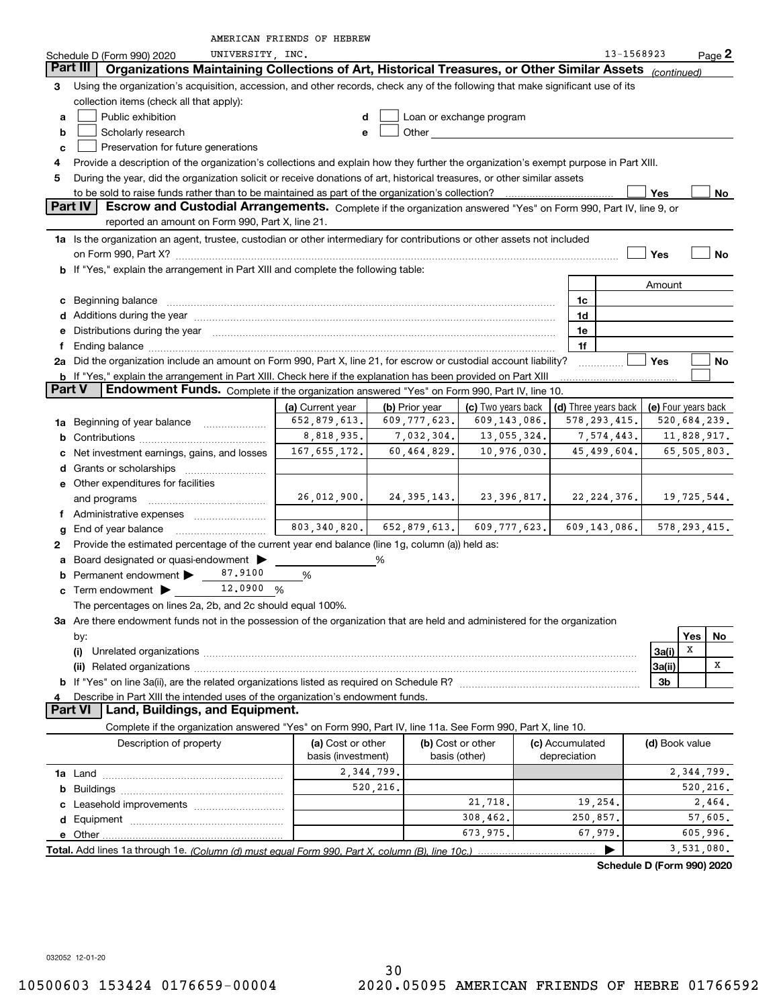|                                                                                                                                                                                                                                                                  |                                                                                                                                                                                                                                      | AMERICAN FRIENDS OF HEBREW                                          |          |                                                                                                                                                                                                                                    |                          |  |          |                      |                     |              |                |
|------------------------------------------------------------------------------------------------------------------------------------------------------------------------------------------------------------------------------------------------------------------|--------------------------------------------------------------------------------------------------------------------------------------------------------------------------------------------------------------------------------------|---------------------------------------------------------------------|----------|------------------------------------------------------------------------------------------------------------------------------------------------------------------------------------------------------------------------------------|--------------------------|--|----------|----------------------|---------------------|--------------|----------------|
|                                                                                                                                                                                                                                                                  | UNIVERSITY, INC.<br>Schedule D (Form 990) 2020                                                                                                                                                                                       |                                                                     |          |                                                                                                                                                                                                                                    |                          |  |          | 13-1568923           |                     |              | Page 2         |
|                                                                                                                                                                                                                                                                  | Part III<br>Organizations Maintaining Collections of Art, Historical Treasures, or Other Similar Assets                                                                                                                              |                                                                     |          |                                                                                                                                                                                                                                    |                          |  |          |                      | (continued)         |              |                |
| 3                                                                                                                                                                                                                                                                | Using the organization's acquisition, accession, and other records, check any of the following that make significant use of its                                                                                                      |                                                                     |          |                                                                                                                                                                                                                                    |                          |  |          |                      |                     |              |                |
|                                                                                                                                                                                                                                                                  | collection items (check all that apply):                                                                                                                                                                                             |                                                                     |          |                                                                                                                                                                                                                                    |                          |  |          |                      |                     |              |                |
| a                                                                                                                                                                                                                                                                | Public exhibition                                                                                                                                                                                                                    | d                                                                   |          |                                                                                                                                                                                                                                    | Loan or exchange program |  |          |                      |                     |              |                |
| b                                                                                                                                                                                                                                                                | Scholarly research                                                                                                                                                                                                                   | $\mathbf e$                                                         |          | <b>Other Contract Contract Contract Contract Contract Contract Contract Contract Contract Contract Contract Contract Contract Contract Contract Contract Contract Contract Contract Contract Contract Contract Contract Contra</b> |                          |  |          |                      |                     |              |                |
| c                                                                                                                                                                                                                                                                | Preservation for future generations                                                                                                                                                                                                  |                                                                     |          |                                                                                                                                                                                                                                    |                          |  |          |                      |                     |              |                |
| 4                                                                                                                                                                                                                                                                | Provide a description of the organization's collections and explain how they further the organization's exempt purpose in Part XIII.                                                                                                 |                                                                     |          |                                                                                                                                                                                                                                    |                          |  |          |                      |                     |              |                |
| 5                                                                                                                                                                                                                                                                | During the year, did the organization solicit or receive donations of art, historical treasures, or other similar assets                                                                                                             |                                                                     |          |                                                                                                                                                                                                                                    |                          |  |          |                      |                     |              |                |
|                                                                                                                                                                                                                                                                  |                                                                                                                                                                                                                                      |                                                                     |          |                                                                                                                                                                                                                                    |                          |  |          |                      | Yes                 |              | No             |
|                                                                                                                                                                                                                                                                  | Part IV<br>Escrow and Custodial Arrangements. Complete if the organization answered "Yes" on Form 990, Part IV, line 9, or                                                                                                           |                                                                     |          |                                                                                                                                                                                                                                    |                          |  |          |                      |                     |              |                |
|                                                                                                                                                                                                                                                                  | reported an amount on Form 990, Part X, line 21.                                                                                                                                                                                     |                                                                     |          |                                                                                                                                                                                                                                    |                          |  |          |                      |                     |              |                |
|                                                                                                                                                                                                                                                                  | 1a Is the organization an agent, trustee, custodian or other intermediary for contributions or other assets not included                                                                                                             |                                                                     |          |                                                                                                                                                                                                                                    |                          |  |          |                      |                     |              |                |
|                                                                                                                                                                                                                                                                  |                                                                                                                                                                                                                                      |                                                                     |          |                                                                                                                                                                                                                                    |                          |  |          |                      | Yes                 |              | No             |
|                                                                                                                                                                                                                                                                  | b If "Yes," explain the arrangement in Part XIII and complete the following table:                                                                                                                                                   |                                                                     |          |                                                                                                                                                                                                                                    |                          |  |          |                      |                     |              |                |
|                                                                                                                                                                                                                                                                  |                                                                                                                                                                                                                                      |                                                                     |          |                                                                                                                                                                                                                                    |                          |  |          |                      | Amount              |              |                |
|                                                                                                                                                                                                                                                                  |                                                                                                                                                                                                                                      |                                                                     |          |                                                                                                                                                                                                                                    |                          |  | 1c       |                      |                     |              |                |
|                                                                                                                                                                                                                                                                  | c Beginning balance measurements and the contract of the contract of the contract of the contract of the contract of the contract of the contract of the contract of the contract of the contract of the contract of the contr       |                                                                     |          |                                                                                                                                                                                                                                    |                          |  |          |                      |                     |              |                |
|                                                                                                                                                                                                                                                                  | Additions during the year manufactured and an according to the year manufactured and according the year manufactured and according the state of the state of the state of the state of the state of the state of the state of        |                                                                     |          |                                                                                                                                                                                                                                    |                          |  | 1d       |                      |                     |              |                |
| е                                                                                                                                                                                                                                                                | Distributions during the year manufactured and an account of the year manufactured and account of the year manufactured and account of the year manufactured and account of the year manufactured and account of the year manu<br>1e |                                                                     |          |                                                                                                                                                                                                                                    |                          |  |          |                      |                     |              |                |
| 1f<br>Ending balance <i>www.communicality.communicality.communicality.communicality.communicality.communicality.communicality.com</i><br>f<br>2a Did the organization include an amount on Form 990, Part X, line 21, for escrow or custodial account liability? |                                                                                                                                                                                                                                      |                                                                     |          |                                                                                                                                                                                                                                    |                          |  |          |                      |                     |              |                |
|                                                                                                                                                                                                                                                                  |                                                                                                                                                                                                                                      |                                                                     |          |                                                                                                                                                                                                                                    |                          |  |          |                      | Yes                 |              | No             |
| Part V                                                                                                                                                                                                                                                           | <b>b</b> If "Yes," explain the arrangement in Part XIII. Check here if the explanation has been provided on Part XIII                                                                                                                |                                                                     |          |                                                                                                                                                                                                                                    |                          |  |          |                      |                     |              |                |
|                                                                                                                                                                                                                                                                  | Endowment Funds. Complete if the organization answered "Yes" on Form 990, Part IV, line 10.                                                                                                                                          |                                                                     |          |                                                                                                                                                                                                                                    |                          |  |          |                      |                     |              |                |
|                                                                                                                                                                                                                                                                  |                                                                                                                                                                                                                                      | (a) Current year                                                    |          | (b) Prior year                                                                                                                                                                                                                     | (c) Two years back       |  |          | (d) Three years back | (e) Four years back |              |                |
|                                                                                                                                                                                                                                                                  | 1a Beginning of year balance                                                                                                                                                                                                         | 652,879,613.                                                        |          | 609, 777, 623.                                                                                                                                                                                                                     | 609,143,086.             |  |          | 578, 293, 415.       |                     | 520,684,239. |                |
| b                                                                                                                                                                                                                                                                |                                                                                                                                                                                                                                      | 8,818,935.                                                          |          | 7,032,304.                                                                                                                                                                                                                         | 13,055,324.              |  |          | 7,574,443.           |                     |              | 11,828,917.    |
|                                                                                                                                                                                                                                                                  | Net investment earnings, gains, and losses                                                                                                                                                                                           | 167, 655, 172.                                                      |          | 60,464,829.                                                                                                                                                                                                                        | 10,976,030.              |  |          | 45,499,604.          |                     | 65,505,803.  |                |
|                                                                                                                                                                                                                                                                  |                                                                                                                                                                                                                                      |                                                                     |          |                                                                                                                                                                                                                                    |                          |  |          |                      |                     |              |                |
|                                                                                                                                                                                                                                                                  | e Other expenditures for facilities                                                                                                                                                                                                  |                                                                     |          |                                                                                                                                                                                                                                    |                          |  |          |                      |                     |              |                |
|                                                                                                                                                                                                                                                                  | and programs                                                                                                                                                                                                                         | $26,012,900.$ 24,395,143. 23,396,817. 22,224,376. 19,725,544.       |          |                                                                                                                                                                                                                                    |                          |  |          |                      |                     |              |                |
|                                                                                                                                                                                                                                                                  |                                                                                                                                                                                                                                      |                                                                     |          |                                                                                                                                                                                                                                    |                          |  |          |                      |                     |              |                |
| g                                                                                                                                                                                                                                                                | End of year balance                                                                                                                                                                                                                  | $803, 340, 820.$ $652, 879, 613.$ $609, 777, 623.$ $609, 143, 086.$ |          |                                                                                                                                                                                                                                    |                          |  |          |                      |                     |              | 578, 293, 415. |
| 2                                                                                                                                                                                                                                                                | Provide the estimated percentage of the current year end balance (line 1g, column (a)) held as:                                                                                                                                      |                                                                     |          |                                                                                                                                                                                                                                    |                          |  |          |                      |                     |              |                |
| a                                                                                                                                                                                                                                                                | Board designated or quasi-endowment                                                                                                                                                                                                  |                                                                     | %        |                                                                                                                                                                                                                                    |                          |  |          |                      |                     |              |                |
|                                                                                                                                                                                                                                                                  | Permanent endowment > 87.9100                                                                                                                                                                                                        | %                                                                   |          |                                                                                                                                                                                                                                    |                          |  |          |                      |                     |              |                |
|                                                                                                                                                                                                                                                                  | 12.0900 %<br><b>c</b> Term endowment $\blacktriangleright$                                                                                                                                                                           |                                                                     |          |                                                                                                                                                                                                                                    |                          |  |          |                      |                     |              |                |
|                                                                                                                                                                                                                                                                  | The percentages on lines 2a, 2b, and 2c should equal 100%.                                                                                                                                                                           |                                                                     |          |                                                                                                                                                                                                                                    |                          |  |          |                      |                     |              |                |
|                                                                                                                                                                                                                                                                  | 3a Are there endowment funds not in the possession of the organization that are held and administered for the organization                                                                                                           |                                                                     |          |                                                                                                                                                                                                                                    |                          |  |          |                      |                     |              |                |
|                                                                                                                                                                                                                                                                  | by:                                                                                                                                                                                                                                  |                                                                     |          |                                                                                                                                                                                                                                    |                          |  |          |                      |                     | Yes          | No             |
|                                                                                                                                                                                                                                                                  |                                                                                                                                                                                                                                      |                                                                     |          |                                                                                                                                                                                                                                    |                          |  |          |                      | 3a(i)               | х            |                |
|                                                                                                                                                                                                                                                                  | 3a(ii)                                                                                                                                                                                                                               |                                                                     |          |                                                                                                                                                                                                                                    |                          |  |          | х                    |                     |              |                |
|                                                                                                                                                                                                                                                                  | 3b                                                                                                                                                                                                                                   |                                                                     |          |                                                                                                                                                                                                                                    |                          |  |          |                      |                     |              |                |
| 4                                                                                                                                                                                                                                                                | Describe in Part XIII the intended uses of the organization's endowment funds.                                                                                                                                                       |                                                                     |          |                                                                                                                                                                                                                                    |                          |  |          |                      |                     |              |                |
|                                                                                                                                                                                                                                                                  | <b>Part VI</b><br>Land, Buildings, and Equipment.                                                                                                                                                                                    |                                                                     |          |                                                                                                                                                                                                                                    |                          |  |          |                      |                     |              |                |
|                                                                                                                                                                                                                                                                  | Complete if the organization answered "Yes" on Form 990, Part IV, line 11a. See Form 990, Part X, line 10.                                                                                                                           |                                                                     |          |                                                                                                                                                                                                                                    |                          |  |          |                      |                     |              |                |
|                                                                                                                                                                                                                                                                  | (b) Cost or other<br>Description of property<br>(a) Cost or other<br>(c) Accumulated<br>(d) Book value                                                                                                                               |                                                                     |          |                                                                                                                                                                                                                                    |                          |  |          |                      |                     |              |                |
|                                                                                                                                                                                                                                                                  | basis (investment)<br>basis (other)<br>depreciation                                                                                                                                                                                  |                                                                     |          |                                                                                                                                                                                                                                    |                          |  |          |                      |                     |              |                |
|                                                                                                                                                                                                                                                                  |                                                                                                                                                                                                                                      | 2, 344, 799.                                                        |          |                                                                                                                                                                                                                                    |                          |  |          |                      |                     | 2,344,799.   |                |
|                                                                                                                                                                                                                                                                  |                                                                                                                                                                                                                                      |                                                                     | 520,216. |                                                                                                                                                                                                                                    |                          |  |          |                      |                     |              | 520, 216.      |
|                                                                                                                                                                                                                                                                  |                                                                                                                                                                                                                                      |                                                                     |          |                                                                                                                                                                                                                                    | 21,718.                  |  | 19,254.  |                      |                     |              | 2,464.         |
|                                                                                                                                                                                                                                                                  |                                                                                                                                                                                                                                      |                                                                     |          |                                                                                                                                                                                                                                    | 308,462.                 |  | 250,857. |                      |                     |              | 57,605.        |
|                                                                                                                                                                                                                                                                  |                                                                                                                                                                                                                                      |                                                                     |          |                                                                                                                                                                                                                                    | 673,975.                 |  |          | 67,979.              |                     |              | 605,996.       |
|                                                                                                                                                                                                                                                                  |                                                                                                                                                                                                                                      |                                                                     |          |                                                                                                                                                                                                                                    |                          |  |          |                      |                     |              |                |

**Total.** Add lines 1a through 1e. *(Column (d) must equal Form 990. Part X, column (B), line 10c.) …………………………………*  $\longrightarrow$  3,531,080.

**Schedule D (Form 990) 2020**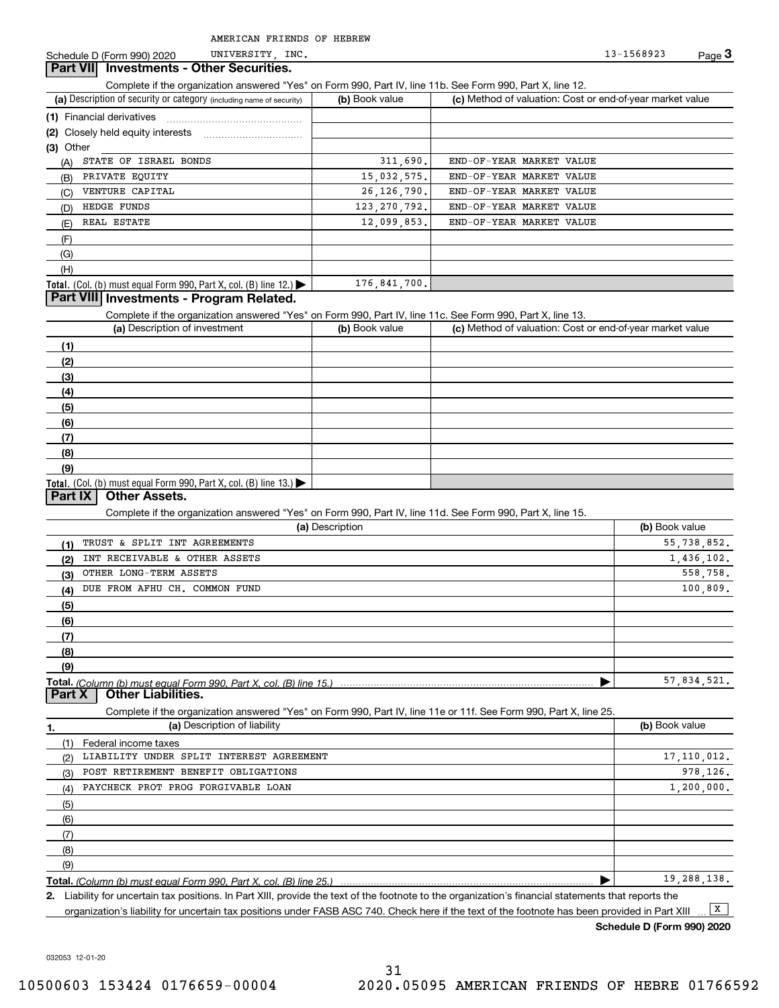Schedule D (Form 990) 2020 UNIVERSITY, INC. 2010 13-1568923 Page 3 13-1568923

### **Part VII Investments - Other Securities.**

UNIVERSITY,

Complete if the organization answered "Yes" on Form 990, Part IV, line 11b. See Form 990, Part X, line 12.

| (a) Description of security or category (including name of security)                   | (b) Book value | (c) Method of valuation: Cost or end-of-year market value |
|----------------------------------------------------------------------------------------|----------------|-----------------------------------------------------------|
| (1) Financial derivatives                                                              |                |                                                           |
|                                                                                        |                |                                                           |
| $(3)$ Other                                                                            |                |                                                           |
| STATE OF ISRAEL BONDS<br>(A)                                                           | 311,690.       | END-OF-YEAR MARKET VALUE                                  |
| PRIVATE EQUITY<br>(B)                                                                  | 15,032,575.    | END-OF-YEAR MARKET VALUE                                  |
| VENTURE CAPITAL<br>(C)                                                                 | 26, 126, 790.  | END-OF-YEAR MARKET VALUE                                  |
| HEDGE FUNDS<br>(D)                                                                     | 123, 270, 792. | END-OF-YEAR MARKET VALUE                                  |
| REAL ESTATE<br>(E)                                                                     | 12,099,853.    | END-OF-YEAR MARKET VALUE                                  |
| (F)                                                                                    |                |                                                           |
| (G)                                                                                    |                |                                                           |
| (H)                                                                                    |                |                                                           |
| Total. (Col. (b) must equal Form 990, Part X, col. (B) line 12.) $\blacktriangleright$ | 176,841,700.   |                                                           |

## **Part VIII Investments - Program Related.**

Complete if the organization answered "Yes" on Form 990, Part IV, line 11c. See Form 990, Part X, line 13.

| (a) Description of investment                                       | (b) Book value | (c) Method of valuation: Cost or end-of-year market value |
|---------------------------------------------------------------------|----------------|-----------------------------------------------------------|
| (1)                                                                 |                |                                                           |
| (2)                                                                 |                |                                                           |
| $\frac{1}{2}$                                                       |                |                                                           |
| (4)                                                                 |                |                                                           |
| $\left(5\right)$                                                    |                |                                                           |
| (6)                                                                 |                |                                                           |
| (7)                                                                 |                |                                                           |
| (8)                                                                 |                |                                                           |
| (9)                                                                 |                |                                                           |
| Total. (Col. (b) must equal Form 990, Part X, col. (B) line $13.$ ) |                |                                                           |

### **Part IX Other Assets.**

Complete if the organization answered "Yes" on Form 990, Part IV, line 11d. See Form 990, Part X, line 15.

| (a) Description                                                                                                                                                                                                                                                                                                                                                                                                                                                         | (b) Book value |
|-------------------------------------------------------------------------------------------------------------------------------------------------------------------------------------------------------------------------------------------------------------------------------------------------------------------------------------------------------------------------------------------------------------------------------------------------------------------------|----------------|
| TRUST & SPLIT INT AGREEMENTS<br>(1)                                                                                                                                                                                                                                                                                                                                                                                                                                     | 55,738,852.    |
| INT RECEIVABLE & OTHER ASSETS<br>(2)                                                                                                                                                                                                                                                                                                                                                                                                                                    | 1,436,102.     |
| OTHER LONG-TERM ASSETS<br>(3)                                                                                                                                                                                                                                                                                                                                                                                                                                           | 558,758.       |
| DUE FROM AFHU CH. COMMON FUND<br>(4)                                                                                                                                                                                                                                                                                                                                                                                                                                    | 100.809.       |
| (5)                                                                                                                                                                                                                                                                                                                                                                                                                                                                     |                |
| (6)                                                                                                                                                                                                                                                                                                                                                                                                                                                                     |                |
| (7)                                                                                                                                                                                                                                                                                                                                                                                                                                                                     |                |
| (8)                                                                                                                                                                                                                                                                                                                                                                                                                                                                     |                |
| (9)                                                                                                                                                                                                                                                                                                                                                                                                                                                                     |                |
|                                                                                                                                                                                                                                                                                                                                                                                                                                                                         | 57,834,521.    |
| $D$ art $Y$ $\overline{\phantom{a}}$ $\overline{\phantom{a}}$ $\overline{\phantom{a}}$ $\overline{\phantom{a}}$ $\overline{\phantom{a}}$ $\overline{\phantom{a}}$ $\overline{\phantom{a}}$ $\overline{\phantom{a}}$ $\overline{\phantom{a}}$ $\overline{\phantom{a}}$ $\overline{\phantom{a}}$ $\overline{\phantom{a}}$ $\overline{\phantom{a}}$ $\overline{\phantom{a}}$ $\overline{\phantom{a}}$ $\overline{\phantom{a}}$ $\overline{\phantom{a}}$ $\overline{\phant$ |                |

Complete if the organization answered "Yes" on Form 990, Part IV, line 11e or 11f. See Form 990, Part X, line 25. **Part X Other Liabilities.**

|     | (a) Description of liability             | (b) Book value |
|-----|------------------------------------------|----------------|
| (1) | Federal income taxes                     |                |
| (2) | LIABILITY UNDER SPLIT INTEREST AGREEMENT | 17, 110, 012.  |
| (3) | POST RETIREMENT BENEFIT OBLIGATIONS      | 978,126.       |
| (4) | PAYCHECK PROT PROG FORGIVABLE LOAN       | 1, 200, 000.   |
| (5) |                                          |                |
| (6) |                                          |                |
| (7) |                                          |                |
| (8) |                                          |                |
| (9) |                                          |                |
|     |                                          | 19, 288, 138.  |

**2.**Liability for uncertain tax positions. In Part XIII, provide the text of the footnote to the organization's financial statements that reports the organization's liability for uncertain tax positions under FASB ASC 740. Check here if the text of the footnote has been provided in Part XIII  $\boxed{\mathbf{X}}$ 

**Schedule D (Form 990) 2020**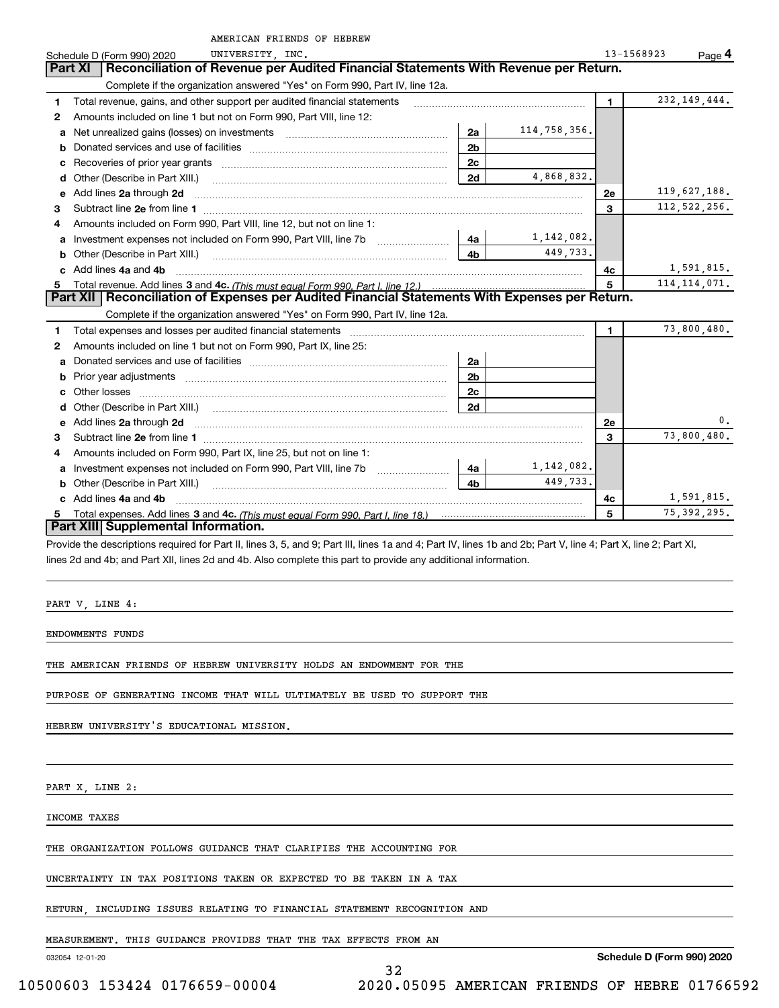|    | AMERICAN FRIENDS OF HEBREW                                                                                                                                     |                |              |                |                      |
|----|----------------------------------------------------------------------------------------------------------------------------------------------------------------|----------------|--------------|----------------|----------------------|
|    | UNIVERSITY INC.<br>Schedule D (Form 990) 2020                                                                                                                  |                |              |                | 13-1568923<br>Page 4 |
|    | Reconciliation of Revenue per Audited Financial Statements With Revenue per Return.<br><b>Part XI</b>                                                          |                |              |                |                      |
|    | Complete if the organization answered "Yes" on Form 990, Part IV, line 12a.                                                                                    |                |              |                |                      |
| 1  | Total revenue, gains, and other support per audited financial statements                                                                                       |                |              | $\blacksquare$ | 232, 149, 444.       |
| 2  | Amounts included on line 1 but not on Form 990, Part VIII, line 12:                                                                                            |                |              |                |                      |
| a  | Net unrealized gains (losses) on investments [11] matter contracts and the unrealized gains (losses) on investments                                            | 2a             | 114,758,356. |                |                      |
| b  |                                                                                                                                                                | 2 <sub>b</sub> |              |                |                      |
| с  |                                                                                                                                                                | 2c             |              |                |                      |
|    |                                                                                                                                                                | 2d             | 4,868,832.   |                |                      |
| е  | Add lines 2a through 2d                                                                                                                                        |                |              | 2е             | 119,627,188.         |
| 3  |                                                                                                                                                                |                |              | 3              | 112,522,256.         |
| 4  | Amounts included on Form 990, Part VIII, line 12, but not on line 1:                                                                                           |                |              |                |                      |
| a  |                                                                                                                                                                | 4a l           | 1,142,082.   |                |                      |
|    |                                                                                                                                                                | 4b             | 449,733.     |                |                      |
|    | c Add lines 4a and 4b                                                                                                                                          |                |              | 4с             | 1,591,815.           |
| 5. |                                                                                                                                                                |                |              | 5              | 114, 114, 071.       |
|    | Part XII   Reconciliation of Expenses per Audited Financial Statements With Expenses per Return.                                                               |                |              |                |                      |
|    | Complete if the organization answered "Yes" on Form 990, Part IV, line 12a.                                                                                    |                |              |                |                      |
| 1  |                                                                                                                                                                |                |              | $\blacksquare$ | 73,800,480.          |
| 2  | Amounts included on line 1 but not on Form 990, Part IX, line 25:                                                                                              |                |              |                |                      |
| a  |                                                                                                                                                                | 2a             |              |                |                      |
| b  | Prior year adjustments [1111] Prior year adjustments [111] Masseum Masseum Masseum Masseum Masseum Masseum Mas                                                 | 2 <sub>b</sub> |              |                |                      |
| c  |                                                                                                                                                                | 2 <sub>c</sub> |              |                |                      |
|    |                                                                                                                                                                | 2d             |              |                |                      |
| е  |                                                                                                                                                                |                |              | 2е             | 0.                   |
| 3  |                                                                                                                                                                |                |              | 3              | 73,800,480.          |
| 4  | Amounts included on Form 990, Part IX, line 25, but not on line 1:                                                                                             |                |              |                |                      |
|    |                                                                                                                                                                | 4a             | 1,142,082.   |                |                      |
|    |                                                                                                                                                                | 4 <sub>b</sub> | 449,733.     |                |                      |
|    | c Add lines 4a and 4b                                                                                                                                          |                |              | 4c             | 1,591,815.           |
| 5. |                                                                                                                                                                |                |              | 5              | 75, 392, 295.        |
|    | Part XIII Supplemental Information.                                                                                                                            |                |              |                |                      |
|    | Provide the descriptions required for Part II, lines 3, 5, and 9; Part III, lines 1a and 4; Part IV, lines 1b and 2b; Part V, line 4; Part X, line 2; Part XI, |                |              |                |                      |

lines 2d and 4b; and Part XII, lines 2d and 4b. Also complete this part to provide any additional information.

32

PART V, LINE 4:

ENDOWMENTS FUNDS

THE AMERICAN FRIENDS OF HEBREW UNIVERSITY HOLDS AN ENDOWMENT FOR THE

PURPOSE OF GENERATING INCOME THAT WILL ULTIMATELY BE USED TO SUPPORT THE

HEBREW UNIVERSITY'S EDUCATIONAL MISSION.

PART X, LINE 2:

INCOME TAXES

THE ORGANIZATION FOLLOWS GUIDANCE THAT CLARIFIES THE ACCOUNTING FOR

UNCERTAINTY IN TAX POSITIONS TAKEN OR EXPECTED TO BE TAKEN IN A TAX

RETURN, INCLUDING ISSUES RELATING TO FINANCIAL STATEMENT RECOGNITION AND

MEASUREMENT. THIS GUIDANCE PROVIDES THAT THE TAX EFFECTS FROM AN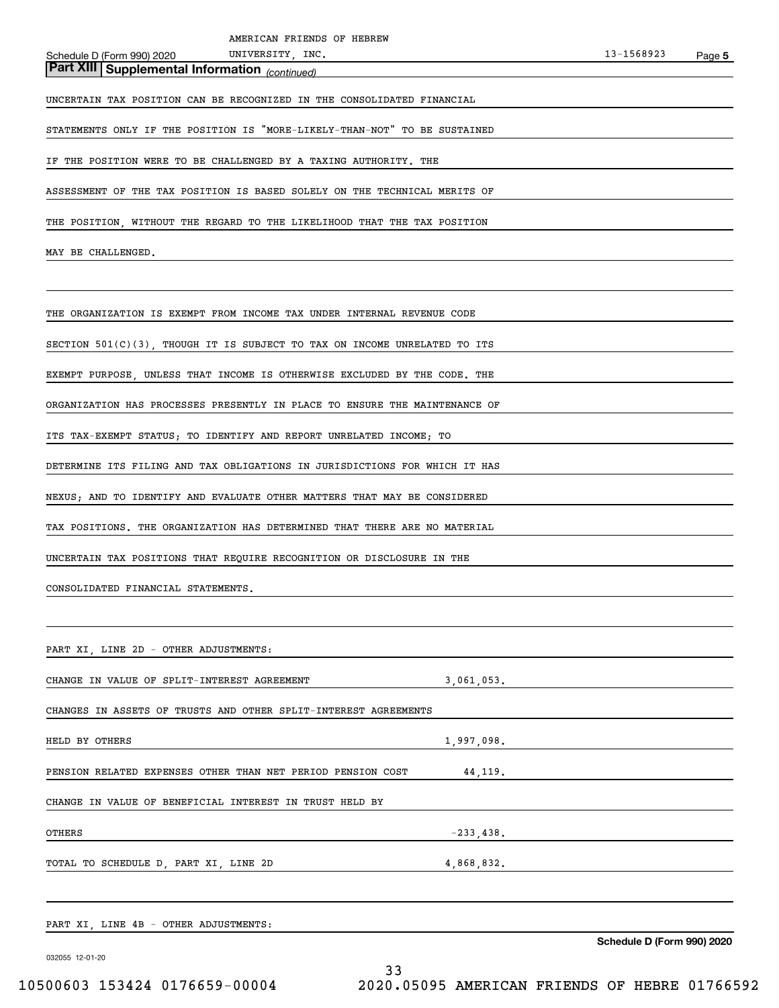# *(continued)* **Part XIII Supplemental Information**

UNCERTAIN TAX POSITION CAN BE RECOGNIZED IN THE CONSOLIDATED FINANCIAL

STATEMENTS ONLY IF THE POSITION IS "MORE-LIKELY-THAN-NOT" TO BE SUSTAINED

UNIVERSITY, INC.

IF THE POSITION WERE TO BE CHALLENGED BY A TAXING AUTHORITY. THE

ASSESSMENT OF THE TAX POSITION IS BASED SOLELY ON THE TECHNICAL MERITS OF

THE POSITION, WITHOUT THE REGARD TO THE LIKELIHOOD THAT THE TAX POSITION

MAY BE CHALLENGED.

THE ORGANIZATION IS EXEMPT FROM INCOME TAX UNDER INTERNAL REVENUE CODE

SECTION 501(C)(3), THOUGH IT IS SUBJECT TO TAX ON INCOME UNRELATED TO ITS

EXEMPT PURPOSE, UNLESS THAT INCOME IS OTHERWISE EXCLUDED BY THE CODE. THE

ORGANIZATION HAS PROCESSES PRESENTLY IN PLACE TO ENSURE THE MAINTENANCE OF

ITS TAX-EXEMPT STATUS; TO IDENTIFY AND REPORT UNRELATED INCOME; TO

DETERMINE ITS FILING AND TAX OBLIGATIONS IN JURISDICTIONS FOR WHICH IT HAS

NEXUS; AND TO IDENTIFY AND EVALUATE OTHER MATTERS THAT MAY BE CONSIDERED

TAX POSITIONS. THE ORGANIZATION HAS DETERMINED THAT THERE ARE NO MATERIAL

UNCERTAIN TAX POSITIONS THAT REQUIRE RECOGNITION OR DISCLOSURE IN THE

CONSOLIDATED FINANCIAL STATEMENTS.

| PART XI, LINE 2D - OTHER ADJUSTMENTS:                           |              |                            |
|-----------------------------------------------------------------|--------------|----------------------------|
| CHANGE IN VALUE OF SPLIT-INTEREST AGREEMENT                     | 3,061,053.   |                            |
| CHANGES IN ASSETS OF TRUSTS AND OTHER SPLIT-INTEREST AGREEMENTS |              |                            |
| HELD BY OTHERS                                                  | 1,997,098.   |                            |
| PENSION RELATED EXPENSES OTHER THAN NET PERIOD PENSION COST     | 44,119.      |                            |
| CHANGE IN VALUE OF BENEFICIAL INTEREST IN TRUST HELD BY         |              |                            |
| OTHERS                                                          | $-233, 438.$ |                            |
| TOTAL TO SCHEDULE D, PART XI, LINE 2D                           | 4,868,832.   |                            |
| PART XI, LINE 4B - OTHER ADJUSTMENTS:                           |              |                            |
|                                                                 |              | Schedule D (Form 990) 2020 |
| 032055 12-01-20<br>33                                           |              |                            |

10500603 153424 0176659-00004 2020.05095 AMERICAN FRIENDS OF HEBRE 01766592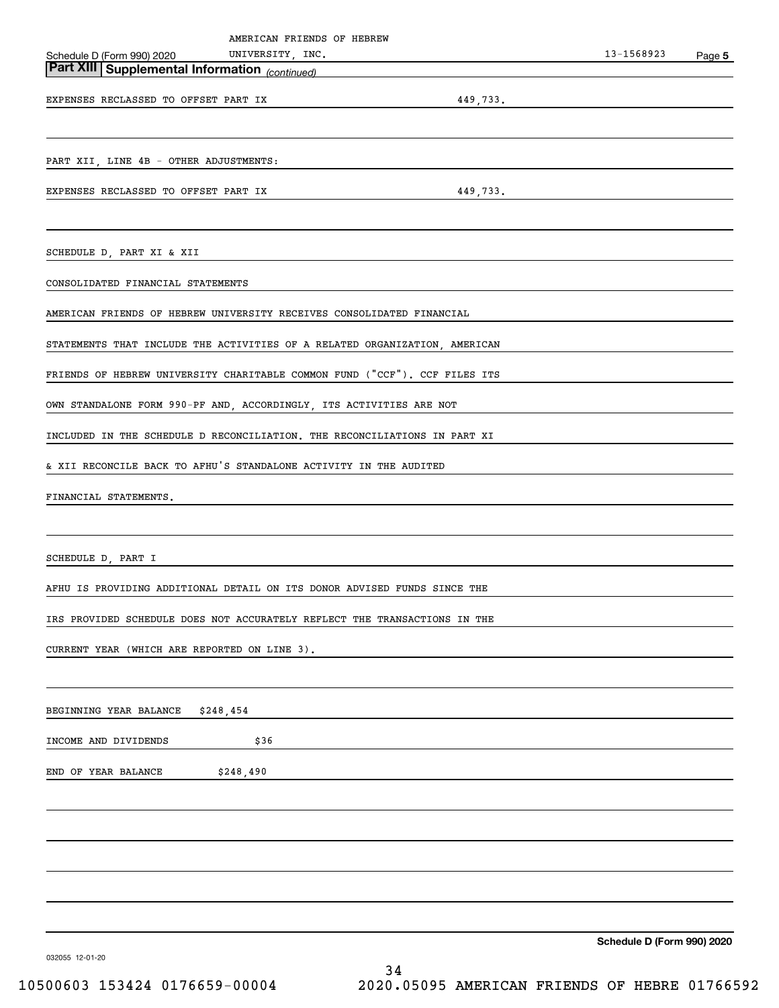|                                                                                                                   | AMERICAN FRIENDS OF HEBREW |                                                                                                                      |                            |        |
|-------------------------------------------------------------------------------------------------------------------|----------------------------|----------------------------------------------------------------------------------------------------------------------|----------------------------|--------|
| Schedule D (Form 990) 2020 UNIVERSITY, INC.<br><b>Part XIII   Supplemental Information</b> <sub>(continued)</sub> |                            | <u> Alexandria de la contrada de la contrada de la contrada de la contrada de la contrada de la contrada de la c</u> | 13-1568923                 | Page 5 |
|                                                                                                                   |                            | <u> 1980 - Andrea Andrew Maria (b. 1980)</u>                                                                         |                            |        |
| EXPENSES RECLASSED TO OFFSET PART IX                                                                              |                            |                                                                                                                      | 449,733.                   |        |
|                                                                                                                   |                            |                                                                                                                      |                            |        |
|                                                                                                                   |                            |                                                                                                                      |                            |        |
| PART XII, LINE 4B - OTHER ADJUSTMENTS:                                                                            |                            |                                                                                                                      |                            |        |
| EXPENSES RECLASSED TO OFFSET PART IX                                                                              |                            |                                                                                                                      | 449, 733.                  |        |
|                                                                                                                   |                            |                                                                                                                      |                            |        |
| SCHEDULE D, PART XI & XII                                                                                         |                            |                                                                                                                      |                            |        |
| CONSOLIDATED FINANCIAL STATEMENTS                                                                                 |                            |                                                                                                                      |                            |        |
| AMERICAN FRIENDS OF HEBREW UNIVERSITY RECEIVES CONSOLIDATED FINANCIAL                                             |                            |                                                                                                                      |                            |        |
|                                                                                                                   |                            |                                                                                                                      |                            |        |
| STATEMENTS THAT INCLUDE THE ACTIVITIES OF A RELATED ORGANIZATION, AMERICAN                                        |                            |                                                                                                                      |                            |        |
| FRIENDS OF HEBREW UNIVERSITY CHARITABLE COMMON FUND ("CCF"). CCF FILES ITS                                        |                            |                                                                                                                      |                            |        |
| OWN STANDALONE FORM 990-PF AND, ACCORDINGLY, ITS ACTIVITIES ARE NOT                                               |                            |                                                                                                                      |                            |        |
| INCLUDED IN THE SCHEDULE D RECONCILIATION. THE RECONCILIATIONS IN PART XI                                         |                            |                                                                                                                      |                            |        |
| & XII RECONCILE BACK TO AFHU'S STANDALONE ACTIVITY IN THE AUDITED                                                 |                            |                                                                                                                      |                            |        |
| FINANCIAL STATEMENTS.                                                                                             |                            |                                                                                                                      |                            |        |
|                                                                                                                   |                            |                                                                                                                      |                            |        |
| SCHEDULE D, PART I                                                                                                |                            |                                                                                                                      |                            |        |
| AFHU IS PROVIDING ADDITIONAL DETAIL ON ITS DONOR ADVISED FUNDS SINCE THE                                          |                            |                                                                                                                      |                            |        |
|                                                                                                                   |                            |                                                                                                                      |                            |        |
| IRS PROVIDED SCHEDULE DOES NOT ACCURATELY REFLECT THE TRANSACTIONS IN THE                                         |                            |                                                                                                                      |                            |        |
| CURRENT YEAR (WHICH ARE REPORTED ON LINE 3).                                                                      |                            |                                                                                                                      |                            |        |
|                                                                                                                   |                            |                                                                                                                      |                            |        |
| \$248,454<br>BEGINNING YEAR BALANCE                                                                               |                            |                                                                                                                      |                            |        |
| INCOME AND DIVIDENDS                                                                                              | \$36                       |                                                                                                                      |                            |        |
|                                                                                                                   |                            |                                                                                                                      |                            |        |
| END OF YEAR BALANCE                                                                                               | \$248,490                  |                                                                                                                      |                            |        |
|                                                                                                                   |                            |                                                                                                                      |                            |        |
|                                                                                                                   |                            |                                                                                                                      |                            |        |
|                                                                                                                   |                            |                                                                                                                      |                            |        |
|                                                                                                                   |                            |                                                                                                                      |                            |        |
|                                                                                                                   |                            |                                                                                                                      |                            |        |
|                                                                                                                   |                            |                                                                                                                      | Schedule D (Form 990) 2020 |        |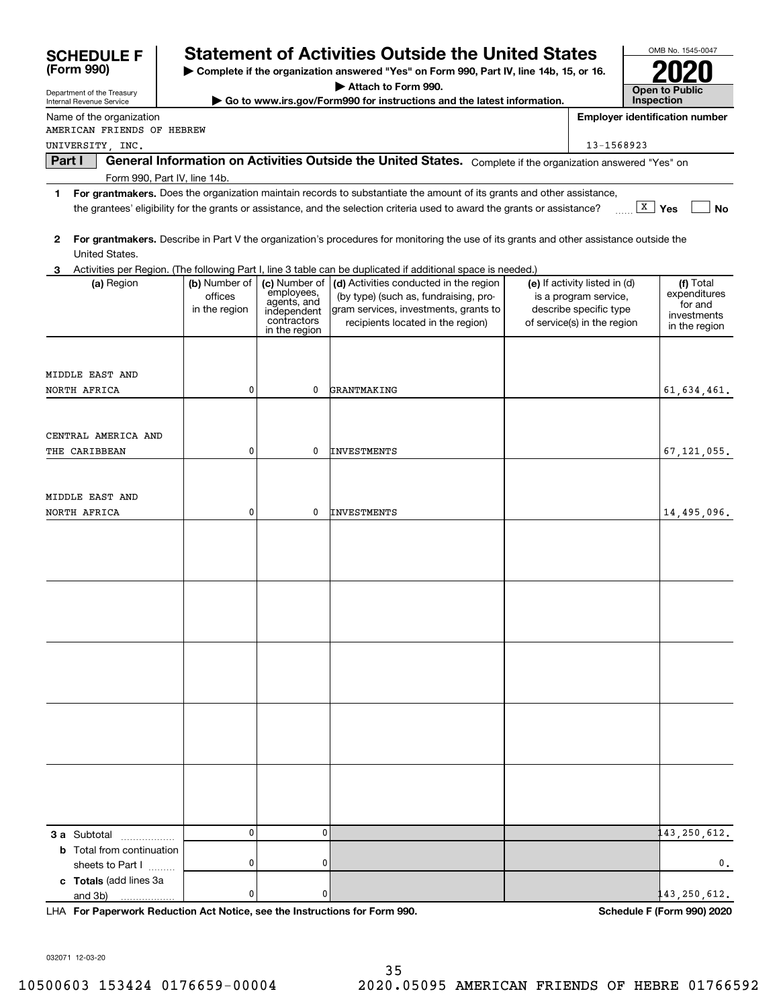| (Form 990)<br>Complete if the organization answered "Yes" on Form 990, Part IV, line 14b, 15, or 16.<br>Attach to Form 990.<br><b>Open to Public</b><br>Department of the Treasury<br>Inspection<br>Go to www.irs.gov/Form990 for instructions and the latest information.<br>Internal Revenue Service<br><b>Employer identification number</b><br>Name of the organization<br>AMERICAN FRIENDS OF HEBREW<br>13-1568923<br>UNIVERSITY, INC.<br>General Information on Activities Outside the United States. Complete if the organization answered "Yes" on<br>Part I<br>Form 990, Part IV, line 14b.<br>For grantmakers. Does the organization maintain records to substantiate the amount of its grants and other assistance,<br>1.<br>$\overline{X}$ Yes<br><b>No</b><br>the grantees' eligibility for the grants or assistance, and the selection criteria used to award the grants or assistance?<br>For grantmakers. Describe in Part V the organization's procedures for monitoring the use of its grants and other assistance outside the<br>2<br>United States.<br>Activities per Region. (The following Part I, line 3 table can be duplicated if additional space is needed.)<br>(b) Number of<br>(c) Number of<br>(d) Activities conducted in the region<br>(e) If activity listed in (d)<br>(f) Total<br>(a) Region<br>employees,<br>expenditures<br>offices<br>(by type) (such as, fundraising, pro-<br>is a program service,<br>agents, and<br>for and<br>gram services, investments, grants to<br>describe specific type<br>in the region<br>independent<br>investments<br>contractors<br>recipients located in the region)<br>of service(s) in the region<br>in the region<br>in the region<br>MIDDLE EAST AND<br>$\mathbf 0$<br>GRANTMAKING<br>NORTH AFRICA<br>0<br>61, 634, 461.<br>CENTRAL AMERICA AND<br>$\mathbf 0$<br>THE CARIBBEAN<br>0<br><b>INVESTMENTS</b><br>67, 121, 055.<br>MIDDLE EAST AND<br>$\mathbf 0$<br>INVESTMENTS<br>14,495,096.<br>NORTH AFRICA<br>0<br>43, 250, 612.<br>$\mathbf 0$<br>$\mathbf{0}$<br><b>3 a</b> Subtotal<br><b>b</b> Total from continuation | <b>SCHEDULE F</b> |  | <b>Statement of Activities Outside the United States</b> |  | OMB No. 1545-0047 |
|-------------------------------------------------------------------------------------------------------------------------------------------------------------------------------------------------------------------------------------------------------------------------------------------------------------------------------------------------------------------------------------------------------------------------------------------------------------------------------------------------------------------------------------------------------------------------------------------------------------------------------------------------------------------------------------------------------------------------------------------------------------------------------------------------------------------------------------------------------------------------------------------------------------------------------------------------------------------------------------------------------------------------------------------------------------------------------------------------------------------------------------------------------------------------------------------------------------------------------------------------------------------------------------------------------------------------------------------------------------------------------------------------------------------------------------------------------------------------------------------------------------------------------------------------------------------------------------------------------------------------------------------------------------------------------------------------------------------------------------------------------------------------------------------------------------------------------------------------------------------------------------------------------------------------------------------------------------------------------------------------------------------------------------------------------------------------------------------------------|-------------------|--|----------------------------------------------------------|--|-------------------|
|                                                                                                                                                                                                                                                                                                                                                                                                                                                                                                                                                                                                                                                                                                                                                                                                                                                                                                                                                                                                                                                                                                                                                                                                                                                                                                                                                                                                                                                                                                                                                                                                                                                                                                                                                                                                                                                                                                                                                                                                                                                                                                       |                   |  |                                                          |  |                   |
|                                                                                                                                                                                                                                                                                                                                                                                                                                                                                                                                                                                                                                                                                                                                                                                                                                                                                                                                                                                                                                                                                                                                                                                                                                                                                                                                                                                                                                                                                                                                                                                                                                                                                                                                                                                                                                                                                                                                                                                                                                                                                                       |                   |  |                                                          |  |                   |
|                                                                                                                                                                                                                                                                                                                                                                                                                                                                                                                                                                                                                                                                                                                                                                                                                                                                                                                                                                                                                                                                                                                                                                                                                                                                                                                                                                                                                                                                                                                                                                                                                                                                                                                                                                                                                                                                                                                                                                                                                                                                                                       |                   |  |                                                          |  |                   |
|                                                                                                                                                                                                                                                                                                                                                                                                                                                                                                                                                                                                                                                                                                                                                                                                                                                                                                                                                                                                                                                                                                                                                                                                                                                                                                                                                                                                                                                                                                                                                                                                                                                                                                                                                                                                                                                                                                                                                                                                                                                                                                       |                   |  |                                                          |  |                   |
|                                                                                                                                                                                                                                                                                                                                                                                                                                                                                                                                                                                                                                                                                                                                                                                                                                                                                                                                                                                                                                                                                                                                                                                                                                                                                                                                                                                                                                                                                                                                                                                                                                                                                                                                                                                                                                                                                                                                                                                                                                                                                                       |                   |  |                                                          |  |                   |
|                                                                                                                                                                                                                                                                                                                                                                                                                                                                                                                                                                                                                                                                                                                                                                                                                                                                                                                                                                                                                                                                                                                                                                                                                                                                                                                                                                                                                                                                                                                                                                                                                                                                                                                                                                                                                                                                                                                                                                                                                                                                                                       |                   |  |                                                          |  |                   |
|                                                                                                                                                                                                                                                                                                                                                                                                                                                                                                                                                                                                                                                                                                                                                                                                                                                                                                                                                                                                                                                                                                                                                                                                                                                                                                                                                                                                                                                                                                                                                                                                                                                                                                                                                                                                                                                                                                                                                                                                                                                                                                       |                   |  |                                                          |  |                   |
|                                                                                                                                                                                                                                                                                                                                                                                                                                                                                                                                                                                                                                                                                                                                                                                                                                                                                                                                                                                                                                                                                                                                                                                                                                                                                                                                                                                                                                                                                                                                                                                                                                                                                                                                                                                                                                                                                                                                                                                                                                                                                                       |                   |  |                                                          |  |                   |
|                                                                                                                                                                                                                                                                                                                                                                                                                                                                                                                                                                                                                                                                                                                                                                                                                                                                                                                                                                                                                                                                                                                                                                                                                                                                                                                                                                                                                                                                                                                                                                                                                                                                                                                                                                                                                                                                                                                                                                                                                                                                                                       |                   |  |                                                          |  |                   |
|                                                                                                                                                                                                                                                                                                                                                                                                                                                                                                                                                                                                                                                                                                                                                                                                                                                                                                                                                                                                                                                                                                                                                                                                                                                                                                                                                                                                                                                                                                                                                                                                                                                                                                                                                                                                                                                                                                                                                                                                                                                                                                       |                   |  |                                                          |  |                   |
|                                                                                                                                                                                                                                                                                                                                                                                                                                                                                                                                                                                                                                                                                                                                                                                                                                                                                                                                                                                                                                                                                                                                                                                                                                                                                                                                                                                                                                                                                                                                                                                                                                                                                                                                                                                                                                                                                                                                                                                                                                                                                                       |                   |  |                                                          |  |                   |
|                                                                                                                                                                                                                                                                                                                                                                                                                                                                                                                                                                                                                                                                                                                                                                                                                                                                                                                                                                                                                                                                                                                                                                                                                                                                                                                                                                                                                                                                                                                                                                                                                                                                                                                                                                                                                                                                                                                                                                                                                                                                                                       |                   |  |                                                          |  |                   |
|                                                                                                                                                                                                                                                                                                                                                                                                                                                                                                                                                                                                                                                                                                                                                                                                                                                                                                                                                                                                                                                                                                                                                                                                                                                                                                                                                                                                                                                                                                                                                                                                                                                                                                                                                                                                                                                                                                                                                                                                                                                                                                       |                   |  |                                                          |  |                   |
|                                                                                                                                                                                                                                                                                                                                                                                                                                                                                                                                                                                                                                                                                                                                                                                                                                                                                                                                                                                                                                                                                                                                                                                                                                                                                                                                                                                                                                                                                                                                                                                                                                                                                                                                                                                                                                                                                                                                                                                                                                                                                                       |                   |  |                                                          |  |                   |
|                                                                                                                                                                                                                                                                                                                                                                                                                                                                                                                                                                                                                                                                                                                                                                                                                                                                                                                                                                                                                                                                                                                                                                                                                                                                                                                                                                                                                                                                                                                                                                                                                                                                                                                                                                                                                                                                                                                                                                                                                                                                                                       |                   |  |                                                          |  |                   |
|                                                                                                                                                                                                                                                                                                                                                                                                                                                                                                                                                                                                                                                                                                                                                                                                                                                                                                                                                                                                                                                                                                                                                                                                                                                                                                                                                                                                                                                                                                                                                                                                                                                                                                                                                                                                                                                                                                                                                                                                                                                                                                       |                   |  |                                                          |  |                   |
|                                                                                                                                                                                                                                                                                                                                                                                                                                                                                                                                                                                                                                                                                                                                                                                                                                                                                                                                                                                                                                                                                                                                                                                                                                                                                                                                                                                                                                                                                                                                                                                                                                                                                                                                                                                                                                                                                                                                                                                                                                                                                                       |                   |  |                                                          |  |                   |
|                                                                                                                                                                                                                                                                                                                                                                                                                                                                                                                                                                                                                                                                                                                                                                                                                                                                                                                                                                                                                                                                                                                                                                                                                                                                                                                                                                                                                                                                                                                                                                                                                                                                                                                                                                                                                                                                                                                                                                                                                                                                                                       |                   |  |                                                          |  |                   |
|                                                                                                                                                                                                                                                                                                                                                                                                                                                                                                                                                                                                                                                                                                                                                                                                                                                                                                                                                                                                                                                                                                                                                                                                                                                                                                                                                                                                                                                                                                                                                                                                                                                                                                                                                                                                                                                                                                                                                                                                                                                                                                       |                   |  |                                                          |  |                   |
|                                                                                                                                                                                                                                                                                                                                                                                                                                                                                                                                                                                                                                                                                                                                                                                                                                                                                                                                                                                                                                                                                                                                                                                                                                                                                                                                                                                                                                                                                                                                                                                                                                                                                                                                                                                                                                                                                                                                                                                                                                                                                                       |                   |  |                                                          |  |                   |
|                                                                                                                                                                                                                                                                                                                                                                                                                                                                                                                                                                                                                                                                                                                                                                                                                                                                                                                                                                                                                                                                                                                                                                                                                                                                                                                                                                                                                                                                                                                                                                                                                                                                                                                                                                                                                                                                                                                                                                                                                                                                                                       |                   |  |                                                          |  |                   |
|                                                                                                                                                                                                                                                                                                                                                                                                                                                                                                                                                                                                                                                                                                                                                                                                                                                                                                                                                                                                                                                                                                                                                                                                                                                                                                                                                                                                                                                                                                                                                                                                                                                                                                                                                                                                                                                                                                                                                                                                                                                                                                       |                   |  |                                                          |  |                   |
|                                                                                                                                                                                                                                                                                                                                                                                                                                                                                                                                                                                                                                                                                                                                                                                                                                                                                                                                                                                                                                                                                                                                                                                                                                                                                                                                                                                                                                                                                                                                                                                                                                                                                                                                                                                                                                                                                                                                                                                                                                                                                                       |                   |  |                                                          |  |                   |
|                                                                                                                                                                                                                                                                                                                                                                                                                                                                                                                                                                                                                                                                                                                                                                                                                                                                                                                                                                                                                                                                                                                                                                                                                                                                                                                                                                                                                                                                                                                                                                                                                                                                                                                                                                                                                                                                                                                                                                                                                                                                                                       |                   |  |                                                          |  |                   |
|                                                                                                                                                                                                                                                                                                                                                                                                                                                                                                                                                                                                                                                                                                                                                                                                                                                                                                                                                                                                                                                                                                                                                                                                                                                                                                                                                                                                                                                                                                                                                                                                                                                                                                                                                                                                                                                                                                                                                                                                                                                                                                       |                   |  |                                                          |  |                   |
|                                                                                                                                                                                                                                                                                                                                                                                                                                                                                                                                                                                                                                                                                                                                                                                                                                                                                                                                                                                                                                                                                                                                                                                                                                                                                                                                                                                                                                                                                                                                                                                                                                                                                                                                                                                                                                                                                                                                                                                                                                                                                                       |                   |  |                                                          |  |                   |
|                                                                                                                                                                                                                                                                                                                                                                                                                                                                                                                                                                                                                                                                                                                                                                                                                                                                                                                                                                                                                                                                                                                                                                                                                                                                                                                                                                                                                                                                                                                                                                                                                                                                                                                                                                                                                                                                                                                                                                                                                                                                                                       |                   |  |                                                          |  |                   |
|                                                                                                                                                                                                                                                                                                                                                                                                                                                                                                                                                                                                                                                                                                                                                                                                                                                                                                                                                                                                                                                                                                                                                                                                                                                                                                                                                                                                                                                                                                                                                                                                                                                                                                                                                                                                                                                                                                                                                                                                                                                                                                       |                   |  |                                                          |  |                   |
|                                                                                                                                                                                                                                                                                                                                                                                                                                                                                                                                                                                                                                                                                                                                                                                                                                                                                                                                                                                                                                                                                                                                                                                                                                                                                                                                                                                                                                                                                                                                                                                                                                                                                                                                                                                                                                                                                                                                                                                                                                                                                                       |                   |  |                                                          |  |                   |
|                                                                                                                                                                                                                                                                                                                                                                                                                                                                                                                                                                                                                                                                                                                                                                                                                                                                                                                                                                                                                                                                                                                                                                                                                                                                                                                                                                                                                                                                                                                                                                                                                                                                                                                                                                                                                                                                                                                                                                                                                                                                                                       |                   |  |                                                          |  |                   |
|                                                                                                                                                                                                                                                                                                                                                                                                                                                                                                                                                                                                                                                                                                                                                                                                                                                                                                                                                                                                                                                                                                                                                                                                                                                                                                                                                                                                                                                                                                                                                                                                                                                                                                                                                                                                                                                                                                                                                                                                                                                                                                       |                   |  |                                                          |  |                   |
|                                                                                                                                                                                                                                                                                                                                                                                                                                                                                                                                                                                                                                                                                                                                                                                                                                                                                                                                                                                                                                                                                                                                                                                                                                                                                                                                                                                                                                                                                                                                                                                                                                                                                                                                                                                                                                                                                                                                                                                                                                                                                                       |                   |  |                                                          |  |                   |
|                                                                                                                                                                                                                                                                                                                                                                                                                                                                                                                                                                                                                                                                                                                                                                                                                                                                                                                                                                                                                                                                                                                                                                                                                                                                                                                                                                                                                                                                                                                                                                                                                                                                                                                                                                                                                                                                                                                                                                                                                                                                                                       |                   |  |                                                          |  |                   |
|                                                                                                                                                                                                                                                                                                                                                                                                                                                                                                                                                                                                                                                                                                                                                                                                                                                                                                                                                                                                                                                                                                                                                                                                                                                                                                                                                                                                                                                                                                                                                                                                                                                                                                                                                                                                                                                                                                                                                                                                                                                                                                       |                   |  |                                                          |  |                   |
|                                                                                                                                                                                                                                                                                                                                                                                                                                                                                                                                                                                                                                                                                                                                                                                                                                                                                                                                                                                                                                                                                                                                                                                                                                                                                                                                                                                                                                                                                                                                                                                                                                                                                                                                                                                                                                                                                                                                                                                                                                                                                                       |                   |  |                                                          |  |                   |
|                                                                                                                                                                                                                                                                                                                                                                                                                                                                                                                                                                                                                                                                                                                                                                                                                                                                                                                                                                                                                                                                                                                                                                                                                                                                                                                                                                                                                                                                                                                                                                                                                                                                                                                                                                                                                                                                                                                                                                                                                                                                                                       |                   |  |                                                          |  |                   |
|                                                                                                                                                                                                                                                                                                                                                                                                                                                                                                                                                                                                                                                                                                                                                                                                                                                                                                                                                                                                                                                                                                                                                                                                                                                                                                                                                                                                                                                                                                                                                                                                                                                                                                                                                                                                                                                                                                                                                                                                                                                                                                       |                   |  |                                                          |  |                   |
|                                                                                                                                                                                                                                                                                                                                                                                                                                                                                                                                                                                                                                                                                                                                                                                                                                                                                                                                                                                                                                                                                                                                                                                                                                                                                                                                                                                                                                                                                                                                                                                                                                                                                                                                                                                                                                                                                                                                                                                                                                                                                                       |                   |  |                                                          |  |                   |
|                                                                                                                                                                                                                                                                                                                                                                                                                                                                                                                                                                                                                                                                                                                                                                                                                                                                                                                                                                                                                                                                                                                                                                                                                                                                                                                                                                                                                                                                                                                                                                                                                                                                                                                                                                                                                                                                                                                                                                                                                                                                                                       |                   |  |                                                          |  |                   |
|                                                                                                                                                                                                                                                                                                                                                                                                                                                                                                                                                                                                                                                                                                                                                                                                                                                                                                                                                                                                                                                                                                                                                                                                                                                                                                                                                                                                                                                                                                                                                                                                                                                                                                                                                                                                                                                                                                                                                                                                                                                                                                       |                   |  |                                                          |  |                   |
|                                                                                                                                                                                                                                                                                                                                                                                                                                                                                                                                                                                                                                                                                                                                                                                                                                                                                                                                                                                                                                                                                                                                                                                                                                                                                                                                                                                                                                                                                                                                                                                                                                                                                                                                                                                                                                                                                                                                                                                                                                                                                                       |                   |  |                                                          |  |                   |
|                                                                                                                                                                                                                                                                                                                                                                                                                                                                                                                                                                                                                                                                                                                                                                                                                                                                                                                                                                                                                                                                                                                                                                                                                                                                                                                                                                                                                                                                                                                                                                                                                                                                                                                                                                                                                                                                                                                                                                                                                                                                                                       |                   |  |                                                          |  |                   |
|                                                                                                                                                                                                                                                                                                                                                                                                                                                                                                                                                                                                                                                                                                                                                                                                                                                                                                                                                                                                                                                                                                                                                                                                                                                                                                                                                                                                                                                                                                                                                                                                                                                                                                                                                                                                                                                                                                                                                                                                                                                                                                       |                   |  |                                                          |  |                   |
|                                                                                                                                                                                                                                                                                                                                                                                                                                                                                                                                                                                                                                                                                                                                                                                                                                                                                                                                                                                                                                                                                                                                                                                                                                                                                                                                                                                                                                                                                                                                                                                                                                                                                                                                                                                                                                                                                                                                                                                                                                                                                                       |                   |  |                                                          |  |                   |
|                                                                                                                                                                                                                                                                                                                                                                                                                                                                                                                                                                                                                                                                                                                                                                                                                                                                                                                                                                                                                                                                                                                                                                                                                                                                                                                                                                                                                                                                                                                                                                                                                                                                                                                                                                                                                                                                                                                                                                                                                                                                                                       |                   |  |                                                          |  |                   |
|                                                                                                                                                                                                                                                                                                                                                                                                                                                                                                                                                                                                                                                                                                                                                                                                                                                                                                                                                                                                                                                                                                                                                                                                                                                                                                                                                                                                                                                                                                                                                                                                                                                                                                                                                                                                                                                                                                                                                                                                                                                                                                       |                   |  |                                                          |  |                   |
|                                                                                                                                                                                                                                                                                                                                                                                                                                                                                                                                                                                                                                                                                                                                                                                                                                                                                                                                                                                                                                                                                                                                                                                                                                                                                                                                                                                                                                                                                                                                                                                                                                                                                                                                                                                                                                                                                                                                                                                                                                                                                                       |                   |  |                                                          |  |                   |
|                                                                                                                                                                                                                                                                                                                                                                                                                                                                                                                                                                                                                                                                                                                                                                                                                                                                                                                                                                                                                                                                                                                                                                                                                                                                                                                                                                                                                                                                                                                                                                                                                                                                                                                                                                                                                                                                                                                                                                                                                                                                                                       |                   |  |                                                          |  |                   |
|                                                                                                                                                                                                                                                                                                                                                                                                                                                                                                                                                                                                                                                                                                                                                                                                                                                                                                                                                                                                                                                                                                                                                                                                                                                                                                                                                                                                                                                                                                                                                                                                                                                                                                                                                                                                                                                                                                                                                                                                                                                                                                       |                   |  |                                                          |  |                   |
| 0<br>0<br>0.<br>sheets to Part I                                                                                                                                                                                                                                                                                                                                                                                                                                                                                                                                                                                                                                                                                                                                                                                                                                                                                                                                                                                                                                                                                                                                                                                                                                                                                                                                                                                                                                                                                                                                                                                                                                                                                                                                                                                                                                                                                                                                                                                                                                                                      |                   |  |                                                          |  |                   |
| c Totals (add lines 3a<br>0<br>0<br>.43,250,612.<br>and 3b)                                                                                                                                                                                                                                                                                                                                                                                                                                                                                                                                                                                                                                                                                                                                                                                                                                                                                                                                                                                                                                                                                                                                                                                                                                                                                                                                                                                                                                                                                                                                                                                                                                                                                                                                                                                                                                                                                                                                                                                                                                           |                   |  |                                                          |  |                   |

**For Paperwork Reduction Act Notice, see the Instructions for Form 990. Schedule F (Form 990) 2020** LHA

032071 12-03-20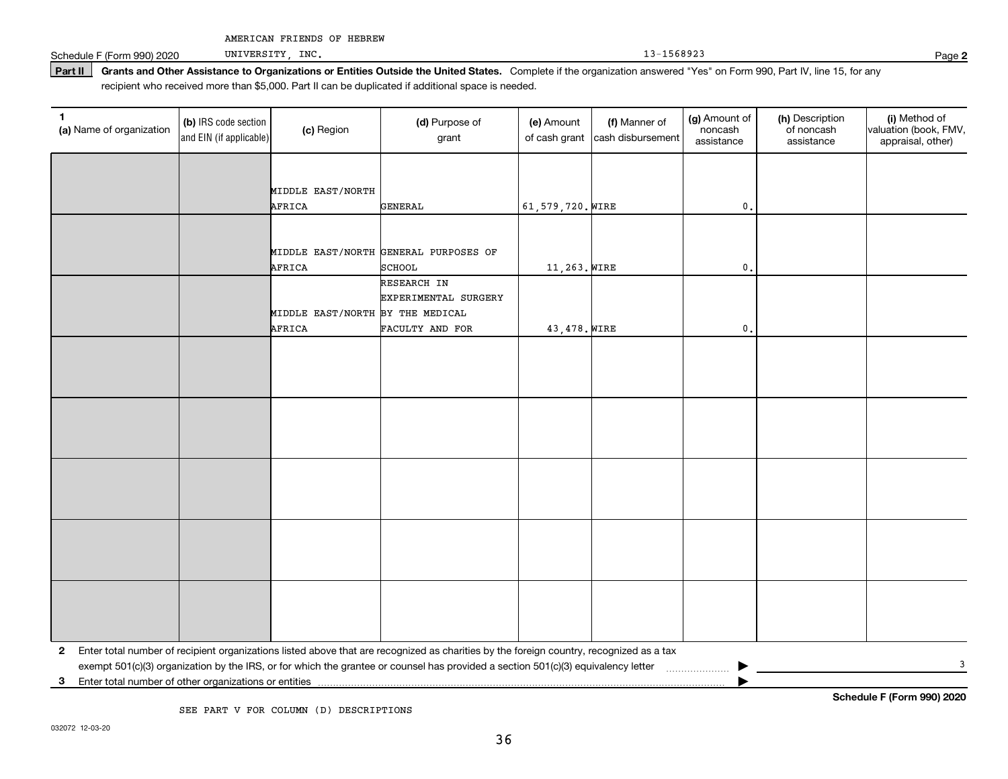Schedule F (Form 990) 2020 UNIVERSITY, INC. The contract of the contract of the contract of the contract of the contract of the contract of the contract of the contract of the contract of the contract of the contract of th

UNIVERSITY, INC.

Part II | Grants and Other Assistance to Organizations or Entities Outside the United States. Complete if the organization answered "Yes" on Form 990, Part IV, line 15, for any recipient who received more than \$5,000. Part II can be duplicated if additional space is needed.

| $\mathbf{1}$<br>(a) Name of organization | (b) IRS code section<br>and EIN (if applicable) | (c) Region                       | (d) Purpose of<br>grant                                                                                                                 | (e) Amount<br>of cash grant | (f) Manner of<br>cash disbursement | (g) Amount of<br>noncash<br>assistance | (h) Description<br>of noncash<br>assistance | (i) Method of<br>valuation (book, FMV,<br>appraisal, other) |
|------------------------------------------|-------------------------------------------------|----------------------------------|-----------------------------------------------------------------------------------------------------------------------------------------|-----------------------------|------------------------------------|----------------------------------------|---------------------------------------------|-------------------------------------------------------------|
|                                          |                                                 |                                  |                                                                                                                                         |                             |                                    |                                        |                                             |                                                             |
|                                          |                                                 | MIDDLE EAST/NORTH                |                                                                                                                                         |                             |                                    |                                        |                                             |                                                             |
|                                          |                                                 | AFRICA                           | <b>GENERAL</b>                                                                                                                          | 61,579,720. WIRE            |                                    | $\mathbf{0}$ .                         |                                             |                                                             |
|                                          |                                                 |                                  |                                                                                                                                         |                             |                                    |                                        |                                             |                                                             |
|                                          |                                                 |                                  | MIDDLE EAST/NORTH GENERAL PURPOSES OF                                                                                                   |                             |                                    |                                        |                                             |                                                             |
|                                          |                                                 | AFRICA                           | <b>SCHOOL</b>                                                                                                                           | 11,263. WIRE                |                                    | 0.                                     |                                             |                                                             |
|                                          |                                                 |                                  | RESEARCH IN                                                                                                                             |                             |                                    |                                        |                                             |                                                             |
|                                          |                                                 |                                  | EXPERIMENTAL SURGERY                                                                                                                    |                             |                                    |                                        |                                             |                                                             |
|                                          |                                                 | MIDDLE EAST/NORTH BY THE MEDICAL |                                                                                                                                         |                             |                                    |                                        |                                             |                                                             |
|                                          |                                                 | AFRICA                           | FACULTY AND FOR                                                                                                                         | 43,478. WIRE                |                                    | $\mathbf{0}$                           |                                             |                                                             |
|                                          |                                                 |                                  |                                                                                                                                         |                             |                                    |                                        |                                             |                                                             |
|                                          |                                                 |                                  |                                                                                                                                         |                             |                                    |                                        |                                             |                                                             |
|                                          |                                                 |                                  |                                                                                                                                         |                             |                                    |                                        |                                             |                                                             |
|                                          |                                                 |                                  |                                                                                                                                         |                             |                                    |                                        |                                             |                                                             |
|                                          |                                                 |                                  |                                                                                                                                         |                             |                                    |                                        |                                             |                                                             |
|                                          |                                                 |                                  |                                                                                                                                         |                             |                                    |                                        |                                             |                                                             |
|                                          |                                                 |                                  |                                                                                                                                         |                             |                                    |                                        |                                             |                                                             |
|                                          |                                                 |                                  |                                                                                                                                         |                             |                                    |                                        |                                             |                                                             |
|                                          |                                                 |                                  |                                                                                                                                         |                             |                                    |                                        |                                             |                                                             |
|                                          |                                                 |                                  |                                                                                                                                         |                             |                                    |                                        |                                             |                                                             |
|                                          |                                                 |                                  |                                                                                                                                         |                             |                                    |                                        |                                             |                                                             |
|                                          |                                                 |                                  |                                                                                                                                         |                             |                                    |                                        |                                             |                                                             |
|                                          |                                                 |                                  |                                                                                                                                         |                             |                                    |                                        |                                             |                                                             |
|                                          |                                                 |                                  |                                                                                                                                         |                             |                                    |                                        |                                             |                                                             |
|                                          |                                                 |                                  |                                                                                                                                         |                             |                                    |                                        |                                             |                                                             |
|                                          |                                                 |                                  |                                                                                                                                         |                             |                                    |                                        |                                             |                                                             |
| $\mathbf{2}$                             |                                                 |                                  | Enter total number of recipient organizations listed above that are recognized as charities by the foreign country, recognized as a tax |                             |                                    |                                        |                                             |                                                             |
|                                          |                                                 |                                  |                                                                                                                                         |                             |                                    |                                        |                                             | 3                                                           |
| 3                                        |                                                 |                                  |                                                                                                                                         |                             |                                    |                                        |                                             |                                                             |

SEE PART V FOR COLUMN (D) DESCRIPTIONS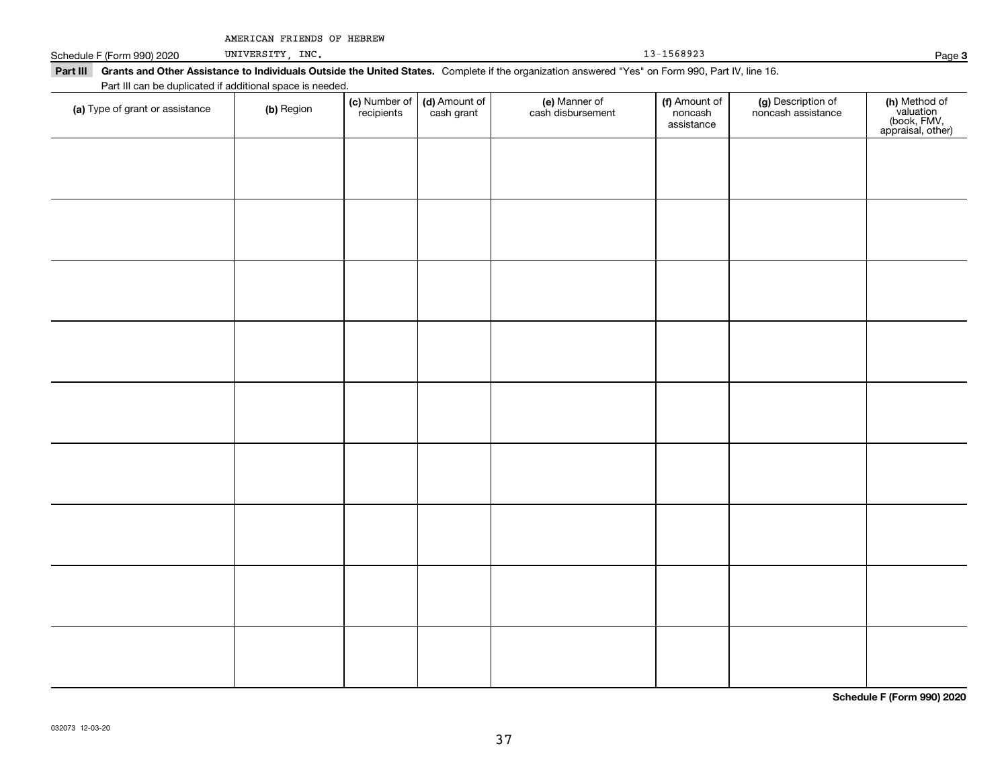| AMERICAN FRIENDS OF HEBREW |  |  |
|----------------------------|--|--|
|----------------------------|--|--|

Schedule F (Form 990) 2020 UNIVERSITY, INC.

UNIVERSITY, INC.

Part III Grants and Other Assistance to Individuals Outside the United States. Complete if the organization answered "Yes" on Form 990, Part IV, line 16. Part III can be duplicated if additional space is needed.

| r art in car be duplicated in additional space is riceded.<br>(a) Type of grant or assistance | (b) Region | (c) Number of<br>recipients | (d) Amount of<br>cash grant | (e) Manner of<br>cash disbursement | (f) Amount of<br>noncash<br>assistance | (g) Description of<br>noncash assistance | (h) Method of<br>valuation<br>(book, FMV,<br>appraisal, other) |
|-----------------------------------------------------------------------------------------------|------------|-----------------------------|-----------------------------|------------------------------------|----------------------------------------|------------------------------------------|----------------------------------------------------------------|
|                                                                                               |            |                             |                             |                                    |                                        |                                          |                                                                |
|                                                                                               |            |                             |                             |                                    |                                        |                                          |                                                                |
|                                                                                               |            |                             |                             |                                    |                                        |                                          |                                                                |
|                                                                                               |            |                             |                             |                                    |                                        |                                          |                                                                |
|                                                                                               |            |                             |                             |                                    |                                        |                                          |                                                                |
|                                                                                               |            |                             |                             |                                    |                                        |                                          |                                                                |
|                                                                                               |            |                             |                             |                                    |                                        |                                          |                                                                |
|                                                                                               |            |                             |                             |                                    |                                        |                                          |                                                                |
|                                                                                               |            |                             |                             |                                    |                                        |                                          |                                                                |
|                                                                                               |            |                             |                             |                                    |                                        |                                          |                                                                |
|                                                                                               |            |                             |                             |                                    |                                        |                                          |                                                                |

**Schedule F (Form 990) 2020**

**3**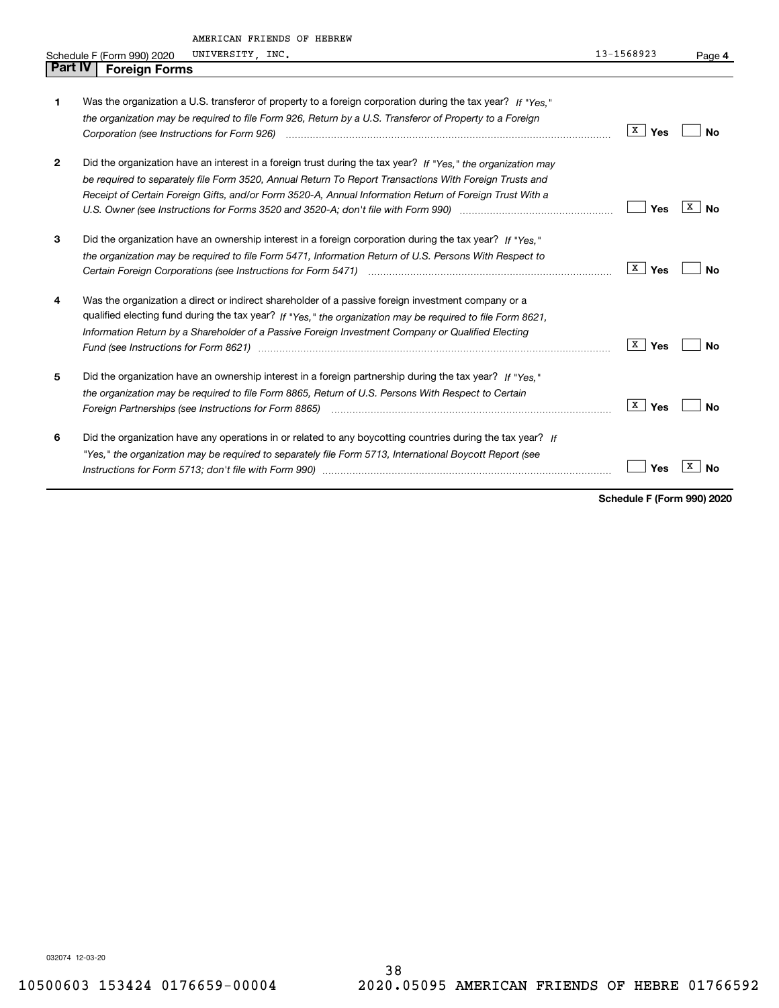| Part IV | AMERICAN FRIENDS OF HEBREW<br>UNIVERSITY, INC.<br>Schedule F (Form 990) 2020                                                                                                                                                                                                                                                                                                                                                                   | 13-1568923          | Page 4         |
|---------|------------------------------------------------------------------------------------------------------------------------------------------------------------------------------------------------------------------------------------------------------------------------------------------------------------------------------------------------------------------------------------------------------------------------------------------------|---------------------|----------------|
|         | <b>Foreign Forms</b>                                                                                                                                                                                                                                                                                                                                                                                                                           |                     |                |
| 1       | Was the organization a U.S. transferor of property to a foreign corporation during the tax year? If "Yes."<br>the organization may be required to file Form 926, Return by a U.S. Transferor of Property to a Foreign                                                                                                                                                                                                                          | X  <br>Yes          | No             |
| 2       | Did the organization have an interest in a foreign trust during the tax year? If "Yes," the organization may<br>be required to separately file Form 3520, Annual Return To Report Transactions With Foreign Trusts and<br>Receipt of Certain Foreign Gifts, and/or Form 3520-A, Annual Information Return of Foreign Trust With a                                                                                                              | Yes                 | x<br><b>No</b> |
| З       | Did the organization have an ownership interest in a foreign corporation during the tax year? If "Yes."<br>the organization may be required to file Form 5471, Information Return of U.S. Persons With Respect to                                                                                                                                                                                                                              | X <br>Yes           | <b>No</b>      |
| 4       | Was the organization a direct or indirect shareholder of a passive foreign investment company or a<br>qualified electing fund during the tax year? If "Yes," the organization may be required to file Form 8621,<br>Information Return by a Shareholder of a Passive Foreign Investment Company or Qualified Electing                                                                                                                          | $\mathbf{X}$<br>Yes | <b>No</b>      |
| 5       | Did the organization have an ownership interest in a foreign partnership during the tax year? If "Yes."<br>the organization may be required to file Form 8865, Return of U.S. Persons With Respect to Certain<br>Foreign Partnerships (see Instructions for Form 8865) manufactured contain the control of the control of the control of the control of the control of the control of the control of the control of the control of the control | X  <br>Yes          | <b>No</b>      |
| 6       | Did the organization have any operations in or related to any boycotting countries during the tax year? If<br>"Yes," the organization may be required to separately file Form 5713, International Boycott Report (see                                                                                                                                                                                                                          | Yes                 | x<br><b>No</b> |

**Schedule F (Form 990) 2020**

032074 12-03-20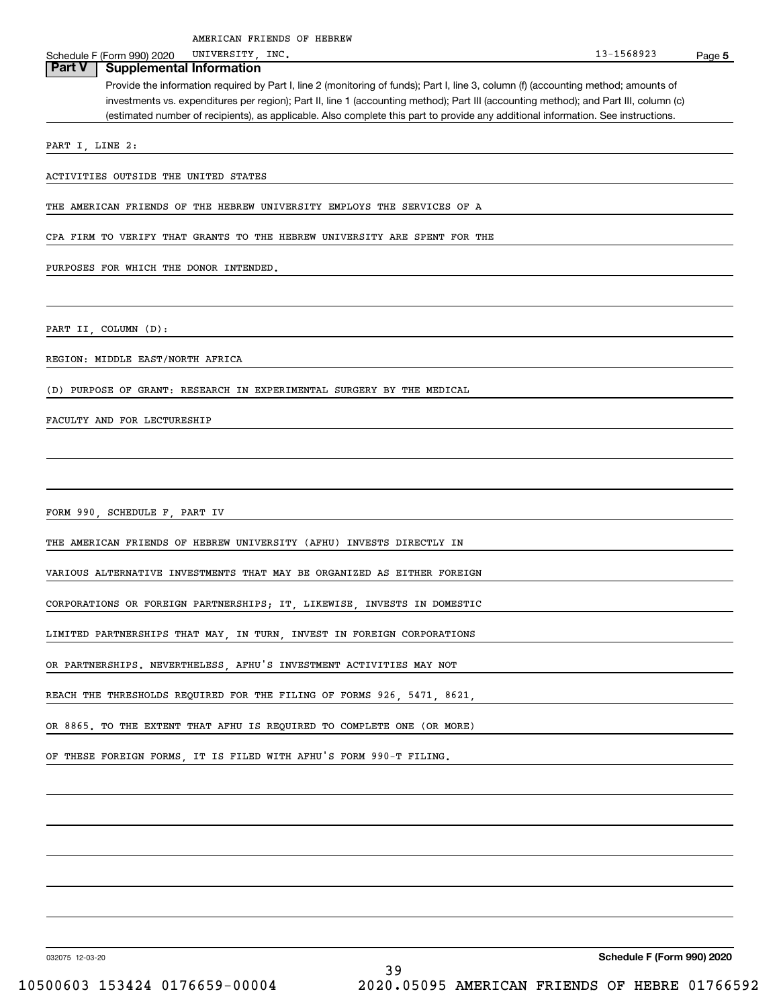**5** Schedule F (Form 990) 2020 UNIVERSITY, INC. Schedule F (Form 990) 2020 UNIVERSITY, INC. Provide the information required by Part I, line 2 (monitoring of funds); Part I, line 3, column (f) (accounting method; amounts of investments vs. expenditures per region); Part II, line 1 (accounting method); Part III (accounting method); and Part III, column (c) (estimated number of recipients), as applicable. Also complete this part to provide any additional information. See instructions. **Part V Supplemental Information** PART I, LINE 2: ACTIVITIES OUTSIDE THE UNITED STATES THE AMERICAN FRIENDS OF THE HEBREW UNIVERSITY EMPLOYS THE SERVICES OF A CPA FIRM TO VERIFY THAT GRANTS TO THE HEBREW UNIVERSITY ARE SPENT FOR THE PURPOSES FOR WHICH THE DONOR INTENDED. PART II, COLUMN (D): REGION: MIDDLE EAST/NORTH AFRICA (D) PURPOSE OF GRANT: RESEARCH IN EXPERIMENTAL SURGERY BY THE MEDICAL FACULTY AND FOR LECTURESHIP FORM 990, SCHEDULE F, PART IV THE AMERICAN FRIENDS OF HEBREW UNIVERSITY (AFHU) INVESTS DIRECTLY IN VARIOUS ALTERNATIVE INVESTMENTS THAT MAY BE ORGANIZED AS EITHER FOREIGN CORPORATIONS OR FOREIGN PARTNERSHIPS; IT, LIKEWISE, INVESTS IN DOMESTIC LIMITED PARTNERSHIPS THAT MAY, IN TURN, INVEST IN FOREIGN CORPORATIONS OR PARTNERSHIPS. NEVERTHELESS, AFHU'S INVESTMENT ACTIVITIES MAY NOT REACH THE THRESHOLDS REQUIRED FOR THE FILING OF FORMS 926, 5471, 8621, OR 8865. TO THE EXTENT THAT AFHU IS REQUIRED TO COMPLETE ONE (OR MORE) UNIVERSITY, AMERICAN FRIENDS OF HEBREW

OF THESE FOREIGN FORMS, IT IS FILED WITH AFHU'S FORM 990-T FILING.

032075 12-03-20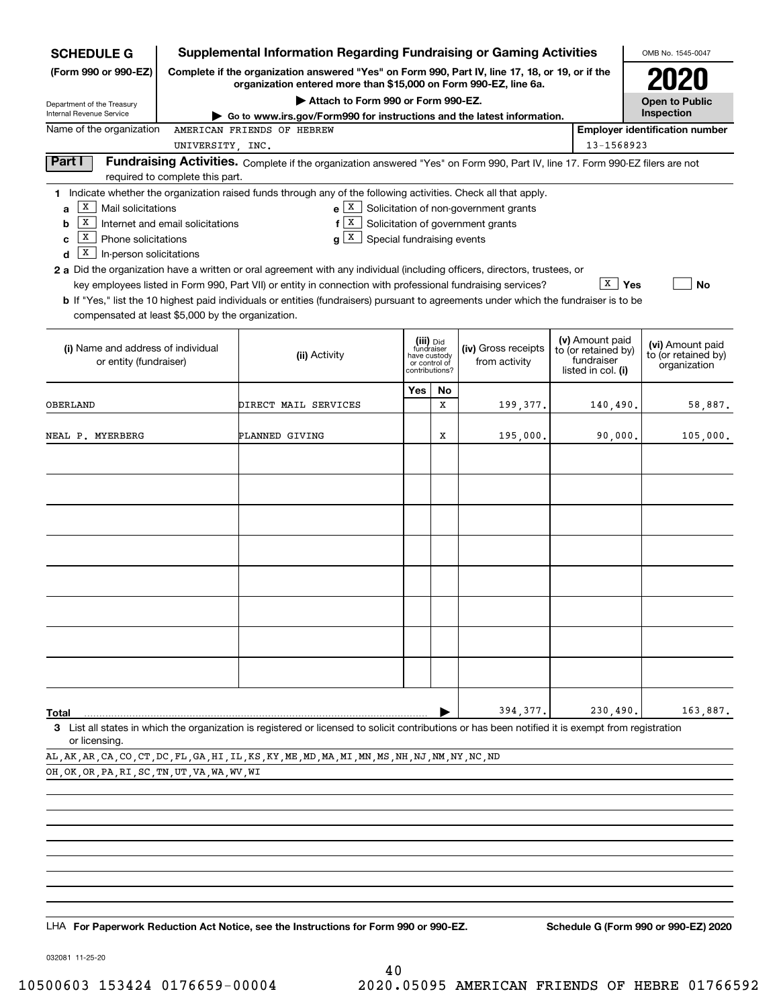| <b>SCHEDULE G</b>                                                                                              |                                                                                                                                                                                                                   | <b>Supplemental Information Regarding Fundraising or Gaming Activities</b>                                                                                                                                                                                                                                                                                                                |     |         |                                                                                  |                                                         | OMB No. 1545-0047                     |
|----------------------------------------------------------------------------------------------------------------|-------------------------------------------------------------------------------------------------------------------------------------------------------------------------------------------------------------------|-------------------------------------------------------------------------------------------------------------------------------------------------------------------------------------------------------------------------------------------------------------------------------------------------------------------------------------------------------------------------------------------|-----|---------|----------------------------------------------------------------------------------|---------------------------------------------------------|---------------------------------------|
| (Form 990 or 990-EZ)                                                                                           |                                                                                                                                                                                                                   | Complete if the organization answered "Yes" on Form 990, Part IV, line 17, 18, or 19, or if the<br>organization entered more than \$15,000 on Form 990-EZ, line 6a.                                                                                                                                                                                                                       |     |         |                                                                                  |                                                         |                                       |
| Department of the Treasury<br>Internal Revenue Service                                                         |                                                                                                                                                                                                                   | Attach to Form 990 or Form 990-EZ.<br>Go to www.irs.gov/Form990 for instructions and the latest information.                                                                                                                                                                                                                                                                              |     |         |                                                                                  |                                                         | <b>Open to Public</b><br>Inspection   |
| Name of the organization                                                                                       |                                                                                                                                                                                                                   | AMERICAN FRIENDS OF HEBREW                                                                                                                                                                                                                                                                                                                                                                |     |         |                                                                                  |                                                         | <b>Employer identification number</b> |
|                                                                                                                | UNIVERSITY, INC.                                                                                                                                                                                                  |                                                                                                                                                                                                                                                                                                                                                                                           |     |         |                                                                                  | 13-1568923                                              |                                       |
| Part I                                                                                                         | required to complete this part.                                                                                                                                                                                   | Fundraising Activities. Complete if the organization answered "Yes" on Form 990, Part IV, line 17. Form 990-EZ filers are not                                                                                                                                                                                                                                                             |     |         |                                                                                  |                                                         |                                       |
| X  <br>Mail solicitations<br>a<br>X<br>b<br>x<br>Phone solicitations<br>C<br>X<br>In-person solicitations<br>d | Internet and email solicitations                                                                                                                                                                                  | 1 Indicate whether the organization raised funds through any of the following activities. Check all that apply.<br>X<br>f<br>Special fundraising events<br>X<br>g                                                                                                                                                                                                                         |     |         | $e X$ Solicitation of non-government grants<br>Solicitation of government grants |                                                         |                                       |
| compensated at least \$5,000 by the organization.                                                              |                                                                                                                                                                                                                   | 2 a Did the organization have a written or oral agreement with any individual (including officers, directors, trustees, or<br>key employees listed in Form 990, Part VII) or entity in connection with professional fundraising services?<br><b>b</b> If "Yes," list the 10 highest paid individuals or entities (fundraisers) pursuant to agreements under which the fundraiser is to be |     |         |                                                                                  | $\sqrt{x}$ Yes                                          | No                                    |
| (i) Name and address of individual<br>or entity (fundraiser)                                                   | (v) Amount paid<br>(iii) Did<br>(iv) Gross receipts<br>fundraiser<br>to (or retained by)<br>(ii) Activity<br>have custody<br>fundraiser<br>from activity<br>or control of<br>contributions?<br>listed in col. (i) |                                                                                                                                                                                                                                                                                                                                                                                           |     |         |                                                                                  | (vi) Amount paid<br>to (or retained by)<br>organization |                                       |
| OBERLAND                                                                                                       |                                                                                                                                                                                                                   | DIRECT MAIL SERVICES                                                                                                                                                                                                                                                                                                                                                                      | Yes | No<br>x | 199,377.                                                                         | 140,490.                                                | 58,887.                               |
| NEAL P. MYERBERG                                                                                               |                                                                                                                                                                                                                   | PLANNED GIVING                                                                                                                                                                                                                                                                                                                                                                            |     | x       | 195,000.                                                                         | 90,000.                                                 | 105,000.                              |
|                                                                                                                |                                                                                                                                                                                                                   |                                                                                                                                                                                                                                                                                                                                                                                           |     |         |                                                                                  |                                                         |                                       |
|                                                                                                                |                                                                                                                                                                                                                   |                                                                                                                                                                                                                                                                                                                                                                                           |     |         |                                                                                  |                                                         |                                       |
|                                                                                                                |                                                                                                                                                                                                                   |                                                                                                                                                                                                                                                                                                                                                                                           |     |         |                                                                                  |                                                         |                                       |
|                                                                                                                |                                                                                                                                                                                                                   |                                                                                                                                                                                                                                                                                                                                                                                           |     |         |                                                                                  |                                                         |                                       |
|                                                                                                                |                                                                                                                                                                                                                   |                                                                                                                                                                                                                                                                                                                                                                                           |     |         |                                                                                  |                                                         |                                       |
|                                                                                                                |                                                                                                                                                                                                                   |                                                                                                                                                                                                                                                                                                                                                                                           |     |         |                                                                                  |                                                         |                                       |
|                                                                                                                |                                                                                                                                                                                                                   |                                                                                                                                                                                                                                                                                                                                                                                           |     |         |                                                                                  |                                                         |                                       |
|                                                                                                                |                                                                                                                                                                                                                   |                                                                                                                                                                                                                                                                                                                                                                                           |     |         |                                                                                  |                                                         |                                       |
| Total                                                                                                          |                                                                                                                                                                                                                   |                                                                                                                                                                                                                                                                                                                                                                                           |     |         | 394, 377.                                                                        | 230,490.                                                | 163,887.                              |
| or licensing.                                                                                                  |                                                                                                                                                                                                                   | 3 List all states in which the organization is registered or licensed to solicit contributions or has been notified it is exempt from registration                                                                                                                                                                                                                                        |     |         |                                                                                  |                                                         |                                       |

AL,AK,AR,CA,CO,CT,DC,FL,GA,HI,IL,KS,KY,ME,MD,MA,MI,MN,MS,NH,NJ,NM,NY,NC,ND

OH, OK, OR, PA, RI, SC, TN, UT, VA, WA, WV, WI

LHA For Paperwork Reduction Act Notice, see the Instructions for Form 990 or 990-EZ. Schedule G (Form 990 or 990-EZ) 2020

032081 11-25-20

40 10500603 153424 0176659-00004 2020.05095 AMERICAN FRIENDS OF HEBRE 01766592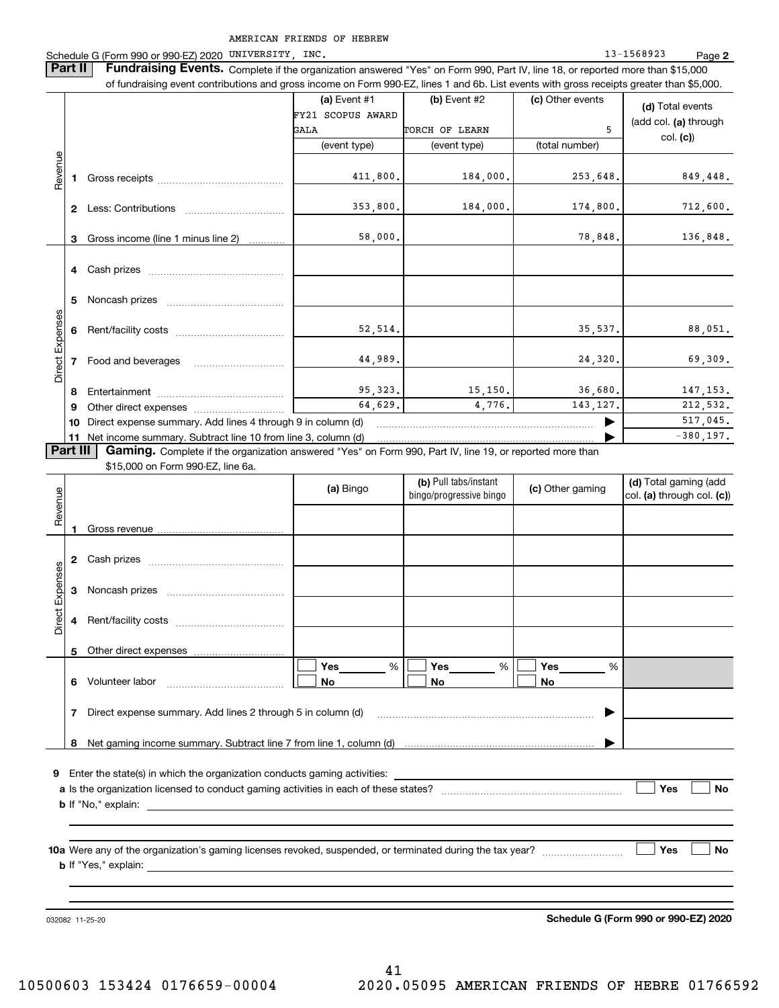Schedule G (Form 990 or 990-EZ) 2020 UNIVERSITY, INC. 13-1568923 Page **2Part II** | Fundraising Events. Complete if the organization answered "Yes" on Form 990, Part IV, line 18, or reported more than \$15,000 of fundraising event contributions and gross income on Form 990-EZ, lines 1 and 6b. List events with gross receipts greater than \$5,000. **(a)** Event #1  $\vert$  **(b)** Event #2 (c) Other events **(d)**  Total events FY21 SCOPUS AWARD (add col. **(a)** through GALA TORCH OF LEARN | 5 col. **(c)**) (event type) (event type) (total number) Revenue Revenue 849,448. 411,800. 184,000. 253,648. **1**Gross receipts ~~~~~~~~~~~~~~353,800. 184,000. 174,800. 712,600. **2** Less: Contributions ................................ 58,000. 78,848. 136,848. Gross income (line 1 minus line 2) **3**. . . . . . . . . . . . **4** Cash prizes \_\_\_\_\_\_\_\_\_\_\_\_\_\_\_\_\_\_\_\_\_\_\_\_\_\_\_\_\_\_\_\_ **5** Noncash prizes \_\_\_\_\_\_\_\_\_\_\_\_\_\_\_\_\_\_\_\_\_\_\_\_\_\_\_\_ Direct Expenses Direct Expense 52,514. 35,537. 88,051. **6**Rent/facility costs ~~~~~~~~~~~~44,989. 24,320. 69,309. **7**Food and beverages 95,323. 15,150. 36,680. 147,153. **8**Entertainment ~~~~~~~~~~~~~~ 64,629. 4,776. 143,127. 212,532. Other direct expenses ~~~~~~~~~~ **9**517,045.  $\blacktriangleright$ **10** Direct expense summary. Add lines 4 through 9 in column (d)  $-380,197.$ …… ▶ **11** Net income summary. Subtract line 10 from line 3, column (d)  $\sqrt{P}$ art III **Part III | Gaming.** Complete if the organization answered "Yes" on Form 990, Part IV, line 19, or reported more than \$15,000 on Form 990-EZ, line 6a. **(b)**  Pull tabs/instant **(d)**  Total gaming (add **(a)**  Revenue Bingo **Contract of Contract Contract Contract Contract Contract Contract Contract Contract Contract Contract Contract Contract Contract Contract Contract Contract Contract Contract Contract Contract Contract Contract Contr** Revenue bingo/progressive bingo col. **(a)** through col. **(c)**) Gross revenue **12** Cash prizes \_\_\_\_\_\_\_\_\_\_\_\_\_\_\_\_\_\_\_\_\_\_\_\_\_\_\_\_\_\_\_\_ Direct Expenses Direct Expenses **3**Noncash prizes **4**Rent/facility costs ~~~~~~~~~~~~**5**Other direct expenses  $\boxed{\Box}$  Yes \_\_\_\_\_\_\_ %  $\boxed{\Box}$  Yes \_\_\_\_\_\_\_ %  $\boxed{\Box}$  $\mathcal{L}^{\text{max}}$ %**Yes Yes Yes** % %  $\mathcal{L}^{\text{max}}$ **No6** Volunteer labor  $\ldots$   $\ldots$   $\ldots$   $\ldots$   $\ldots$   $\ldots$   $\ldots$   $\ldots$  **No No** Direct expense summary. Add lines 2 through 5 in column (d) **7**~~~~~~~~~~~~~~~~~~~~~~~~ | Net gaming income summary. Subtract line 7 from line 1, column (d) **8**…… ▶ **9**Enter the state(s) in which the organization conducts gaming activities: **Yes**  $\mathcal{L}^{\text{max}}$ **a**Is the organization licensed to conduct gaming activities in each of these states? ~~~~~~~~~~~~~~~~~~~~ **No b**If "No," explain: **Yes No 10a**Were any of the organization's gaming licenses revoked, suspended, or terminated during the tax year? **b** If "Yes," explain: 032082 11-25-20

**Schedule G (Form 990 or 990-EZ) 2020**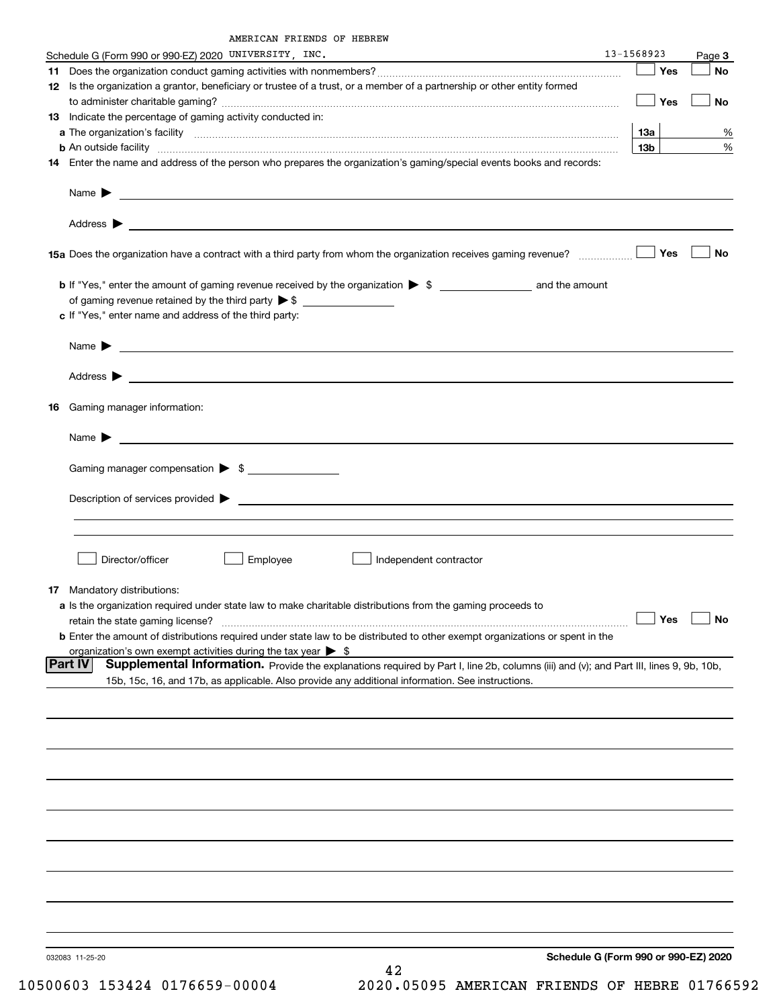| Schedule G (Form 990 or 990-EZ) 2020 UNIVERSITY, INC.                                                                                              | 13-1568923                           | Page 3    |
|----------------------------------------------------------------------------------------------------------------------------------------------------|--------------------------------------|-----------|
|                                                                                                                                                    | Yes                                  | <b>No</b> |
| 12 Is the organization a grantor, beneficiary or trustee of a trust, or a member of a partnership or other entity formed                           |                                      |           |
|                                                                                                                                                    | Yes                                  | No        |
| 13 Indicate the percentage of gaming activity conducted in:                                                                                        |                                      |           |
|                                                                                                                                                    | 13а                                  | %         |
|                                                                                                                                                    | 13 <sub>b</sub>                      | %         |
| 14 Enter the name and address of the person who prepares the organization's gaming/special events books and records:                               |                                      |           |
|                                                                                                                                                    |                                      |           |
|                                                                                                                                                    |                                      |           |
|                                                                                                                                                    |                                      |           |
|                                                                                                                                                    |                                      | No        |
|                                                                                                                                                    |                                      |           |
|                                                                                                                                                    |                                      |           |
| c If "Yes," enter name and address of the third party:                                                                                             |                                      |           |
| Name $\blacktriangleright$ $\bot$                                                                                                                  |                                      |           |
|                                                                                                                                                    |                                      |           |
|                                                                                                                                                    |                                      |           |
| Gaming manager information:<br>16.                                                                                                                 |                                      |           |
|                                                                                                                                                    |                                      |           |
| Name $\sum_{n=1}^{\infty}$                                                                                                                         |                                      |           |
| Gaming manager compensation > \$                                                                                                                   |                                      |           |
|                                                                                                                                                    |                                      |           |
|                                                                                                                                                    |                                      |           |
|                                                                                                                                                    |                                      |           |
|                                                                                                                                                    |                                      |           |
| Director/officer<br>Employee<br>Independent contractor                                                                                             |                                      |           |
|                                                                                                                                                    |                                      |           |
| 17 Mandatory distributions:                                                                                                                        |                                      |           |
| a Is the organization required under state law to make charitable distributions from the gaming proceeds to                                        |                                      |           |
| retain the state gaming license?                                                                                                                   | $\Box$ Yes                           | ⊟ No      |
| <b>b</b> Enter the amount of distributions required under state law to be distributed to other exempt organizations or spent in the                |                                      |           |
| organization's own exempt activities during the tax year $\triangleright$ \$                                                                       |                                      |           |
| Supplemental Information. Provide the explanations required by Part I, line 2b, columns (iii) and (v); and Part III, lines 9, 9b, 10b,<br> Part IV |                                      |           |
| 15b, 15c, 16, and 17b, as applicable. Also provide any additional information. See instructions.                                                   |                                      |           |
|                                                                                                                                                    |                                      |           |
|                                                                                                                                                    |                                      |           |
|                                                                                                                                                    |                                      |           |
|                                                                                                                                                    |                                      |           |
|                                                                                                                                                    |                                      |           |
|                                                                                                                                                    |                                      |           |
|                                                                                                                                                    |                                      |           |
|                                                                                                                                                    |                                      |           |
|                                                                                                                                                    |                                      |           |
|                                                                                                                                                    |                                      |           |
| 032083 11-25-20                                                                                                                                    | Schedule G (Form 990 or 990-EZ) 2020 |           |
| 42                                                                                                                                                 |                                      |           |

10500603 153424 0176659-00004 2020.05095 AMERICAN FRIENDS OF HEBRE 01766592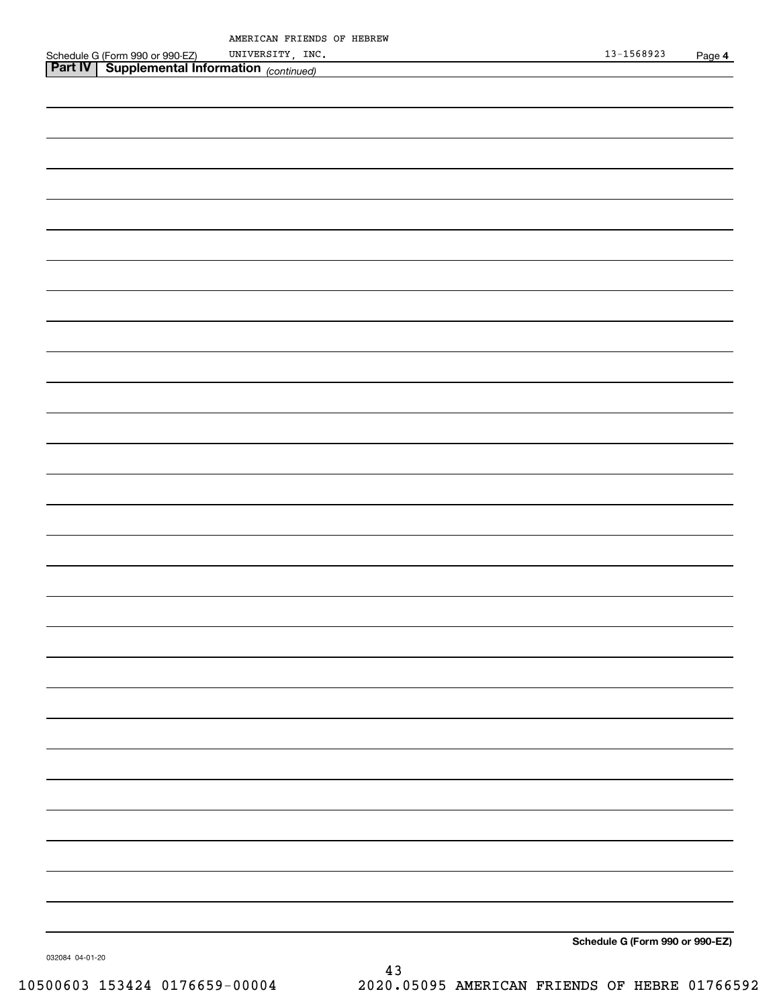|                   | AMERICAN FRIENDS OF HEBREW |  |  |
|-------------------|----------------------------|--|--|
| rm 990 or 990-EZ) | UNIVERSITY, INC.           |  |  |

| UNIVERSITY, INC.                                                                                           | $13 - 1568923$                  | Page 4 |
|------------------------------------------------------------------------------------------------------------|---------------------------------|--------|
| Schedule G (Form 990 or 990-EZ) UNIVERSITY, INC<br>Part IV Supplemental Information <sub>(continued)</sub> |                                 |        |
|                                                                                                            |                                 |        |
|                                                                                                            |                                 |        |
|                                                                                                            |                                 |        |
|                                                                                                            |                                 |        |
|                                                                                                            |                                 |        |
|                                                                                                            |                                 |        |
|                                                                                                            |                                 |        |
|                                                                                                            |                                 |        |
|                                                                                                            |                                 |        |
|                                                                                                            |                                 |        |
|                                                                                                            |                                 |        |
|                                                                                                            |                                 |        |
|                                                                                                            |                                 |        |
|                                                                                                            |                                 |        |
|                                                                                                            |                                 |        |
|                                                                                                            |                                 |        |
|                                                                                                            |                                 |        |
|                                                                                                            |                                 |        |
|                                                                                                            |                                 |        |
|                                                                                                            |                                 |        |
|                                                                                                            |                                 |        |
|                                                                                                            |                                 |        |
|                                                                                                            |                                 |        |
|                                                                                                            |                                 |        |
|                                                                                                            |                                 |        |
|                                                                                                            |                                 |        |
|                                                                                                            |                                 |        |
|                                                                                                            |                                 |        |
|                                                                                                            |                                 |        |
|                                                                                                            |                                 |        |
|                                                                                                            |                                 |        |
|                                                                                                            |                                 |        |
|                                                                                                            |                                 |        |
|                                                                                                            |                                 |        |
|                                                                                                            |                                 |        |
|                                                                                                            |                                 |        |
|                                                                                                            |                                 |        |
|                                                                                                            |                                 |        |
|                                                                                                            |                                 |        |
|                                                                                                            |                                 |        |
|                                                                                                            |                                 |        |
|                                                                                                            |                                 |        |
|                                                                                                            |                                 |        |
|                                                                                                            |                                 |        |
|                                                                                                            |                                 |        |
|                                                                                                            |                                 |        |
|                                                                                                            |                                 |        |
|                                                                                                            |                                 |        |
|                                                                                                            |                                 |        |
|                                                                                                            |                                 |        |
|                                                                                                            |                                 |        |
|                                                                                                            |                                 |        |
|                                                                                                            | Schedule G (Form 990 or 990-EZ) |        |

032084 04-01-20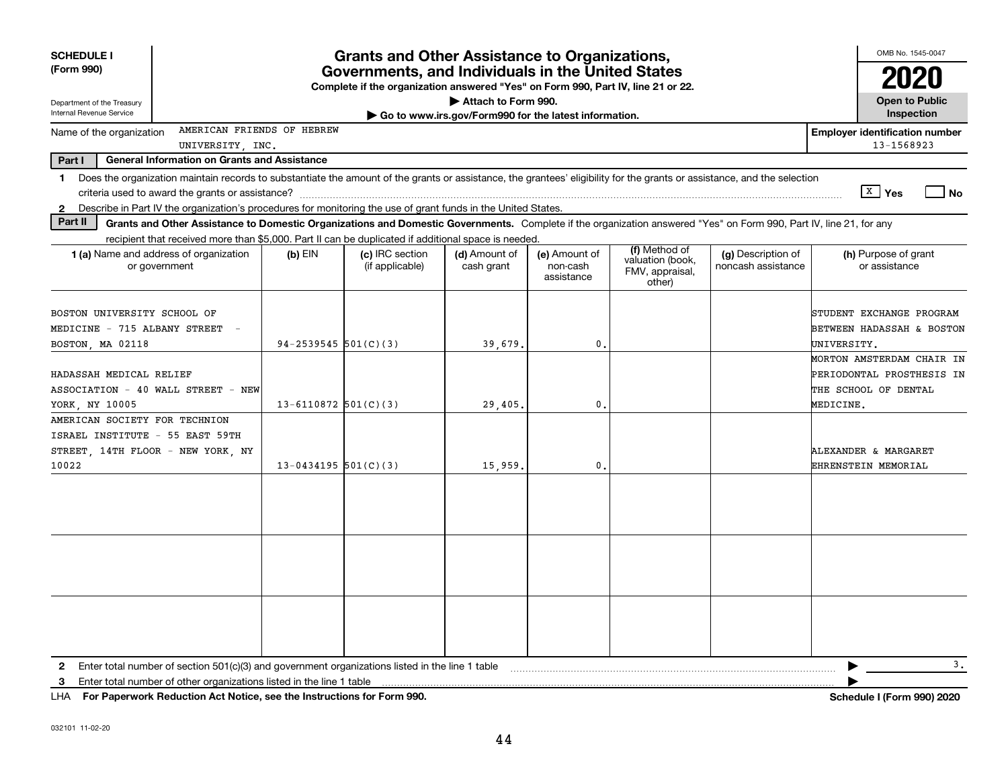| <b>SCHEDULE I</b><br>(Form 990)<br>Department of the Treasury                                                                                                                                                                                                                                                  |                          | OMB No. 1545-0047<br><b>Open to Public</b> |                                                       |                                         |                                                                |                                          |                                                                                                              |
|----------------------------------------------------------------------------------------------------------------------------------------------------------------------------------------------------------------------------------------------------------------------------------------------------------------|--------------------------|--------------------------------------------|-------------------------------------------------------|-----------------------------------------|----------------------------------------------------------------|------------------------------------------|--------------------------------------------------------------------------------------------------------------|
| Internal Revenue Service                                                                                                                                                                                                                                                                                       |                          |                                            | Go to www.irs.gov/Form990 for the latest information. |                                         |                                                                |                                          | Inspection                                                                                                   |
| AMERICAN FRIENDS OF HEBREW<br>Name of the organization<br>UNIVERSITY, INC.                                                                                                                                                                                                                                     |                          |                                            |                                                       |                                         |                                                                |                                          | <b>Employer identification number</b><br>13-1568923                                                          |
| Part I<br><b>General Information on Grants and Assistance</b>                                                                                                                                                                                                                                                  |                          |                                            |                                                       |                                         |                                                                |                                          |                                                                                                              |
| Does the organization maintain records to substantiate the amount of the grants or assistance, the grantees' eligibility for the grants or assistance, and the selection<br>1<br>Describe in Part IV the organization's procedures for monitoring the use of grant funds in the United States.<br>$\mathbf{2}$ |                          |                                            |                                                       |                                         |                                                                |                                          | $\boxed{\text{X}}$ Yes<br><b>No</b>                                                                          |
| Part II<br>Grants and Other Assistance to Domestic Organizations and Domestic Governments. Complete if the organization answered "Yes" on Form 990, Part IV, line 21, for any                                                                                                                                  |                          |                                            |                                                       |                                         |                                                                |                                          |                                                                                                              |
| recipient that received more than \$5,000. Part II can be duplicated if additional space is needed.<br>1 (a) Name and address of organization<br>or government                                                                                                                                                 | $(b)$ EIN                | (c) IRC section<br>(if applicable)         | (d) Amount of<br>cash grant                           | (e) Amount of<br>non-cash<br>assistance | (f) Method of<br>valuation (book,<br>FMV, appraisal,<br>other) | (g) Description of<br>noncash assistance | (h) Purpose of grant<br>or assistance                                                                        |
| BOSTON UNIVERSITY SCHOOL OF<br>MEDICINE - 715 ALBANY STREET<br>BOSTON, MA 02118                                                                                                                                                                                                                                | 94-2539545 $501(C)(3)$   |                                            | 39,679.                                               | 0.                                      |                                                                |                                          | STUDENT EXCHANGE PROGRAM<br><b>BETWEEN HADASSAH &amp; BOSTON</b><br>UNIVERSITY.<br>MORTON AMSTERDAM CHAIR IN |
| HADASSAH MEDICAL RELIEF<br>ASSOCIATION - 40 WALL STREET - NEW<br>YORK, NY 10005                                                                                                                                                                                                                                | 13-6110872 $501(C)(3)$   |                                            | 29,405.                                               | $\mathbf{0}$ .                          |                                                                |                                          | PERIODONTAL PROSTHESIS IN<br>THE SCHOOL OF DENTAL<br>MEDICINE.                                               |
| AMERICAN SOCIETY FOR TECHNION<br>ISRAEL INSTITUTE - 55 EAST 59TH<br>STREET 14TH FLOOR - NEW YORK NY<br>10022                                                                                                                                                                                                   | $13 - 0434195$ 501(C)(3) |                                            | 15,959.                                               | $\mathbf{0}$ .                          |                                                                |                                          | ALEXANDER & MARGARET<br>EHRENSTEIN MEMORIAL                                                                  |
|                                                                                                                                                                                                                                                                                                                |                          |                                            |                                                       |                                         |                                                                |                                          |                                                                                                              |
|                                                                                                                                                                                                                                                                                                                |                          |                                            |                                                       |                                         |                                                                |                                          |                                                                                                              |
|                                                                                                                                                                                                                                                                                                                |                          |                                            |                                                       |                                         |                                                                |                                          |                                                                                                              |
| Enter total number of section 501(c)(3) and government organizations listed in the line 1 table<br>2                                                                                                                                                                                                           |                          |                                            |                                                       |                                         |                                                                |                                          | 3.<br>▶                                                                                                      |
| Enter total number of other organizations listed in the line 1 table<br>3                                                                                                                                                                                                                                      |                          |                                            |                                                       |                                         |                                                                |                                          |                                                                                                              |

**For Paperwork Reduction Act Notice, see the Instructions for Form 990. Schedule I (Form 990) 2020** LHA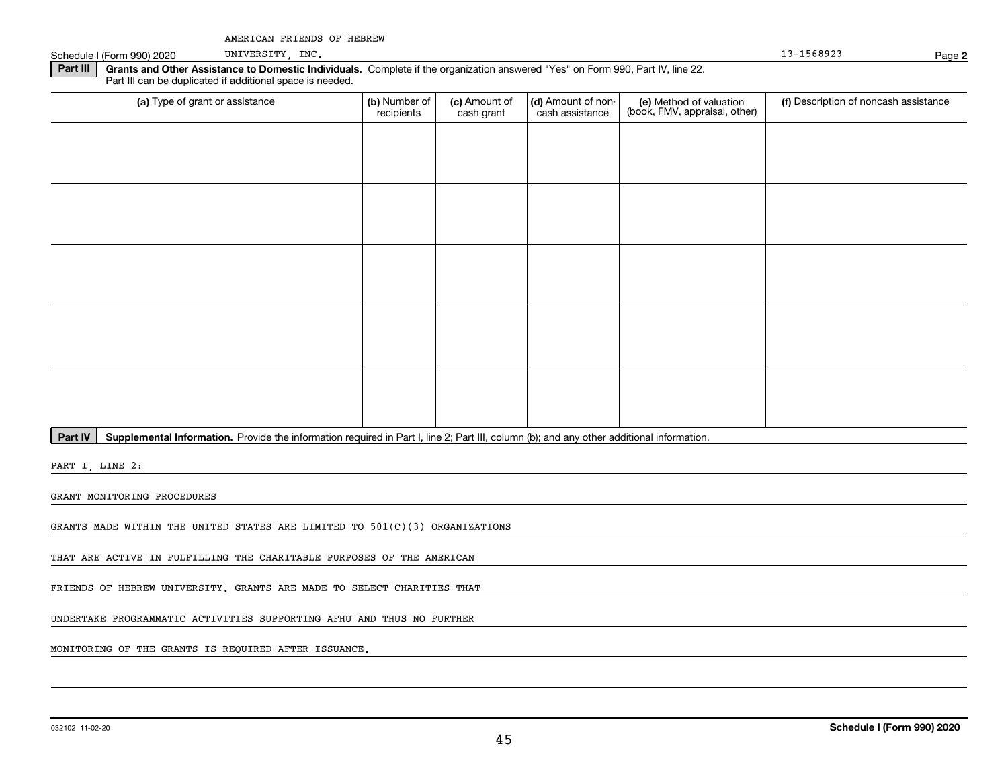Schedule I (Form 990) 2020 UNIVERSITY, INC. Noticed that the set of the set of the set of the set of the set of the set of the set of the set of the set of the set of the set of the set of the set of the set of the set of

UNIVERSITY, INC.

**2**

**Part III** | Grants and Other Assistance to Domestic Individuals. Complete if the organization answered "Yes" on Form 990, Part IV, line 22. Part III can be duplicated if additional space is needed.

| (a) Type of grant or assistance | (b) Number of<br>recipients | (c) Amount of<br>cash grant | (d) Amount of non-<br>cash assistance | (e) Method of valuation<br>(book, FMV, appraisal, other) | (f) Description of noncash assistance |
|---------------------------------|-----------------------------|-----------------------------|---------------------------------------|----------------------------------------------------------|---------------------------------------|
|                                 |                             |                             |                                       |                                                          |                                       |
|                                 |                             |                             |                                       |                                                          |                                       |
|                                 |                             |                             |                                       |                                                          |                                       |
|                                 |                             |                             |                                       |                                                          |                                       |
|                                 |                             |                             |                                       |                                                          |                                       |
|                                 |                             |                             |                                       |                                                          |                                       |
|                                 |                             |                             |                                       |                                                          |                                       |
|                                 |                             |                             |                                       |                                                          |                                       |
|                                 |                             |                             |                                       |                                                          |                                       |
|                                 |                             |                             |                                       |                                                          |                                       |

Part IV | Supplemental Information. Provide the information required in Part I, line 2; Part III, column (b); and any other additional information.

PART I, LINE 2:

GRANT MONITORING PROCEDURES

GRANTS MADE WITHIN THE UNITED STATES ARE LIMITED TO 501(C)(3) ORGANIZATIONS

THAT ARE ACTIVE IN FULFILLING THE CHARITABLE PURPOSES OF THE AMERICAN

FRIENDS OF HEBREW UNIVERSITY. GRANTS ARE MADE TO SELECT CHARITIES THAT

UNDERTAKE PROGRAMMATIC ACTIVITIES SUPPORTING AFHU AND THUS NO FURTHER

MONITORING OF THE GRANTS IS REQUIRED AFTER ISSUANCE.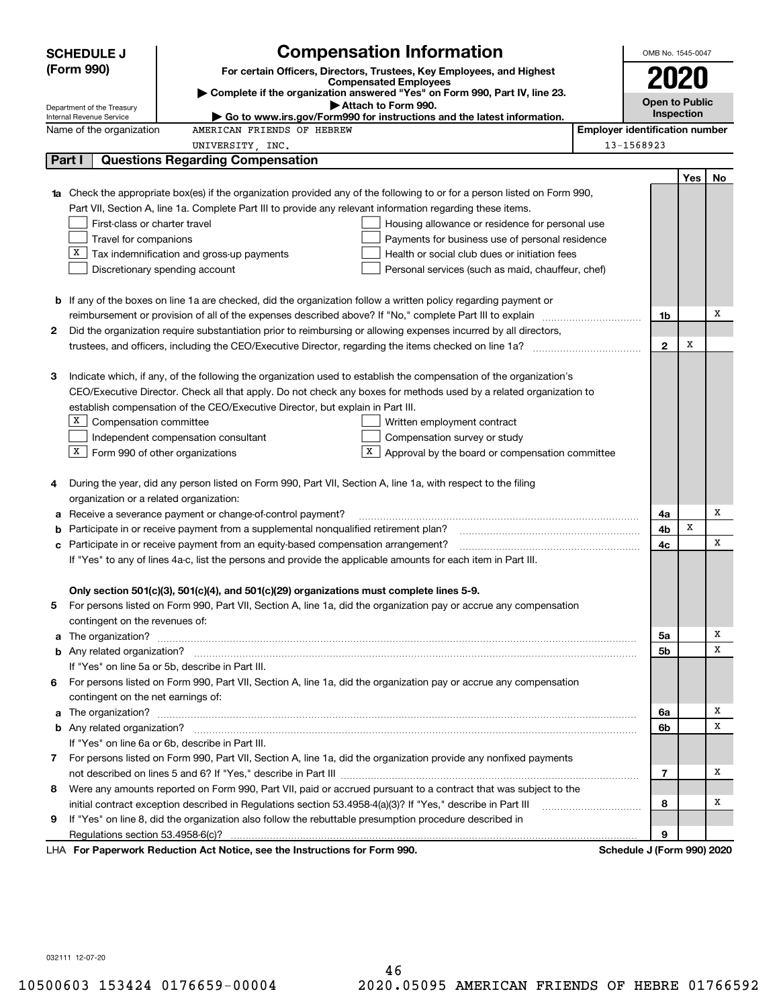|   | <b>SCHEDULE J</b>                                                                                                | <b>Compensation Information</b>                                                                                        |  | OMB No. 1545-0047                     |                   |    |  |  |  |
|---|------------------------------------------------------------------------------------------------------------------|------------------------------------------------------------------------------------------------------------------------|--|---------------------------------------|-------------------|----|--|--|--|
|   | (Form 990)                                                                                                       | For certain Officers, Directors, Trustees, Key Employees, and Highest                                                  |  |                                       |                   |    |  |  |  |
|   |                                                                                                                  | <b>Compensated Employees</b><br>Complete if the organization answered "Yes" on Form 990, Part IV, line 23.             |  | 2020                                  |                   |    |  |  |  |
|   | Department of the Treasury                                                                                       | Attach to Form 990.                                                                                                    |  | <b>Open to Public</b>                 |                   |    |  |  |  |
|   | Internal Revenue Service                                                                                         | $\blacktriangleright$ Go to www.irs.gov/Form990 for instructions and the latest information.                           |  |                                       | <b>Inspection</b> |    |  |  |  |
|   | Name of the organization                                                                                         | AMERICAN FRIENDS OF HEBREW                                                                                             |  | <b>Employer identification number</b> |                   |    |  |  |  |
|   |                                                                                                                  | UNIVERSITY, INC.                                                                                                       |  | 13-1568923                            |                   |    |  |  |  |
|   | Part I                                                                                                           | <b>Questions Regarding Compensation</b>                                                                                |  |                                       |                   |    |  |  |  |
|   |                                                                                                                  |                                                                                                                        |  |                                       | <b>Yes</b>        | No |  |  |  |
|   |                                                                                                                  | Check the appropriate box(es) if the organization provided any of the following to or for a person listed on Form 990, |  |                                       |                   |    |  |  |  |
|   |                                                                                                                  | Part VII, Section A, line 1a. Complete Part III to provide any relevant information regarding these items.             |  |                                       |                   |    |  |  |  |
|   | First-class or charter travel                                                                                    | Housing allowance or residence for personal use                                                                        |  |                                       |                   |    |  |  |  |
|   | Travel for companions                                                                                            | Payments for business use of personal residence                                                                        |  |                                       |                   |    |  |  |  |
|   | x                                                                                                                | Tax indemnification and gross-up payments<br>Health or social club dues or initiation fees                             |  |                                       |                   |    |  |  |  |
|   |                                                                                                                  | Discretionary spending account<br>Personal services (such as maid, chauffeur, chef)                                    |  |                                       |                   |    |  |  |  |
|   |                                                                                                                  |                                                                                                                        |  |                                       |                   |    |  |  |  |
|   |                                                                                                                  | <b>b</b> If any of the boxes on line 1a are checked, did the organization follow a written policy regarding payment or |  | 1b                                    |                   | Х  |  |  |  |
|   | Did the organization require substantiation prior to reimbursing or allowing expenses incurred by all directors, |                                                                                                                        |  |                                       |                   |    |  |  |  |
| 2 |                                                                                                                  |                                                                                                                        |  |                                       |                   |    |  |  |  |
|   |                                                                                                                  |                                                                                                                        |  | $\mathbf{2}$                          | X                 |    |  |  |  |
| З |                                                                                                                  | Indicate which, if any, of the following the organization used to establish the compensation of the organization's     |  |                                       |                   |    |  |  |  |
|   |                                                                                                                  | CEO/Executive Director. Check all that apply. Do not check any boxes for methods used by a related organization to     |  |                                       |                   |    |  |  |  |
|   |                                                                                                                  | establish compensation of the CEO/Executive Director, but explain in Part III.                                         |  |                                       |                   |    |  |  |  |
|   | X  <br>Compensation committee                                                                                    | Written employment contract                                                                                            |  |                                       |                   |    |  |  |  |
|   |                                                                                                                  | Compensation survey or study<br>Independent compensation consultant                                                    |  |                                       |                   |    |  |  |  |
|   | $X$ Form 990 of other organizations                                                                              | Approval by the board or compensation committee                                                                        |  |                                       |                   |    |  |  |  |
|   |                                                                                                                  |                                                                                                                        |  |                                       |                   |    |  |  |  |
| 4 |                                                                                                                  | During the year, did any person listed on Form 990, Part VII, Section A, line 1a, with respect to the filing           |  |                                       |                   |    |  |  |  |
|   | organization or a related organization:                                                                          |                                                                                                                        |  |                                       |                   |    |  |  |  |
| а |                                                                                                                  | Receive a severance payment or change-of-control payment?                                                              |  | 4a                                    |                   | Х  |  |  |  |
| b |                                                                                                                  | Participate in or receive payment from a supplemental nonqualified retirement plan?                                    |  | 4b                                    | x                 |    |  |  |  |
| с |                                                                                                                  | Participate in or receive payment from an equity-based compensation arrangement?                                       |  | 4с                                    |                   | X  |  |  |  |
|   |                                                                                                                  | If "Yes" to any of lines 4a-c, list the persons and provide the applicable amounts for each item in Part III.          |  |                                       |                   |    |  |  |  |
|   |                                                                                                                  |                                                                                                                        |  |                                       |                   |    |  |  |  |
|   |                                                                                                                  | Only section 501(c)(3), 501(c)(4), and 501(c)(29) organizations must complete lines 5-9.                               |  |                                       |                   |    |  |  |  |
|   |                                                                                                                  | For persons listed on Form 990, Part VII, Section A, line 1a, did the organization pay or accrue any compensation      |  |                                       |                   |    |  |  |  |
|   | contingent on the revenues of:                                                                                   |                                                                                                                        |  |                                       |                   |    |  |  |  |
|   |                                                                                                                  |                                                                                                                        |  | 5a                                    |                   | х  |  |  |  |
|   |                                                                                                                  |                                                                                                                        |  | 5b                                    |                   | х  |  |  |  |
|   |                                                                                                                  | If "Yes" on line 5a or 5b, describe in Part III.                                                                       |  |                                       |                   |    |  |  |  |
| 6 |                                                                                                                  | For persons listed on Form 990, Part VII, Section A, line 1a, did the organization pay or accrue any compensation      |  |                                       |                   |    |  |  |  |
|   | contingent on the net earnings of:                                                                               |                                                                                                                        |  |                                       |                   |    |  |  |  |
|   |                                                                                                                  |                                                                                                                        |  | 6a                                    |                   | х  |  |  |  |
|   |                                                                                                                  |                                                                                                                        |  | 6b                                    |                   | x  |  |  |  |
|   |                                                                                                                  | If "Yes" on line 6a or 6b, describe in Part III.                                                                       |  |                                       |                   |    |  |  |  |
|   |                                                                                                                  | 7 For persons listed on Form 990, Part VII, Section A, line 1a, did the organization provide any nonfixed payments     |  |                                       |                   |    |  |  |  |
|   |                                                                                                                  |                                                                                                                        |  | 7                                     |                   | х  |  |  |  |
| 8 |                                                                                                                  | Were any amounts reported on Form 990, Part VII, paid or accrued pursuant to a contract that was subject to the        |  |                                       |                   |    |  |  |  |
|   |                                                                                                                  | initial contract exception described in Regulations section 53.4958-4(a)(3)? If "Yes," describe in Part III            |  | 8                                     |                   | х  |  |  |  |
| 9 |                                                                                                                  | If "Yes" on line 8, did the organization also follow the rebuttable presumption procedure described in                 |  |                                       |                   |    |  |  |  |
|   |                                                                                                                  |                                                                                                                        |  | 9                                     |                   |    |  |  |  |
|   |                                                                                                                  | LHA For Paperwork Reduction Act Notice, see the Instructions for Form 990.                                             |  | Schedule J (Form 990) 2020            |                   |    |  |  |  |

032111 12-07-20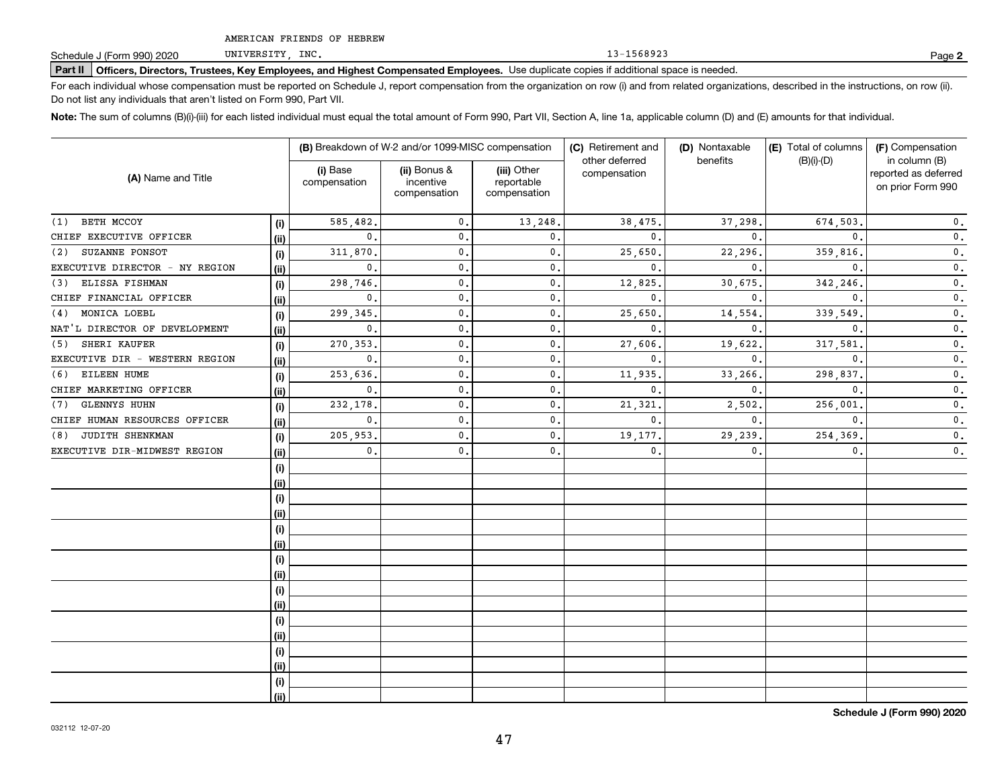UNIVERSITY, INC.

13-1568923

**2**

# **Part II Officers, Directors, Trustees, Key Employees, and Highest Compensated Employees.**  Schedule J (Form 990) 2020 Page Use duplicate copies if additional space is needed.

For each individual whose compensation must be reported on Schedule J, report compensation from the organization on row (i) and from related organizations, described in the instructions, on row (ii). Do not list any individuals that aren't listed on Form 990, Part VII.

**Note:**  The sum of columns (B)(i)-(iii) for each listed individual must equal the total amount of Form 990, Part VII, Section A, line 1a, applicable column (D) and (E) amounts for that individual.

|                                |       |                          | (B) Breakdown of W-2 and/or 1099-MISC compensation |                                           | (C) Retirement and<br>other deferred | (D) Nontaxable<br>benefits | (E) Total of columns<br>$(B)(i)-(D)$ | (F) Compensation<br>in column (B)         |  |
|--------------------------------|-------|--------------------------|----------------------------------------------------|-------------------------------------------|--------------------------------------|----------------------------|--------------------------------------|-------------------------------------------|--|
| (A) Name and Title             |       | (i) Base<br>compensation | (ii) Bonus &<br>incentive<br>compensation          | (iii) Other<br>reportable<br>compensation | compensation                         |                            |                                      | reported as deferred<br>on prior Form 990 |  |
| BETH MCCOY<br>(1)              | (i)   | 585,482.                 | $\mathbf{0}$ .                                     | 13,248.                                   | 38,475                               | 37,298.                    | 674,503.                             | $\mathbf 0$ .                             |  |
| CHIEF EXECUTIVE OFFICER        | (ii)  | $\mathbf{0}$ .           | $\mathbf{0}$ .                                     | $\mathbf{0}$ .                            | $\mathbf{0}$ .                       | $\mathbf{0}$ .             | $\mathbf{0}$ .                       | $\mathfrak o$ .                           |  |
| SUZANNE PONSOT<br>(2)          | (i)   | 311,870,                 | $\mathbf{0}$ .                                     | $\mathbf 0$ .                             | 25,650                               | 22,296.                    | 359,816                              | $\mathfrak o$ .                           |  |
| EXECUTIVE DIRECTOR - NY REGION | (ii)  | $\mathbf{0}$ .           | $\mathbf{0}$ .                                     | $\mathbf{0}$ .                            | 0                                    | $\mathbf{0}$ .             | $\mathbf{0}$ .                       | $\mathfrak o$ .                           |  |
| ELISSA FISHMAN<br>(3)          | (i)   | 298,746.                 | $\mathbf{0}$ .                                     | $\mathbf{0}$ .                            | 12,825                               | 30,675                     | 342,246                              | $\mathfrak o$ .                           |  |
| CHIEF FINANCIAL OFFICER        | (i)   | 0.                       | $\mathbf{0}$ .                                     | $\mathbf{0}$ .                            | 0                                    | $\mathbf{0}$ .             | 0.                                   | $\mathbf 0$ .                             |  |
| MONICA LOEBL<br>(4)            | (i)   | 299, 345.                | $\mathbf{0}$ .                                     | $\mathbf{0}$ .                            | 25,650                               | 14,554                     | 339,549                              | $\mathbf 0$ .                             |  |
| NAT'L DIRECTOR OF DEVELOPMENT  | (i)   | $\mathbf{0}$ .           | $\mathbf{0}$ .                                     | $\mathbf{0}$ .                            | $\mathbf{0}$                         | $\mathbf{0}$ .             | $\mathbf{0}$ .                       | $\mathfrak o$ .                           |  |
| SHERI KAUFER<br>(5)            | (i)   | 270, 353.                | $\mathbf 0$ .                                      | $\mathbf{0}$ .                            | 27,606                               | 19,622                     | 317,581                              | $\mathbf 0$ .                             |  |
| EXECUTIVE DIR - WESTERN REGION | (ii)  | $\mathbf 0$ .            | $\mathbf 0$ .                                      | $\mathbf{0}$ .                            | $\mathbf{0}$ .                       | $\mathbf{0}$               | $\mathbf{0}$ .                       | $\mathfrak o$ .                           |  |
| EILEEN HUME<br>(6)             | (i)   | 253,636.                 | $\mathbf{0}$ .                                     | $\mathbf 0$ .                             | 11,935                               | 33,266.                    | 298,837                              | $\mathfrak o$ .                           |  |
| CHIEF MARKETING OFFICER        | (ii)  | $\mathbf 0$ .            | $\mathbf{0}$ .                                     | $\mathbf{0}$ .                            | 0                                    | $\mathbf{0}$               | $\mathbf{0}$ .                       | 0.                                        |  |
| <b>GLENNYS HUHN</b><br>(7)     | (i)   | 232,178.                 | $\mathbf 0$ .                                      | $\mathbf{0}$ .                            | 21,321                               | 2,502                      | 256,001                              | $\mathbf 0$ .                             |  |
| CHIEF HUMAN RESOURCES OFFICER  | (ii)  | $\mathbf{0}$ .           | $\mathbf{0}$ .                                     | $\mathbf{0}$ .                            | $\mathbf{0}$ .                       | $\mathbf{0}$ .             | $\mathbf{0}$                         | 0.                                        |  |
| JUDITH SHENKMAN<br>(8)         | (i)   | 205,953.                 | 0.                                                 | 0.                                        | 19,177.                              | 29,239.                    | 254,369                              | 0.                                        |  |
| EXECUTIVE DIR-MIDWEST REGION   | (ii)  | $\mathbf{0}$ .           | 0.                                                 | $\mathbf{0}$ .                            | $\mathbf{0}$ .                       | 0.                         | 0.                                   | $\mathbf 0$ .                             |  |
|                                | (i)   |                          |                                                    |                                           |                                      |                            |                                      |                                           |  |
|                                | (ii)  |                          |                                                    |                                           |                                      |                            |                                      |                                           |  |
|                                | (i)   |                          |                                                    |                                           |                                      |                            |                                      |                                           |  |
|                                | (ii)  |                          |                                                    |                                           |                                      |                            |                                      |                                           |  |
|                                | (i)   |                          |                                                    |                                           |                                      |                            |                                      |                                           |  |
|                                | (ii)  |                          |                                                    |                                           |                                      |                            |                                      |                                           |  |
|                                | (i)   |                          |                                                    |                                           |                                      |                            |                                      |                                           |  |
|                                | (ii)  |                          |                                                    |                                           |                                      |                            |                                      |                                           |  |
|                                | (i)   |                          |                                                    |                                           |                                      |                            |                                      |                                           |  |
|                                | (iii) |                          |                                                    |                                           |                                      |                            |                                      |                                           |  |
|                                | (i)   |                          |                                                    |                                           |                                      |                            |                                      |                                           |  |
|                                | (i)   |                          |                                                    |                                           |                                      |                            |                                      |                                           |  |
|                                | (i)   |                          |                                                    |                                           |                                      |                            |                                      |                                           |  |
|                                | (ii)  |                          |                                                    |                                           |                                      |                            |                                      |                                           |  |
|                                | (i)   |                          |                                                    |                                           |                                      |                            |                                      |                                           |  |
|                                | (ii)  |                          |                                                    |                                           |                                      |                            |                                      |                                           |  |

**Schedule J (Form 990) 2020**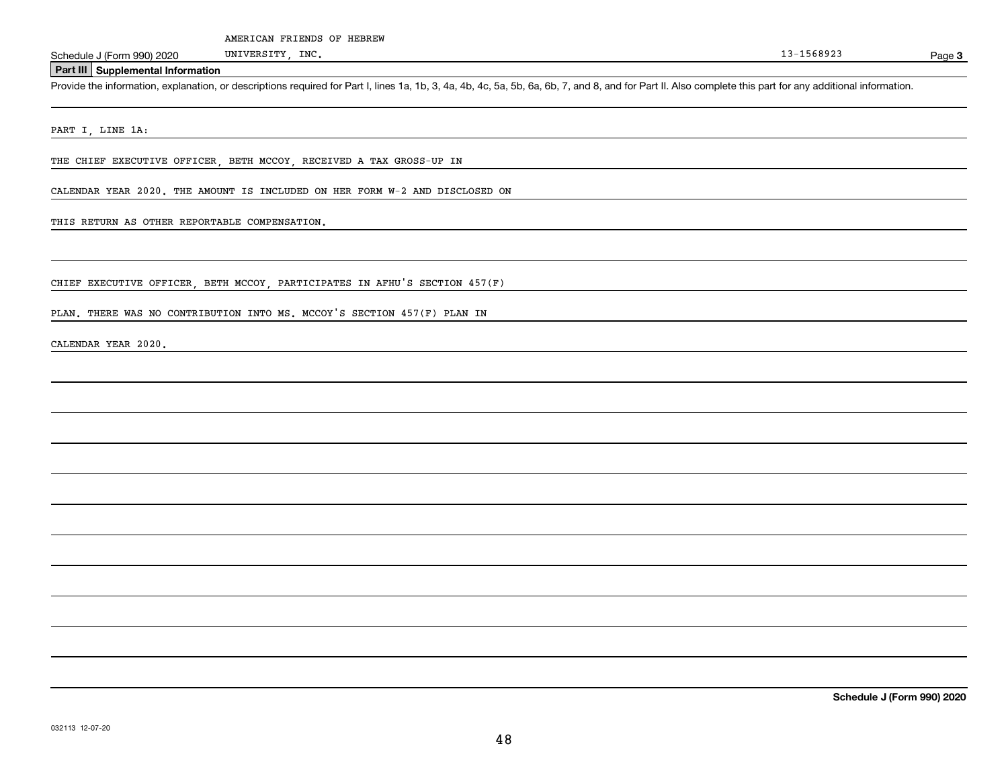**3**

### **Part III Supplemental Information**

Schedule J (Form 990) 2020 UNIVERSITY, INC.<br>Part III Supplemental Information<br>Provide the information, explanation, or descriptions required for Part I, lines 1a, 1b, 3, 4a, 4b, 4c, 5a, 5b, 6a, 6b, 7, and 8, and for Part I

PART I, LINE 1A:

THE CHIEF EXECUTIVE OFFICER, BETH MCCOY, RECEIVED A TAX GROSS-UP IN

CALENDAR YEAR 2020. THE AMOUNT IS INCLUDED ON HER FORM W-2 AND DISCLOSED ON

### THIS RETURN AS OTHER REPORTABLE COMPENSATION.

CHIEF EXECUTIVE OFFICER, BETH MCCOY, PARTICIPATES IN AFHU'S SECTION 457(F)

PLAN. THERE WAS NO CONTRIBUTION INTO MS. MCCOY'S SECTION 457(F) PLAN IN

CALENDAR YEAR 2020.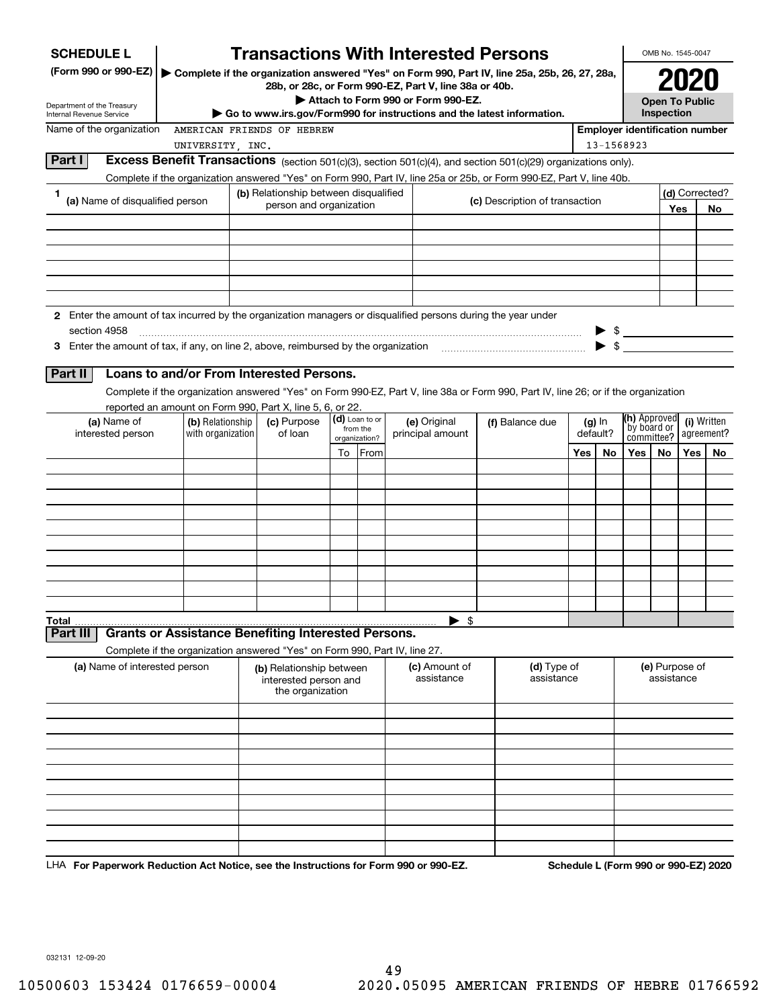| <b>SCHEDULE L</b>                                                                                             |                                                                                                                                    | <b>Transactions With Interested Persons</b>                              |                |                                    |                                                                                               |     |                          |                                                     | OMB No. 1545-0047     |     |                                      |
|---------------------------------------------------------------------------------------------------------------|------------------------------------------------------------------------------------------------------------------------------------|--------------------------------------------------------------------------|----------------|------------------------------------|-----------------------------------------------------------------------------------------------|-----|--------------------------|-----------------------------------------------------|-----------------------|-----|--------------------------------------|
| (Form 990 or 990-EZ)                                                                                          |                                                                                                                                    | 28b, or 28c, or Form 990-EZ, Part V, line 38a or 40b.                    |                |                                    | Complete if the organization answered "Yes" on Form 990, Part IV, line 25a, 25b, 26, 27, 28a, |     |                          |                                                     |                       |     |                                      |
| Department of the Treasury                                                                                    |                                                                                                                                    |                                                                          |                | Attach to Form 990 or Form 990-EZ. |                                                                                               |     |                          |                                                     | <b>Open To Public</b> |     |                                      |
| Internal Revenue Service                                                                                      |                                                                                                                                    | ► Go to www.irs.gov/Form990 for instructions and the latest information. |                |                                    |                                                                                               |     |                          |                                                     | Inspection            |     |                                      |
| Name of the organization                                                                                      |                                                                                                                                    | AMERICAN FRIENDS OF HEBREW                                               |                |                                    |                                                                                               |     |                          | <b>Employer identification number</b><br>13-1568923 |                       |     |                                      |
| Part I                                                                                                        | UNIVERSITY, INC.<br>Excess Benefit Transactions (section 501(c)(3), section 501(c)(4), and section 501(c)(29) organizations only). |                                                                          |                |                                    |                                                                                               |     |                          |                                                     |                       |     |                                      |
|                                                                                                               | Complete if the organization answered "Yes" on Form 990, Part IV, line 25a or 25b, or Form 990-EZ, Part V, line 40b.               |                                                                          |                |                                    |                                                                                               |     |                          |                                                     |                       |     |                                      |
| 1.                                                                                                            |                                                                                                                                    | (b) Relationship between disqualified                                    |                |                                    |                                                                                               |     |                          |                                                     |                       |     | (d) Corrected?                       |
| (a) Name of disqualified person                                                                               |                                                                                                                                    | person and organization                                                  |                |                                    | (c) Description of transaction                                                                |     |                          |                                                     |                       | Yes | No.                                  |
|                                                                                                               |                                                                                                                                    |                                                                          |                |                                    |                                                                                               |     |                          |                                                     |                       |     |                                      |
|                                                                                                               |                                                                                                                                    |                                                                          |                |                                    |                                                                                               |     |                          |                                                     |                       |     |                                      |
|                                                                                                               |                                                                                                                                    |                                                                          |                |                                    |                                                                                               |     |                          |                                                     |                       |     |                                      |
|                                                                                                               |                                                                                                                                    |                                                                          |                |                                    |                                                                                               |     |                          |                                                     |                       |     |                                      |
|                                                                                                               |                                                                                                                                    |                                                                          |                |                                    |                                                                                               |     |                          |                                                     |                       |     |                                      |
| 2 Enter the amount of tax incurred by the organization managers or disqualified persons during the year under |                                                                                                                                    |                                                                          |                |                                    |                                                                                               |     |                          |                                                     |                       |     |                                      |
| section 4958                                                                                                  |                                                                                                                                    |                                                                          |                |                                    |                                                                                               |     |                          | $\triangleright$ \$                                 |                       |     |                                      |
|                                                                                                               |                                                                                                                                    |                                                                          |                |                                    |                                                                                               |     | $\blacktriangleright$ \$ |                                                     |                       |     |                                      |
|                                                                                                               |                                                                                                                                    |                                                                          |                |                                    |                                                                                               |     |                          |                                                     |                       |     |                                      |
| Part II                                                                                                       | Loans to and/or From Interested Persons.                                                                                           |                                                                          |                |                                    |                                                                                               |     |                          |                                                     |                       |     |                                      |
|                                                                                                               | Complete if the organization answered "Yes" on Form 990-EZ, Part V, line 38a or Form 990, Part IV, line 26; or if the organization |                                                                          |                |                                    |                                                                                               |     |                          |                                                     |                       |     |                                      |
|                                                                                                               | reported an amount on Form 990, Part X, line 5, 6, or 22.                                                                          |                                                                          | (d) Loan to or |                                    |                                                                                               |     |                          | (h) Approved                                        |                       |     |                                      |
| (a) Name of<br>interested person                                                                              | (b) Relationship<br>with organization                                                                                              | (c) Purpose<br>of loan                                                   | from the       | (e) Original<br>principal amount   | (f) Balance due                                                                               |     | $(g)$ In<br>default?     | by board or                                         |                       |     | (i) Written<br>agreement?            |
|                                                                                                               |                                                                                                                                    |                                                                          | organization?  |                                    |                                                                                               | Yes |                          | committee?                                          | No                    | Yes |                                      |
|                                                                                                               |                                                                                                                                    |                                                                          | To From        |                                    |                                                                                               |     | No.                      | Yes                                                 |                       |     | No.                                  |
|                                                                                                               |                                                                                                                                    |                                                                          |                |                                    |                                                                                               |     |                          |                                                     |                       |     |                                      |
|                                                                                                               |                                                                                                                                    |                                                                          |                |                                    |                                                                                               |     |                          |                                                     |                       |     |                                      |
|                                                                                                               |                                                                                                                                    |                                                                          |                |                                    |                                                                                               |     |                          |                                                     |                       |     |                                      |
|                                                                                                               |                                                                                                                                    |                                                                          |                |                                    |                                                                                               |     |                          |                                                     |                       |     |                                      |
|                                                                                                               |                                                                                                                                    |                                                                          |                |                                    |                                                                                               |     |                          |                                                     |                       |     |                                      |
|                                                                                                               |                                                                                                                                    |                                                                          |                |                                    |                                                                                               |     |                          |                                                     |                       |     |                                      |
|                                                                                                               |                                                                                                                                    |                                                                          |                |                                    |                                                                                               |     |                          |                                                     |                       |     |                                      |
|                                                                                                               |                                                                                                                                    |                                                                          |                |                                    |                                                                                               |     |                          |                                                     |                       |     |                                      |
| Total                                                                                                         |                                                                                                                                    |                                                                          |                | \$                                 |                                                                                               |     |                          |                                                     |                       |     |                                      |
| Part III                                                                                                      | <b>Grants or Assistance Benefiting Interested Persons.</b>                                                                         |                                                                          |                |                                    |                                                                                               |     |                          |                                                     |                       |     |                                      |
|                                                                                                               | Complete if the organization answered "Yes" on Form 990, Part IV, line 27.                                                         |                                                                          |                |                                    |                                                                                               |     |                          |                                                     |                       |     |                                      |
| (a) Name of interested person                                                                                 |                                                                                                                                    | (b) Relationship between                                                 |                | (c) Amount of                      | (d) Type of                                                                                   |     |                          |                                                     | (e) Purpose of        |     |                                      |
|                                                                                                               |                                                                                                                                    | interested person and                                                    |                | assistance                         | assistance                                                                                    |     |                          |                                                     | assistance            |     |                                      |
|                                                                                                               |                                                                                                                                    | the organization                                                         |                |                                    |                                                                                               |     |                          |                                                     |                       |     |                                      |
|                                                                                                               |                                                                                                                                    |                                                                          |                |                                    |                                                                                               |     |                          |                                                     |                       |     |                                      |
|                                                                                                               |                                                                                                                                    |                                                                          |                |                                    |                                                                                               |     |                          |                                                     |                       |     |                                      |
|                                                                                                               |                                                                                                                                    |                                                                          |                |                                    |                                                                                               |     |                          |                                                     |                       |     |                                      |
|                                                                                                               |                                                                                                                                    |                                                                          |                |                                    |                                                                                               |     |                          |                                                     |                       |     |                                      |
|                                                                                                               |                                                                                                                                    |                                                                          |                |                                    |                                                                                               |     |                          |                                                     |                       |     |                                      |
|                                                                                                               |                                                                                                                                    |                                                                          |                |                                    |                                                                                               |     |                          |                                                     |                       |     |                                      |
|                                                                                                               |                                                                                                                                    |                                                                          |                |                                    |                                                                                               |     |                          |                                                     |                       |     |                                      |
|                                                                                                               |                                                                                                                                    |                                                                          |                |                                    |                                                                                               |     |                          |                                                     |                       |     |                                      |
|                                                                                                               |                                                                                                                                    |                                                                          |                |                                    |                                                                                               |     |                          |                                                     |                       |     |                                      |
| LHA For Paperwork Reduction Act Notice, see the Instructions for Form 990 or 990-EZ.                          |                                                                                                                                    |                                                                          |                |                                    |                                                                                               |     |                          |                                                     |                       |     | Schedule L (Form 990 or 990-EZ) 2020 |

032131 12-09-20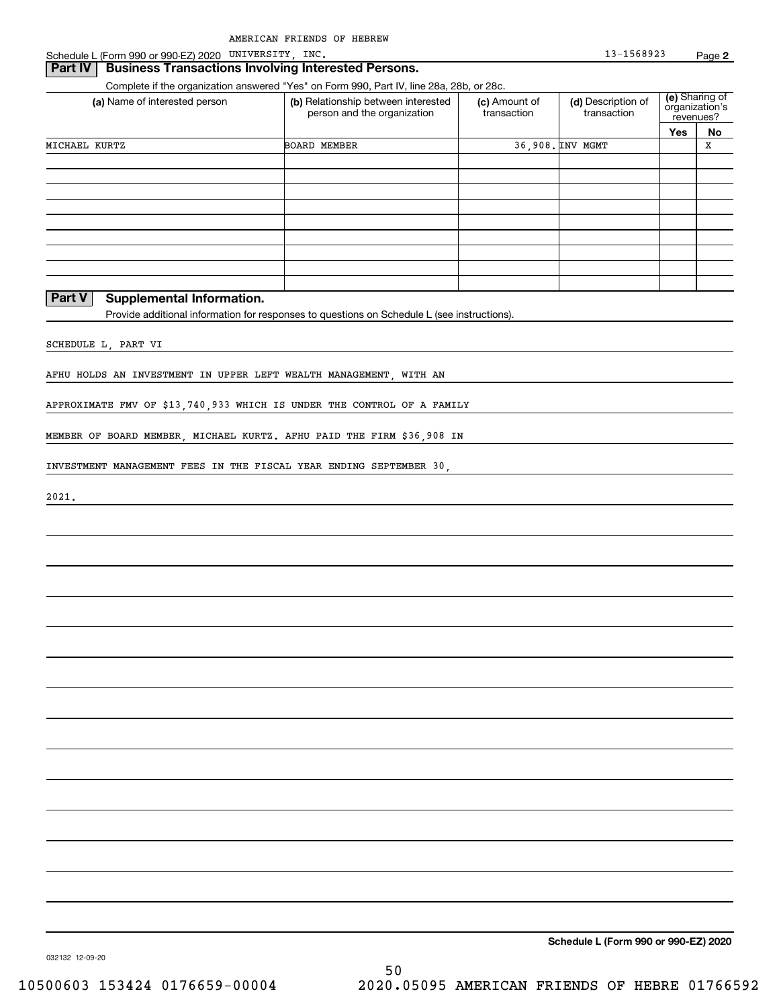Schedule L (Form 990 or 990-EZ) 2020 UNIVERSITY, INC. 13-1568923 Page

### **Part IV** Business Transactions Involving Interested Persons.

Complete if the organization answered "Yes" on Form 990, Part IV, line 28a, 28b, or 28c.

| Yes<br>No<br>36.908. INV MGMT<br>x<br><b>BOARD MEMBER</b><br>__ | (a) Name of interested person | (b) Relationship between interested<br>person and the organization | (c) Amount of<br>transaction | (d) Description of<br>transaction | (e) Sharing of<br>organization's<br>revenues? |  |  |
|-----------------------------------------------------------------|-------------------------------|--------------------------------------------------------------------|------------------------------|-----------------------------------|-----------------------------------------------|--|--|
|                                                                 |                               |                                                                    |                              |                                   |                                               |  |  |
|                                                                 | MICHAEL KURTZ                 |                                                                    |                              |                                   |                                               |  |  |
|                                                                 |                               |                                                                    |                              |                                   |                                               |  |  |
|                                                                 |                               |                                                                    |                              |                                   |                                               |  |  |
|                                                                 |                               |                                                                    |                              |                                   |                                               |  |  |
|                                                                 |                               |                                                                    |                              |                                   |                                               |  |  |
|                                                                 |                               |                                                                    |                              |                                   |                                               |  |  |
|                                                                 |                               |                                                                    |                              |                                   |                                               |  |  |
|                                                                 |                               |                                                                    |                              |                                   |                                               |  |  |
|                                                                 |                               |                                                                    |                              |                                   |                                               |  |  |
|                                                                 |                               |                                                                    |                              |                                   |                                               |  |  |

### **Part V Supplemental Information.**

Provide additional information for responses to questions on Schedule L (see instructions).

SCHEDULE L, PART VI

AFHU HOLDS AN INVESTMENT IN UPPER LEFT WEALTH MANAGEMENT, WITH AN

APPROXIMATE FMV OF \$13,740,933 WHICH IS UNDER THE CONTROL OF A FAMILY

MEMBER OF BOARD MEMBER, MICHAEL KURTZ. AFHU PAID THE FIRM \$36,908 IN

INVESTMENT MANAGEMENT FEES IN THE FISCAL YEAR ENDING SEPTEMBER 30,

2021.

**Schedule L (Form 990 or 990-EZ) 2020**

032132 12-09-20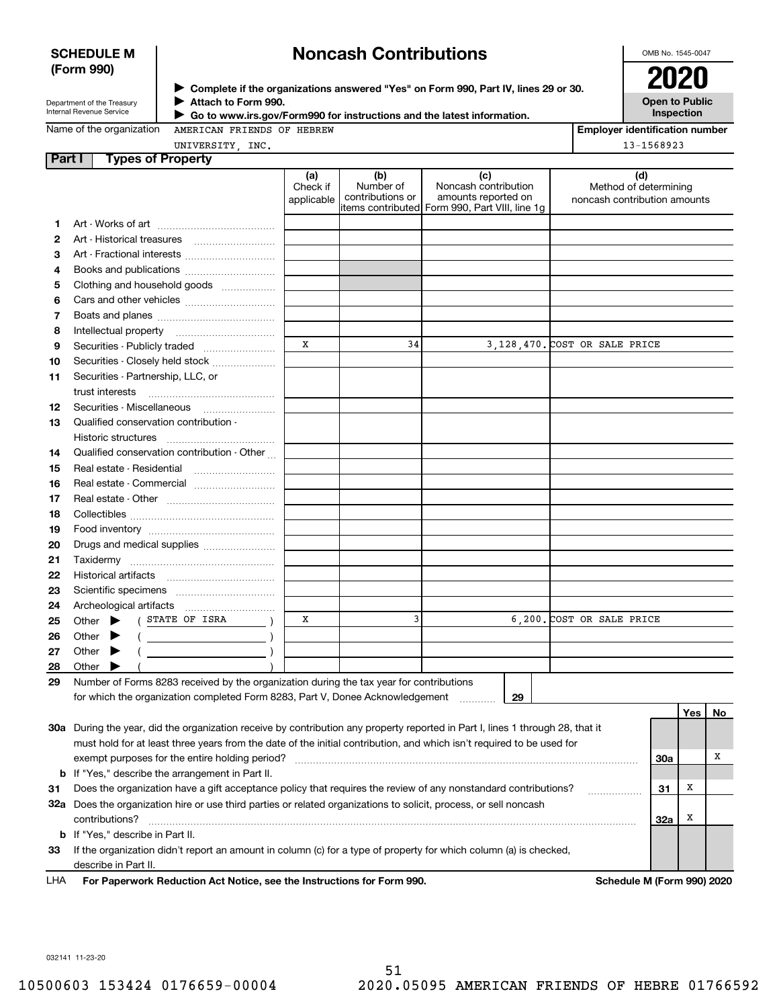### **SCHEDULE M (Form 990)**

# **Noncash Contributions**

OMB No. 1545-0047

| Department of the Treasury |
|----------------------------|
| Internal Revenue Service   |

**Complete if the organizations answered "Yes" on Form 990, Part IV, lines 29 or 30.** <sup>J</sup>**2020 Attach to Form 990.** J

**Open to Public Inspection**

Name of the organization

 **Go to www.irs.gov/Form990 for instructions and the latest information.** J

AMERICAN FRIENDS OF HEBREW

**Employer identification number** 13-1568923

| UNIVERSITY INC. |  |
|-----------------|--|
|                 |  |

| Part I | <b>Types of Property</b>                                                                                                                                                                                                                                |                               |                                      |                                                                                                      |                                                              |            |     |    |
|--------|---------------------------------------------------------------------------------------------------------------------------------------------------------------------------------------------------------------------------------------------------------|-------------------------------|--------------------------------------|------------------------------------------------------------------------------------------------------|--------------------------------------------------------------|------------|-----|----|
|        |                                                                                                                                                                                                                                                         | (a)<br>Check if<br>applicable | (b)<br>Number of<br>contributions or | (c)<br>Noncash contribution<br>amounts reported on<br>items contributed Form 990, Part VIII, line 1g | (d)<br>Method of determining<br>noncash contribution amounts |            |     |    |
| 1.     |                                                                                                                                                                                                                                                         |                               |                                      |                                                                                                      |                                                              |            |     |    |
| 2      |                                                                                                                                                                                                                                                         |                               |                                      |                                                                                                      |                                                              |            |     |    |
| З      | Art - Fractional interests                                                                                                                                                                                                                              |                               |                                      |                                                                                                      |                                                              |            |     |    |
| 4      | Books and publications                                                                                                                                                                                                                                  |                               |                                      |                                                                                                      |                                                              |            |     |    |
| 5      | Clothing and household goods                                                                                                                                                                                                                            |                               |                                      |                                                                                                      |                                                              |            |     |    |
| 6      |                                                                                                                                                                                                                                                         |                               |                                      |                                                                                                      |                                                              |            |     |    |
| 7      |                                                                                                                                                                                                                                                         |                               |                                      |                                                                                                      |                                                              |            |     |    |
| 8      |                                                                                                                                                                                                                                                         |                               |                                      |                                                                                                      |                                                              |            |     |    |
| 9      | Securities - Publicly traded                                                                                                                                                                                                                            | x                             | 34                                   |                                                                                                      | 3,128,470. COST OR SALE PRICE                                |            |     |    |
| 10     | Securities - Closely held stock                                                                                                                                                                                                                         |                               |                                      |                                                                                                      |                                                              |            |     |    |
| 11     | Securities - Partnership, LLC, or                                                                                                                                                                                                                       |                               |                                      |                                                                                                      |                                                              |            |     |    |
|        | trust interests                                                                                                                                                                                                                                         |                               |                                      |                                                                                                      |                                                              |            |     |    |
| 12     |                                                                                                                                                                                                                                                         |                               |                                      |                                                                                                      |                                                              |            |     |    |
| 13     | Qualified conservation contribution -                                                                                                                                                                                                                   |                               |                                      |                                                                                                      |                                                              |            |     |    |
|        | Historic structures                                                                                                                                                                                                                                     |                               |                                      |                                                                                                      |                                                              |            |     |    |
| 14     | Qualified conservation contribution - Other                                                                                                                                                                                                             |                               |                                      |                                                                                                      |                                                              |            |     |    |
| 15     | Real estate - Residential                                                                                                                                                                                                                               |                               |                                      |                                                                                                      |                                                              |            |     |    |
| 16     |                                                                                                                                                                                                                                                         |                               |                                      |                                                                                                      |                                                              |            |     |    |
| 17     |                                                                                                                                                                                                                                                         |                               |                                      |                                                                                                      |                                                              |            |     |    |
| 18     |                                                                                                                                                                                                                                                         |                               |                                      |                                                                                                      |                                                              |            |     |    |
| 19     |                                                                                                                                                                                                                                                         |                               |                                      |                                                                                                      |                                                              |            |     |    |
| 20     | Drugs and medical supplies                                                                                                                                                                                                                              |                               |                                      |                                                                                                      |                                                              |            |     |    |
| 21     |                                                                                                                                                                                                                                                         |                               |                                      |                                                                                                      |                                                              |            |     |    |
| 22     |                                                                                                                                                                                                                                                         |                               |                                      |                                                                                                      |                                                              |            |     |    |
| 23     |                                                                                                                                                                                                                                                         |                               |                                      |                                                                                                      |                                                              |            |     |    |
| 24     |                                                                                                                                                                                                                                                         |                               |                                      |                                                                                                      |                                                              |            |     |    |
| 25     | STATE OF ISRA<br>Other $\blacktriangleright$                                                                                                                                                                                                            | x                             | 3                                    |                                                                                                      | 6,200. COST OR SALE PRICE                                    |            |     |    |
| 26     | Other<br>$\overline{\phantom{a}}$                                                                                                                                                                                                                       |                               |                                      |                                                                                                      |                                                              |            |     |    |
| 27     | Other<br>▸                                                                                                                                                                                                                                              |                               |                                      |                                                                                                      |                                                              |            |     |    |
| 28     | Other                                                                                                                                                                                                                                                   |                               |                                      |                                                                                                      |                                                              |            |     |    |
| 29     | Number of Forms 8283 received by the organization during the tax year for contributions                                                                                                                                                                 |                               |                                      |                                                                                                      |                                                              |            |     |    |
|        | for which the organization completed Form 8283, Part V, Donee Acknowledgement                                                                                                                                                                           |                               |                                      | 29                                                                                                   |                                                              |            |     |    |
|        |                                                                                                                                                                                                                                                         |                               |                                      |                                                                                                      |                                                              |            | Yes | No |
|        | 30a During the year, did the organization receive by contribution any property reported in Part I, lines 1 through 28, that it<br>must hold for at least three years from the date of the initial contribution, and which isn't required to be used for |                               |                                      |                                                                                                      |                                                              |            |     |    |
|        |                                                                                                                                                                                                                                                         |                               |                                      |                                                                                                      |                                                              |            |     | х  |
|        | exempt purposes for the entire holding period?<br><b>b</b> If "Yes," describe the arrangement in Part II.                                                                                                                                               |                               |                                      |                                                                                                      |                                                              | <b>30a</b> |     |    |
| 31     | Does the organization have a gift acceptance policy that requires the review of any nonstandard contributions?                                                                                                                                          |                               |                                      |                                                                                                      |                                                              | 31         | Х   |    |
|        | 32a Does the organization hire or use third parties or related organizations to solicit, process, or sell noncash                                                                                                                                       |                               |                                      |                                                                                                      | .                                                            |            |     |    |
|        | contributions?                                                                                                                                                                                                                                          |                               |                                      |                                                                                                      |                                                              | 32a        | Х   |    |
|        | <b>b</b> If "Yes," describe in Part II.                                                                                                                                                                                                                 |                               |                                      |                                                                                                      |                                                              |            |     |    |
|        |                                                                                                                                                                                                                                                         |                               |                                      |                                                                                                      |                                                              |            |     |    |

**33**If the organization didn't report an amount in column (c) for a type of property for which column (a) is checked, describe in Part II.

**For Paperwork Reduction Act Notice, see the Instructions for Form 990. Schedule M (Form 990) 2020** LHA

032141 11-23-20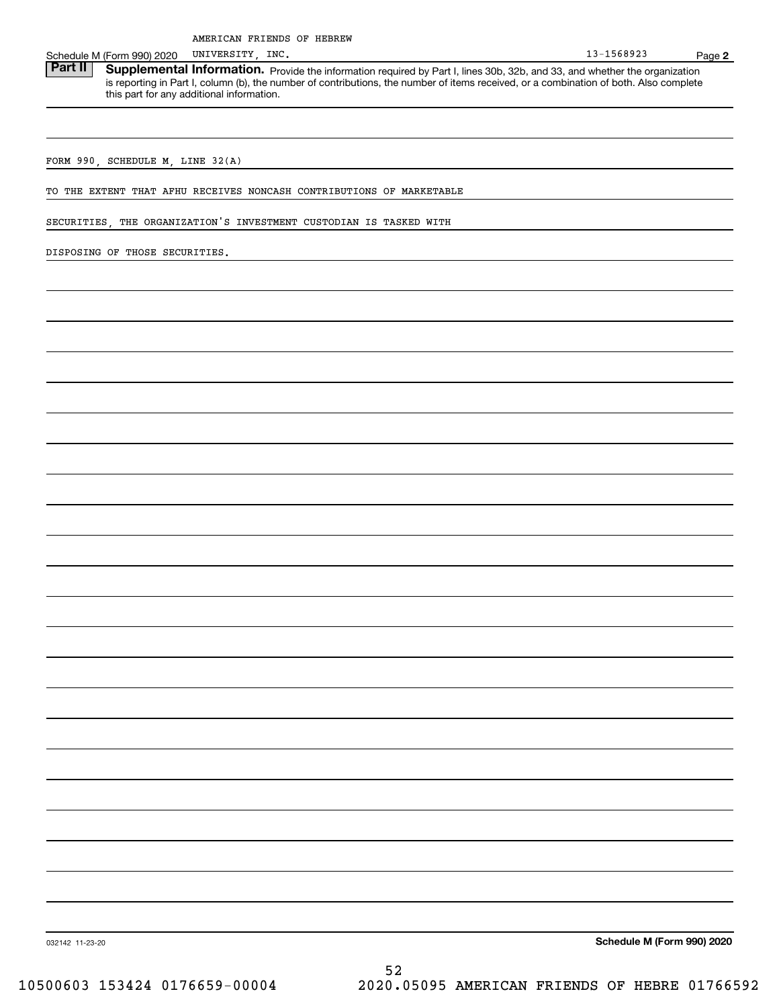UNIVERSITY,

Schedule M (Form 990) 2020 UNIVERSITY, INC.<br>**Part II** Supplemental Information. Provide the information required by Part I. lines 30b. 32b. and 33. and whether the c Part II | Supplemental Information. Provide the information required by Part I, lines 30b, 32b, and 33, and whether the organization is reporting in Part I, column (b), the number of contributions, the number of items received, or a combination of both. Also complete this part for any additional information.

FORM 990, SCHEDULE M, LINE 32(A)

TO THE EXTENT THAT AFHU RECEIVES NONCASH CONTRIBUTIONS OF MARKETABLE

SECURITIES, THE ORGANIZATION'S INVESTMENT CUSTODIAN IS TASKED WITH

DISPOSING OF THOSE SECURITIES.

**Schedule M (Form 990) 2020**

032142 11-23-20

52 10500603 153424 0176659-00004 2020.05095 AMERICAN FRIENDS OF HEBRE 01766592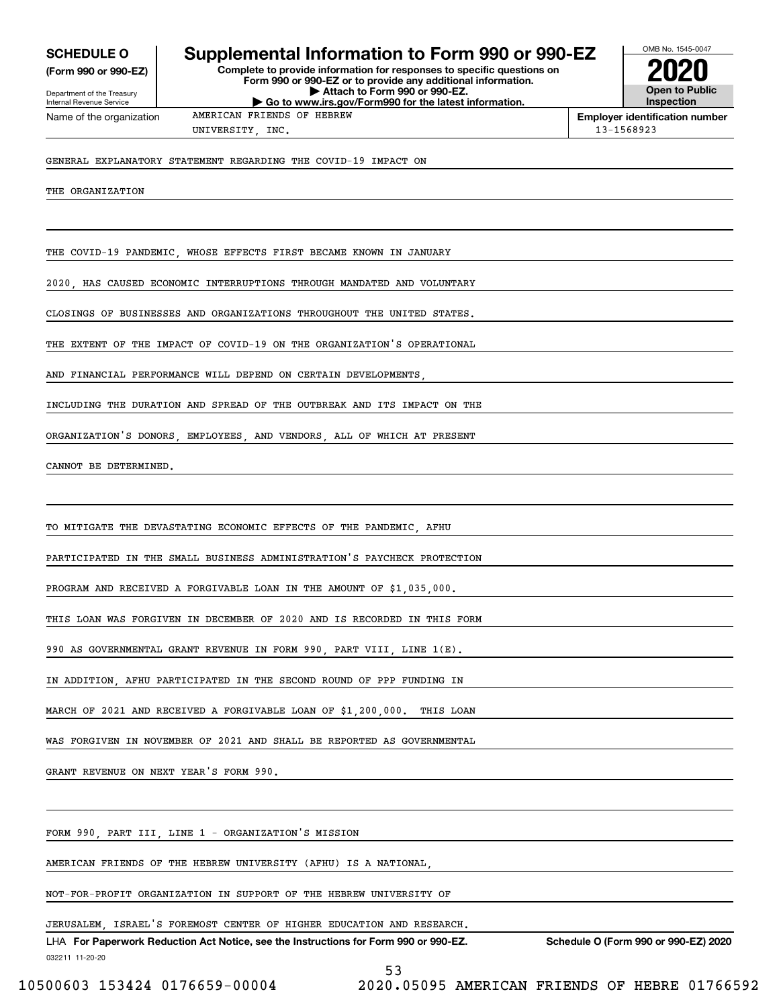**(Form 990 or 990-EZ)**

Department of the Treasury Internal Revenue Service Name of the organization

## **SCHEDULE O Supplemental Information to Form 990 or 990-EZ**

**Complete to provide information for responses to specific questions on Form 990 or 990-EZ or to provide any additional information. | Attach to Form 990 or 990-EZ. | Go to www.irs.gov/Form990 for the latest information.**



**Employer identification number** UNIVERSITY INC. 13-1568923

GENERAL EXPLANATORY STATEMENT REGARDING THE COVID-19 IMPACT ON

THE ORGANIZATION

THE COVID-19 PANDEMIC, WHOSE EFFECTS FIRST BECAME KNOWN IN JANUARY

2020, HAS CAUSED ECONOMIC INTERRUPTIONS THROUGH MANDATED AND VOLUNTARY

AMERICAN FRIENDS OF HEBREW

CLOSINGS OF BUSINESSES AND ORGANIZATIONS THROUGHOUT THE UNITED STATES.

THE EXTENT OF THE IMPACT OF COVID-19 ON THE ORGANIZATION'S OPERATIONAL

AND FINANCIAL PERFORMANCE WILL DEPEND ON CERTAIN DEVELOPMENTS

INCLUDING THE DURATION AND SPREAD OF THE OUTBREAK AND ITS IMPACT ON THE

ORGANIZATION'S DONORS, EMPLOYEES, AND VENDORS, ALL OF WHICH AT PRESENT

CANNOT BE DETERMINED.

TO MITIGATE THE DEVASTATING ECONOMIC EFFECTS OF THE PANDEMIC, AFHU

PARTICIPATED IN THE SMALL BUSINESS ADMINISTRATION'S PAYCHECK PROTECTION

PROGRAM AND RECEIVED A FORGIVABLE LOAN IN THE AMOUNT OF \$1,035,000.

THIS LOAN WAS FORGIVEN IN DECEMBER OF 2020 AND IS RECORDED IN THIS FORM

990 AS GOVERNMENTAL GRANT REVENUE IN FORM 990, PART VIII, LINE 1(E).

IN ADDITION, AFHU PARTICIPATED IN THE SECOND ROUND OF PPP FUNDING IN

MARCH OF 2021 AND RECEIVED A FORGIVABLE LOAN OF \$1,200,000. THIS LOAN

WAS FORGIVEN IN NOVEMBER OF 2021 AND SHALL BE REPORTED AS GOVERNMENTAL

GRANT REVENUE ON NEXT YEAR'S FORM 990.

FORM 990, PART III, LINE 1 - ORGANIZATION'S MISSION

AMERICAN FRIENDS OF THE HEBREW UNIVERSITY (AFHU) IS A NATIONAL,

NOT-FOR-PROFIT ORGANIZATION IN SUPPORT OF THE HEBREW UNIVERSITY OF

JERUSALEM, ISRAEL'S FOREMOST CENTER OF HIGHER EDUCATION AND RESEARCH.

032211 11-20-20 LHA For Paperwork Reduction Act Notice, see the Instructions for Form 990 or 990-EZ. Schedule O (Form 990 or 990-EZ) 2020 53

10500603 153424 0176659-00004 2020.05095 AMERICAN FRIENDS OF HEBRE 01766592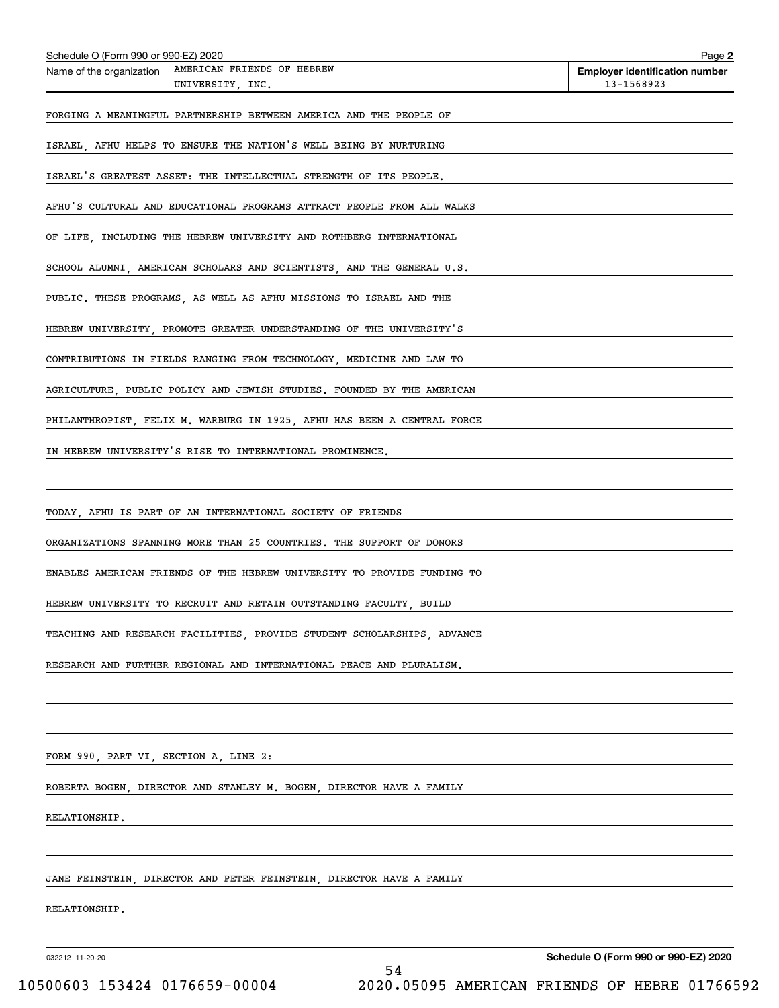| AMERICAN FRIENDS OF HEBREW<br>Name of the organization<br>UNIVERSITY, INC.                           | <b>Employer identification number</b><br>13-1568923 |
|------------------------------------------------------------------------------------------------------|-----------------------------------------------------|
| FORGING A MEANINGFUL PARTNERSHIP BETWEEN AMERICA AND THE PEOPLE OF                                   |                                                     |
| ISRAEL AFHU HELPS TO ENSURE THE NATION'S WELL BEING BY NURTURING                                     |                                                     |
| ISRAEL'S GREATEST ASSET: THE INTELLECTUAL STRENGTH OF ITS PEOPLE.                                    |                                                     |
| AFHU'S CULTURAL AND EDUCATIONAL PROGRAMS ATTRACT PEOPLE FROM ALL WALKS                               |                                                     |
| OF LIFE, INCLUDING THE HEBREW UNIVERSITY AND ROTHBERG INTERNATIONAL                                  |                                                     |
| SCHOOL ALUMNI, AMERICAN SCHOLARS AND SCIENTISTS, AND THE GENERAL U.S.                                |                                                     |
| PUBLIC. THESE PROGRAMS, AS WELL AS AFHU MISSIONS TO ISRAEL AND THE                                   |                                                     |
| HEBREW UNIVERSITY, PROMOTE GREATER UNDERSTANDING OF THE UNIVERSITY'S                                 |                                                     |
| CONTRIBUTIONS IN FIELDS RANGING FROM TECHNOLOGY, MEDICINE AND LAW TO                                 |                                                     |
| AGRICULTURE, PUBLIC POLICY AND JEWISH STUDIES. FOUNDED BY THE AMERICAN                               |                                                     |
| PHILANTHROPIST, FELIX M. WARBURG IN 1925, AFHU HAS BEEN A CENTRAL FORCE                              |                                                     |
| IN HEBREW UNIVERSITY'S RISE TO INTERNATIONAL PROMINENCE.                                             |                                                     |
|                                                                                                      |                                                     |
| TODAY, AFHU IS PART OF AN INTERNATIONAL SOCIETY OF FRIENDS                                           |                                                     |
| ORGANIZATIONS SPANNING MORE THAN 25 COUNTRIES. THE SUPPORT OF DONORS                                 |                                                     |
| ENABLES AMERICAN FRIENDS OF THE HEBREW UNIVERSITY TO PROVIDE FUNDING TO                              |                                                     |
| HEBREW UNIVERSITY TO RECRUIT AND RETAIN OUTSTANDING FACULTY, BUILD                                   |                                                     |
| TEACHING AND RESEARCH FACILITIES, PROVIDE STUDENT SCHOLARSHIPS, ADVANCE                              |                                                     |
| RESEARCH AND FURTHER REGIONAL AND INTERNATIONAL PEACE AND PLURALISM.                                 |                                                     |
|                                                                                                      |                                                     |
|                                                                                                      |                                                     |
| FORM 990, PART VI, SECTION A, LINE 2:<br><u> 1989 - Johann Stoff, amerikansk politiker (d. 1989)</u> |                                                     |
| ROBERTA BOGEN, DIRECTOR AND STANLEY M. BOGEN, DIRECTOR HAVE A FAMILY                                 |                                                     |
| RELATIONSHIP.                                                                                        |                                                     |
|                                                                                                      |                                                     |
| JANE FEINSTEIN, DIRECTOR AND PETER FEINSTEIN, DIRECTOR HAVE A FAMILY                                 |                                                     |
| RELATIONSHIP.                                                                                        |                                                     |
|                                                                                                      |                                                     |
| 032212 11-20-20<br>54                                                                                | Schedule O (Form 990 or 990-EZ) 2020                |

Schedule O (Form 990 or 990-EZ) 2020

**2**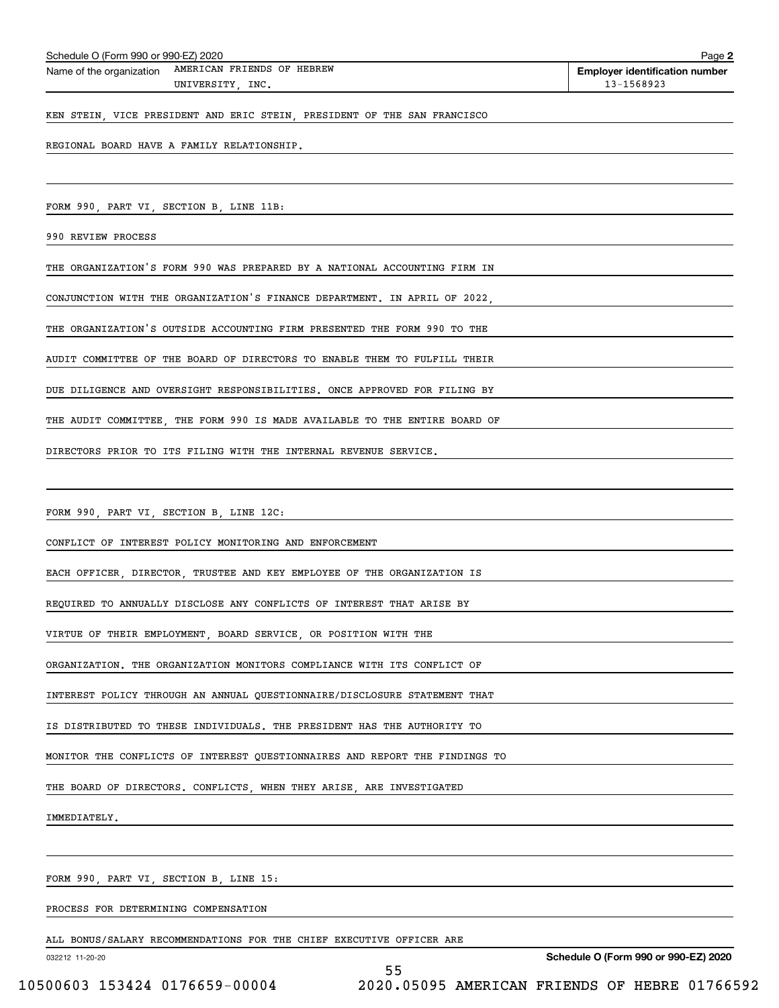| Schedule O (Form 990 or 990-EZ) 2020 | Page 2                                              |                                       |
|--------------------------------------|-----------------------------------------------------|---------------------------------------|
|                                      | Name of the organization AMERICAN FRIENDS OF HEBREW | <b>Employer identification number</b> |
|                                      | UNIVERSITY INC.                                     | 13-1568923                            |
|                                      |                                                     |                                       |

KEN STEIN, VICE PRESIDENT AND ERIC STEIN, PRESIDENT OF THE SAN FRANCISCO

REGIONAL BOARD HAVE A FAMILY RELATIONSHIP.

FORM 990, PART VI, SECTION B, LINE 11B:

990 REVIEW PROCESS

THE ORGANIZATION'S FORM 990 WAS PREPARED BY A NATIONAL ACCOUNTING FIRM IN

CONJUNCTION WITH THE ORGANIZATION'S FINANCE DEPARTMENT. IN APRIL OF 2022,

THE ORGANIZATION'S OUTSIDE ACCOUNTING FIRM PRESENTED THE FORM 990 TO THE

AUDIT COMMITTEE OF THE BOARD OF DIRECTORS TO ENABLE THEM TO FULFILL THEIR

DUE DILIGENCE AND OVERSIGHT RESPONSIBILITIES. ONCE APPROVED FOR FILING BY

THE AUDIT COMMITTEE, THE FORM 990 IS MADE AVAILABLE TO THE ENTIRE BOARD OF

DIRECTORS PRIOR TO ITS FILING WITH THE INTERNAL REVENUE SERVICE.

FORM 990, PART VI, SECTION B, LINE 12C:

CONFLICT OF INTEREST POLICY MONITORING AND ENFORCEMENT

EACH OFFICER, DIRECTOR, TRUSTEE AND KEY EMPLOYEE OF THE ORGANIZATION IS

REQUIRED TO ANNUALLY DISCLOSE ANY CONFLICTS OF INTEREST THAT ARISE BY

VIRTUE OF THEIR EMPLOYMENT, BOARD SERVICE, OR POSITION WITH THE

ORGANIZATION. THE ORGANIZATION MONITORS COMPLIANCE WITH ITS CONFLICT OF

INTEREST POLICY THROUGH AN ANNUAL QUESTIONNAIRE/DISCLOSURE STATEMENT THAT

IS DISTRIBUTED TO THESE INDIVIDUALS. THE PRESIDENT HAS THE AUTHORITY TO

MONITOR THE CONFLICTS OF INTEREST QUESTIONNAIRES AND REPORT THE FINDINGS TO

THE BOARD OF DIRECTORS. CONFLICTS, WHEN THEY ARISE, ARE INVESTIGATED

IMMEDIATELY.

FORM 990, PART VI, SECTION B, LINE 15:

PROCESS FOR DETERMINING COMPENSATION

ALL BONUS/SALARY RECOMMENDATIONS FOR THE CHIEF EXECUTIVE OFFICER ARE

032212 11-20-20

**Schedule O (Form 990 or 990-EZ) 2020**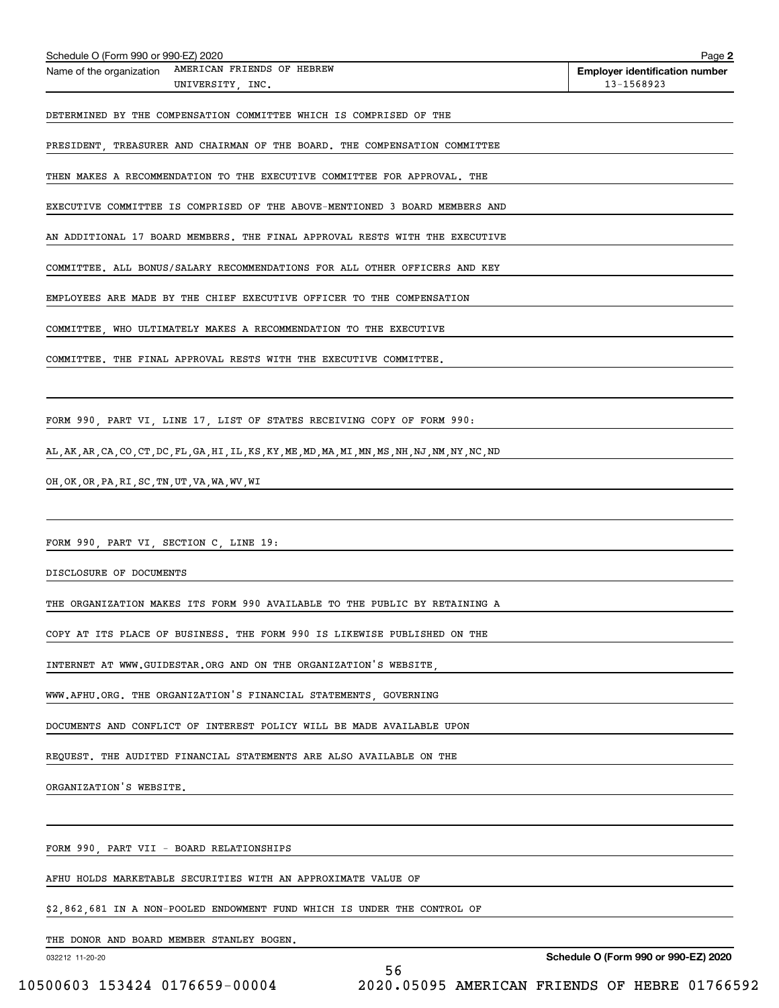| Schedule O (Form 990 or 990-EZ) 2020                                                               | Page 2                                              |
|----------------------------------------------------------------------------------------------------|-----------------------------------------------------|
| AMERICAN FRIENDS OF HEBREW<br>Name of the organization<br>UNIVERSITY, INC.                         | <b>Employer identification number</b><br>13-1568923 |
| DETERMINED BY THE COMPENSATION COMMITTEE WHICH IS COMPRISED OF THE                                 |                                                     |
| PRESIDENT, TREASURER AND CHAIRMAN OF THE BOARD. THE COMPENSATION COMMITTEE                         |                                                     |
| THEN MAKES A RECOMMENDATION TO THE EXECUTIVE COMMITTEE FOR APPROVAL. THE                           |                                                     |
| EXECUTIVE COMMITTEE IS COMPRISED OF THE ABOVE-MENTIONED 3 BOARD MEMBERS AND                        |                                                     |
| AN ADDITIONAL 17 BOARD MEMBERS. THE FINAL APPROVAL RESTS WITH THE EXECUTIVE                        |                                                     |
| COMMITTEE. ALL BONUS/SALARY RECOMMENDATIONS FOR ALL OTHER OFFICERS AND KEY                         |                                                     |
| EMPLOYEES ARE MADE BY THE CHIEF EXECUTIVE OFFICER TO THE COMPENSATION                              |                                                     |
| COMMITTEE, WHO ULTIMATELY MAKES A RECOMMENDATION TO THE EXECUTIVE                                  |                                                     |
| COMMITTEE. THE FINAL APPROVAL RESTS WITH THE EXECUTIVE COMMITTEE.                                  |                                                     |
|                                                                                                    |                                                     |
| FORM 990, PART VI, LINE 17, LIST OF STATES RECEIVING COPY OF FORM 990:                             |                                                     |
| AL, AK, AR, CA, CO, CT, DC, FL, GA, HI, IL, KS, KY, ME, MD, MA, MI, MN, MS, NH, NJ, NM, NY, NC, ND |                                                     |
| OH, OK, OR, PA, RI, SC, TN, UT, VA, WA, WV, WI                                                     |                                                     |
|                                                                                                    |                                                     |
| FORM 990, PART VI, SECTION C, LINE 19:                                                             |                                                     |
| DISCLOSURE OF DOCUMENTS                                                                            |                                                     |
| THE ORGANIZATION MAKES ITS FORM 990 AVAILABLE TO THE PUBLIC BY RETAINING A                         |                                                     |
| COPY AT ITS PLACE OF BUSINESS. THE FORM 990 IS LIKEWISE PUBLISHED ON THE                           |                                                     |
| INTERNET AT WWW.GUIDESTAR.ORG AND ON THE ORGANIZATION'S WEBSITE,                                   |                                                     |
| WWW.AFHU.ORG. THE ORGANIZATION'S FINANCIAL STATEMENTS GOVERNING                                    |                                                     |
| DOCUMENTS AND CONFLICT OF INTEREST POLICY WILL BE MADE AVAILABLE UPON                              |                                                     |
| REQUEST. THE AUDITED FINANCIAL STATEMENTS ARE ALSO AVAILABLE ON THE                                |                                                     |
| ORGANIZATION'S WEBSITE.                                                                            |                                                     |
|                                                                                                    |                                                     |
| FORM 990, PART VII - BOARD RELATIONSHIPS                                                           |                                                     |
| AFHU HOLDS MARKETABLE SECURITIES WITH AN APPROXIMATE VALUE OF                                      |                                                     |

\$2,862,681 IN A NON-POOLED ENDOWMENT FUND WHICH IS UNDER THE CONTROL OF

THE DONOR AND BOARD MEMBER STANLEY BOGEN.

032212 11-20-20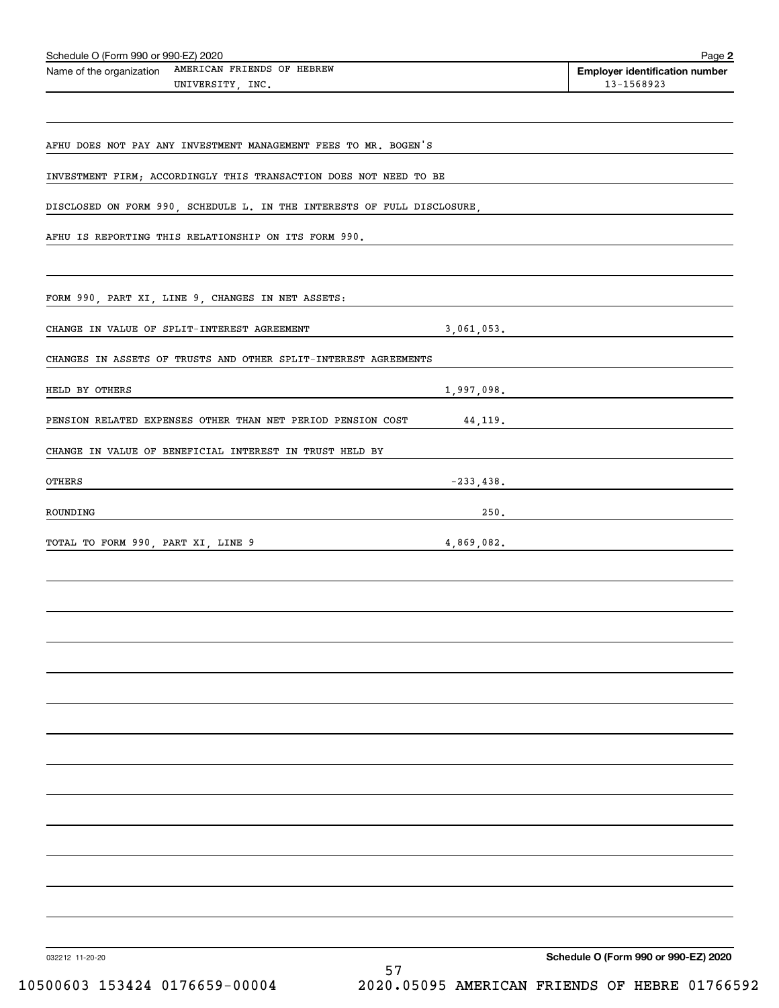| Schedule O (Form 990 or 990-EZ) 2020<br>Name of the organization AMERICAN FRIENDS OF HEBREW | Page 2<br><b>Employer identification number</b> |
|---------------------------------------------------------------------------------------------|-------------------------------------------------|
| UNIVERSITY, INC.                                                                            | 13-1568923                                      |
| AFHU DOES NOT PAY ANY INVESTMENT MANAGEMENT FEES TO MR. BOGEN'S                             |                                                 |
| INVESTMENT FIRM; ACCORDINGLY THIS TRANSACTION DOES NOT NEED TO BE                           |                                                 |
| DISCLOSED ON FORM 990, SCHEDULE L. IN THE INTERESTS OF FULL DISCLOSURE,                     |                                                 |
| AFHU IS REPORTING THIS RELATIONSHIP ON ITS FORM 990.                                        |                                                 |
|                                                                                             |                                                 |
| FORM 990, PART XI, LINE 9, CHANGES IN NET ASSETS:                                           |                                                 |
| CHANGE IN VALUE OF SPLIT-INTEREST AGREEMENT                                                 | 3,061,053.                                      |
| CHANGES IN ASSETS OF TRUSTS AND OTHER SPLIT-INTEREST AGREEMENTS                             |                                                 |
| HELD BY OTHERS<br><u> 1989 - Johann John Stone, markin sanadi bashkar (</u>                 | 1,997,098.                                      |
| PENSION RELATED EXPENSES OTHER THAN NET PERIOD PENSION COST 44,119.                         |                                                 |
| CHANGE IN VALUE OF BENEFICIAL INTEREST IN TRUST HELD BY                                     |                                                 |
| <b>OTHERS</b>                                                                               | $-233,438.$                                     |
| ROUNDING<br><u> 1989 - Johann Barn, amerikansk politiker (d. 1989)</u>                      | 250. $\qquad \qquad$                            |
| TOTAL TO FORM 990, PART XI, LINE 9 4,869,082.                                               |                                                 |
|                                                                                             |                                                 |
|                                                                                             |                                                 |
|                                                                                             |                                                 |
|                                                                                             |                                                 |
|                                                                                             |                                                 |
|                                                                                             |                                                 |
|                                                                                             |                                                 |
|                                                                                             |                                                 |
|                                                                                             |                                                 |
|                                                                                             |                                                 |
|                                                                                             |                                                 |
|                                                                                             |                                                 |
|                                                                                             |                                                 |
| 032212 11-20-20                                                                             | Schedule O (Form 990 or 990-EZ) 2020            |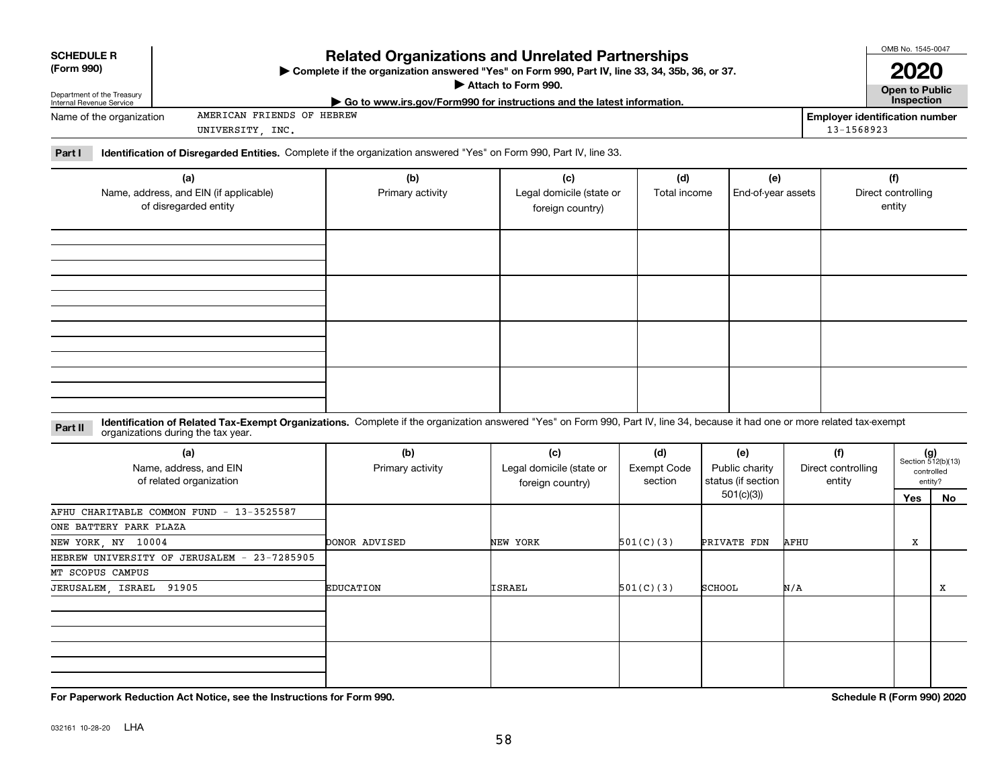|                                                        |                                                                                                                                                                                                                    |                                                                                                                                                                                    |                                                     |                                      |                                             |      |                                                     | OMB No. 1545-0047                   |                                                      |  |  |
|--------------------------------------------------------|--------------------------------------------------------------------------------------------------------------------------------------------------------------------------------------------------------------------|------------------------------------------------------------------------------------------------------------------------------------------------------------------------------------|-----------------------------------------------------|--------------------------------------|---------------------------------------------|------|-----------------------------------------------------|-------------------------------------|------------------------------------------------------|--|--|
| <b>SCHEDULE R</b><br>(Form 990)                        |                                                                                                                                                                                                                    | <b>Related Organizations and Unrelated Partnerships</b><br>> Complete if the organization answered "Yes" on Form 990, Part IV, line 33, 34, 35b, 36, or 37.<br>Attach to Form 990. |                                                     |                                      |                                             |      |                                                     |                                     |                                                      |  |  |
| Department of the Treasury<br>Internal Revenue Service |                                                                                                                                                                                                                    | Go to www.irs.gov/Form990 for instructions and the latest information.                                                                                                             |                                                     |                                      |                                             |      |                                                     | <b>Open to Public</b><br>Inspection |                                                      |  |  |
| Name of the organization                               | AMERICAN FRIENDS OF HEBREW<br>UNIVERSITY, INC.                                                                                                                                                                     |                                                                                                                                                                                    |                                                     |                                      |                                             |      | <b>Employer identification number</b><br>13-1568923 |                                     |                                                      |  |  |
| Part I                                                 | Identification of Disregarded Entities. Complete if the organization answered "Yes" on Form 990, Part IV, line 33.                                                                                                 |                                                                                                                                                                                    |                                                     |                                      |                                             |      |                                                     |                                     |                                                      |  |  |
|                                                        | (a)                                                                                                                                                                                                                | (b)                                                                                                                                                                                | (c)                                                 | (d)                                  | (e)                                         |      |                                                     | (f)                                 |                                                      |  |  |
|                                                        | Name, address, and EIN (if applicable)<br>of disregarded entity                                                                                                                                                    | Primary activity                                                                                                                                                                   | Legal domicile (state or<br>foreign country)        | Total income                         | End-of-year assets                          |      |                                                     | Direct controlling<br>entity        |                                                      |  |  |
|                                                        |                                                                                                                                                                                                                    |                                                                                                                                                                                    |                                                     |                                      |                                             |      |                                                     |                                     |                                                      |  |  |
|                                                        |                                                                                                                                                                                                                    |                                                                                                                                                                                    |                                                     |                                      |                                             |      |                                                     |                                     |                                                      |  |  |
|                                                        |                                                                                                                                                                                                                    |                                                                                                                                                                                    |                                                     |                                      |                                             |      |                                                     |                                     |                                                      |  |  |
|                                                        |                                                                                                                                                                                                                    |                                                                                                                                                                                    |                                                     |                                      |                                             |      |                                                     |                                     |                                                      |  |  |
| Part II                                                | Identification of Related Tax-Exempt Organizations. Complete if the organization answered "Yes" on Form 990, Part IV, line 34, because it had one or more related tax-exempt<br>organizations during the tax year. |                                                                                                                                                                                    |                                                     |                                      |                                             |      |                                                     |                                     |                                                      |  |  |
|                                                        | (a)<br>Name, address, and EIN<br>of related organization                                                                                                                                                           | (b)<br>Primary activity                                                                                                                                                            | (c)<br>Legal domicile (state or<br>foreign country) | (d)<br><b>Exempt Code</b><br>section | (e)<br>Public charity<br>status (if section |      | (f)<br>Direct controlling<br>entity                 |                                     | $(g)$<br>Section 512(b)(13)<br>controlled<br>entity? |  |  |
|                                                        |                                                                                                                                                                                                                    |                                                                                                                                                                                    |                                                     |                                      | 501(c)(3)                                   |      |                                                     | Yes                                 | No.                                                  |  |  |
|                                                        | AFHU CHARITABLE COMMON FUND - 13-3525587                                                                                                                                                                           |                                                                                                                                                                                    |                                                     |                                      |                                             |      |                                                     |                                     |                                                      |  |  |
| ONE BATTERY PARK PLAZA                                 |                                                                                                                                                                                                                    |                                                                                                                                                                                    |                                                     |                                      |                                             |      |                                                     |                                     |                                                      |  |  |
| NEW YORK, NY 10004                                     |                                                                                                                                                                                                                    | DONOR ADVISED                                                                                                                                                                      | NEW YORK                                            | 501(C)(3)                            | <b>PRIVATE FDN</b>                          | AFHU |                                                     | х                                   |                                                      |  |  |
|                                                        | HEBREW UNIVERSITY OF JERUSALEM - 23-7285905                                                                                                                                                                        |                                                                                                                                                                                    |                                                     |                                      |                                             |      |                                                     |                                     |                                                      |  |  |
| MT SCOPUS CAMPUS                                       |                                                                                                                                                                                                                    |                                                                                                                                                                                    |                                                     |                                      |                                             |      |                                                     |                                     |                                                      |  |  |
| JERUSALEM, ISRAEL                                      | 91905                                                                                                                                                                                                              | <b>EDUCATION</b>                                                                                                                                                                   | ISRAEL                                              | 501(C)(3)                            | SCHOOL                                      | N/A  |                                                     |                                     | X                                                    |  |  |
|                                                        |                                                                                                                                                                                                                    |                                                                                                                                                                                    |                                                     |                                      |                                             |      |                                                     |                                     |                                                      |  |  |

**For Paperwork Reduction Act Notice, see the Instructions for Form 990. Schedule R (Form 990) 2020**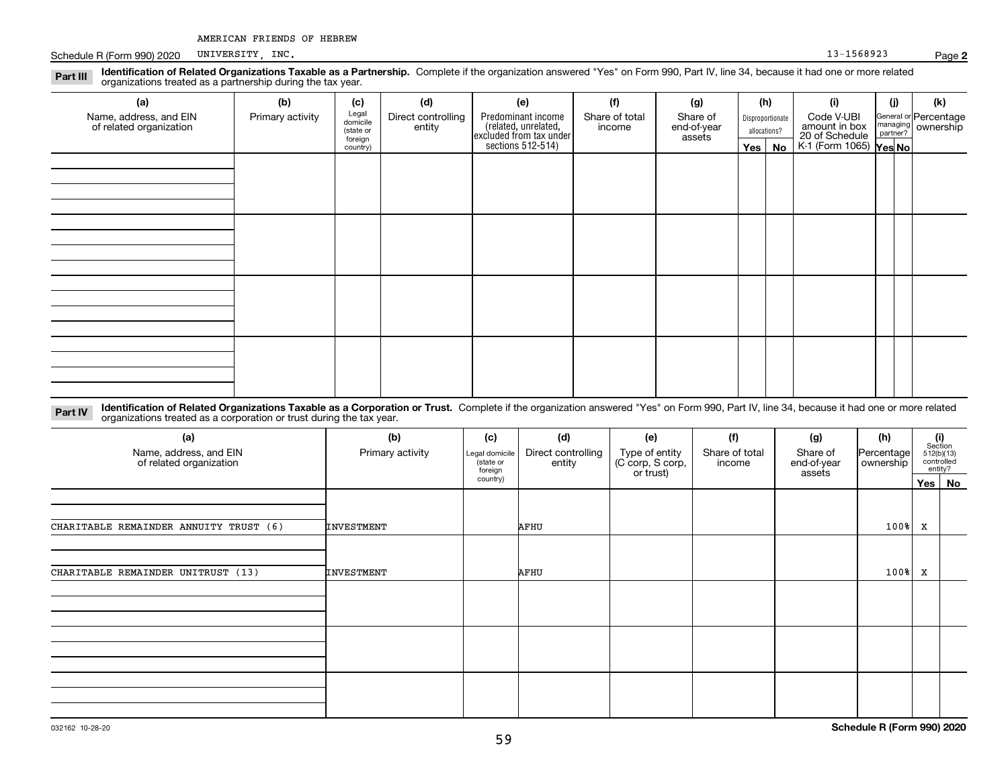Schedule R (Form 990) 2020 PUNIVERSITY, INC. And the state of the state of the state of the state of the state of the state of the state of the state of the state of the state of the state of the state of the state of the UNIVERSITY, INC.

**2**

**Identification of Related Organizations Taxable as a Partnership.** Complete if the organization answered "Yes" on Form 990, Part IV, line 34, because it had one or more related **Part III** organizations treated as a partnership during the tax year.

| (a)                                               | (b)              | (c)                                       | (d)                          | (e)                                                                                       | (f)                      | (g) |  | (h)      | (i) | (j) | (k) |                         |                                            |                                                                                |  |                                                         |
|---------------------------------------------------|------------------|-------------------------------------------|------------------------------|-------------------------------------------------------------------------------------------|--------------------------|-----|--|----------|-----|-----|-----|-------------------------|--------------------------------------------|--------------------------------------------------------------------------------|--|---------------------------------------------------------|
| Name, address, and EIN<br>of related organization | Primary activity | Legal<br>domicile<br>(state or<br>foreign | Direct controlling<br>entity | Predominant income<br>related, unrelated,<br>excluded from tax under<br>sections 512-514) | Share of total<br>income |     |  |          |     |     |     | Share of<br>end-of-year | Disproportionate<br>allocations?<br>assets | Code V-UBI<br>amount in box<br>20 of Schedule<br>K-1 (Form 1065) <b>Yes No</b> |  | General or Percentage<br>managing ownership<br>partner? |
|                                                   |                  | country)                                  |                              |                                                                                           |                          |     |  | Yes   No |     |     |     |                         |                                            |                                                                                |  |                                                         |
|                                                   |                  |                                           |                              |                                                                                           |                          |     |  |          |     |     |     |                         |                                            |                                                                                |  |                                                         |
|                                                   |                  |                                           |                              |                                                                                           |                          |     |  |          |     |     |     |                         |                                            |                                                                                |  |                                                         |
|                                                   |                  |                                           |                              |                                                                                           |                          |     |  |          |     |     |     |                         |                                            |                                                                                |  |                                                         |
|                                                   |                  |                                           |                              |                                                                                           |                          |     |  |          |     |     |     |                         |                                            |                                                                                |  |                                                         |
|                                                   |                  |                                           |                              |                                                                                           |                          |     |  |          |     |     |     |                         |                                            |                                                                                |  |                                                         |
|                                                   |                  |                                           |                              |                                                                                           |                          |     |  |          |     |     |     |                         |                                            |                                                                                |  |                                                         |
|                                                   |                  |                                           |                              |                                                                                           |                          |     |  |          |     |     |     |                         |                                            |                                                                                |  |                                                         |
|                                                   |                  |                                           |                              |                                                                                           |                          |     |  |          |     |     |     |                         |                                            |                                                                                |  |                                                         |
|                                                   |                  |                                           |                              |                                                                                           |                          |     |  |          |     |     |     |                         |                                            |                                                                                |  |                                                         |
|                                                   |                  |                                           |                              |                                                                                           |                          |     |  |          |     |     |     |                         |                                            |                                                                                |  |                                                         |
|                                                   |                  |                                           |                              |                                                                                           |                          |     |  |          |     |     |     |                         |                                            |                                                                                |  |                                                         |
|                                                   |                  |                                           |                              |                                                                                           |                          |     |  |          |     |     |     |                         |                                            |                                                                                |  |                                                         |
|                                                   |                  |                                           |                              |                                                                                           |                          |     |  |          |     |     |     |                         |                                            |                                                                                |  |                                                         |
|                                                   |                  |                                           |                              |                                                                                           |                          |     |  |          |     |     |     |                         |                                            |                                                                                |  |                                                         |
|                                                   |                  |                                           |                              |                                                                                           |                          |     |  |          |     |     |     |                         |                                            |                                                                                |  |                                                         |
|                                                   |                  |                                           |                              |                                                                                           |                          |     |  |          |     |     |     |                         |                                            |                                                                                |  |                                                         |

**Identification of Related Organizations Taxable as a Corporation or Trust.** Complete if the organization answered "Yes" on Form 990, Part IV, line 34, because it had one or more related **Part IV** organizations treated as a corporation or trust during the tax year.

| (a)<br>Name, address, and EIN<br>of related organization | (b)<br>Primary activity | (c)<br>Legal domicile<br>(state or<br>foreign | (d)<br>Direct controlling<br>entity | (e)<br>Type of entity<br>(C corp, S corp,<br>or trust) | (f)<br>Share of total<br>income | (g)<br>Share of<br>end-of-year<br>assets | (h)<br>Percentage<br>ownership |   | $(i)$ Section<br>512(b)(13)<br>controlled<br>entity? |
|----------------------------------------------------------|-------------------------|-----------------------------------------------|-------------------------------------|--------------------------------------------------------|---------------------------------|------------------------------------------|--------------------------------|---|------------------------------------------------------|
|                                                          |                         | country)                                      |                                     |                                                        |                                 |                                          |                                |   | Yes No                                               |
|                                                          |                         |                                               |                                     |                                                        |                                 |                                          |                                |   |                                                      |
| CHARITABLE REMAINDER ANNUITY TRUST (6)                   | INVESTMENT              |                                               | AFHU                                |                                                        |                                 |                                          | $100$ <sup>8</sup>             | x |                                                      |
|                                                          |                         |                                               |                                     |                                                        |                                 |                                          |                                |   |                                                      |
| CHARITABLE REMAINDER UNITRUST (13)                       | INVESTMENT              |                                               | AFHU                                |                                                        |                                 |                                          | $100$ <sup>8</sup>             | x |                                                      |
|                                                          |                         |                                               |                                     |                                                        |                                 |                                          |                                |   |                                                      |
|                                                          |                         |                                               |                                     |                                                        |                                 |                                          |                                |   |                                                      |
|                                                          |                         |                                               |                                     |                                                        |                                 |                                          |                                |   |                                                      |
|                                                          |                         |                                               |                                     |                                                        |                                 |                                          |                                |   |                                                      |
|                                                          |                         |                                               |                                     |                                                        |                                 |                                          |                                |   |                                                      |
|                                                          |                         |                                               |                                     |                                                        |                                 |                                          |                                |   |                                                      |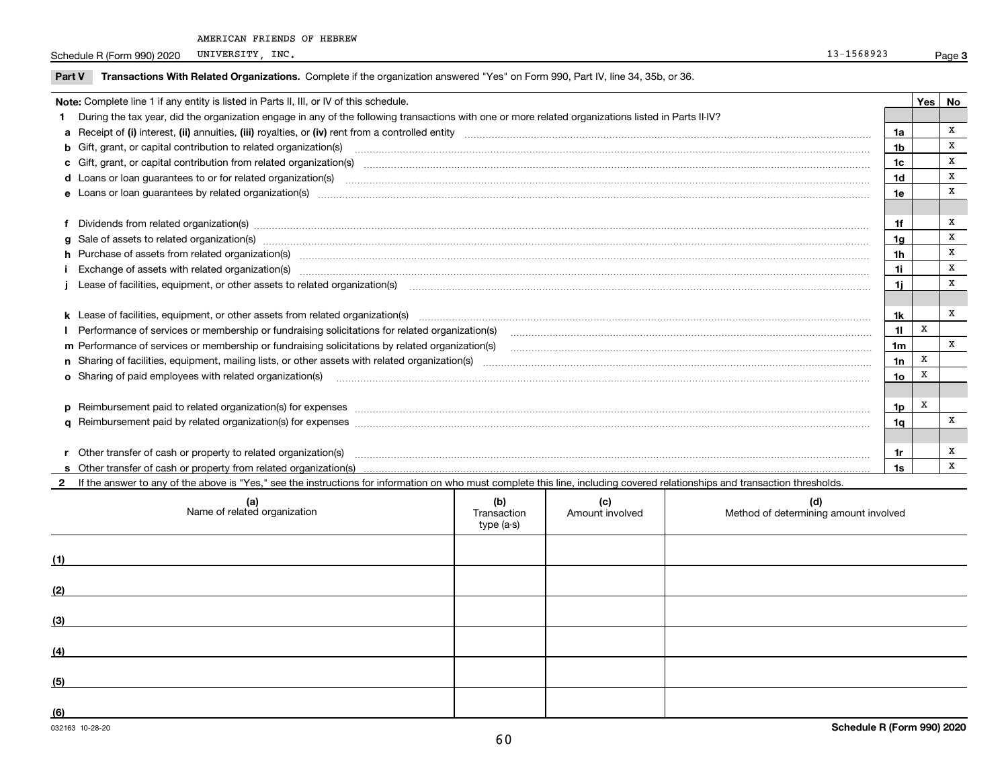Schedule R (Form 990) 2020 UNIVERSITY, INC. 2001 2002 13-1568923 UNIVERSITY, INC.

| <b>Part V</b> | Transactions With Related Organizations. Complete if the organization answered "Yes" on Form 990, Part IV, line 34, 35b, or 36.                                                                                                |                |   |              |  |  |
|---------------|--------------------------------------------------------------------------------------------------------------------------------------------------------------------------------------------------------------------------------|----------------|---|--------------|--|--|
|               | Note: Complete line 1 if any entity is listed in Parts II, III, or IV of this schedule.                                                                                                                                        |                |   |              |  |  |
|               | During the tax year, did the organization engage in any of the following transactions with one or more related organizations listed in Parts II-IV?                                                                            |                |   |              |  |  |
|               |                                                                                                                                                                                                                                | 1a             |   | x            |  |  |
|               | <b>b</b> Gift, grant, or capital contribution to related organization(s)                                                                                                                                                       | 1 <sub>b</sub> |   | X            |  |  |
|               | c Gift, grant, or capital contribution from related organization(s)                                                                                                                                                            | 1c             |   | x            |  |  |
|               |                                                                                                                                                                                                                                | 1d             |   | x            |  |  |
|               |                                                                                                                                                                                                                                | 1e             |   | x            |  |  |
|               |                                                                                                                                                                                                                                |                |   |              |  |  |
|               | Dividends from related organization(s) www.andron.com/www.andron.com/www.andron.com/www.andron.com/www.andron.com/www.andron.com/www.andron.com/www.andron.com/www.andron.com/www.andron.com/www.andron.com/www.andron.com/www | 1f             |   | X            |  |  |
| $\alpha$      |                                                                                                                                                                                                                                | 1a             |   | X            |  |  |
|               | h Purchase of assets from related organization(s) manufactured and content to the content of the content of the content of the content of the content of the content of the content of the content of the content of the conte | 1 <sub>h</sub> |   | x            |  |  |
|               |                                                                                                                                                                                                                                | 1i.            |   | x            |  |  |
|               | Lease of facilities, equipment, or other assets to related organization(s) [11] manufaction manufaction in the manufaction (s) [11] manufaction (s) manufaction (s) and manufaction (s) and manufaction (s) and manufaction (s | 11             |   | X            |  |  |
|               |                                                                                                                                                                                                                                |                |   |              |  |  |
|               |                                                                                                                                                                                                                                | 1k             |   | x            |  |  |
|               | Performance of services or membership or fundraising solicitations for related organization(s)                                                                                                                                 | 11             | X |              |  |  |
|               |                                                                                                                                                                                                                                | 1 <sub>m</sub> |   | $\mathbf{x}$ |  |  |
|               |                                                                                                                                                                                                                                | 1n             | X |              |  |  |
|               |                                                                                                                                                                                                                                | 1o             | X |              |  |  |
|               |                                                                                                                                                                                                                                |                |   |              |  |  |
|               |                                                                                                                                                                                                                                | 1p             | X |              |  |  |
|               |                                                                                                                                                                                                                                | 1α             |   | x            |  |  |
|               |                                                                                                                                                                                                                                |                |   |              |  |  |
|               | Other transfer of cash or property to related organization(s)                                                                                                                                                                  | 1r             |   | х            |  |  |
|               |                                                                                                                                                                                                                                | 1s             |   | X            |  |  |
|               | If the answer to any of the above is "Yes," see the instructions for information on who must complete this line, including covered relationships and transaction thresholds.                                                   |                |   |              |  |  |

| (a)<br>Name of related organization | (b)<br>Transaction<br>type (a-s) | (c)<br>Amount involved | (d)<br>Method of determining amount involved |
|-------------------------------------|----------------------------------|------------------------|----------------------------------------------|
| (1)                                 |                                  |                        |                                              |
| (2)                                 |                                  |                        |                                              |
| (3)                                 |                                  |                        |                                              |
| (4)                                 |                                  |                        |                                              |
| (5)                                 |                                  |                        |                                              |
| (6)                                 |                                  |                        |                                              |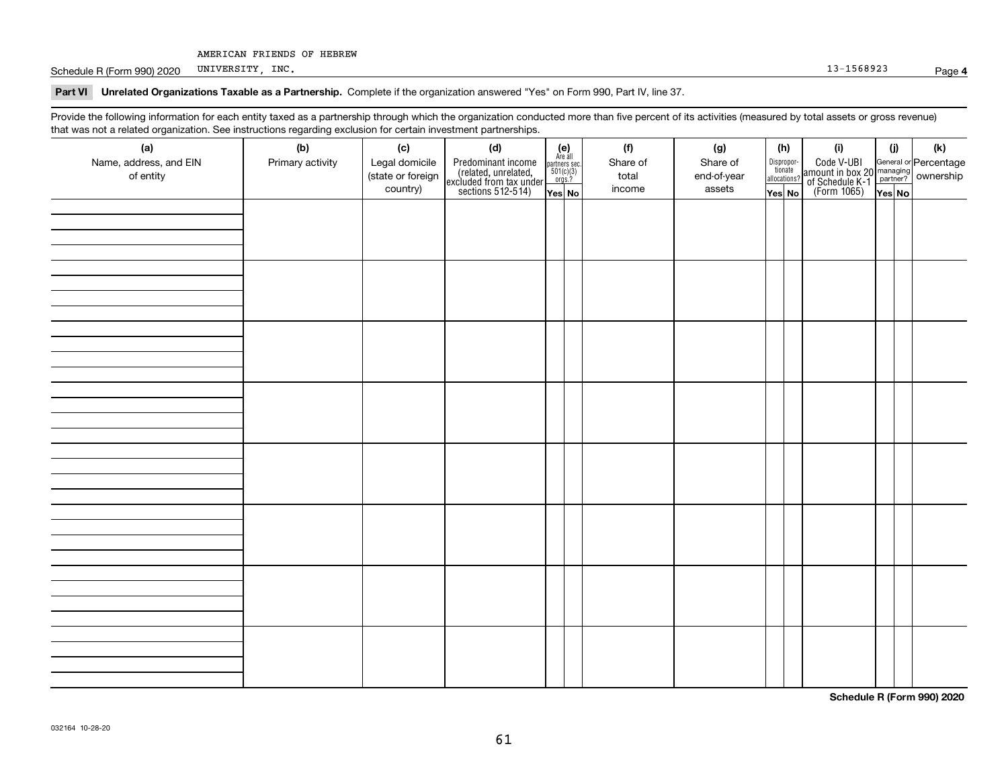Schedule R (Form 990) 2020 UNIVERSITY, INC. 2001 2020 UNIVERSITY, INC. UNIVERSITY, INC.

### **Part VI Unrelated Organizations Taxable as a Partnership. Complete if the organization answered "Yes" on Form 990, Part IV, line 37.**

Provide the following information for each entity taxed as a partnership through which the organization conducted more than five percent of its activities (measured by total assets or gross revenue) that was not a related organization. See instructions regarding exclusion for certain investment partnerships.

| (a)<br>Name, address, and EIN<br>of entity | ໍ່ວ່<br>(b)<br>Primary activity | (c)<br>Legal domicile<br>(state or foreign<br>country) | (d)<br>Predominant income<br>(related, unrelated,<br>excluded from tax under<br>sections 512-514) | (e)<br>Are all<br>partners sec.<br>$501(c)(3)$<br>orgs.?<br>Yes No | (f)<br>Share of<br>total<br>income | (g)<br>Share of<br>end-of-year<br>assets | (h)<br>Dispropor-<br>tionate<br>allocations?<br>Yes No | (i)<br>Code V-UBI<br>amount in box 20 managing<br>of Schedule K-1<br>(Form 1065)<br>$\overline{Yes}$ No | (i)<br>Yes No | (k) |
|--------------------------------------------|---------------------------------|--------------------------------------------------------|---------------------------------------------------------------------------------------------------|--------------------------------------------------------------------|------------------------------------|------------------------------------------|--------------------------------------------------------|---------------------------------------------------------------------------------------------------------|---------------|-----|
|                                            |                                 |                                                        |                                                                                                   |                                                                    |                                    |                                          |                                                        |                                                                                                         |               |     |
|                                            |                                 |                                                        |                                                                                                   |                                                                    |                                    |                                          |                                                        |                                                                                                         |               |     |
|                                            |                                 |                                                        |                                                                                                   |                                                                    |                                    |                                          |                                                        |                                                                                                         |               |     |
|                                            |                                 |                                                        |                                                                                                   |                                                                    |                                    |                                          |                                                        |                                                                                                         |               |     |
|                                            |                                 |                                                        |                                                                                                   |                                                                    |                                    |                                          |                                                        |                                                                                                         |               |     |
|                                            |                                 |                                                        |                                                                                                   |                                                                    |                                    |                                          |                                                        |                                                                                                         |               |     |
|                                            |                                 |                                                        |                                                                                                   |                                                                    |                                    |                                          |                                                        |                                                                                                         |               |     |
|                                            |                                 |                                                        |                                                                                                   |                                                                    |                                    |                                          |                                                        |                                                                                                         |               |     |

**Schedule R (Form 990) 2020**